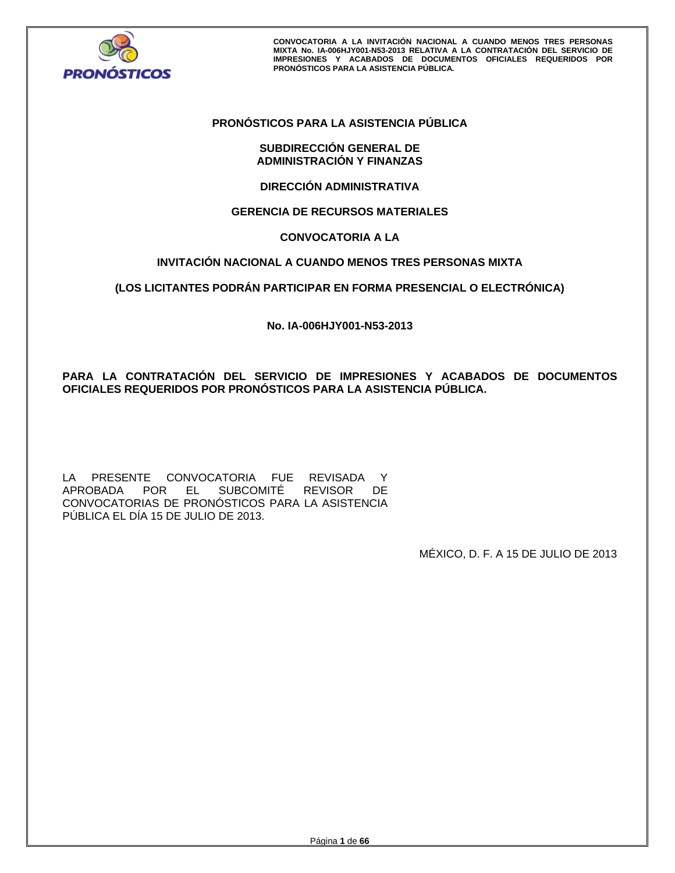

# **PRONÓSTICOS PARA LA ASISTENCIA PÚBLICA**

# **SUBDIRECCIÓN GENERAL DE ADMINISTRACIÓN Y FINANZAS**

**DIRECCIÓN ADMINISTRATIVA** 

# **GERENCIA DE RECURSOS MATERIALES**

# **CONVOCATORIA A LA**

# **INVITACIÓN NACIONAL A CUANDO MENOS TRES PERSONAS MIXTA**

# **(LOS LICITANTES PODRÁN PARTICIPAR EN FORMA PRESENCIAL O ELECTRÓNICA)**

**No. IA-006HJY001-N53-2013** 

# **PARA LA CONTRATACIÓN DEL SERVICIO DE IMPRESIONES Y ACABADOS DE DOCUMENTOS OFICIALES REQUERIDOS POR PRONÓSTICOS PARA LA ASISTENCIA PÚBLICA.**

LA PRESENTE CONVOCATORIA FUE REVISADA Y<br>APROBADA POR EL SUBCOMITÉ REVISOR DE EL SUBCOMITÉ REVISOR CONVOCATORIAS DE PRONÓSTICOS PARA LA ASISTENCIA PÚBLICA EL DÍA 15 DE JULIO DE 2013.

MÉXICO, D. F. A 15 DE JULIO DE 2013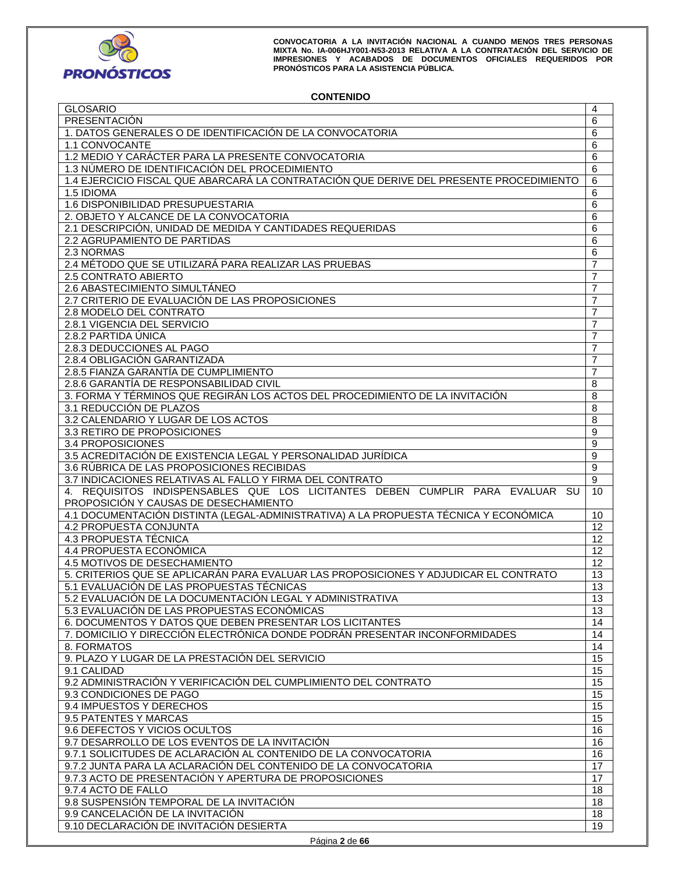

# **CONTENIDO**

| <b>GLOSARIO</b>                                                                         | 4              |
|-----------------------------------------------------------------------------------------|----------------|
| PRESENTACIÓN                                                                            | 6              |
| 1. DATOS GENERALES O DE IDENTIFICACIÓN DE LA CONVOCATORIA                               | 6              |
| 1.1 CONVOCANTE                                                                          | 6              |
| 1.2 MEDIO Y CARÁCTER PARA LA PRESENTE CONVOCATORIA                                      | 6              |
| 1.3 NÚMERO DE IDENTIFICACIÓN DEL PROCEDIMIENTO                                          | 6              |
|                                                                                         |                |
| 1.4 EJERCICIO FISCAL QUE ABARCARÁ LA CONTRATACIÓN QUE DERIVE DEL PRESENTE PROCEDIMIENTO | 6              |
| 1.5 IDIOMA                                                                              | 6              |
| 1.6 DISPONIBILIDAD PRESUPUESTARIA                                                       | 6              |
| 2. OBJETO Y ALCANCE DE LA CONVOCATORIA                                                  | 6              |
| 2.1 DESCRIPCIÓN, UNIDAD DE MEDIDA Y CANTIDADES REQUERIDAS                               | 6              |
| 2.2 AGRUPAMIENTO DE PARTIDAS                                                            | 6              |
| 2.3 NORMAS                                                                              | 6              |
| 2.4 MÉTODO QUE SE UTILIZARÁ PARA REALIZAR LAS PRUEBAS                                   | $\overline{7}$ |
| 2.5 CONTRATO ABIERTO                                                                    | $\overline{7}$ |
|                                                                                         |                |
| 2.6 ABASTECIMIENTO SIMULTÁNEO                                                           | $\overline{7}$ |
| 2.7 CRITERIO DE EVALUACIÓN DE LAS PROPOSICIONES                                         | $\overline{7}$ |
| 2.8 MODELO DEL CONTRATO                                                                 | 7              |
| 2.8.1 VIGENCIA DEL SERVICIO                                                             | $\overline{7}$ |
| 2.8.2 PARTIDA ÚNICA                                                                     | $\overline{7}$ |
| 2.8.3 DEDUCCIONES AL PAGO                                                               | $\overline{7}$ |
| 2.8.4 OBLIGACIÓN GARANTIZADA                                                            | $\overline{7}$ |
| 2.8.5 FIANZA GARANTÍA DE CUMPLIMIENTO                                                   | 7              |
| 2.8.6 GARANTÍA DE RESPONSABILIDAD CIVIL                                                 |                |
|                                                                                         | 8              |
| 3. FORMA Y TÉRMINOS QUE REGIRÁN LOS ACTOS DEL PROCEDIMIENTO DE LA INVITACIÓN            | 8              |
| 3.1 REDUCCIÓN DE PLAZOS                                                                 | $\overline{8}$ |
| 3.2 CALENDARIO Y LUGAR DE LOS ACTOS                                                     | 8              |
| 3.3 RETIRO DE PROPOSICIONES                                                             | 9              |
| 3.4 PROPOSICIONES                                                                       | 9              |
| 3.5 ACREDITACIÓN DE EXISTENCIA LEGAL Y PERSONALIDAD JURÍDICA                            | 9              |
| 3.6 RÚBRICA DE LAS PROPOSICIONES RECIBIDAS                                              | $\overline{9}$ |
| 3.7 INDICACIONES RELATIVAS AL FALLO Y FIRMA DEL CONTRATO                                | 9              |
|                                                                                         |                |
| 4. REQUISITOS INDISPENSABLES QUE LOS LICITANTES DEBEN CUMPLIR PARA EVALUAR SU           | 10             |
| PROPOSICIÓN Y CAUSAS DE DESECHAMIENTO                                                   |                |
| 4.1 DOCUMENTACIÓN DISTINTA (LEGAL-ADMINISTRATIVA) A LA PROPUESTA TÉCNICA Y ECONÓMICA    | 10             |
| 4.2 PROPUESTA CONJUNTA                                                                  | 12             |
|                                                                                         |                |
| 4.3 PROPUESTA TÉCNICA                                                                   | 12             |
| 4.4 PROPUESTA ECONÓMICA                                                                 |                |
|                                                                                         | 12             |
| 4.5 MOTIVOS DE DESECHAMIENTO                                                            | 12             |
| 5. CRITERIOS QUE SE APLICARÁN PARA EVALUAR LAS PROPOSICIONES Y ADJUDICAR EL CONTRATO    | 13             |
| 5.1 EVALUACIÓN DE LAS PROPUESTAS TÉCNICAS                                               | 13             |
| 5.2 EVALUACIÓN DE LA DOCUMENTACIÓN LEGAL Y ADMINISTRATIVA                               | 13             |
| 5.3 EVALUACIÓN DE LAS PROPUESTAS ECONÓMICAS                                             | 13             |
| 6. DOCUMENTOS Y DATOS QUE DEBEN PRESENTAR LOS LICITANTES                                | 14             |
| 7. DOMICILIO Y DIRECCIÓN ELECTRÓNICA DONDE PODRÁN PRESENTAR INCONFORMIDADES             | 14             |
| 8. FORMATOS                                                                             | 14             |
|                                                                                         |                |
| 9. PLAZO Y LUGAR DE LA PRESTACIÓN DEL SERVICIO                                          | 15             |
| 9.1 CALIDAD                                                                             | 15             |
| 9.2 ADMINISTRACIÓN Y VERIFICACIÓN DEL CUMPLIMIENTO DEL CONTRATO                         | 15             |
| 9.3 CONDICIONES DE PAGO                                                                 | 15             |
| 9.4 IMPUESTOS Y DERECHOS                                                                | 15             |
| 9.5 PATENTES Y MARCAS                                                                   | 15             |
| 9.6 DEFECTOS Y VICIOS OCULTOS                                                           | 16             |
| 9.7 DESARROLLO DE LOS EVENTOS DE LA INVITACIÓN                                          | 16             |
| 9.7.1 SOLICITUDES DE ACLARACIÓN AL CONTENIDO DE LA CONVOCATORIA                         | 16             |
|                                                                                         |                |
| 9.7.2 JUNTA PARA LA ACLARACIÓN DEL CONTENIDO DE LA CONVOCATORIA                         | 17             |
| 9.7.3 ACTO DE PRESENTACIÓN Y APERTURA DE PROPOSICIONES                                  | 17             |
| 9.7.4 ACTO DE FALLO                                                                     | 18             |
| 9.8 SUSPENSIÓN TEMPORAL DE LA INVITACIÓN                                                | 18             |
| 9.9 CANCELACIÓN DE LA INVITACIÓN<br>9.10 DECLARACIÓN DE INVITACIÓN DESIERTA             | 18<br>19       |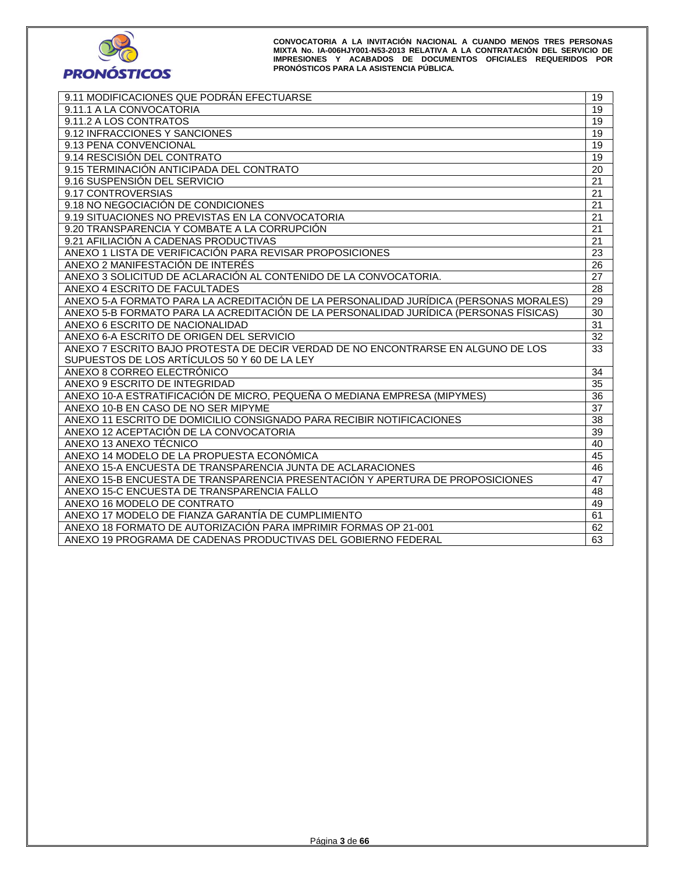

| 9.11 MODIFICACIONES QUE PODRÁN EFECTUARSE                                             | 19 |
|---------------------------------------------------------------------------------------|----|
| 9.11.1 A LA CONVOCATORIA                                                              | 19 |
| 9.11.2 A LOS CONTRATOS                                                                | 19 |
| 9.12 INFRACCIONES Y SANCIONES                                                         | 19 |
| 9.13 PENA CONVENCIONAL                                                                | 19 |
| 9.14 RESCISIÓN DEL CONTRATO                                                           | 19 |
| 9.15 TERMINACIÓN ANTICIPADA DEL CONTRATO                                              | 20 |
| 9.16 SUSPENSIÓN DEL SERVICIO                                                          | 21 |
| 9.17 CONTROVERSIAS                                                                    | 21 |
| 9.18 NO NEGOCIACIÓN DE CONDICIONES                                                    | 21 |
| 9.19 SITUACIONES NO PREVISTAS EN LA CONVOCATORIA                                      | 21 |
| 9.20 TRANSPARENCIA Y COMBATE A LA CORRUPCIÓN                                          | 21 |
| 9.21 AFILIACIÓN A CADENAS PRODUCTIVAS                                                 | 21 |
| ANEXO 1 LISTA DE VERIFICACIÓN PARA REVISAR PROPOSICIONES                              | 23 |
| ANEXO 2 MANIFESTACIÓN DE INTERÉS                                                      | 26 |
| ANEXO 3 SOLICITUD DE ACLARACIÓN AL CONTENIDO DE LA CONVOCATORIA.                      | 27 |
| ANEXO 4 ESCRITO DE FACULTADES                                                         | 28 |
| ANEXO 5-A FORMATO PARA LA ACREDITACIÓN DE LA PERSONALIDAD JURÍDICA (PERSONAS MORALES) | 29 |
| ANEXO 5-B FORMATO PARA LA ACREDITACIÓN DE LA PERSONALIDAD JURÍDICA (PERSONAS FÍSICAS) | 30 |
| ANEXO 6 ESCRITO DE NACIONALIDAD                                                       | 31 |
| ANEXO 6-A ESCRITO DE ORIGEN DEL SERVICIO                                              | 32 |
| ANEXO 7 ESCRITO BAJO PROTESTA DE DECIR VERDAD DE NO ENCONTRARSE EN ALGUNO DE LOS      | 33 |
| SUPUESTOS DE LOS ARTÍCULOS 50 Y 60 DE LA LEY                                          |    |
| ANEXO 8 CORREO ELECTRÓNICO                                                            | 34 |
| ANEXO 9 ESCRITO DE INTEGRIDAD                                                         | 35 |
| ANEXO 10-A ESTRATIFICACIÓN DE MICRO, PEQUEÑA O MEDIANA EMPRESA (MIPYMES)              | 36 |
| ANEXO 10-B EN CASO DE NO SER MIPYME                                                   | 37 |
| ANEXO 11 ESCRITO DE DOMICILIO CONSIGNADO PARA RECIBIR NOTIFICACIONES                  | 38 |
| ANEXO 12 ACEPTACIÓN DE LA CONVOCATORIA                                                | 39 |
| ANEXO 13 ANEXO TÉCNICO                                                                | 40 |
| ANEXO 14 MODELO DE LA PROPUESTA ECONÓMICA                                             | 45 |
| ANEXO 15-A ENCUESTA DE TRANSPARENCIA JUNTA DE ACLARACIONES                            | 46 |
| ANEXO 15-B ENCUESTA DE TRANSPARENCIA PRESENTACIÓN Y APERTURA DE PROPOSICIONES         | 47 |
| ANEXO 15-C ENCUESTA DE TRANSPARENCIA FALLO                                            | 48 |
| ANEXO 16 MODELO DE CONTRATO                                                           | 49 |
| ANEXO 17 MODELO DE FIANZA GARANTÍA DE CUMPLIMIENTO                                    | 61 |
| ANEXO 18 FORMATO DE AUTORIZACIÓN PARA IMPRIMIR FORMAS OP 21-001                       | 62 |
| ANEXO 19 PROGRAMA DE CADENAS PRODUCTIVAS DEL GOBIERNO FEDERAL                         | 63 |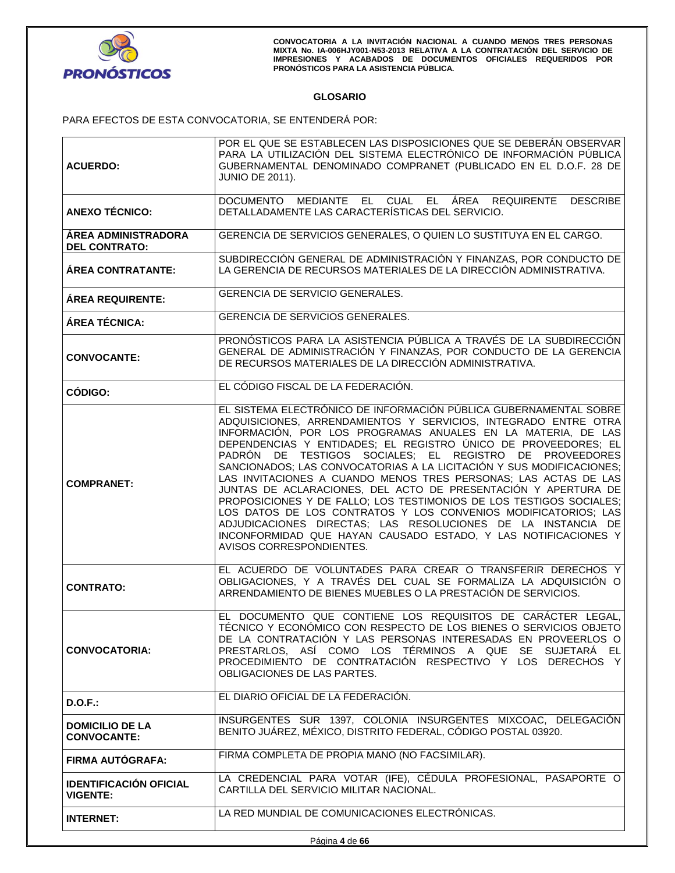

# **GLOSARIO**

PARA EFECTOS DE ESTA CONVOCATORIA, SE ENTENDERÁ POR:

|                                                    | POR EL QUE SE ESTABLECEN LAS DISPOSICIONES QUE SE DEBERÁN OBSERVAR<br>PARA LA UTILIZACIÓN DEL SISTEMA ELECTRÓNICO DE INFORMACIÓN PÚBLICA                                                                                                                                                                                                                                                                                                                                                                                                                                                                                                                                                                                                                                                                                                              |
|----------------------------------------------------|-------------------------------------------------------------------------------------------------------------------------------------------------------------------------------------------------------------------------------------------------------------------------------------------------------------------------------------------------------------------------------------------------------------------------------------------------------------------------------------------------------------------------------------------------------------------------------------------------------------------------------------------------------------------------------------------------------------------------------------------------------------------------------------------------------------------------------------------------------|
| <b>ACUERDO:</b>                                    | GUBERNAMENTAL DENOMINADO COMPRANET (PUBLICADO EN EL D.O.F. 28 DE                                                                                                                                                                                                                                                                                                                                                                                                                                                                                                                                                                                                                                                                                                                                                                                      |
|                                                    | <b>JUNIO DE 2011).</b>                                                                                                                                                                                                                                                                                                                                                                                                                                                                                                                                                                                                                                                                                                                                                                                                                                |
|                                                    | DOCUMENTO MEDIANTE EL CUAL EL ÁREA REQUIRENTE<br><b>DESCRIBE</b>                                                                                                                                                                                                                                                                                                                                                                                                                                                                                                                                                                                                                                                                                                                                                                                      |
| <b>ANEXO TÉCNICO:</b>                              | DETALLADAMENTE LAS CARACTERÍSTICAS DEL SERVICIO.                                                                                                                                                                                                                                                                                                                                                                                                                                                                                                                                                                                                                                                                                                                                                                                                      |
| <b>ÁREA ADMINISTRADORA</b><br><b>DEL CONTRATO:</b> | GERENCIA DE SERVICIOS GENERALES, O QUIEN LO SUSTITUYA EN EL CARGO.                                                                                                                                                                                                                                                                                                                                                                                                                                                                                                                                                                                                                                                                                                                                                                                    |
| <b>ÁREA CONTRATANTE:</b>                           | SUBDIRECCIÓN GENERAL DE ADMINISTRACIÓN Y FINANZAS, POR CONDUCTO DE<br>LA GERENCIA DE RECURSOS MATERIALES DE LA DIRECCIÓN ADMINISTRATIVA.                                                                                                                                                                                                                                                                                                                                                                                                                                                                                                                                                                                                                                                                                                              |
| <b>ÁREA REQUIRENTE:</b>                            | GERENCIA DE SERVICIO GENERALES.                                                                                                                                                                                                                                                                                                                                                                                                                                                                                                                                                                                                                                                                                                                                                                                                                       |
| ÁREA TÉCNICA:                                      | <b>GERENCIA DE SERVICIOS GENERALES.</b>                                                                                                                                                                                                                                                                                                                                                                                                                                                                                                                                                                                                                                                                                                                                                                                                               |
| <b>CONVOCANTE:</b>                                 | PRONÓSTICOS PARA LA ASISTENCIA PÚBLICA A TRAVÉS DE LA SUBDIRECCIÓN<br>GENERAL DE ADMINISTRACIÓN Y FINANZAS, POR CONDUCTO DE LA GERENCIA<br>DE RECURSOS MATERIALES DE LA DIRECCIÓN ADMINISTRATIVA.                                                                                                                                                                                                                                                                                                                                                                                                                                                                                                                                                                                                                                                     |
| CÓDIGO:                                            | EL CÓDIGO FISCAL DE LA FEDERACIÓN.                                                                                                                                                                                                                                                                                                                                                                                                                                                                                                                                                                                                                                                                                                                                                                                                                    |
| <b>COMPRANET:</b>                                  | EL SISTEMA ELECTRÓNICO DE INFORMACIÓN PÚBLICA GUBERNAMENTAL SOBRE<br>ADQUISICIONES, ARRENDAMIENTOS Y SERVICIOS, INTEGRADO ENTRE OTRA<br>INFORMACIÓN, POR LOS PROGRAMAS ANUALES EN LA MATERIA, DE LAS<br>DEPENDENCIAS Y ENTIDADES; EL REGISTRO ÚNICO DE PROVEEDORES; EL<br>PADRÓN DE TESTIGOS SOCIALES: EL REGISTRO DE PROVEEDORES<br>SANCIONADOS; LAS CONVOCATORIAS A LA LICITACIÓN Y SUS MODIFICACIONES;<br>LAS INVITACIONES A CUANDO MENOS TRES PERSONAS; LAS ACTAS DE LAS<br>JUNTAS DE ACLARACIONES, DEL ACTO DE PRESENTACIÓN Y APERTURA DE<br>PROPOSICIONES Y DE FALLO; LOS TESTIMONIOS DE LOS TESTIGOS SOCIALES;<br>LOS DATOS DE LOS CONTRATOS Y LOS CONVENIOS MODIFICATORIOS; LAS<br>ADJUDICACIONES DIRECTAS; LAS RESOLUCIONES DE LA INSTANCIA DE<br>INCONFORMIDAD QUE HAYAN CAUSADO ESTADO, Y LAS NOTIFICACIONES Y<br>AVISOS CORRESPONDIENTES. |
| <b>CONTRATO:</b>                                   | EL ACUERDO DE VOLUNTADES PARA CREAR O TRANSFERIR DERECHOS Y<br>OBLIGACIONES, Y A TRAVÉS DEL CUAL SE FORMALIZA LA ADQUISICIÓN O<br>ARRENDAMIENTO DE BIENES MUEBLES O LA PRESTACIÓN DE SERVICIOS.                                                                                                                                                                                                                                                                                                                                                                                                                                                                                                                                                                                                                                                       |
| <b>CONVOCATORIA:</b>                               | EL DOCUMENTO QUE CONTIENE LOS REQUISITOS DE CARÁCTER LEGAL,<br>TÉCNICO Y ECONÓMICO CON RESPECTO DE LOS BIENES O SERVICIOS OBJETO<br>DE LA CONTRATACIÓN Y LAS PERSONAS INTERESADAS EN PROVEERLOS O<br>PRESTARLOS, ASÍ COMO LOS TÉRMINOS A QUE SE SUJETARÁ EL<br>PROCEDIMIENTO DE CONTRATACIÓN RESPECTIVO Y LOS DERECHOS Y<br>OBLIGACIONES DE LAS PARTES.                                                                                                                                                                                                                                                                                                                                                                                                                                                                                               |
| $D.O.F.$ :                                         | EL DIARIO OFICIAL DE LA FEDERACIÓN.                                                                                                                                                                                                                                                                                                                                                                                                                                                                                                                                                                                                                                                                                                                                                                                                                   |
| <b>DOMICILIO DE LA</b><br><b>CONVOCANTE:</b>       | INSURGENTES SUR 1397, COLONIA INSURGENTES MIXCOAC, DELEGACIÓN<br>BENITO JUÁREZ, MÉXICO, DISTRITO FEDERAL, CÓDIGO POSTAL 03920.                                                                                                                                                                                                                                                                                                                                                                                                                                                                                                                                                                                                                                                                                                                        |
| <b>FIRMA AUTÓGRAFA:</b>                            | FIRMA COMPLETA DE PROPIA MANO (NO FACSIMILAR).                                                                                                                                                                                                                                                                                                                                                                                                                                                                                                                                                                                                                                                                                                                                                                                                        |
| <b>IDENTIFICACIÓN OFICIAL</b><br><b>VIGENTE:</b>   | LA CREDENCIAL PARA VOTAR (IFE), CÉDULA PROFESIONAL, PASAPORTE O<br>CARTILLA DEL SERVICIO MILITAR NACIONAL.                                                                                                                                                                                                                                                                                                                                                                                                                                                                                                                                                                                                                                                                                                                                            |
|                                                    |                                                                                                                                                                                                                                                                                                                                                                                                                                                                                                                                                                                                                                                                                                                                                                                                                                                       |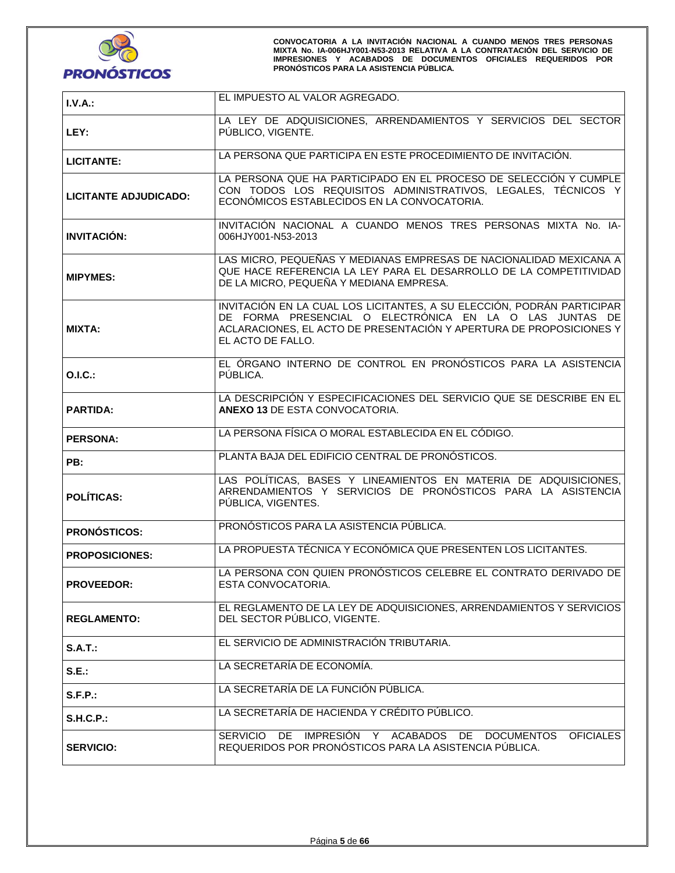

| I.V.A.:               | EL IMPUESTO AL VALOR AGREGADO.                                                                                                                                                                                                |
|-----------------------|-------------------------------------------------------------------------------------------------------------------------------------------------------------------------------------------------------------------------------|
| LEY:                  | LA LEY DE ADQUISICIONES, ARRENDAMIENTOS Y SERVICIOS DEL SECTOR<br>PÚBLICO, VIGENTE.                                                                                                                                           |
| <b>LICITANTE:</b>     | LA PERSONA QUE PARTICIPA EN ESTE PROCEDIMIENTO DE INVITACIÓN.                                                                                                                                                                 |
| LICITANTE ADJUDICADO: | LA PERSONA QUE HA PARTICIPADO EN EL PROCESO DE SELECCIÓN Y CUMPLE<br>CON TODOS LOS REQUISITOS ADMINISTRATIVOS, LEGALES, TÉCNICOS Y<br>ECONÓMICOS ESTABLECIDOS EN LA CONVOCATORIA.                                             |
| <b>INVITACIÓN:</b>    | INVITACIÓN NACIONAL A CUANDO MENOS TRES PERSONAS MIXTA No. IA-<br>006HJY001-N53-2013                                                                                                                                          |
| <b>MIPYMES:</b>       | LAS MICRO, PEQUEÑAS Y MEDIANAS EMPRESAS DE NACIONALIDAD MEXICANA A<br>QUE HACE REFERENCIA LA LEY PARA EL DESARROLLO DE LA COMPETITIVIDAD<br>DE LA MICRO, PEQUEÑA Y MEDIANA EMPRESA.                                           |
| <b>MIXTA:</b>         | INVITACIÓN EN LA CUAL LOS LICITANTES, A SU ELECCIÓN, PODRÁN PARTICIPAR<br>DE FORMA PRESENCIAL O ELECTRÓNICA EN LA O LAS JUNTAS DE<br>ACLARACIONES, EL ACTO DE PRESENTACIÓN Y APERTURA DE PROPOSICIONES Y<br>EL ACTO DE FALLO. |
| O.I.C.:               | EL ÓRGANO INTERNO DE CONTROL EN PRONÓSTICOS PARA LA ASISTENCIA<br>PUBLICA.                                                                                                                                                    |
| <b>PARTIDA:</b>       | LA DESCRIPCIÓN Y ESPECIFICACIONES DEL SERVICIO QUE SE DESCRIBE EN EL<br><b>ANEXO 13 DE ESTA CONVOCATORIA.</b>                                                                                                                 |
| <b>PERSONA:</b>       | LA PERSONA FÍSICA O MORAL ESTABLECIDA EN EL CÓDIGO.                                                                                                                                                                           |
| PB:                   | PLANTA BAJA DEL EDIFICIO CENTRAL DE PRONÓSTICOS.                                                                                                                                                                              |
| <b>POLÍTICAS:</b>     | LAS POLÍTICAS, BASES Y LINEAMIENTOS EN MATERIA DE ADQUISICIONES,<br>ARRENDAMIENTOS Y SERVICIOS DE PRONÓSTICOS PARA LA ASISTENCIA<br>PÚBLICA, VIGENTES.                                                                        |
| <b>PRONÓSTICOS:</b>   | PRONÓSTICOS PARA LA ASISTENCIA PÚBLICA.                                                                                                                                                                                       |
| <b>PROPOSICIONES:</b> | LA PROPUESTA TÉCNICA Y ECONÓMICA QUE PRESENTEN LOS LICITANTES.                                                                                                                                                                |
| <b>PROVEEDOR:</b>     | LA PERSONA CON QUIEN PRONÓSTICOS CELEBRE EL CONTRATO DERIVADO DE<br>ESTA CONVOCATORIA.                                                                                                                                        |
| <b>REGLAMENTO:</b>    | EL REGLAMENTO DE LA LEY DE ADQUISICIONES, ARRENDAMIENTOS Y SERVICIOS<br>DEL SECTOR PÚBLICO, VIGENTE.                                                                                                                          |
| S.A.T.:               | EL SERVICIO DE ADMINISTRACIÓN TRIBUTARIA.                                                                                                                                                                                     |
| S.E.:                 | LA SECRETARÍA DE ECONOMÍA.                                                                                                                                                                                                    |
| S.F.P.:               | LA SECRETARÍA DE LA FUNCIÓN PÚBLICA.                                                                                                                                                                                          |
| <b>S.H.C.P.:</b>      | LA SECRETARÍA DE HACIENDA Y CRÉDITO PÚBLICO.                                                                                                                                                                                  |
| <b>SERVICIO:</b>      | SERVICIO DE IMPRESIÓN Y ACABADOS DE<br><b>DOCUMENTOS</b><br><b>OFICIALES</b><br>REQUERIDOS POR PRONÓSTICOS PARA LA ASISTENCIA PÚBLICA.                                                                                        |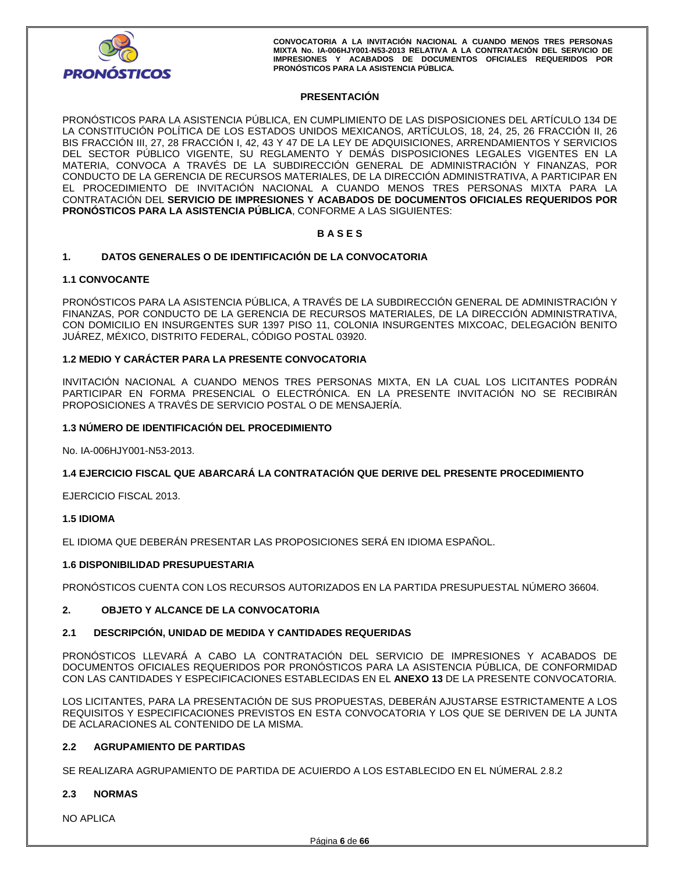

# **PRESENTACIÓN**

PRONÓSTICOS PARA LA ASISTENCIA PÚBLICA, EN CUMPLIMIENTO DE LAS DISPOSICIONES DEL ARTÍCULO 134 DE LA CONSTITUCIÓN POLÍTICA DE LOS ESTADOS UNIDOS MEXICANOS, ARTÍCULOS, 18, 24, 25, 26 FRACCIÓN II, 26 BIS FRACCIÓN III, 27, 28 FRACCIÓN I, 42, 43 Y 47 DE LA LEY DE ADQUISICIONES, ARRENDAMIENTOS Y SERVICIOS DEL SECTOR PÚBLICO VIGENTE, SU REGLAMENTO Y DEMÁS DISPOSICIONES LEGALES VIGENTES EN LA MATERIA, CONVOCA A TRAVÉS DE LA SUBDIRECCIÓN GENERAL DE ADMINISTRACIÓN Y FINANZAS, POR CONDUCTO DE LA GERENCIA DE RECURSOS MATERIALES, DE LA DIRECCIÓN ADMINISTRATIVA, A PARTICIPAR EN EL PROCEDIMIENTO DE INVITACIÓN NACIONAL A CUANDO MENOS TRES PERSONAS MIXTA PARA LA CONTRATACIÓN DEL **SERVICIO DE IMPRESIONES Y ACABADOS DE DOCUMENTOS OFICIALES REQUERIDOS POR PRONÓSTICOS PARA LA ASISTENCIA PÚBLICA**, CONFORME A LAS SIGUIENTES:

#### **B A S E S**

#### **1. DATOS GENERALES O DE IDENTIFICACIÓN DE LA CONVOCATORIA**

#### **1.1 CONVOCANTE**

PRONÓSTICOS PARA LA ASISTENCIA PÚBLICA, A TRAVÉS DE LA SUBDIRECCIÓN GENERAL DE ADMINISTRACIÓN Y FINANZAS, POR CONDUCTO DE LA GERENCIA DE RECURSOS MATERIALES, DE LA DIRECCIÓN ADMINISTRATIVA, CON DOMICILIO EN INSURGENTES SUR 1397 PISO 11, COLONIA INSURGENTES MIXCOAC, DELEGACIÓN BENITO JUÁREZ, MÉXICO, DISTRITO FEDERAL, CÓDIGO POSTAL 03920.

## **1.2 MEDIO Y CARÁCTER PARA LA PRESENTE CONVOCATORIA**

INVITACIÓN NACIONAL A CUANDO MENOS TRES PERSONAS MIXTA, EN LA CUAL LOS LICITANTES PODRÁN PARTICIPAR EN FORMA PRESENCIAL O ELECTRÓNICA. EN LA PRESENTE INVITACIÓN NO SE RECIBIRÁN PROPOSICIONES A TRAVÉS DE SERVICIO POSTAL O DE MENSAJERÍA.

#### **1.3 NÚMERO DE IDENTIFICACIÓN DEL PROCEDIMIENTO**

No. IA-006HJY001-N53-2013.

#### **1.4 EJERCICIO FISCAL QUE ABARCARÁ LA CONTRATACIÓN QUE DERIVE DEL PRESENTE PROCEDIMIENTO**

EJERCICIO FISCAL 2013.

#### **1.5 IDIOMA**

EL IDIOMA QUE DEBERÁN PRESENTAR LAS PROPOSICIONES SERÁ EN IDIOMA ESPAÑOL.

#### **1.6 DISPONIBILIDAD PRESUPUESTARIA**

PRONÓSTICOS CUENTA CON LOS RECURSOS AUTORIZADOS EN LA PARTIDA PRESUPUESTAL NÚMERO 36604.

# **2. OBJETO Y ALCANCE DE LA CONVOCATORIA**

#### **2.1 DESCRIPCIÓN, UNIDAD DE MEDIDA Y CANTIDADES REQUERIDAS**

PRONÓSTICOS LLEVARÁ A CABO LA CONTRATACIÓN DEL SERVICIO DE IMPRESIONES Y ACABADOS DE DOCUMENTOS OFICIALES REQUERIDOS POR PRONÓSTICOS PARA LA ASISTENCIA PÚBLICA, DE CONFORMIDAD CON LAS CANTIDADES Y ESPECIFICACIONES ESTABLECIDAS EN EL **ANEXO 13** DE LA PRESENTE CONVOCATORIA.

LOS LICITANTES, PARA LA PRESENTACIÓN DE SUS PROPUESTAS, DEBERÁN AJUSTARSE ESTRICTAMENTE A LOS REQUISITOS Y ESPECIFICACIONES PREVISTOS EN ESTA CONVOCATORIA Y LOS QUE SE DERIVEN DE LA JUNTA DE ACLARACIONES AL CONTENIDO DE LA MISMA.

#### **2.2 AGRUPAMIENTO DE PARTIDAS**

SE REALIZARA AGRUPAMIENTO DE PARTIDA DE ACUIERDO A LOS ESTABLECIDO EN EL NÚMERAL 2.8.2

#### **2.3 NORMAS**

NO APLICA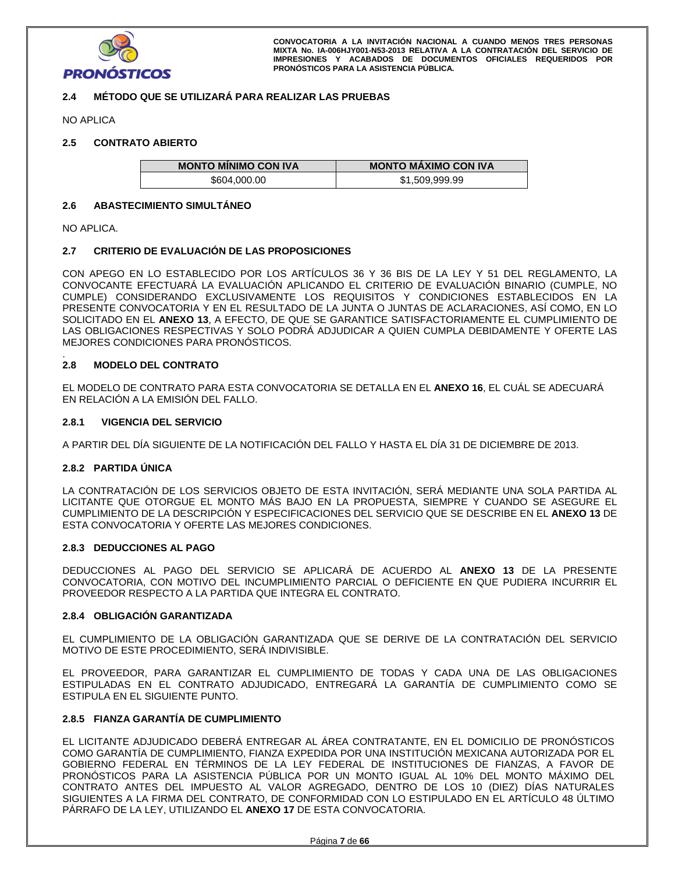

# **2.4 MÉTODO QUE SE UTILIZARÁ PARA REALIZAR LAS PRUEBAS**

NO APLICA

# **2.5 CONTRATO ABIERTO**

| <b>MONTO MINIMO CON IVA</b> | <b>MONTO MAXIMO CON IVA</b> |
|-----------------------------|-----------------------------|
| \$604,000.00                | \$1,509,999.99              |

#### **2.6 ABASTECIMIENTO SIMULTÁNEO**

NO APLICA.

#### **2.7 CRITERIO DE EVALUACIÓN DE LAS PROPOSICIONES**

CON APEGO EN LO ESTABLECIDO POR LOS ARTÍCULOS 36 Y 36 BIS DE LA LEY Y 51 DEL REGLAMENTO, LA CONVOCANTE EFECTUARÁ LA EVALUACIÓN APLICANDO EL CRITERIO DE EVALUACIÓN BINARIO (CUMPLE, NO CUMPLE) CONSIDERANDO EXCLUSIVAMENTE LOS REQUISITOS Y CONDICIONES ESTABLECIDOS EN LA PRESENTE CONVOCATORIA Y EN EL RESULTADO DE LA JUNTA O JUNTAS DE ACLARACIONES, ASÍ COMO, EN LO SOLICITADO EN EL **ANEXO 13**, A EFECTO, DE QUE SE GARANTICE SATISFACTORIAMENTE EL CUMPLIMIENTO DE LAS OBLIGACIONES RESPECTIVAS Y SOLO PODRÁ ADJUDICAR A QUIEN CUMPLA DEBIDAMENTE Y OFERTE LAS MEJORES CONDICIONES PARA PRONÓSTICOS.

#### . **2.8 MODELO DEL CONTRATO**

EL MODELO DE CONTRATO PARA ESTA CONVOCATORIA SE DETALLA EN EL **ANEXO 16**, EL CUÁL SE ADECUARÁ EN RELACIÓN A LA EMISIÓN DEL FALLO.

#### **2.8.1 VIGENCIA DEL SERVICIO**

A PARTIR DEL DÍA SIGUIENTE DE LA NOTIFICACIÓN DEL FALLO Y HASTA EL DÍA 31 DE DICIEMBRE DE 2013.

#### **2.8.2 PARTIDA ÚNICA**

LA CONTRATACIÓN DE LOS SERVICIOS OBJETO DE ESTA INVITACIÓN, SERÁ MEDIANTE UNA SOLA PARTIDA AL LICITANTE QUE OTORGUE EL MONTO MÁS BAJO EN LA PROPUESTA, SIEMPRE Y CUANDO SE ASEGURE EL CUMPLIMIENTO DE LA DESCRIPCIÓN Y ESPECIFICACIONES DEL SERVICIO QUE SE DESCRIBE EN EL **ANEXO 13** DE ESTA CONVOCATORIA Y OFERTE LAS MEJORES CONDICIONES.

#### **2.8.3 DEDUCCIONES AL PAGO**

DEDUCCIONES AL PAGO DEL SERVICIO SE APLICARÁ DE ACUERDO AL **ANEXO 13** DE LA PRESENTE CONVOCATORIA, CON MOTIVO DEL INCUMPLIMIENTO PARCIAL O DEFICIENTE EN QUE PUDIERA INCURRIR EL PROVEEDOR RESPECTO A LA PARTIDA QUE INTEGRA EL CONTRATO.

#### **2.8.4 OBLIGACIÓN GARANTIZADA**

EL CUMPLIMIENTO DE LA OBLIGACIÓN GARANTIZADA QUE SE DERIVE DE LA CONTRATACIÓN DEL SERVICIO MOTIVO DE ESTE PROCEDIMIENTO, SERÁ INDIVISIBLE.

EL PROVEEDOR, PARA GARANTIZAR EL CUMPLIMIENTO DE TODAS Y CADA UNA DE LAS OBLIGACIONES ESTIPULADAS EN EL CONTRATO ADJUDICADO, ENTREGARÁ LA GARANTÍA DE CUMPLIMIENTO COMO SE ESTIPULA EN EL SIGUIENTE PUNTO.

#### **2.8.5 FIANZA GARANTÍA DE CUMPLIMIENTO**

EL LICITANTE ADJUDICADO DEBERÁ ENTREGAR AL ÁREA CONTRATANTE, EN EL DOMICILIO DE PRONÓSTICOS COMO GARANTÍA DE CUMPLIMIENTO, FIANZA EXPEDIDA POR UNA INSTITUCIÓN MEXICANA AUTORIZADA POR EL GOBIERNO FEDERAL EN TÉRMINOS DE LA LEY FEDERAL DE INSTITUCIONES DE FIANZAS, A FAVOR DE PRONÓSTICOS PARA LA ASISTENCIA PÚBLICA POR UN MONTO IGUAL AL 10% DEL MONTO MÁXIMO DEL CONTRATO ANTES DEL IMPUESTO AL VALOR AGREGADO, DENTRO DE LOS 10 (DIEZ) DÍAS NATURALES SIGUIENTES A LA FIRMA DEL CONTRATO, DE CONFORMIDAD CON LO ESTIPULADO EN EL ARTÍCULO 48 ÚLTIMO PÁRRAFO DE LA LEY, UTILIZANDO EL **ANEXO 17** DE ESTA CONVOCATORIA.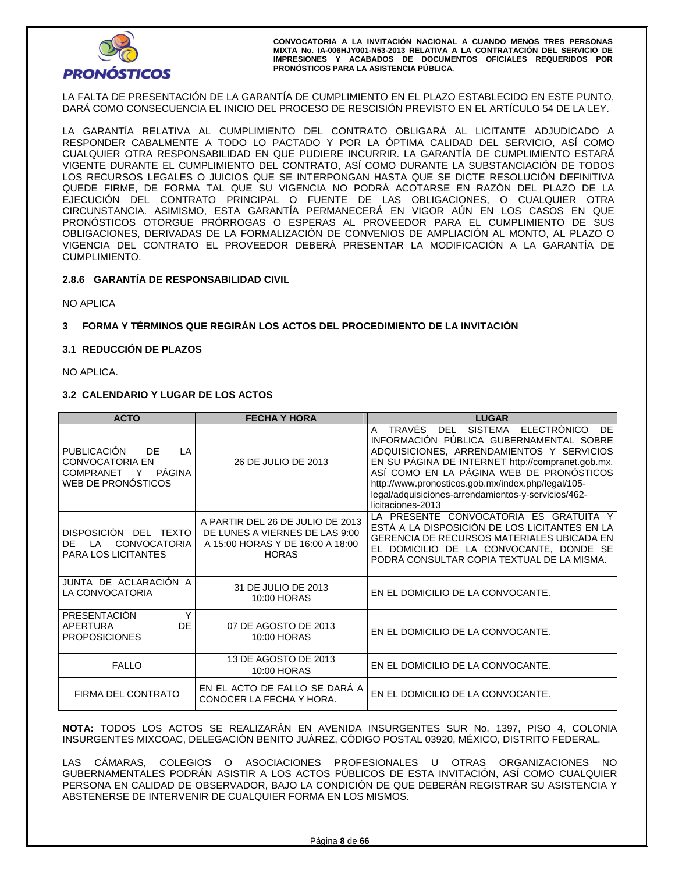

LA FALTA DE PRESENTACIÓN DE LA GARANTÍA DE CUMPLIMIENTO EN EL PLAZO ESTABLECIDO EN ESTE PUNTO, DARÁ COMO CONSECUENCIA EL INICIO DEL PROCESO DE RESCISIÓN PREVISTO EN EL ARTÍCULO 54 DE LA LEY.

LA GARANTÍA RELATIVA AL CUMPLIMIENTO DEL CONTRATO OBLIGARÁ AL LICITANTE ADJUDICADO A RESPONDER CABALMENTE A TODO LO PACTADO Y POR LA ÓPTIMA CALIDAD DEL SERVICIO, ASÍ COMO CUALQUIER OTRA RESPONSABILIDAD EN QUE PUDIERE INCURRIR. LA GARANTÍA DE CUMPLIMIENTO ESTARÁ VIGENTE DURANTE EL CUMPLIMIENTO DEL CONTRATO, ASÍ COMO DURANTE LA SUBSTANCIACIÓN DE TODOS LOS RECURSOS LEGALES O JUICIOS QUE SE INTERPONGAN HASTA QUE SE DICTE RESOLUCIÓN DEFINITIVA QUEDE FIRME, DE FORMA TAL QUE SU VIGENCIA NO PODRÁ ACOTARSE EN RAZÓN DEL PLAZO DE LA EJECUCIÓN DEL CONTRATO PRINCIPAL O FUENTE DE LAS OBLIGACIONES, O CUALQUIER OTRA CIRCUNSTANCIA. ASIMISMO, ESTA GARANTÍA PERMANECERÁ EN VIGOR AÚN EN LOS CASOS EN QUE PRONÓSTICOS OTORGUE PRÓRROGAS O ESPERAS AL PROVEEDOR PARA EL CUMPLIMIENTO DE SUS OBLIGACIONES, DERIVADAS DE LA FORMALIZACIÓN DE CONVENIOS DE AMPLIACIÓN AL MONTO, AL PLAZO O VIGENCIA DEL CONTRATO EL PROVEEDOR DEBERÁ PRESENTAR LA MODIFICACIÓN A LA GARANTÍA DE CUMPLIMIENTO.

# **2.8.6 GARANTÍA DE RESPONSABILIDAD CIVIL**

NO APLICA

# **3 FORMA Y TÉRMINOS QUE REGIRÁN LOS ACTOS DEL PROCEDIMIENTO DE LA INVITACIÓN**

#### **3.1 REDUCCIÓN DE PLAZOS**

NO APLICA.

#### **3.2 CALENDARIO Y LUGAR DE LOS ACTOS**

| <b>ACTO</b>                                                                                          | <b>FECHA Y HORA</b>                                                                                                    | <b>LUGAR</b>                                                                                                                                                                                                                                                                                                                                                                                |
|------------------------------------------------------------------------------------------------------|------------------------------------------------------------------------------------------------------------------------|---------------------------------------------------------------------------------------------------------------------------------------------------------------------------------------------------------------------------------------------------------------------------------------------------------------------------------------------------------------------------------------------|
| <b>PUBLICACIÓN</b><br>DF<br>LA<br><b>CONVOCATORIA EN</b><br>COMPRANET Y PÁGINA<br>WEB DE PRONÓSTICOS | 26 DE JULIO DE 2013                                                                                                    | TRAVÉS<br><b>DEL</b><br><b>SISTEMA</b><br>ELECTRÓNICO<br>DE<br>A<br>INFORMACIÓN PUBLICA GUBERNAMENTAL SOBRE<br>ADQUISICIONES, ARRENDAMIENTOS Y SERVICIOS<br>EN SU PÁGINA DE INTERNET http://compranet.gob.mx,<br>ASÍ COMO EN LA PÁGINA WEB DE PRONÓSTICOS<br>http://www.pronosticos.gob.mx/index.php/legal/105-<br>legal/adquisiciones-arrendamientos-y-servicios/462-<br>licitaciones-2013 |
| DISPOSICIÓN DEL TEXTO<br><b>CONVOCATORIA</b><br>DF<br>ΙA<br><b>PARA LOS LICITANTES</b>               | A PARTIR DEL 26 DE JULIO DE 2013<br>DE LUNES A VIERNES DE LAS 9:00<br>A 15:00 HORAS Y DE 16:00 A 18:00<br><b>HORAS</b> | LA PRESENTE CONVOCATORIA ES GRATUITA Y<br>ESTÁ A LA DISPOSICIÓN DE LOS LICITANTES EN LA<br><b>GERENCIA DE RECURSOS MATERIALES UBICADA EN</b><br>EL DOMICILIO DE LA CONVOCANTE, DONDE SE<br>PODRÁ CONSULTAR COPIA TEXTUAL DE LA MISMA.                                                                                                                                                       |
| JUNTA DE ACLARACIÓN A<br>LA CONVOCATORIA                                                             | 31 DE JULIO DE 2013<br>10:00 HORAS                                                                                     | EN EL DOMICILIO DE LA CONVOCANTE.                                                                                                                                                                                                                                                                                                                                                           |
| PRESENTACIÓN<br>Y<br>DE.<br>APERTURA<br><b>PROPOSICIONES</b>                                         | 07 DE AGOSTO DE 2013<br>10:00 HORAS                                                                                    | EN EL DOMICILIO DE LA CONVOCANTE.                                                                                                                                                                                                                                                                                                                                                           |
| <b>FALLO</b>                                                                                         | 13 DE AGOSTO DE 2013<br>10:00 HORAS                                                                                    | EN EL DOMICILIO DE LA CONVOCANTE.                                                                                                                                                                                                                                                                                                                                                           |
| FIRMA DEL CONTRATO                                                                                   | EN EL ACTO DE FALLO SE DARÁ A<br>CONOCER LA FECHA Y HORA.                                                              | EN EL DOMICILIO DE LA CONVOCANTE.                                                                                                                                                                                                                                                                                                                                                           |

**NOTA:** TODOS LOS ACTOS SE REALIZARÁN EN AVENIDA INSURGENTES SUR No. 1397, PISO 4, COLONIA INSURGENTES MIXCOAC, DELEGACIÓN BENITO JUÁREZ, CÓDIGO POSTAL 03920, MÉXICO, DISTRITO FEDERAL.

LAS CÁMARAS, COLEGIOS O ASOCIACIONES PROFESIONALES U OTRAS ORGANIZACIONES NO GUBERNAMENTALES PODRÁN ASISTIR A LOS ACTOS PÚBLICOS DE ESTA INVITACIÓN, ASÍ COMO CUALQUIER PERSONA EN CALIDAD DE OBSERVADOR, BAJO LA CONDICIÓN DE QUE DEBERÁN REGISTRAR SU ASISTENCIA Y ABSTENERSE DE INTERVENIR DE CUALQUIER FORMA EN LOS MISMOS.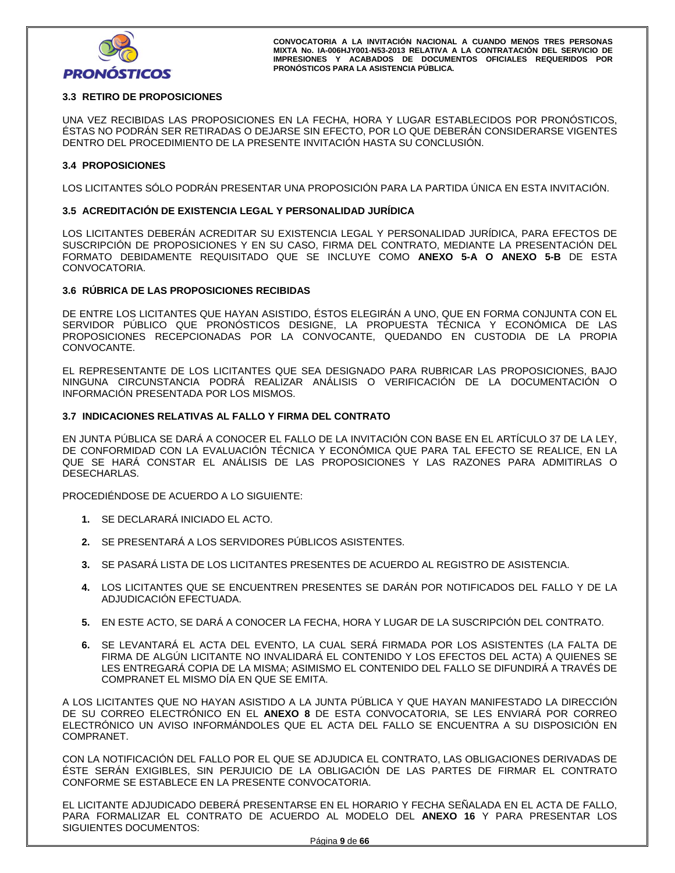

# **3.3 RETIRO DE PROPOSICIONES**

UNA VEZ RECIBIDAS LAS PROPOSICIONES EN LA FECHA, HORA Y LUGAR ESTABLECIDOS POR PRONÓSTICOS, ÉSTAS NO PODRÁN SER RETIRADAS O DEJARSE SIN EFECTO, POR LO QUE DEBERÁN CONSIDERARSE VIGENTES DENTRO DEL PROCEDIMIENTO DE LA PRESENTE INVITACIÓN HASTA SU CONCLUSIÓN.

#### **3.4 PROPOSICIONES**

LOS LICITANTES SÓLO PODRÁN PRESENTAR UNA PROPOSICIÓN PARA LA PARTIDA ÚNICA EN ESTA INVITACIÓN.

## **3.5 ACREDITACIÓN DE EXISTENCIA LEGAL Y PERSONALIDAD JURÍDICA**

LOS LICITANTES DEBERÁN ACREDITAR SU EXISTENCIA LEGAL Y PERSONALIDAD JURÍDICA, PARA EFECTOS DE SUSCRIPCIÓN DE PROPOSICIONES Y EN SU CASO, FIRMA DEL CONTRATO, MEDIANTE LA PRESENTACIÓN DEL FORMATO DEBIDAMENTE REQUISITADO QUE SE INCLUYE COMO **ANEXO 5-A O ANEXO 5-B** DE ESTA CONVOCATORIA.

#### **3.6 RÚBRICA DE LAS PROPOSICIONES RECIBIDAS**

DE ENTRE LOS LICITANTES QUE HAYAN ASISTIDO, ÉSTOS ELEGIRÁN A UNO, QUE EN FORMA CONJUNTA CON EL SERVIDOR PÚBLICO QUE PRONÓSTICOS DESIGNE, LA PROPUESTA TÉCNICA Y ECONÓMICA DE LAS PROPOSICIONES RECEPCIONADAS POR LA CONVOCANTE, QUEDANDO EN CUSTODIA DE LA PROPIA CONVOCANTE.

EL REPRESENTANTE DE LOS LICITANTES QUE SEA DESIGNADO PARA RUBRICAR LAS PROPOSICIONES, BAJO NINGUNA CIRCUNSTANCIA PODRÁ REALIZAR ANÁLISIS O VERIFICACIÓN DE LA DOCUMENTACIÓN O INFORMACIÓN PRESENTADA POR LOS MISMOS.

#### **3.7 INDICACIONES RELATIVAS AL FALLO Y FIRMA DEL CONTRATO**

EN JUNTA PÚBLICA SE DARÁ A CONOCER EL FALLO DE LA INVITACIÓN CON BASE EN EL ARTÍCULO 37 DE LA LEY, DE CONFORMIDAD CON LA EVALUACIÓN TÉCNICA Y ECONÓMICA QUE PARA TAL EFECTO SE REALICE, EN LA QUE SE HARÁ CONSTAR EL ANÁLISIS DE LAS PROPOSICIONES Y LAS RAZONES PARA ADMITIRLAS O DESECHARLAS.

PROCEDIÉNDOSE DE ACUERDO A LO SIGUIENTE:

- **1.** SE DECLARARÁ INICIADO EL ACTO.
- **2.** SE PRESENTARÁ A LOS SERVIDORES PÚBLICOS ASISTENTES.
- **3.** SE PASARÁ LISTA DE LOS LICITANTES PRESENTES DE ACUERDO AL REGISTRO DE ASISTENCIA.
- **4.** LOS LICITANTES QUE SE ENCUENTREN PRESENTES SE DARÁN POR NOTIFICADOS DEL FALLO Y DE LA ADJUDICACIÓN EFECTUADA.
- **5.** EN ESTE ACTO, SE DARÁ A CONOCER LA FECHA, HORA Y LUGAR DE LA SUSCRIPCIÓN DEL CONTRATO.
- **6.** SE LEVANTARÁ EL ACTA DEL EVENTO, LA CUAL SERÁ FIRMADA POR LOS ASISTENTES (LA FALTA DE FIRMA DE ALGÚN LICITANTE NO INVALIDARÁ EL CONTENIDO Y LOS EFECTOS DEL ACTA) A QUIENES SE LES ENTREGARÁ COPIA DE LA MISMA; ASIMISMO EL CONTENIDO DEL FALLO SE DIFUNDIRÁ A TRAVÉS DE COMPRANET EL MISMO DÍA EN QUE SE EMITA.

A LOS LICITANTES QUE NO HAYAN ASISTIDO A LA JUNTA PÚBLICA Y QUE HAYAN MANIFESTADO LA DIRECCIÓN DE SU CORREO ELECTRÓNICO EN EL **ANEXO 8** DE ESTA CONVOCATORIA, SE LES ENVIARÁ POR CORREO ELECTRÓNICO UN AVISO INFORMÁNDOLES QUE EL ACTA DEL FALLO SE ENCUENTRA A SU DISPOSICIÓN EN COMPRANET.

CON LA NOTIFICACIÓN DEL FALLO POR EL QUE SE ADJUDICA EL CONTRATO, LAS OBLIGACIONES DERIVADAS DE ÉSTE SERÁN EXIGIBLES, SIN PERJUICIO DE LA OBLIGACIÓN DE LAS PARTES DE FIRMAR EL CONTRATO CONFORME SE ESTABLECE EN LA PRESENTE CONVOCATORIA.

EL LICITANTE ADJUDICADO DEBERÁ PRESENTARSE EN EL HORARIO Y FECHA SEÑALADA EN EL ACTA DE FALLO, PARA FORMALIZAR EL CONTRATO DE ACUERDO AL MODELO DEL **ANEXO 16** Y PARA PRESENTAR LOS SIGUIENTES DOCUMENTOS: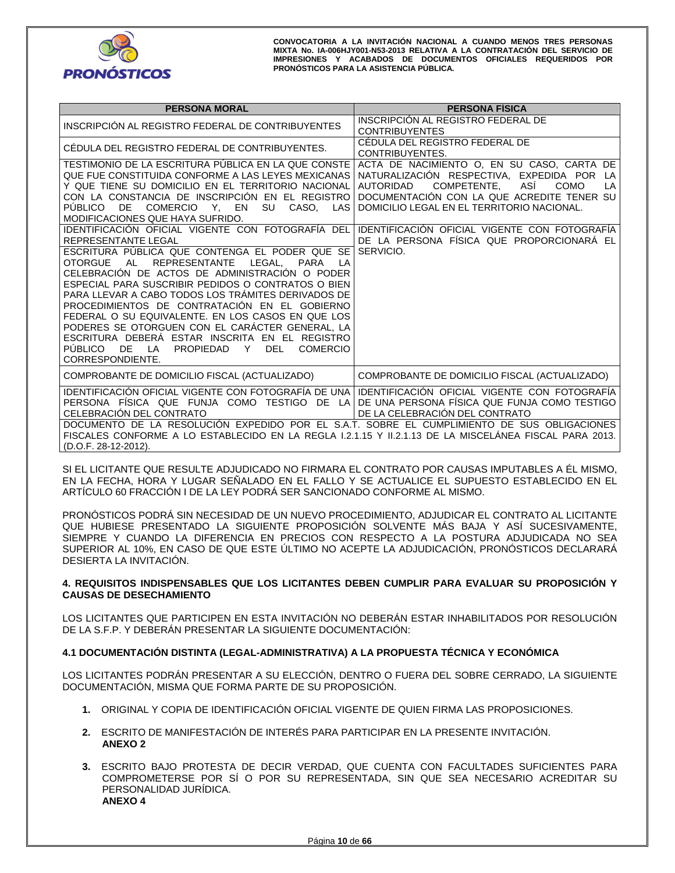

| <b>PERSONA MORAL</b>                                                                                                                                                                                                                                                                                                                                                                                                                                                                                                                                                   | <b>PERSONA FÍSICA</b>                                                                                                                                                                                                                                                                                                                             |
|------------------------------------------------------------------------------------------------------------------------------------------------------------------------------------------------------------------------------------------------------------------------------------------------------------------------------------------------------------------------------------------------------------------------------------------------------------------------------------------------------------------------------------------------------------------------|---------------------------------------------------------------------------------------------------------------------------------------------------------------------------------------------------------------------------------------------------------------------------------------------------------------------------------------------------|
| INSCRIPCIÓN AL REGISTRO FEDERAL DE CONTRIBUYENTES                                                                                                                                                                                                                                                                                                                                                                                                                                                                                                                      | INSCRIPCION AL REGISTRO FEDERAL DE<br><b>CONTRIBUYENTES</b>                                                                                                                                                                                                                                                                                       |
| CÉDULA DEL REGISTRO FEDERAL DE CONTRIBUYENTES.                                                                                                                                                                                                                                                                                                                                                                                                                                                                                                                         | CÉDULA DEL REGISTRO FEDERAL DE<br>CONTRIBUYENTES.                                                                                                                                                                                                                                                                                                 |
| TESTIMONIO DE LA ESCRITURA PÚBLICA EN LA QUE CONSTE<br>QUE FUE CONSTITUIDA CONFORME A LAS LEYES MEXICANAS<br>Y QUE TIENE SU DOMICILIO EN EL TERRITORIO NACIONAL<br>CON LA CONSTANCIA DE INSCRIPCIÓN EN EL REGISTRO<br>COMERCIO Y. EN SU CASO. LAS<br>PUBLICO DE<br>MODIFICACIONES QUE HAYA SUFRIDO.<br>IDENTIFICACIÓN OFICIAL VIGENTE CON FOTOGRAFÍA DEL<br>REPRESENTANTE LEGAL                                                                                                                                                                                        | ACTA DE NACIMIENTO O, EN SU CASO, CARTA DE<br>NATURALIZACIÓN RESPECTIVA, EXPEDIDA POR LA<br>COMPETENTE.<br>ASİ<br><b>COMO</b><br><b>AUTORIDAD</b><br>LA<br>DOCUMENTACIÓN CON LA QUE ACREDITE TENER SU<br>DOMICILIO LEGAL EN EL TERRITORIO NACIONAL.<br>IDENTIFICACIÓN OFICIAL VIGENTE CON FOTOGRAFÍA<br>DE LA PERSONA FÍSICA QUE PROPORCIONARÁ EL |
| ESCRITURA PÚBLICA QUE CONTENGA EL PODER QUE SE<br>OTORGUE AL<br><b>REPRESENTANTE</b><br>LEGAL.<br>PARA<br>LA<br>CELEBRACIÓN DE ACTOS DE ADMINISTRACIÓN O PODER<br>ESPECIAL PARA SUSCRIBIR PEDIDOS O CONTRATOS O BIEN<br>PARA LLEVAR A CABO TODOS LOS TRÁMITES DERIVADOS DE<br>PROCEDIMIENTOS DE CONTRATACIÓN EN EL GOBIERNO<br>FEDERAL O SU EQUIVALENTE. EN LOS CASOS EN QUE LOS<br>PODERES SE OTORGUEN CON EL CARÁCTER GENERAL, LA<br>ESCRITURA DEBERÀ ESTAR INSCRITA EN EL REGISTRO<br>PUBLICO DE LA<br>PROPIEDAD<br>DEL<br>Y<br><b>COMERCIO</b><br>CORRESPONDIENTE. | SERVICIO.                                                                                                                                                                                                                                                                                                                                         |
| COMPROBANTE DE DOMICILIO FISCAL (ACTUALIZADO)                                                                                                                                                                                                                                                                                                                                                                                                                                                                                                                          | COMPROBANTE DE DOMICILIO FISCAL (ACTUALIZADO)                                                                                                                                                                                                                                                                                                     |
| IDENTIFICACIÓN OFICIAL VIGENTE CON FOTOGRAFÍA DE UNA<br>PERSONA FÍSICA QUE FUNJA COMO TESTIGO DE LA<br>CELEBRACIÓN DEL CONTRATO<br>DOCUMENTO DE LA RESOLUCIÓN EXPEDIDO POR EL S.A.T. SOBRE EL CUMPLIMIENTO DE SUS OBLIGACIONES<br>FISCALES CONFORME A LO ESTABLECIDO EN LA REGLA 1.2.1.15 Y 11.2.1.13 DE LA MISCELÁNEA FISCAL PARA 2013.                                                                                                                                                                                                                               | IDENTIFICACIÓN OFICIAL VIGENTE CON FOTOGRAFÍA<br>DE UNA PERSONA FÍSICA QUE FUNJA COMO TESTIGO<br>DE LA CELEBRACIÓN DEL CONTRATO                                                                                                                                                                                                                   |
| (D.O.F. 28-12-2012).                                                                                                                                                                                                                                                                                                                                                                                                                                                                                                                                                   |                                                                                                                                                                                                                                                                                                                                                   |

SI EL LICITANTE QUE RESULTE ADJUDICADO NO FIRMARA EL CONTRATO POR CAUSAS IMPUTABLES A ÉL MISMO, EN LA FECHA, HORA Y LUGAR SEÑALADO EN EL FALLO Y SE ACTUALICE EL SUPUESTO ESTABLECIDO EN EL ARTÍCULO 60 FRACCIÓN I DE LA LEY PODRÁ SER SANCIONADO CONFORME AL MISMO.

PRONÓSTICOS PODRÁ SIN NECESIDAD DE UN NUEVO PROCEDIMIENTO, ADJUDICAR EL CONTRATO AL LICITANTE QUE HUBIESE PRESENTADO LA SIGUIENTE PROPOSICIÓN SOLVENTE MÁS BAJA Y ASÍ SUCESIVAMENTE, SIEMPRE Y CUANDO LA DIFERENCIA EN PRECIOS CON RESPECTO A LA POSTURA ADJUDICADA NO SEA SUPERIOR AL 10%, EN CASO DE QUE ESTE ULTIMO NO ACEPTE LA ADJUDICACIÓN, PRONOSTICOS DECLARARÁ DESIERTA LA INVITACIÓN.

#### **4. REQUISITOS INDISPENSABLES QUE LOS LICITANTES DEBEN CUMPLIR PARA EVALUAR SU PROPOSICIÓN Y CAUSAS DE DESECHAMIENTO**

LOS LICITANTES QUE PARTICIPEN EN ESTA INVITACIÓN NO DEBERÁN ESTAR INHABILITADOS POR RESOLUCIÓN DE LA S.F.P. Y DEBERÁN PRESENTAR LA SIGUIENTE DOCUMENTACIÓN:

#### **4.1 DOCUMENTACIÓN DISTINTA (LEGAL-ADMINISTRATIVA) A LA PROPUESTA TÉCNICA Y ECONÓMICA**

LOS LICITANTES PODRÁN PRESENTAR A SU ELECCIÓN, DENTRO O FUERA DEL SOBRE CERRADO, LA SIGUIENTE DOCUMENTACIÓN, MISMA QUE FORMA PARTE DE SU PROPOSICIÓN.

- **1.** ORIGINAL Y COPIA DE IDENTIFICACIÓN OFICIAL VIGENTE DE QUIEN FIRMA LAS PROPOSICIONES.
- **2.** ESCRITO DE MANIFESTACIÓN DE INTERÉS PARA PARTICIPAR EN LA PRESENTE INVITACIÓN. **ANEXO 2**
- **3.** ESCRITO BAJO PROTESTA DE DECIR VERDAD, QUE CUENTA CON FACULTADES SUFICIENTES PARA COMPROMETERSE POR SÍ O POR SU REPRESENTADA, SIN QUE SEA NECESARIO ACREDITAR SU PERSONALIDAD JURÍDICA. **ANEXO 4**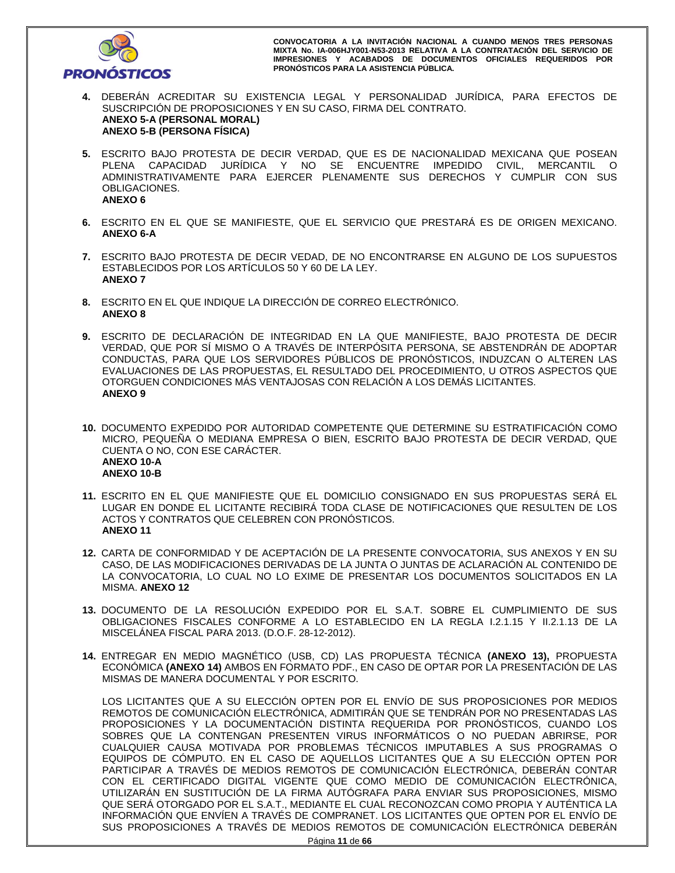

- **4.** DEBERÁN ACREDITAR SU EXISTENCIA LEGAL Y PERSONALIDAD JURÍDICA, PARA EFECTOS DE SUSCRIPCIÓN DE PROPOSICIONES Y EN SU CASO, FIRMA DEL CONTRATO. **ANEXO 5-A (PERSONAL MORAL) ANEXO 5-B (PERSONA FÍSICA)**
- **5.** ESCRITO BAJO PROTESTA DE DECIR VERDAD, QUE ES DE NACIONALIDAD MEXICANA QUE POSEAN PLENA CAPACIDAD JURÍDICA Y NO SE ENCUENTRE IMPEDIDO CIVIL, MERCANTIL O ADMINISTRATIVAMENTE PARA EJERCER PLENAMENTE SUS DERECHOS Y CUMPLIR CON SUS OBLIGACIONES. **ANEXO 6**
- **6.** ESCRITO EN EL QUE SE MANIFIESTE, QUE EL SERVICIO QUE PRESTARÁ ES DE ORIGEN MEXICANO. **ANEXO 6-A**
- **7.** ESCRITO BAJO PROTESTA DE DECIR VEDAD, DE NO ENCONTRARSE EN ALGUNO DE LOS SUPUESTOS ESTABLECIDOS POR LOS ARTÍCULOS 50 Y 60 DE LA LEY. **ANEXO 7**
- **8.** ESCRITO EN EL QUE INDIQUE LA DIRECCIÓN DE CORREO ELECTRÓNICO. **ANEXO 8**
- **9.** ESCRITO DE DECLARACIÓN DE INTEGRIDAD EN LA QUE MANIFIESTE, BAJO PROTESTA DE DECIR VERDAD, QUE POR SÍ MISMO O A TRAVÉS DE INTERPÓSITA PERSONA, SE ABSTENDRÁN DE ADOPTAR CONDUCTAS, PARA QUE LOS SERVIDORES PÚBLICOS DE PRONÓSTICOS, INDUZCAN O ALTEREN LAS EVALUACIONES DE LAS PROPUESTAS, EL RESULTADO DEL PROCEDIMIENTO, U OTROS ASPECTOS QUE OTORGUEN CONDICIONES MÁS VENTAJOSAS CON RELACIÓN A LOS DEMÁS LICITANTES. **ANEXO 9**
- **10.** DOCUMENTO EXPEDIDO POR AUTORIDAD COMPETENTE QUE DETERMINE SU ESTRATIFICACIÓN COMO MICRO, PEQUEÑA O MEDIANA EMPRESA O BIEN, ESCRITO BAJO PROTESTA DE DECIR VERDAD, QUE CUENTA O NO, CON ESE CARÁCTER. **ANEXO 10-A ANEXO 10-B**
- **11.** ESCRITO EN EL QUE MANIFIESTE QUE EL DOMICILIO CONSIGNADO EN SUS PROPUESTAS SERÁ EL LUGAR EN DONDE EL LICITANTE RECIBIRÁ TODA CLASE DE NOTIFICACIONES QUE RESULTEN DE LOS ACTOS Y CONTRATOS QUE CELEBREN CON PRONÓSTICOS. **ANEXO 11**
- **12.** CARTA DE CONFORMIDAD Y DE ACEPTACIÓN DE LA PRESENTE CONVOCATORIA, SUS ANEXOS Y EN SU CASO, DE LAS MODIFICACIONES DERIVADAS DE LA JUNTA O JUNTAS DE ACLARACIÓN AL CONTENIDO DE LA CONVOCATORIA, LO CUAL NO LO EXIME DE PRESENTAR LOS DOCUMENTOS SOLICITADOS EN LA MISMA. **ANEXO 12**
- **13.** DOCUMENTO DE LA RESOLUCIÓN EXPEDIDO POR EL S.A.T. SOBRE EL CUMPLIMIENTO DE SUS OBLIGACIONES FISCALES CONFORME A LO ESTABLECIDO EN LA REGLA I.2.1.15 Y II.2.1.13 DE LA MISCELÁNEA FISCAL PARA 2013. (D.O.F. 28-12-2012).
- **14.** ENTREGAR EN MEDIO MAGNÉTICO (USB, CD) LAS PROPUESTA TÉCNICA **(ANEXO 13),** PROPUESTA ECONÓMICA **(ANEXO 14)** AMBOS EN FORMATO PDF., EN CASO DE OPTAR POR LA PRESENTACIÓN DE LAS MISMAS DE MANERA DOCUMENTAL Y POR ESCRITO.

LOS LICITANTES QUE A SU ELECCIÓN OPTEN POR EL ENVÍO DE SUS PROPOSICIONES POR MEDIOS REMOTOS DE COMUNICACIÓN ELECTRÓNICA, ADMITIRÁN QUE SE TENDRÁN POR NO PRESENTADAS LAS PROPOSICIONES Y LA DOCUMENTACIÓN DISTINTA REQUERIDA POR PRONÓSTICOS, CUANDO LOS SOBRES QUE LA CONTENGAN PRESENTEN VIRUS INFORMÁTICOS O NO PUEDAN ABRIRSE, POR CUALQUIER CAUSA MOTIVADA POR PROBLEMAS TÉCNICOS IMPUTABLES A SUS PROGRAMAS O EQUIPOS DE CÓMPUTO. EN EL CASO DE AQUELLOS LICITANTES QUE A SU ELECCIÓN OPTEN POR PARTICIPAR A TRAVÉS DE MEDIOS REMOTOS DE COMUNICACIÓN ELECTRÓNICA, DEBERÁN CONTAR CON EL CERTIFICADO DIGITAL VIGENTE QUE COMO MEDIO DE COMUNICACIÓN ELECTRÓNICA, UTILIZARÁN EN SUSTITUCIÓN DE LA FIRMA AUTÓGRAFA PARA ENVIAR SUS PROPOSICIONES, MISMO QUE SERÁ OTORGADO POR EL S.A.T., MEDIANTE EL CUAL RECONOZCAN COMO PROPIA Y AUTÉNTICA LA INFORMACIÓN QUE ENVÍEN A TRAVÉS DE COMPRANET. LOS LICITANTES QUE OPTEN POR EL ENVÍO DE SUS PROPOSICIONES A TRAVÉS DE MEDIOS REMOTOS DE COMUNICACIÓN ELECTRÓNICA DEBERÁN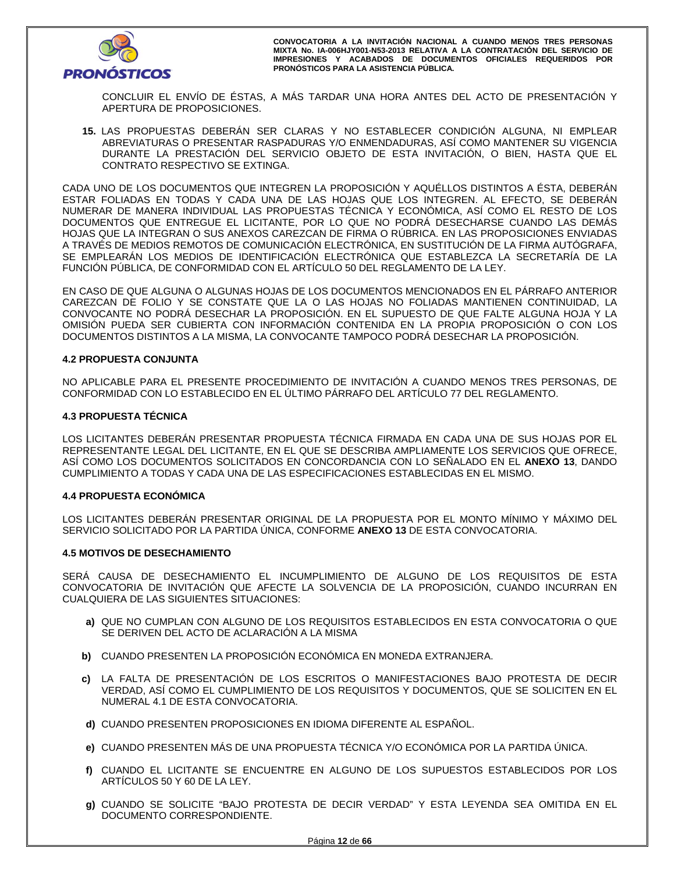

CONCLUIR EL ENVÍO DE ÉSTAS, A MÁS TARDAR UNA HORA ANTES DEL ACTO DE PRESENTACIÓN Y APERTURA DE PROPOSICIONES.

**15.** LAS PROPUESTAS DEBERÁN SER CLARAS Y NO ESTABLECER CONDICIÓN ALGUNA, NI EMPLEAR ABREVIATURAS O PRESENTAR RASPADURAS Y/O ENMENDADURAS, ASÍ COMO MANTENER SU VIGENCIA DURANTE LA PRESTACIÓN DEL SERVICIO OBJETO DE ESTA INVITACIÓN, O BIEN, HASTA QUE EL CONTRATO RESPECTIVO SE EXTINGA.

CADA UNO DE LOS DOCUMENTOS QUE INTEGREN LA PROPOSICIÓN Y AQUÉLLOS DISTINTOS A ÉSTA, DEBERÁN ESTAR FOLIADAS EN TODAS Y CADA UNA DE LAS HOJAS QUE LOS INTEGREN. AL EFECTO, SE DEBERÁN NUMERAR DE MANERA INDIVIDUAL LAS PROPUESTAS TÉCNICA Y ECONÓMICA, ASÍ COMO EL RESTO DE LOS DOCUMENTOS QUE ENTREGUE EL LICITANTE, POR LO QUE NO PODRÁ DESECHARSE CUANDO LAS DEMÁS HOJAS QUE LA INTEGRAN O SUS ANEXOS CAREZCAN DE FIRMA O RÚBRICA. EN LAS PROPOSICIONES ENVIADAS A TRAVÉS DE MEDIOS REMOTOS DE COMUNICACIÓN ELECTRÓNICA, EN SUSTITUCIÓN DE LA FIRMA AUTÓGRAFA, SE EMPLEARÁN LOS MEDIOS DE IDENTIFICACIÓN ELECTRÓNICA QUE ESTABLEZCA LA SECRETARÍA DE LA FUNCIÓN PÚBLICA, DE CONFORMIDAD CON EL ARTÍCULO 50 DEL REGLAMENTO DE LA LEY.

EN CASO DE QUE ALGUNA O ALGUNAS HOJAS DE LOS DOCUMENTOS MENCIONADOS EN EL PÁRRAFO ANTERIOR CAREZCAN DE FOLIO Y SE CONSTATE QUE LA O LAS HOJAS NO FOLIADAS MANTIENEN CONTINUIDAD, LA CONVOCANTE NO PODRÁ DESECHAR LA PROPOSICIÓN. EN EL SUPUESTO DE QUE FALTE ALGUNA HOJA Y LA OMISIÓN PUEDA SER CUBIERTA CON INFORMACIÓN CONTENIDA EN LA PROPIA PROPOSICIÓN O CON LOS DOCUMENTOS DISTINTOS A LA MISMA, LA CONVOCANTE TAMPOCO PODRÁ DESECHAR LA PROPOSICIÓN.

#### **4.2 PROPUESTA CONJUNTA**

NO APLICABLE PARA EL PRESENTE PROCEDIMIENTO DE INVITACIÓN A CUANDO MENOS TRES PERSONAS, DE CONFORMIDAD CON LO ESTABLECIDO EN EL ÚLTIMO PÁRRAFO DEL ARTÍCULO 77 DEL REGLAMENTO.

#### **4.3 PROPUESTA TÉCNICA**

LOS LICITANTES DEBERÁN PRESENTAR PROPUESTA TÉCNICA FIRMADA EN CADA UNA DE SUS HOJAS POR EL REPRESENTANTE LEGAL DEL LICITANTE, EN EL QUE SE DESCRIBA AMPLIAMENTE LOS SERVICIOS QUE OFRECE, ASÍ COMO LOS DOCUMENTOS SOLICITADOS EN CONCORDANCIA CON LO SEÑALADO EN EL **ANEXO 13**, DANDO CUMPLIMIENTO A TODAS Y CADA UNA DE LAS ESPECIFICACIONES ESTABLECIDAS EN EL MISMO.

#### **4.4 PROPUESTA ECONÓMICA**

LOS LICITANTES DEBERÁN PRESENTAR ORIGINAL DE LA PROPUESTA POR EL MONTO MÍNIMO Y MÁXIMO DEL SERVICIO SOLICITADO POR LA PARTIDA ÚNICA, CONFORME **ANEXO 13** DE ESTA CONVOCATORIA.

#### **4.5 MOTIVOS DE DESECHAMIENTO**

SERÁ CAUSA DE DESECHAMIENTO EL INCUMPLIMIENTO DE ALGUNO DE LOS REQUISITOS DE ESTA CONVOCATORIA DE INVITACIÓN QUE AFECTE LA SOLVENCIA DE LA PROPOSICIÓN, CUANDO INCURRAN EN CUALQUIERA DE LAS SIGUIENTES SITUACIONES:

- **a)** QUE NO CUMPLAN CON ALGUNO DE LOS REQUISITOS ESTABLECIDOS EN ESTA CONVOCATORIA O QUE SE DERIVEN DEL ACTO DE ACLARACIÓN A LA MISMA
- **b)** CUANDO PRESENTEN LA PROPOSICIÓN ECONÓMICA EN MONEDA EXTRANJERA.
- **c)** LA FALTA DE PRESENTACIÓN DE LOS ESCRITOS O MANIFESTACIONES BAJO PROTESTA DE DECIR VERDAD, ASÍ COMO EL CUMPLIMIENTO DE LOS REQUISITOS Y DOCUMENTOS, QUE SE SOLICITEN EN EL NUMERAL 4.1 DE ESTA CONVOCATORIA.
- **d)** CUANDO PRESENTEN PROPOSICIONES EN IDIOMA DIFERENTE AL ESPAÑOL.
- **e)** CUANDO PRESENTEN MÁS DE UNA PROPUESTA TÉCNICA Y/O ECONÓMICA POR LA PARTIDA ÚNICA.
- **f)** CUANDO EL LICITANTE SE ENCUENTRE EN ALGUNO DE LOS SUPUESTOS ESTABLECIDOS POR LOS ARTÍCULOS 50 Y 60 DE LA LEY.
- **g)** CUANDO SE SOLICITE "BAJO PROTESTA DE DECIR VERDAD" Y ESTA LEYENDA SEA OMITIDA EN EL DOCUMENTO CORRESPONDIENTE.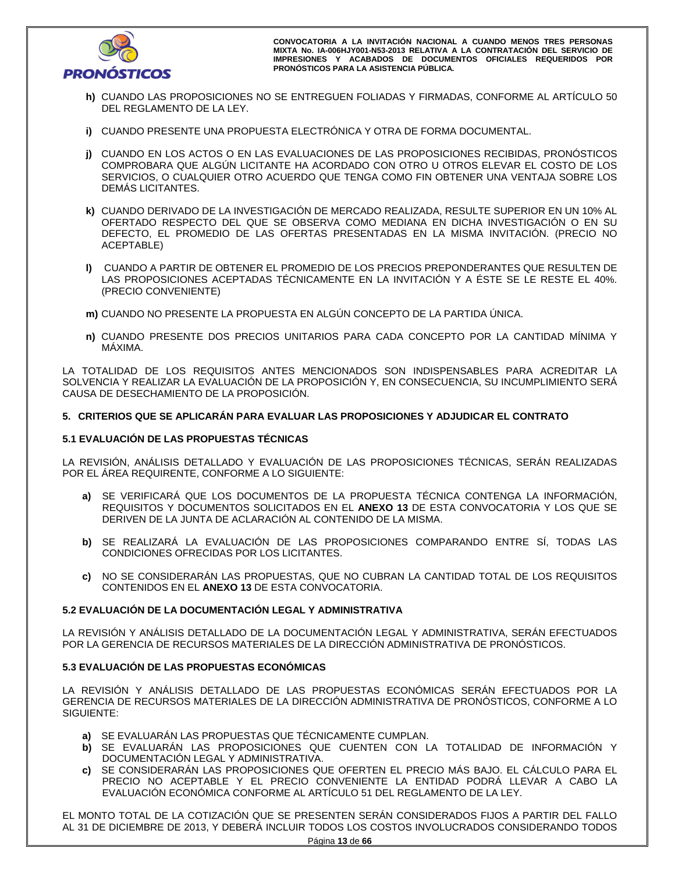

- **h)** CUANDO LAS PROPOSICIONES NO SE ENTREGUEN FOLIADAS Y FIRMADAS, CONFORME AL ARTÍCULO 50 DEL REGLAMENTO DE LA LEY.
- **i)** CUANDO PRESENTE UNA PROPUESTA ELECTRÓNICA Y OTRA DE FORMA DOCUMENTAL.
- **j)** CUANDO EN LOS ACTOS O EN LAS EVALUACIONES DE LAS PROPOSICIONES RECIBIDAS, PRONÓSTICOS COMPROBARA QUE ALGÚN LICITANTE HA ACORDADO CON OTRO U OTROS ELEVAR EL COSTO DE LOS SERVICIOS, O CUALQUIER OTRO ACUERDO QUE TENGA COMO FIN OBTENER UNA VENTAJA SOBRE LOS DEMÁS LICITANTES.
- **k)** CUANDO DERIVADO DE LA INVESTIGACIÓN DE MERCADO REALIZADA, RESULTE SUPERIOR EN UN 10% AL OFERTADO RESPECTO DEL QUE SE OBSERVA COMO MEDIANA EN DICHA INVESTIGACIÓN O EN SU DEFECTO, EL PROMEDIO DE LAS OFERTAS PRESENTADAS EN LA MISMA INVITACIÓN. (PRECIO NO ACEPTABLE)
- **l)** CUANDO A PARTIR DE OBTENER EL PROMEDIO DE LOS PRECIOS PREPONDERANTES QUE RESULTEN DE LAS PROPOSICIONES ACEPTADAS TÉCNICAMENTE EN LA INVITACIÓN Y A ÉSTE SE LE RESTE EL 40%. (PRECIO CONVENIENTE)
- **m)** CUANDO NO PRESENTE LA PROPUESTA EN ALGÚN CONCEPTO DE LA PARTIDA ÚNICA.
- **n)** CUANDO PRESENTE DOS PRECIOS UNITARIOS PARA CADA CONCEPTO POR LA CANTIDAD MÍNIMA Y MÁXIMA.

LA TOTALIDAD DE LOS REQUISITOS ANTES MENCIONADOS SON INDISPENSABLES PARA ACREDITAR LA SOLVENCIA Y REALIZAR LA EVALUACIÓN DE LA PROPOSICIÓN Y, EN CONSECUENCIA, SU INCUMPLIMIENTO SERÁ CAUSA DE DESECHAMIENTO DE LA PROPOSICIÓN.

# **5. CRITERIOS QUE SE APLICARÁN PARA EVALUAR LAS PROPOSICIONES Y ADJUDICAR EL CONTRATO**

## **5.1 EVALUACIÓN DE LAS PROPUESTAS TÉCNICAS**

LA REVISIÓN, ANÁLISIS DETALLADO Y EVALUACIÓN DE LAS PROPOSICIONES TÉCNICAS, SERÁN REALIZADAS POR EL ÁREA REQUIRENTE, CONFORME A LO SIGUIENTE:

- **a)** SE VERIFICARÁ QUE LOS DOCUMENTOS DE LA PROPUESTA TÉCNICA CONTENGA LA INFORMACIÓN, REQUISITOS Y DOCUMENTOS SOLICITADOS EN EL **ANEXO 13** DE ESTA CONVOCATORIA Y LOS QUE SE DERIVEN DE LA JUNTA DE ACLARACIÓN AL CONTENIDO DE LA MISMA.
- **b)** SE REALIZARÁ LA EVALUACIÓN DE LAS PROPOSICIONES COMPARANDO ENTRE SÍ, TODAS LAS CONDICIONES OFRECIDAS POR LOS LICITANTES.
- **c)** NO SE CONSIDERARÁN LAS PROPUESTAS, QUE NO CUBRAN LA CANTIDAD TOTAL DE LOS REQUISITOS CONTENIDOS EN EL **ANEXO 13** DE ESTA CONVOCATORIA.

# **5.2 EVALUACIÓN DE LA DOCUMENTACIÓN LEGAL Y ADMINISTRATIVA**

LA REVISIÓN Y ANÁLISIS DETALLADO DE LA DOCUMENTACIÓN LEGAL Y ADMINISTRATIVA, SERÁN EFECTUADOS POR LA GERENCIA DE RECURSOS MATERIALES DE LA DIRECCIÓN ADMINISTRATIVA DE PRONÓSTICOS.

# **5.3 EVALUACIÓN DE LAS PROPUESTAS ECONÓMICAS**

LA REVISIÓN Y ANÁLISIS DETALLADO DE LAS PROPUESTAS ECONÓMICAS SERÁN EFECTUADOS POR LA GERENCIA DE RECURSOS MATERIALES DE LA DIRECCIÓN ADMINISTRATIVA DE PRONÓSTICOS, CONFORME A LO SIGUIENTE:

- **a)** SE EVALUARÁN LAS PROPUESTAS QUE TÉCNICAMENTE CUMPLAN.
- **b)** SE EVALUARÁN LAS PROPOSICIONES QUE CUENTEN CON LA TOTALIDAD DE INFORMACIÓN Y DOCUMENTACIÓN LEGAL Y ADMINISTRATIVA.
- **c)** SE CONSIDERARÁN LAS PROPOSICIONES QUE OFERTEN EL PRECIO MÁS BAJO. EL CÁLCULO PARA EL PRECIO NO ACEPTABLE Y EL PRECIO CONVENIENTE LA ENTIDAD PODRÁ LLEVAR A CABO LA EVALUACIÓN ECONÓMICA CONFORME AL ARTÍCULO 51 DEL REGLAMENTO DE LA LEY.

EL MONTO TOTAL DE LA COTIZACIÓN QUE SE PRESENTEN SERÁN CONSIDERADOS FIJOS A PARTIR DEL FALLO AL 31 DE DICIEMBRE DE 2013, Y DEBERÁ INCLUIR TODOS LOS COSTOS INVOLUCRADOS CONSIDERANDO TODOS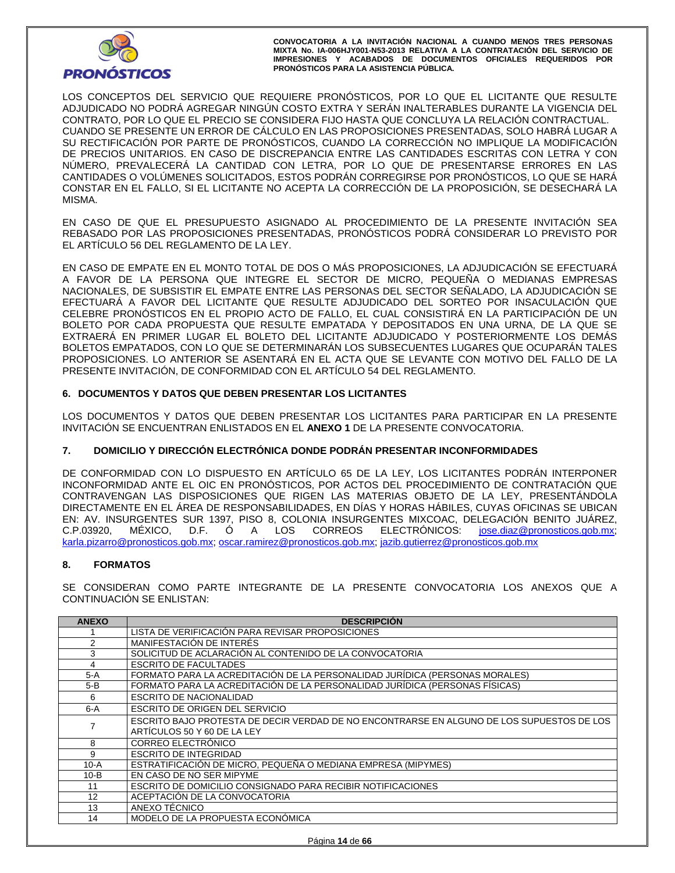

LOS CONCEPTOS DEL SERVICIO QUE REQUIERE PRONÓSTICOS, POR LO QUE EL LICITANTE QUE RESULTE ADJUDICADO NO PODRÁ AGREGAR NINGÚN COSTO EXTRA Y SERÁN INALTERABLES DURANTE LA VIGENCIA DEL CONTRATO, POR LO QUE EL PRECIO SE CONSIDERA FIJO HASTA QUE CONCLUYA LA RELACIÓN CONTRACTUAL. CUANDO SE PRESENTE UN ERROR DE CÁLCULO EN LAS PROPOSICIONES PRESENTADAS, SOLO HABRÁ LUGAR A SU RECTIFICACIÓN POR PARTE DE PRONÓSTICOS, CUANDO LA CORRECCIÓN NO IMPLIQUE LA MODIFICACIÓN DE PRECIOS UNITARIOS. EN CASO DE DISCREPANCIA ENTRE LAS CANTIDADES ESCRITAS CON LETRA Y CON NÚMERO, PREVALECERÁ LA CANTIDAD CON LETRA, POR LO QUE DE PRESENTARSE ERRORES EN LAS CANTIDADES O VOLÚMENES SOLICITADOS, ESTOS PODRÁN CORREGIRSE POR PRONÓSTICOS, LO QUE SE HARÁ CONSTAR EN EL FALLO, SI EL LICITANTE NO ACEPTA LA CORRECCIÓN DE LA PROPOSICIÓN, SE DESECHARÁ LA MISMA.

EN CASO DE QUE EL PRESUPUESTO ASIGNADO AL PROCEDIMIENTO DE LA PRESENTE INVITACIÓN SEA REBASADO POR LAS PROPOSICIONES PRESENTADAS, PRONÓSTICOS PODRÁ CONSIDERAR LO PREVISTO POR EL ARTÍCULO 56 DEL REGLAMENTO DE LA LEY.

EN CASO DE EMPATE EN EL MONTO TOTAL DE DOS O MÁS PROPOSICIONES, LA ADJUDICACIÓN SE EFECTUARÁ A FAVOR DE LA PERSONA QUE INTEGRE EL SECTOR DE MICRO, PEQUEÑA O MEDIANAS EMPRESAS NACIONALES, DE SUBSISTIR EL EMPATE ENTRE LAS PERSONAS DEL SECTOR SEÑALADO, LA ADJUDICACIÓN SE EFECTUARÁ A FAVOR DEL LICITANTE QUE RESULTE ADJUDICADO DEL SORTEO POR INSACULACIÓN QUE CELEBRE PRONÓSTICOS EN EL PROPIO ACTO DE FALLO, EL CUAL CONSISTIRÁ EN LA PARTICIPACIÓN DE UN BOLETO POR CADA PROPUESTA QUE RESULTE EMPATADA Y DEPOSITADOS EN UNA URNA, DE LA QUE SE EXTRAERÁ EN PRIMER LUGAR EL BOLETO DEL LICITANTE ADJUDICADO Y POSTERIORMENTE LOS DEMÁS BOLETOS EMPATADOS, CON LO QUE SE DETERMINARÁN LOS SUBSECUENTES LUGARES QUE OCUPARÁN TALES PROPOSICIONES. LO ANTERIOR SE ASENTARÁ EN EL ACTA QUE SE LEVANTE CON MOTIVO DEL FALLO DE LA PRESENTE INVITACIÓN, DE CONFORMIDAD CON EL ARTÍCULO 54 DEL REGLAMENTO.

# **6. DOCUMENTOS Y DATOS QUE DEBEN PRESENTAR LOS LICITANTES**

LOS DOCUMENTOS Y DATOS QUE DEBEN PRESENTAR LOS LICITANTES PARA PARTICIPAR EN LA PRESENTE INVITACIÓN SE ENCUENTRAN ENLISTADOS EN EL **ANEXO 1** DE LA PRESENTE CONVOCATORIA.

# **7. DOMICILIO Y DIRECCIÓN ELECTRÓNICA DONDE PODRÁN PRESENTAR INCONFORMIDADES**

DE CONFORMIDAD CON LO DISPUESTO EN ARTÍCULO 65 DE LA LEY, LOS LICITANTES PODRÁN INTERPONER INCONFORMIDAD ANTE EL OIC EN PRONÓSTICOS, POR ACTOS DEL PROCEDIMIENTO DE CONTRATACIÓN QUE CONTRAVENGAN LAS DISPOSICIONES QUE RIGEN LAS MATERIAS OBJETO DE LA LEY, PRESENTÁNDOLA DIRECTAMENTE EN EL ÁREA DE RESPONSABILIDADES, EN DÍAS Y HORAS HÁBILES, CUYAS OFICINAS SE UBICAN EN: AV. INSURGENTES SUR 1397, PISO 8, COLONIA INSURGENTES MIXCOAC, DELEGACIÓN BENITO JUÁREZ,<br>C.P.03920. MÉXICO. D.F. Ó A LOS CORREOS ELECTRÓNICOS: jose.diaz@pronosticos.gob.mx; C.P.03920, MÉXICO, D.F. Ó A LOS CORREOS ELECTRÓNICOS: jose.diaz@pronosticos.gob.mx; karla.pizarro@pronosticos.gob.mx; oscar.ramirez@pronosticos.gob.mx; jazib.gutierrez@pronosticos.gob.mx

#### **8. FORMATOS**

SE CONSIDERAN COMO PARTE INTEGRANTE DE LA PRESENTE CONVOCATORIA LOS ANEXOS QUE A CONTINUACIÓN SE ENLISTAN:

| <b>ANEXO</b> | <b>DESCRIPCIÓN</b>                                                                        |
|--------------|-------------------------------------------------------------------------------------------|
|              | LISTA DE VERIFICACIÓN PARA REVISAR PROPOSICIONES                                          |
| 2            | MANIFESTACIÓN DE INTERÉS                                                                  |
| 3            | SOLICITUD DE ACLARACIÓN AL CONTENIDO DE LA CONVOCATORIA                                   |
| 4            | <b>ESCRITO DE FACULTADES</b>                                                              |
| 5-A          | FORMATO PARA LA ACREDITACIÓN DE LA PERSONALIDAD JURÍDICA (PERSONAS MORALES)               |
| 5-B          | FORMATO PARA LA ACREDITACIÓN DE LA PERSONALIDAD JURÍDICA (PERSONAS FÍSICAS)               |
| 6            | ESCRITO DE NACIONALIDAD                                                                   |
| $6-A$        | ESCRITO DE ORIGEN DEL SERVICIO                                                            |
|              | ESCRITO BAJO PROTESTA DE DECIR VERDAD DE NO ENCONTRARSE EN ALGUNO DE LOS SUPUESTOS DE LOS |
|              | ARTÍCULOS 50 Y 60 DE LA LEY                                                               |
| 8            | CORREO ELECTRÓNICO                                                                        |
| 9            | <b>ESCRITO DE INTEGRIDAD</b>                                                              |
| $10-A$       | ESTRATIFICACIÓN DE MICRO. PEQUEÑA O MEDIANA EMPRESA (MIPYMES)                             |
| $10 - B$     | EN CASO DE NO SER MIPYME                                                                  |
| 11           | ESCRITO DE DOMICILIO CONSIGNADO PARA RECIBIR NOTIFICACIONES                               |
| 12           | ACEPTACIÓN DE LA CONVOCATORIA                                                             |
| 13           | ANEXO TÉCNICO                                                                             |
| 14           | MODELO DE LA PROPUESTA ECONÓMICA                                                          |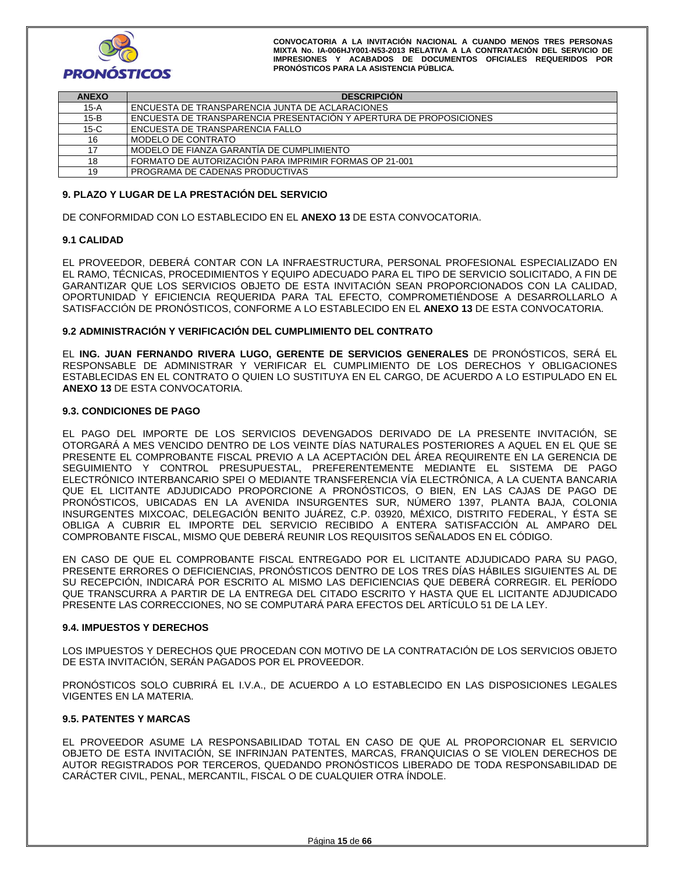

| <b>ANEXO</b> | <b>DESCRIPCION</b>                                                 |
|--------------|--------------------------------------------------------------------|
| 15-A         | ENCUESTA DE TRANSPARENCIA JUNTA DE ACLARACIONES                    |
| $15-B$       | ENCUESTA DE TRANSPARENCIA PRESENTACIÓN Y APERTURA DE PROPOSICIONES |
| $15-C$       | ENCUESTA DE TRANSPARENCIA FALLO                                    |
| 16           | I MODELO DE CONTRATO                                               |
| 17           | MODELO DE FIANZA GARANTÍA DE CUMPLIMIENTO                          |
| 18           | FORMATO DE AUTORIZACIÓN PARA IMPRIMIR FORMAS OP 21-001             |
| 19           | PROGRAMA DE CADENAS PRODUCTIVAS                                    |

#### **9. PLAZO Y LUGAR DE LA PRESTACIÓN DEL SERVICIO**

DE CONFORMIDAD CON LO ESTABLECIDO EN EL **ANEXO 13** DE ESTA CONVOCATORIA.

#### **9.1 CALIDAD**

EL PROVEEDOR, DEBERÁ CONTAR CON LA INFRAESTRUCTURA, PERSONAL PROFESIONAL ESPECIALIZADO EN EL RAMO, TÉCNICAS, PROCEDIMIENTOS Y EQUIPO ADECUADO PARA EL TIPO DE SERVICIO SOLICITADO, A FIN DE GARANTIZAR QUE LOS SERVICIOS OBJETO DE ESTA INVITACIÓN SEAN PROPORCIONADOS CON LA CALIDAD, OPORTUNIDAD Y EFICIENCIA REQUERIDA PARA TAL EFECTO, COMPROMETIÉNDOSE A DESARROLLARLO A SATISFACCIÓN DE PRONÓSTICOS, CONFORME A LO ESTABLECIDO EN EL **ANEXO 13** DE ESTA CONVOCATORIA.

#### **9.2 ADMINISTRACIÓN Y VERIFICACIÓN DEL CUMPLIMIENTO DEL CONTRATO**

EL **ING. JUAN FERNANDO RIVERA LUGO, GERENTE DE SERVICIOS GENERALES** DE PRONÓSTICOS, SERÁ EL RESPONSABLE DE ADMINISTRAR Y VERIFICAR EL CUMPLIMIENTO DE LOS DERECHOS Y OBLIGACIONES ESTABLECIDAS EN EL CONTRATO O QUIEN LO SUSTITUYA EN EL CARGO, DE ACUERDO A LO ESTIPULADO EN EL **ANEXO 13** DE ESTA CONVOCATORIA.

#### **9.3. CONDICIONES DE PAGO**

EL PAGO DEL IMPORTE DE LOS SERVICIOS DEVENGADOS DERIVADO DE LA PRESENTE INVITACIÓN, SE OTORGARÁ A MES VENCIDO DENTRO DE LOS VEINTE DÍAS NATURALES POSTERIORES A AQUEL EN EL QUE SE PRESENTE EL COMPROBANTE FISCAL PREVIO A LA ACEPTACIÓN DEL ÁREA REQUIRENTE EN LA GERENCIA DE SEGUIMIENTO Y CONTROL PRESUPUESTAL, PREFERENTEMENTE MEDIANTE EL SISTEMA DE PAGO ELECTRÓNICO INTERBANCARIO SPEI O MEDIANTE TRANSFERENCIA VÍA ELECTRÓNICA, A LA CUENTA BANCARIA QUE EL LICITANTE ADJUDICADO PROPORCIONE A PRONÓSTICOS, O BIEN, EN LAS CAJAS DE PAGO DE PRONÓSTICOS, UBICADAS EN LA AVENIDA INSURGENTES SUR, NÚMERO 1397, PLANTA BAJA, COLONIA INSURGENTES MIXCOAC, DELEGACIÓN BENITO JUÁREZ, C.P. 03920, MÉXICO, DISTRITO FEDERAL, Y ÉSTA SE OBLIGA A CUBRIR EL IMPORTE DEL SERVICIO RECIBIDO A ENTERA SATISFACCIÓN AL AMPARO DEL COMPROBANTE FISCAL, MISMO QUE DEBERÁ REUNIR LOS REQUISITOS SEÑALADOS EN EL CÓDIGO.

EN CASO DE QUE EL COMPROBANTE FISCAL ENTREGADO POR EL LICITANTE ADJUDICADO PARA SU PAGO, PRESENTE ERRORES O DEFICIENCIAS, PRONÓSTICOS DENTRO DE LOS TRES DÍAS HÁBILES SIGUIENTES AL DE SU RECEPCIÓN, INDICARÁ POR ESCRITO AL MISMO LAS DEFICIENCIAS QUE DEBERÁ CORREGIR. EL PERÍODO QUE TRANSCURRA A PARTIR DE LA ENTREGA DEL CITADO ESCRITO Y HASTA QUE EL LICITANTE ADJUDICADO PRESENTE LAS CORRECCIONES, NO SE COMPUTARÁ PARA EFECTOS DEL ARTÍCULO 51 DE LA LEY.

#### **9.4. IMPUESTOS Y DERECHOS**

LOS IMPUESTOS Y DERECHOS QUE PROCEDAN CON MOTIVO DE LA CONTRATACIÓN DE LOS SERVICIOS OBJETO DE ESTA INVITACIÓN, SERÁN PAGADOS POR EL PROVEEDOR.

PRONÓSTICOS SOLO CUBRIRÁ EL I.V.A., DE ACUERDO A LO ESTABLECIDO EN LAS DISPOSICIONES LEGALES VIGENTES EN LA MATERIA.

#### **9.5. PATENTES Y MARCAS**

EL PROVEEDOR ASUME LA RESPONSABILIDAD TOTAL EN CASO DE QUE AL PROPORCIONAR EL SERVICIO OBJETO DE ESTA INVITACIÓN, SE INFRINJAN PATENTES, MARCAS, FRANQUICIAS O SE VIOLEN DERECHOS DE AUTOR REGISTRADOS POR TERCEROS, QUEDANDO PRONÓSTICOS LIBERADO DE TODA RESPONSABILIDAD DE CARÁCTER CIVIL, PENAL, MERCANTIL, FISCAL O DE CUALQUIER OTRA ÍNDOLE.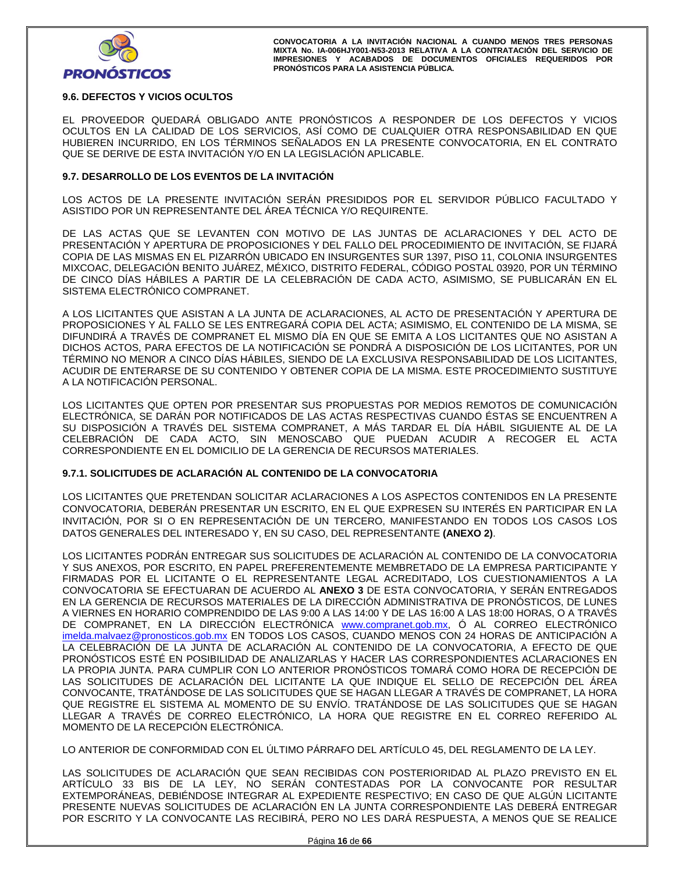

# **9.6. DEFECTOS Y VICIOS OCULTOS**

EL PROVEEDOR QUEDARÁ OBLIGADO ANTE PRONÓSTICOS A RESPONDER DE LOS DEFECTOS Y VICIOS OCULTOS EN LA CALIDAD DE LOS SERVICIOS, ASÍ COMO DE CUALQUIER OTRA RESPONSABILIDAD EN QUE HUBIEREN INCURRIDO, EN LOS TÉRMINOS SEÑALADOS EN LA PRESENTE CONVOCATORIA, EN EL CONTRATO QUE SE DERIVE DE ESTA INVITACIÓN Y/O EN LA LEGISLACIÓN APLICABLE.

## **9.7. DESARROLLO DE LOS EVENTOS DE LA INVITACIÓN**

LOS ACTOS DE LA PRESENTE INVITACIÓN SERÁN PRESIDIDOS POR EL SERVIDOR PÚBLICO FACULTADO Y ASISTIDO POR UN REPRESENTANTE DEL ÁREA TÉCNICA Y/O REQUIRENTE.

DE LAS ACTAS QUE SE LEVANTEN CON MOTIVO DE LAS JUNTAS DE ACLARACIONES Y DEL ACTO DE PRESENTACIÓN Y APERTURA DE PROPOSICIONES Y DEL FALLO DEL PROCEDIMIENTO DE INVITACIÓN, SE FIJARÁ COPIA DE LAS MISMAS EN EL PIZARRÓN UBICADO EN INSURGENTES SUR 1397, PISO 11, COLONIA INSURGENTES MIXCOAC, DELEGACIÓN BENITO JUÁREZ, MÉXICO, DISTRITO FEDERAL, CÓDIGO POSTAL 03920, POR UN TÉRMINO DE CINCO DÍAS HÁBILES A PARTIR DE LA CELEBRACIÓN DE CADA ACTO, ASIMISMO, SE PUBLICARÁN EN EL SISTEMA ELECTRÓNICO COMPRANET.

A LOS LICITANTES QUE ASISTAN A LA JUNTA DE ACLARACIONES, AL ACTO DE PRESENTACIÓN Y APERTURA DE PROPOSICIONES Y AL FALLO SE LES ENTREGARÁ COPIA DEL ACTA; ASIMISMO, EL CONTENIDO DE LA MISMA, SE DIFUNDIRÁ A TRAVÉS DE COMPRANET EL MISMO DÍA EN QUE SE EMITA A LOS LICITANTES QUE NO ASISTAN A DICHOS ACTOS, PARA EFECTOS DE LA NOTIFICACIÓN SE PONDRÁ A DISPOSICIÓN DE LOS LICITANTES, POR UN TÉRMINO NO MENOR A CINCO DÍAS HÁBILES, SIENDO DE LA EXCLUSIVA RESPONSABILIDAD DE LOS LICITANTES, ACUDIR DE ENTERARSE DE SU CONTENIDO Y OBTENER COPIA DE LA MISMA. ESTE PROCEDIMIENTO SUSTITUYE A LA NOTIFICACIÓN PERSONAL.

LOS LICITANTES QUE OPTEN POR PRESENTAR SUS PROPUESTAS POR MEDIOS REMOTOS DE COMUNICACIÓN ELECTRÓNICA, SE DARÁN POR NOTIFICADOS DE LAS ACTAS RESPECTIVAS CUANDO ÉSTAS SE ENCUENTREN A SU DISPOSICIÓN A TRAVÉS DEL SISTEMA COMPRANET, A MÁS TARDAR EL DÍA HÁBIL SIGUIENTE AL DE LA CELEBRACIÓN DE CADA ACTO, SIN MENOSCABO QUE PUEDAN ACUDIR A RECOGER EL ACTA CORRESPONDIENTE EN EL DOMICILIO DE LA GERENCIA DE RECURSOS MATERIALES.

#### **9.7.1. SOLICITUDES DE ACLARACIÓN AL CONTENIDO DE LA CONVOCATORIA**

LOS LICITANTES QUE PRETENDAN SOLICITAR ACLARACIONES A LOS ASPECTOS CONTENIDOS EN LA PRESENTE CONVOCATORIA, DEBERÁN PRESENTAR UN ESCRITO, EN EL QUE EXPRESEN SU INTERÉS EN PARTICIPAR EN LA INVITACIÓN, POR SI O EN REPRESENTACIÓN DE UN TERCERO, MANIFESTANDO EN TODOS LOS CASOS LOS DATOS GENERALES DEL INTERESADO Y, EN SU CASO, DEL REPRESENTANTE **(ANEXO 2)**.

LOS LICITANTES PODRÁN ENTREGAR SUS SOLICITUDES DE ACLARACIÓN AL CONTENIDO DE LA CONVOCATORIA Y SUS ANEXOS, POR ESCRITO, EN PAPEL PREFERENTEMENTE MEMBRETADO DE LA EMPRESA PARTICIPANTE Y FIRMADAS POR EL LICITANTE O EL REPRESENTANTE LEGAL ACREDITADO, LOS CUESTIONAMIENTOS A LA CONVOCATORIA SE EFECTUARAN DE ACUERDO AL **ANEXO 3** DE ESTA CONVOCATORIA, Y SERÁN ENTREGADOS EN LA GERENCIA DE RECURSOS MATERIALES DE LA DIRECCIÓN ADMINISTRATIVA DE PRONÓSTICOS, DE LUNES A VIERNES EN HORARIO COMPRENDIDO DE LAS 9:00 A LAS 14:00 Y DE LAS 16:00 A LAS 18:00 HORAS, O A TRAVÉS DE COMPRANET, EN LA DIRECCIÓN ELECTRÓNICA www.compranet.gob.mx, Ó AL CORREO ELECTRÓNICO imelda.malvaez@pronosticos.gob.mx EN TODOS LOS CASOS, CUANDO MENOS CON 24 HORAS DE ANTICIPACIÓN A LA CELEBRACIÓN DE LA JUNTA DE ACLARACIÓN AL CONTENIDO DE LA CONVOCATORIA, A EFECTO DE QUE PRONÓSTICOS ESTÉ EN POSIBILIDAD DE ANALIZARLAS Y HACER LAS CORRESPONDIENTES ACLARACIONES EN LA PROPIA JUNTA. PARA CUMPLIR CON LO ANTERIOR PRONÓSTICOS TOMARÁ COMO HORA DE RECEPCIÓN DE LAS SOLICITUDES DE ACLARACIÓN DEL LICITANTE LA QUE INDIQUE EL SELLO DE RECEPCIÓN DEL ÁREA CONVOCANTE, TRATÁNDOSE DE LAS SOLICITUDES QUE SE HAGAN LLEGAR A TRAVÉS DE COMPRANET, LA HORA QUE REGISTRE EL SISTEMA AL MOMENTO DE SU ENVÍO. TRATÁNDOSE DE LAS SOLICITUDES QUE SE HAGAN LLEGAR A TRAVÉS DE CORREO ELECTRÓNICO, LA HORA QUE REGISTRE EN EL CORREO REFERIDO AL MOMENTO DE LA RECEPCIÓN ELECTRÓNICA.

LO ANTERIOR DE CONFORMIDAD CON EL ÚLTIMO PÁRRAFO DEL ARTÍCULO 45, DEL REGLAMENTO DE LA LEY.

LAS SOLICITUDES DE ACLARACIÓN QUE SEAN RECIBIDAS CON POSTERIORIDAD AL PLAZO PREVISTO EN EL ARTÍCULO 33 BIS DE LA LEY, NO SERÁN CONTESTADAS POR LA CONVOCANTE POR RESULTAR EXTEMPORÁNEAS, DEBIÉNDOSE INTEGRAR AL EXPEDIENTE RESPECTIVO; EN CASO DE QUE ALGÚN LICITANTE PRESENTE NUEVAS SOLICITUDES DE ACLARACIÓN EN LA JUNTA CORRESPONDIENTE LAS DEBERÁ ENTREGAR POR ESCRITO Y LA CONVOCANTE LAS RECIBIRÁ, PERO NO LES DARÁ RESPUESTA, A MENOS QUE SE REALICE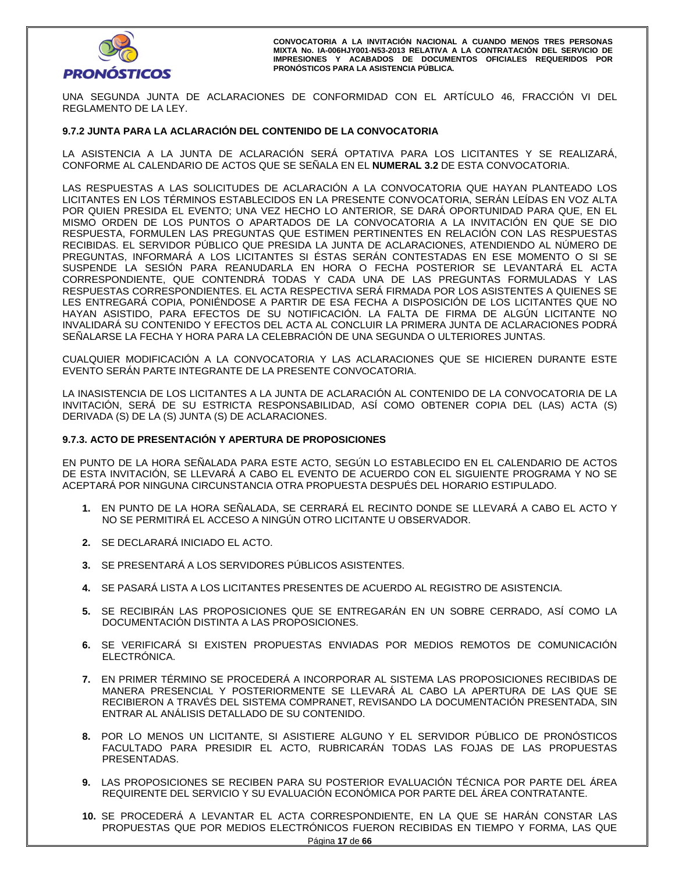

UNA SEGUNDA JUNTA DE ACLARACIONES DE CONFORMIDAD CON EL ARTÍCULO 46, FRACCIÓN VI DEL REGLAMENTO DE LA LEY.

#### **9.7.2 JUNTA PARA LA ACLARACIÓN DEL CONTENIDO DE LA CONVOCATORIA**

LA ASISTENCIA A LA JUNTA DE ACLARACIÓN SERÁ OPTATIVA PARA LOS LICITANTES Y SE REALIZARÁ, CONFORME AL CALENDARIO DE ACTOS QUE SE SEÑALA EN EL **NUMERAL 3.2** DE ESTA CONVOCATORIA.

LAS RESPUESTAS A LAS SOLICITUDES DE ACLARACIÓN A LA CONVOCATORIA QUE HAYAN PLANTEADO LOS LICITANTES EN LOS TÉRMINOS ESTABLECIDOS EN LA PRESENTE CONVOCATORIA, SERÁN LEÍDAS EN VOZ ALTA POR QUIEN PRESIDA EL EVENTO; UNA VEZ HECHO LO ANTERIOR, SE DARÁ OPORTUNIDAD PARA QUE, EN EL MISMO ORDEN DE LOS PUNTOS O APARTADOS DE LA CONVOCATORIA A LA INVITACIÓN EN QUE SE DIO RESPUESTA, FORMULEN LAS PREGUNTAS QUE ESTIMEN PERTINENTES EN RELACIÓN CON LAS RESPUESTAS RECIBIDAS. EL SERVIDOR PÚBLICO QUE PRESIDA LA JUNTA DE ACLARACIONES, ATENDIENDO AL NÚMERO DE PREGUNTAS, INFORMARÁ A LOS LICITANTES SI ÉSTAS SERÁN CONTESTADAS EN ESE MOMENTO O SI SE SUSPENDE LA SESIÓN PARA REANUDARLA EN HORA O FECHA POSTERIOR SE LEVANTARÁ EL ACTA CORRESPONDIENTE, QUE CONTENDRÁ TODAS Y CADA UNA DE LAS PREGUNTAS FORMULADAS Y LAS RESPUESTAS CORRESPONDIENTES. EL ACTA RESPECTIVA SERÁ FIRMADA POR LOS ASISTENTES A QUIENES SE LES ENTREGARÁ COPIA, PONIÉNDOSE A PARTIR DE ESA FECHA A DISPOSICIÓN DE LOS LICITANTES QUE NO HAYAN ASISTIDO, PARA EFECTOS DE SU NOTIFICACIÓN. LA FALTA DE FIRMA DE ALGÚN LICITANTE NO INVALIDARÁ SU CONTENIDO Y EFECTOS DEL ACTA AL CONCLUIR LA PRIMERA JUNTA DE ACLARACIONES PODRÁ SEÑALARSE LA FECHA Y HORA PARA LA CELEBRACIÓN DE UNA SEGUNDA O ULTERIORES JUNTAS.

CUALQUIER MODIFICACIÓN A LA CONVOCATORIA Y LAS ACLARACIONES QUE SE HICIEREN DURANTE ESTE EVENTO SERÁN PARTE INTEGRANTE DE LA PRESENTE CONVOCATORIA.

LA INASISTENCIA DE LOS LICITANTES A LA JUNTA DE ACLARACIÓN AL CONTENIDO DE LA CONVOCATORIA DE LA INVITACIÓN, SERÁ DE SU ESTRICTA RESPONSABILIDAD, ASÍ COMO OBTENER COPIA DEL (LAS) ACTA (S) DERIVADA (S) DE LA (S) JUNTA (S) DE ACLARACIONES.

#### **9.7.3. ACTO DE PRESENTACIÓN Y APERTURA DE PROPOSICIONES**

EN PUNTO DE LA HORA SEÑALADA PARA ESTE ACTO, SEGÚN LO ESTABLECIDO EN EL CALENDARIO DE ACTOS DE ESTA INVITACIÓN, SE LLEVARÁ A CABO EL EVENTO DE ACUERDO CON EL SIGUIENTE PROGRAMA Y NO SE ACEPTARÁ POR NINGUNA CIRCUNSTANCIA OTRA PROPUESTA DESPUÉS DEL HORARIO ESTIPULADO.

- **1.** EN PUNTO DE LA HORA SEÑALADA, SE CERRARÁ EL RECINTO DONDE SE LLEVARÁ A CABO EL ACTO Y NO SE PERMITIRÁ EL ACCESO A NINGÚN OTRO LICITANTE U OBSERVADOR.
- **2.** SE DECLARARÁ INICIADO EL ACTO.
- **3.** SE PRESENTARÁ A LOS SERVIDORES PÚBLICOS ASISTENTES.
- **4.** SE PASARÁ LISTA A LOS LICITANTES PRESENTES DE ACUERDO AL REGISTRO DE ASISTENCIA.
- **5.** SE RECIBIRÁN LAS PROPOSICIONES QUE SE ENTREGARÁN EN UN SOBRE CERRADO, ASÍ COMO LA DOCUMENTACIÓN DISTINTA A LAS PROPOSICIONES.
- **6.** SE VERIFICARÁ SI EXISTEN PROPUESTAS ENVIADAS POR MEDIOS REMOTOS DE COMUNICACIÓN ELECTRÓNICA.
- **7.** EN PRIMER TÉRMINO SE PROCEDERÁ A INCORPORAR AL SISTEMA LAS PROPOSICIONES RECIBIDAS DE MANERA PRESENCIAL Y POSTERIORMENTE SE LLEVARÁ AL CABO LA APERTURA DE LAS QUE SE RECIBIERON A TRAVÉS DEL SISTEMA COMPRANET, REVISANDO LA DOCUMENTACIÓN PRESENTADA, SIN ENTRAR AL ANÁLISIS DETALLADO DE SU CONTENIDO.
- **8.** POR LO MENOS UN LICITANTE, SI ASISTIERE ALGUNO Y EL SERVIDOR PÚBLICO DE PRONÓSTICOS FACULTADO PARA PRESIDIR EL ACTO, RUBRICARÁN TODAS LAS FOJAS DE LAS PROPUESTAS PRESENTADAS.
- **9.** LAS PROPOSICIONES SE RECIBEN PARA SU POSTERIOR EVALUACIÓN TÉCNICA POR PARTE DEL ÁREA REQUIRENTE DEL SERVICIO Y SU EVALUACIÓN ECONÓMICA POR PARTE DEL ÁREA CONTRATANTE.
- **10.** SE PROCEDERÁ A LEVANTAR EL ACTA CORRESPONDIENTE, EN LA QUE SE HARÁN CONSTAR LAS PROPUESTAS QUE POR MEDIOS ELECTRÓNICOS FUERON RECIBIDAS EN TIEMPO Y FORMA, LAS QUE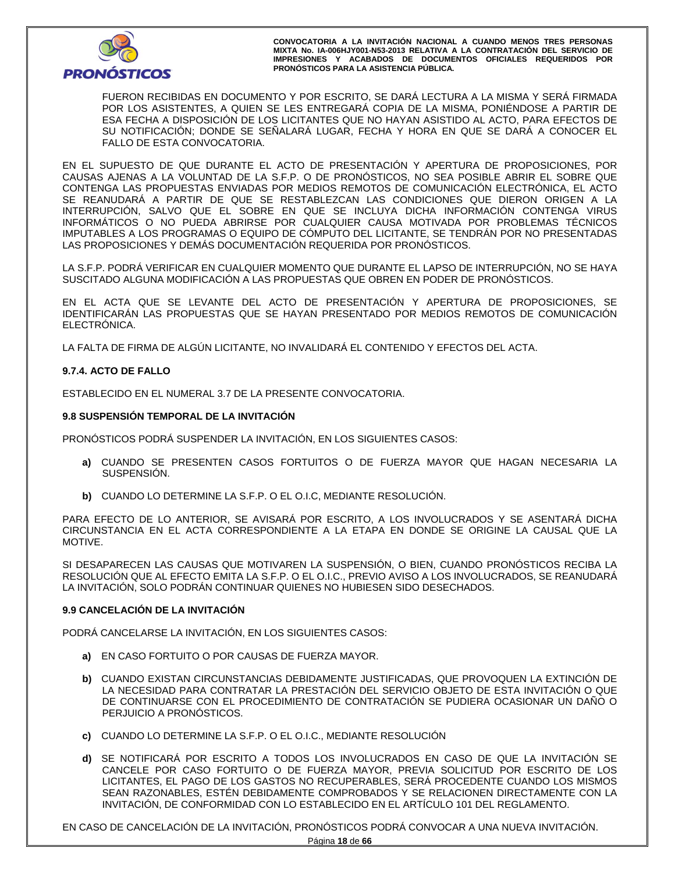

FUERON RECIBIDAS EN DOCUMENTO Y POR ESCRITO, SE DARÁ LECTURA A LA MISMA Y SERÁ FIRMADA POR LOS ASISTENTES, A QUIEN SE LES ENTREGARÁ COPIA DE LA MISMA, PONIÉNDOSE A PARTIR DE ESA FECHA A DISPOSICIÓN DE LOS LICITANTES QUE NO HAYAN ASISTIDO AL ACTO, PARA EFECTOS DE SU NOTIFICACIÓN; DONDE SE SEÑALARÁ LUGAR, FECHA Y HORA EN QUE SE DARÁ A CONOCER EL FALLO DE ESTA CONVOCATORIA.

EN EL SUPUESTO DE QUE DURANTE EL ACTO DE PRESENTACIÓN Y APERTURA DE PROPOSICIONES, POR CAUSAS AJENAS A LA VOLUNTAD DE LA S.F.P. O DE PRONÓSTICOS, NO SEA POSIBLE ABRIR EL SOBRE QUE CONTENGA LAS PROPUESTAS ENVIADAS POR MEDIOS REMOTOS DE COMUNICACIÓN ELECTRÓNICA, EL ACTO SE REANUDARÁ A PARTIR DE QUE SE RESTABLEZCAN LAS CONDICIONES QUE DIERON ORIGEN A LA INTERRUPCIÓN, SALVO QUE EL SOBRE EN QUE SE INCLUYA DICHA INFORMACIÓN CONTENGA VIRUS INFORMÁTICOS O NO PUEDA ABRIRSE POR CUALQUIER CAUSA MOTIVADA POR PROBLEMAS TÉCNICOS IMPUTABLES A LOS PROGRAMAS O EQUIPO DE CÓMPUTO DEL LICITANTE, SE TENDRÁN POR NO PRESENTADAS LAS PROPOSICIONES Y DEMÁS DOCUMENTACIÓN REQUERIDA POR PRONÓSTICOS.

LA S.F.P. PODRÁ VERIFICAR EN CUALQUIER MOMENTO QUE DURANTE EL LAPSO DE INTERRUPCIÓN, NO SE HAYA SUSCITADO ALGUNA MODIFICACIÓN A LAS PROPUESTAS QUE OBREN EN PODER DE PRONÓSTICOS.

EN EL ACTA QUE SE LEVANTE DEL ACTO DE PRESENTACIÓN Y APERTURA DE PROPOSICIONES, SE IDENTIFICARÁN LAS PROPUESTAS QUE SE HAYAN PRESENTADO POR MEDIOS REMOTOS DE COMUNICACIÓN ELECTRÓNICA.

LA FALTA DE FIRMA DE ALGÚN LICITANTE, NO INVALIDARÁ EL CONTENIDO Y EFECTOS DEL ACTA.

#### **9.7.4. ACTO DE FALLO**

ESTABLECIDO EN EL NUMERAL 3.7 DE LA PRESENTE CONVOCATORIA.

#### **9.8 SUSPENSIÓN TEMPORAL DE LA INVITACIÓN**

PRONÓSTICOS PODRÁ SUSPENDER LA INVITACIÓN, EN LOS SIGUIENTES CASOS:

- **a)** CUANDO SE PRESENTEN CASOS FORTUITOS O DE FUERZA MAYOR QUE HAGAN NECESARIA LA SUSPENSIÓN.
- **b)** CUANDO LO DETERMINE LA S.F.P. O EL O.I.C, MEDIANTE RESOLUCIÓN.

PARA EFECTO DE LO ANTERIOR, SE AVISARÁ POR ESCRITO, A LOS INVOLUCRADOS Y SE ASENTARÁ DICHA CIRCUNSTANCIA EN EL ACTA CORRESPONDIENTE A LA ETAPA EN DONDE SE ORIGINE LA CAUSAL QUE LA MOTIVE.

SI DESAPARECEN LAS CAUSAS QUE MOTIVAREN LA SUSPENSIÓN, O BIEN, CUANDO PRONÓSTICOS RECIBA LA RESOLUCIÓN QUE AL EFECTO EMITA LA S.F.P. O EL O.I.C., PREVIO AVISO A LOS INVOLUCRADOS, SE REANUDARÁ LA INVITACIÓN, SOLO PODRÁN CONTINUAR QUIENES NO HUBIESEN SIDO DESECHADOS.

#### **9.9 CANCELACIÓN DE LA INVITACIÓN**

PODRÁ CANCELARSE LA INVITACIÓN, EN LOS SIGUIENTES CASOS:

- **a)** EN CASO FORTUITO O POR CAUSAS DE FUERZA MAYOR.
- **b)** CUANDO EXISTAN CIRCUNSTANCIAS DEBIDAMENTE JUSTIFICADAS, QUE PROVOQUEN LA EXTINCIÓN DE LA NECESIDAD PARA CONTRATAR LA PRESTACIÓN DEL SERVICIO OBJETO DE ESTA INVITACIÓN O QUE DE CONTINUARSE CON EL PROCEDIMIENTO DE CONTRATACIÓN SE PUDIERA OCASIONAR UN DAÑO O PERJUICIO A PRONÓSTICOS.
- **c)** CUANDO LO DETERMINE LA S.F.P. O EL O.I.C., MEDIANTE RESOLUCIÓN
- **d)** SE NOTIFICARÁ POR ESCRITO A TODOS LOS INVOLUCRADOS EN CASO DE QUE LA INVITACIÓN SE CANCELE POR CASO FORTUITO O DE FUERZA MAYOR, PREVIA SOLICITUD POR ESCRITO DE LOS LICITANTES, EL PAGO DE LOS GASTOS NO RECUPERABLES, SERÁ PROCEDENTE CUANDO LOS MISMOS SEAN RAZONABLES, ESTÉN DEBIDAMENTE COMPROBADOS Y SE RELACIONEN DIRECTAMENTE CON LA INVITACIÓN, DE CONFORMIDAD CON LO ESTABLECIDO EN EL ARTÍCULO 101 DEL REGLAMENTO.

EN CASO DE CANCELACIÓN DE LA INVITACIÓN, PRONÓSTICOS PODRÁ CONVOCAR A UNA NUEVA INVITACIÓN.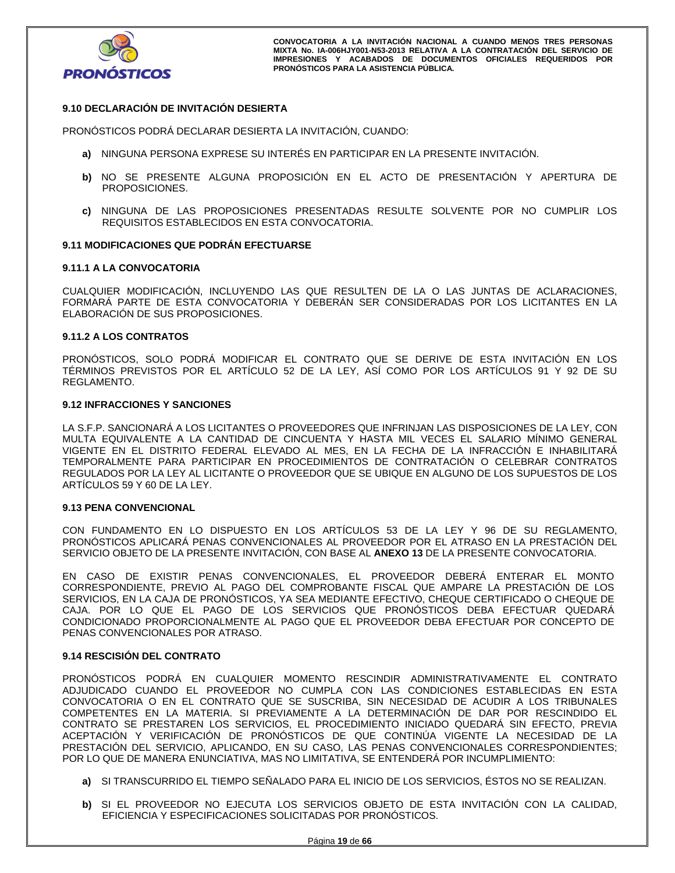

## **9.10 DECLARACIÓN DE INVITACIÓN DESIERTA**

PRONÓSTICOS PODRÁ DECLARAR DESIERTA LA INVITACIÓN, CUANDO:

- **a)** NINGUNA PERSONA EXPRESE SU INTERÉS EN PARTICIPAR EN LA PRESENTE INVITACIÓN.
- **b)** NO SE PRESENTE ALGUNA PROPOSICIÓN EN EL ACTO DE PRESENTACIÓN Y APERTURA DE PROPOSICIONES.
- **c)** NINGUNA DE LAS PROPOSICIONES PRESENTADAS RESULTE SOLVENTE POR NO CUMPLIR LOS REQUISITOS ESTABLECIDOS EN ESTA CONVOCATORIA.

## **9.11 MODIFICACIONES QUE PODRÁN EFECTUARSE**

#### **9.11.1 A LA CONVOCATORIA**

CUALQUIER MODIFICACIÓN, INCLUYENDO LAS QUE RESULTEN DE LA O LAS JUNTAS DE ACLARACIONES, FORMARÁ PARTE DE ESTA CONVOCATORIA Y DEBERÁN SER CONSIDERADAS POR LOS LICITANTES EN LA ELABORACIÓN DE SUS PROPOSICIONES.

#### **9.11.2 A LOS CONTRATOS**

PRONÓSTICOS, SOLO PODRÁ MODIFICAR EL CONTRATO QUE SE DERIVE DE ESTA INVITACIÓN EN LOS TÉRMINOS PREVISTOS POR EL ARTÍCULO 52 DE LA LEY, ASÍ COMO POR LOS ARTÍCULOS 91 Y 92 DE SU REGLAMENTO.

# **9.12 INFRACCIONES Y SANCIONES**

LA S.F.P. SANCIONARÁ A LOS LICITANTES O PROVEEDORES QUE INFRINJAN LAS DISPOSICIONES DE LA LEY, CON MULTA EQUIVALENTE A LA CANTIDAD DE CINCUENTA Y HASTA MIL VECES EL SALARIO MÍNIMO GENERAL VIGENTE EN EL DISTRITO FEDERAL ELEVADO AL MES, EN LA FECHA DE LA INFRACCIÓN E INHABILITARÁ TEMPORALMENTE PARA PARTICIPAR EN PROCEDIMIENTOS DE CONTRATACIÓN O CELEBRAR CONTRATOS REGULADOS POR LA LEY AL LICITANTE O PROVEEDOR QUE SE UBIQUE EN ALGUNO DE LOS SUPUESTOS DE LOS ARTÍCULOS 59 Y 60 DE LA LEY.

#### **9.13 PENA CONVENCIONAL**

CON FUNDAMENTO EN LO DISPUESTO EN LOS ARTÍCULOS 53 DE LA LEY Y 96 DE SU REGLAMENTO, PRONÓSTICOS APLICARÁ PENAS CONVENCIONALES AL PROVEEDOR POR EL ATRASO EN LA PRESTACIÓN DEL SERVICIO OBJETO DE LA PRESENTE INVITACIÓN, CON BASE AL **ANEXO 13** DE LA PRESENTE CONVOCATORIA.

EN CASO DE EXISTIR PENAS CONVENCIONALES, EL PROVEEDOR DEBERÁ ENTERAR EL MONTO CORRESPONDIENTE, PREVIO AL PAGO DEL COMPROBANTE FISCAL QUE AMPARE LA PRESTACIÓN DE LOS SERVICIOS, EN LA CAJA DE PRONÓSTICOS, YA SEA MEDIANTE EFECTIVO, CHEQUE CERTIFICADO O CHEQUE DE CAJA. POR LO QUE EL PAGO DE LOS SERVICIOS QUE PRONÓSTICOS DEBA EFECTUAR QUEDARÁ CONDICIONADO PROPORCIONALMENTE AL PAGO QUE EL PROVEEDOR DEBA EFECTUAR POR CONCEPTO DE PENAS CONVENCIONALES POR ATRASO.

## **9.14 RESCISIÓN DEL CONTRATO**

PRONÓSTICOS PODRÁ EN CUALQUIER MOMENTO RESCINDIR ADMINISTRATIVAMENTE EL CONTRATO ADJUDICADO CUANDO EL PROVEEDOR NO CUMPLA CON LAS CONDICIONES ESTABLECIDAS EN ESTA CONVOCATORIA O EN EL CONTRATO QUE SE SUSCRIBA, SIN NECESIDAD DE ACUDIR A LOS TRIBUNALES COMPETENTES EN LA MATERIA. SI PREVIAMENTE A LA DETERMINACIÓN DE DAR POR RESCINDIDO EL CONTRATO SE PRESTAREN LOS SERVICIOS, EL PROCEDIMIENTO INICIADO QUEDARÁ SIN EFECTO, PREVIA ACEPTACIÓN Y VERIFICACIÓN DE PRONÓSTICOS DE QUE CONTINÚA VIGENTE LA NECESIDAD DE LA PRESTACIÓN DEL SERVICIO, APLICANDO, EN SU CASO, LAS PENAS CONVENCIONALES CORRESPONDIENTES; POR LO QUE DE MANERA ENUNCIATIVA, MAS NO LIMITATIVA, SE ENTENDERÁ POR INCUMPLIMIENTO:

- **a)** SI TRANSCURRIDO EL TIEMPO SEÑALADO PARA EL INICIO DE LOS SERVICIOS, ÉSTOS NO SE REALIZAN.
- **b)** SI EL PROVEEDOR NO EJECUTA LOS SERVICIOS OBJETO DE ESTA INVITACIÓN CON LA CALIDAD, EFICIENCIA Y ESPECIFICACIONES SOLICITADAS POR PRONÓSTICOS.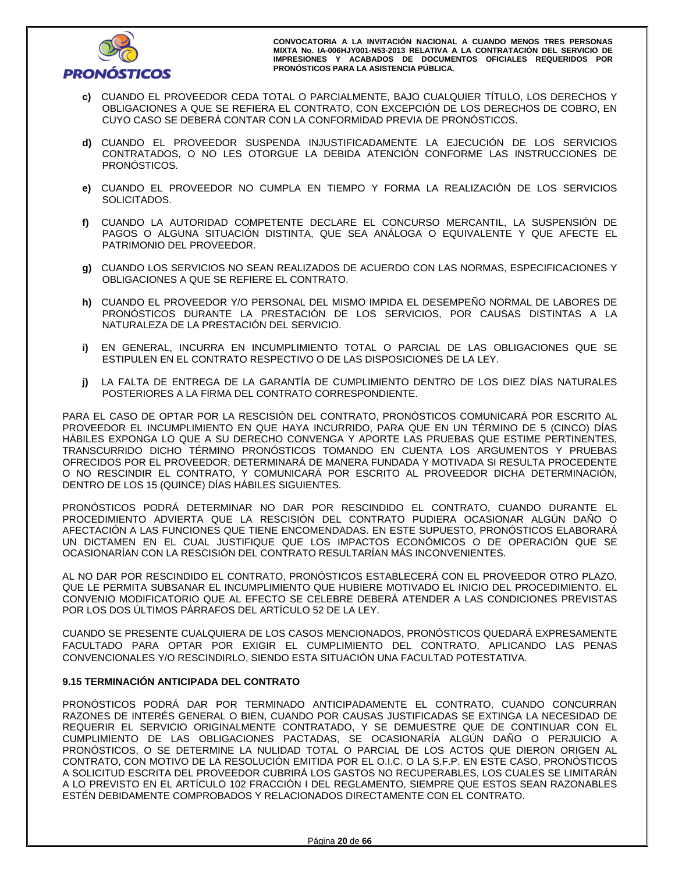

- **c)** CUANDO EL PROVEEDOR CEDA TOTAL O PARCIALMENTE, BAJO CUALQUIER TÍTULO, LOS DERECHOS Y OBLIGACIONES A QUE SE REFIERA EL CONTRATO, CON EXCEPCIÓN DE LOS DERECHOS DE COBRO, EN CUYO CASO SE DEBERÁ CONTAR CON LA CONFORMIDAD PREVIA DE PRONÓSTICOS.
- **d)** CUANDO EL PROVEEDOR SUSPENDA INJUSTIFICADAMENTE LA EJECUCIÓN DE LOS SERVICIOS CONTRATADOS, O NO LES OTORGUE LA DEBIDA ATENCIÓN CONFORME LAS INSTRUCCIONES DE PRONÓSTICOS.
- **e)** CUANDO EL PROVEEDOR NO CUMPLA EN TIEMPO Y FORMA LA REALIZACIÓN DE LOS SERVICIOS SOLICITADOS.
- **f)** CUANDO LA AUTORIDAD COMPETENTE DECLARE EL CONCURSO MERCANTIL, LA SUSPENSIÓN DE PAGOS O ALGUNA SITUACIÓN DISTINTA, QUE SEA ANÁLOGA O EQUIVALENTE Y QUE AFECTE EL PATRIMONIO DEL PROVEEDOR.
- **g)** CUANDO LOS SERVICIOS NO SEAN REALIZADOS DE ACUERDO CON LAS NORMAS, ESPECIFICACIONES Y OBLIGACIONES A QUE SE REFIERE EL CONTRATO.
- **h)** CUANDO EL PROVEEDOR Y/O PERSONAL DEL MISMO IMPIDA EL DESEMPEÑO NORMAL DE LABORES DE PRONÓSTICOS DURANTE LA PRESTACIÓN DE LOS SERVICIOS, POR CAUSAS DISTINTAS A LA NATURALEZA DE LA PRESTACIÓN DEL SERVICIO.
- **i)** EN GENERAL, INCURRA EN INCUMPLIMIENTO TOTAL O PARCIAL DE LAS OBLIGACIONES QUE SE ESTIPULEN EN EL CONTRATO RESPECTIVO O DE LAS DISPOSICIONES DE LA LEY.
- **j)** LA FALTA DE ENTREGA DE LA GARANTÍA DE CUMPLIMIENTO DENTRO DE LOS DIEZ DÍAS NATURALES POSTERIORES A LA FIRMA DEL CONTRATO CORRESPONDIENTE.

PARA EL CASO DE OPTAR POR LA RESCISIÓN DEL CONTRATO, PRONÓSTICOS COMUNICARÁ POR ESCRITO AL PROVEEDOR EL INCUMPLIMIENTO EN QUE HAYA INCURRIDO, PARA QUE EN UN TÉRMINO DE 5 (CINCO) DÍAS HÁBILES EXPONGA LO QUE A SU DERECHO CONVENGA Y APORTE LAS PRUEBAS QUE ESTIME PERTINENTES, TRANSCURRIDO DICHO TÉRMINO PRONÓSTICOS TOMANDO EN CUENTA LOS ARGUMENTOS Y PRUEBAS OFRECIDOS POR EL PROVEEDOR, DETERMINARÁ DE MANERA FUNDADA Y MOTIVADA SI RESULTA PROCEDENTE O NO RESCINDIR EL CONTRATO, Y COMUNICARÁ POR ESCRITO AL PROVEEDOR DICHA DETERMINACIÓN, DENTRO DE LOS 15 (QUINCE) DÍAS HÁBILES SIGUIENTES.

PRONÓSTICOS PODRÁ DETERMINAR NO DAR POR RESCINDIDO EL CONTRATO, CUANDO DURANTE EL PROCEDIMIENTO ADVIERTA QUE LA RESCISIÓN DEL CONTRATO PUDIERA OCASIONAR ALGÚN DAÑO O AFECTACIÓN A LAS FUNCIONES QUE TIENE ENCOMENDADAS. EN ESTE SUPUESTO, PRONÓSTICOS ELABORARÁ UN DICTAMEN EN EL CUAL JUSTIFIQUE QUE LOS IMPACTOS ECONÓMICOS O DE OPERACIÓN QUE SE OCASIONARÍAN CON LA RESCISIÓN DEL CONTRATO RESULTARÍAN MÁS INCONVENIENTES.

AL NO DAR POR RESCINDIDO EL CONTRATO, PRONÓSTICOS ESTABLECERÁ CON EL PROVEEDOR OTRO PLAZO, QUE LE PERMITA SUBSANAR EL INCUMPLIMIENTO QUE HUBIERE MOTIVADO EL INICIO DEL PROCEDIMIENTO. EL CONVENIO MODIFICATORIO QUE AL EFECTO SE CELEBRE DEBERÁ ATENDER A LAS CONDICIONES PREVISTAS POR LOS DOS ÚLTIMOS PÁRRAFOS DEL ARTÍCULO 52 DE LA LEY.

CUANDO SE PRESENTE CUALQUIERA DE LOS CASOS MENCIONADOS, PRONÓSTICOS QUEDARÁ EXPRESAMENTE FACULTADO PARA OPTAR POR EXIGIR EL CUMPLIMIENTO DEL CONTRATO, APLICANDO LAS PENAS CONVENCIONALES Y/O RESCINDIRLO, SIENDO ESTA SITUACIÓN UNA FACULTAD POTESTATIVA.

#### **9.15 TERMINACIÓN ANTICIPADA DEL CONTRATO**

PRONÓSTICOS PODRÁ DAR POR TERMINADO ANTICIPADAMENTE EL CONTRATO, CUANDO CONCURRAN RAZONES DE INTERÉS GENERAL O BIEN, CUANDO POR CAUSAS JUSTIFICADAS SE EXTINGA LA NECESIDAD DE REQUERIR EL SERVICIO ORIGINALMENTE CONTRATADO, Y SE DEMUESTRE QUE DE CONTINUAR CON EL CUMPLIMIENTO DE LAS OBLIGACIONES PACTADAS, SE OCASIONARÍA ALGÚN DAÑO O PERJUICIO A PRONÓSTICOS, O SE DETERMINE LA NULIDAD TOTAL O PARCIAL DE LOS ACTOS QUE DIERON ORIGEN AL CONTRATO, CON MOTIVO DE LA RESOLUCIÓN EMITIDA POR EL O.I.C. O LA S.F.P. EN ESTE CASO, PRONÓSTICOS A SOLICITUD ESCRITA DEL PROVEEDOR CUBRIRÁ LOS GASTOS NO RECUPERABLES, LOS CUALES SE LIMITARÁN A LO PREVISTO EN EL ARTÍCULO 102 FRACCIÓN I DEL REGLAMENTO, SIEMPRE QUE ESTOS SEAN RAZONABLES ESTÉN DEBIDAMENTE COMPROBADOS Y RELACIONADOS DIRECTAMENTE CON EL CONTRATO.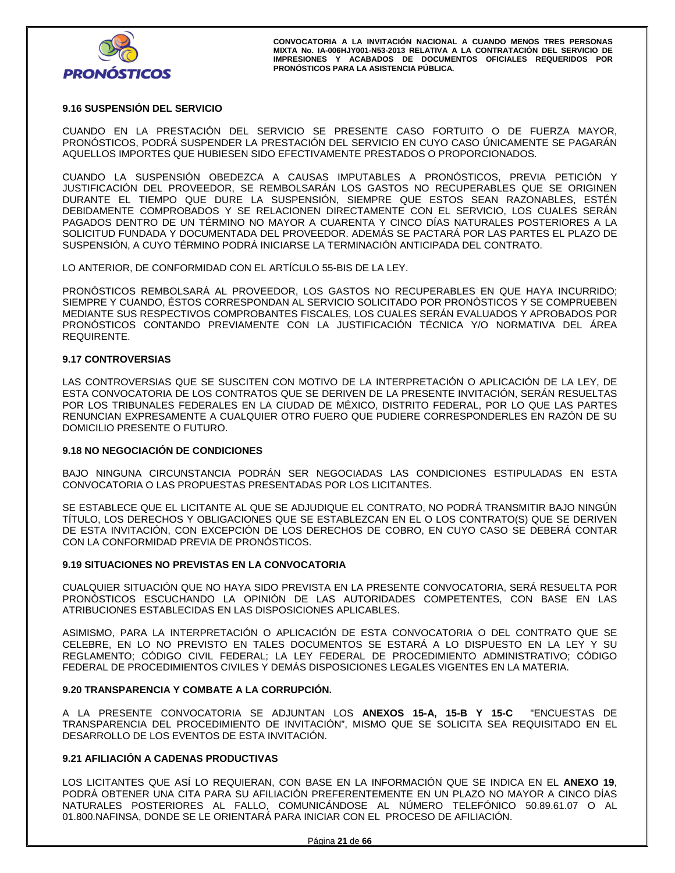

# **9.16 SUSPENSIÓN DEL SERVICIO**

CUANDO EN LA PRESTACIÓN DEL SERVICIO SE PRESENTE CASO FORTUITO O DE FUERZA MAYOR, PRONÓSTICOS, PODRÁ SUSPENDER LA PRESTACIÓN DEL SERVICIO EN CUYO CASO ÚNICAMENTE SE PAGARÁN AQUELLOS IMPORTES QUE HUBIESEN SIDO EFECTIVAMENTE PRESTADOS O PROPORCIONADOS.

CUANDO LA SUSPENSIÓN OBEDEZCA A CAUSAS IMPUTABLES A PRONÓSTICOS, PREVIA PETICIÓN Y JUSTIFICACIÓN DEL PROVEEDOR, SE REMBOLSARÁN LOS GASTOS NO RECUPERABLES QUE SE ORIGINEN DURANTE EL TIEMPO QUE DURE LA SUSPENSIÓN, SIEMPRE QUE ESTOS SEAN RAZONABLES, ESTÉN DEBIDAMENTE COMPROBADOS Y SE RELACIONEN DIRECTAMENTE CON EL SERVICIO, LOS CUALES SERÁN PAGADOS DENTRO DE UN TÉRMINO NO MAYOR A CUARENTA Y CINCO DÍAS NATURALES POSTERIORES A LA SOLICITUD FUNDADA Y DOCUMENTADA DEL PROVEEDOR. ADEMÁS SE PACTARÁ POR LAS PARTES EL PLAZO DE SUSPENSIÓN, A CUYO TÉRMINO PODRÁ INICIARSE LA TERMINACIÓN ANTICIPADA DEL CONTRATO.

LO ANTERIOR, DE CONFORMIDAD CON EL ARTÍCULO 55-BIS DE LA LEY.

PRONÓSTICOS REMBOLSARÁ AL PROVEEDOR, LOS GASTOS NO RECUPERABLES EN QUE HAYA INCURRIDO; SIEMPRE Y CUANDO, ÉSTOS CORRESPONDAN AL SERVICIO SOLICITADO POR PRONÓSTICOS Y SE COMPRUEBEN MEDIANTE SUS RESPECTIVOS COMPROBANTES FISCALES, LOS CUALES SERÁN EVALUADOS Y APROBADOS POR PRONÓSTICOS CONTANDO PREVIAMENTE CON LA JUSTIFICACIÓN TÉCNICA Y/O NORMATIVA DEL ÁREA REQUIRENTE.

# **9.17 CONTROVERSIAS**

LAS CONTROVERSIAS QUE SE SUSCITEN CON MOTIVO DE LA INTERPRETACIÓN O APLICACIÓN DE LA LEY, DE ESTA CONVOCATORIA DE LOS CONTRATOS QUE SE DERIVEN DE LA PRESENTE INVITACIÓN, SERÁN RESUELTAS POR LOS TRIBUNALES FEDERALES EN LA CIUDAD DE MÉXICO, DISTRITO FEDERAL, POR LO QUE LAS PARTES RENUNCIAN EXPRESAMENTE A CUALQUIER OTRO FUERO QUE PUDIERE CORRESPONDERLES EN RAZÓN DE SU DOMICILIO PRESENTE O FUTURO.

#### **9.18 NO NEGOCIACIÓN DE CONDICIONES**

BAJO NINGUNA CIRCUNSTANCIA PODRÁN SER NEGOCIADAS LAS CONDICIONES ESTIPULADAS EN ESTA CONVOCATORIA O LAS PROPUESTAS PRESENTADAS POR LOS LICITANTES.

SE ESTABLECE QUE EL LICITANTE AL QUE SE ADJUDIQUE EL CONTRATO, NO PODRÁ TRANSMITIR BAJO NINGÚN TÍTULO, LOS DERECHOS Y OBLIGACIONES QUE SE ESTABLEZCAN EN EL O LOS CONTRATO(S) QUE SE DERIVEN DE ESTA INVITACIÓN, CON EXCEPCIÓN DE LOS DERECHOS DE COBRO, EN CUYO CASO SE DEBERÁ CONTAR CON LA CONFORMIDAD PREVIA DE PRONÓSTICOS.

#### **9.19 SITUACIONES NO PREVISTAS EN LA CONVOCATORIA**

CUALQUIER SITUACIÓN QUE NO HAYA SIDO PREVISTA EN LA PRESENTE CONVOCATORIA, SERÁ RESUELTA POR PRONÓSTICOS ESCUCHANDO LA OPINIÓN DE LAS AUTORIDADES COMPETENTES, CON BASE EN LAS ATRIBUCIONES ESTABLECIDAS EN LAS DISPOSICIONES APLICABLES.

ASIMISMO, PARA LA INTERPRETACIÓN O APLICACIÓN DE ESTA CONVOCATORIA O DEL CONTRATO QUE SE CELEBRE, EN LO NO PREVISTO EN TALES DOCUMENTOS SE ESTARÁ A LO DISPUESTO EN LA LEY Y SU REGLAMENTO; CÓDIGO CIVIL FEDERAL; LA LEY FEDERAL DE PROCEDIMIENTO ADMINISTRATIVO; CÓDIGO FEDERAL DE PROCEDIMIENTOS CIVILES Y DEMÁS DISPOSICIONES LEGALES VIGENTES EN LA MATERIA.

# **9.20 TRANSPARENCIA Y COMBATE A LA CORRUPCIÓN.**

A LA PRESENTE CONVOCATORIA SE ADJUNTAN LOS **ANEXOS 15-A, 15-B Y 15-C** "ENCUESTAS DE TRANSPARENCIA DEL PROCEDIMIENTO DE INVITACIÓN", MISMO QUE SE SOLICITA SEA REQUISITADO EN EL DESARROLLO DE LOS EVENTOS DE ESTA INVITACIÓN.

#### **9.21 AFILIACIÓN A CADENAS PRODUCTIVAS**

LOS LICITANTES QUE ASÍ LO REQUIERAN, CON BASE EN LA INFORMACIÓN QUE SE INDICA EN EL **ANEXO 19**, PODRÁ OBTENER UNA CITA PARA SU AFILIACIÓN PREFERENTEMENTE EN UN PLAZO NO MAYOR A CINCO DÍAS NATURALES POSTERIORES AL FALLO, COMUNICÁNDOSE AL NÚMERO TELEFÓNICO 50.89.61.07 O AL 01.800.NAFINSA, DONDE SE LE ORIENTARÁ PARA INICIAR CON EL PROCESO DE AFILIACIÓN.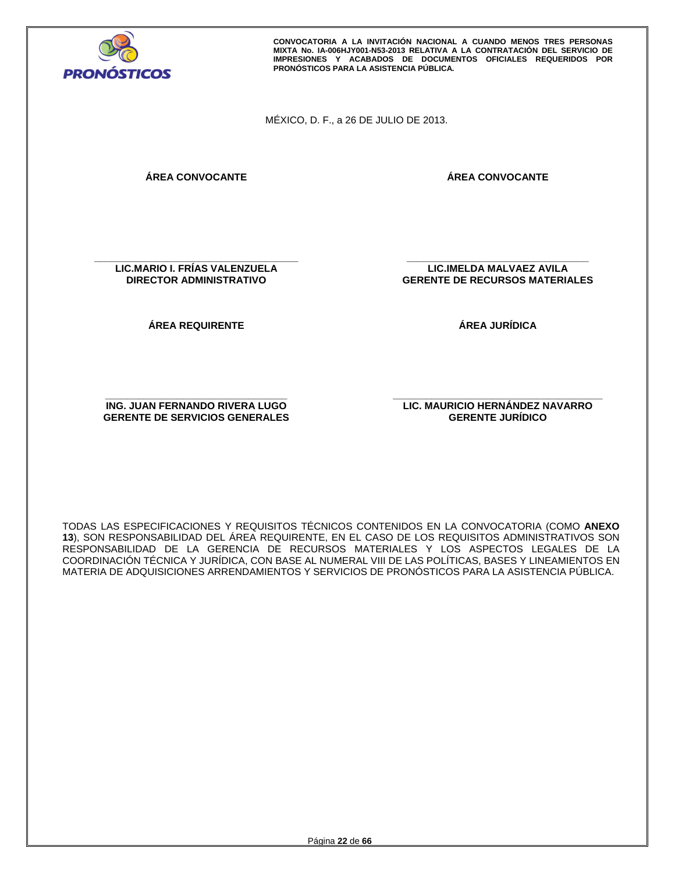

MÉXICO, D. F., a 26 DE JULIO DE 2013.

**ÁREA CONVOCANTE** 

**ÁREA CONVOCANTE**

**\_\_\_\_\_\_\_\_\_\_\_\_\_\_\_\_\_\_\_\_\_\_\_\_\_\_\_\_\_\_\_\_\_\_\_\_\_ LIC.MARIO I. FRÍAS VALENZUELA DIRECTOR ADMINISTRATIVO** 

**ÁREA REQUIRENTE** 

**LIC.IMELDA MALVAEZ AVILA GERENTE DE RECURSOS MATERIALES** 

**\_\_\_\_\_\_\_\_\_\_\_\_\_\_\_\_\_\_\_\_\_\_\_\_\_\_\_\_\_\_\_\_\_** 

**ÁREA JURÍDICA** 

**\_\_\_\_\_\_\_\_\_\_\_\_\_\_\_\_\_\_\_\_\_\_\_\_\_\_\_\_\_\_\_\_\_ ING. JUAN FERNANDO RIVERA LUGO GERENTE DE SERVICIOS GENERALES**  **\_\_\_\_\_\_\_\_\_\_\_\_\_\_\_\_\_\_\_\_\_\_\_\_\_\_\_\_\_\_\_\_\_\_\_\_\_\_ LIC. MAURICIO HERNÁNDEZ NAVARRO GERENTE JURÍDICO** 

TODAS LAS ESPECIFICACIONES Y REQUISITOS TÉCNICOS CONTENIDOS EN LA CONVOCATORIA (COMO **ANEXO 13**), SON RESPONSABILIDAD DEL ÁREA REQUIRENTE, EN EL CASO DE LOS REQUISITOS ADMINISTRATIVOS SON RESPONSABILIDAD DE LA GERENCIA DE RECURSOS MATERIALES Y LOS ASPECTOS LEGALES DE LA COORDINACIÓN TÉCNICA Y JURÍDICA, CON BASE AL NUMERAL VIII DE LAS POLÍTICAS, BASES Y LINEAMIENTOS EN MATERIA DE ADQUISICIONES ARRENDAMIENTOS Y SERVICIOS DE PRONÓSTICOS PARA LA ASISTENCIA PÚBLICA.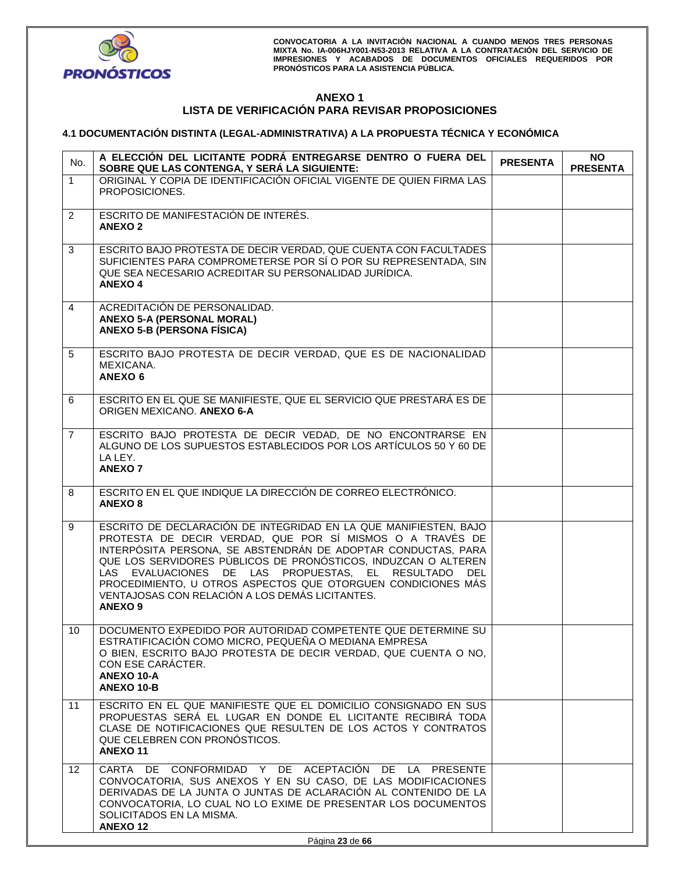

# **ANEXO 1 LISTA DE VERIFICACIÓN PARA REVISAR PROPOSICIONES**

# **4.1 DOCUMENTACIÓN DISTINTA (LEGAL-ADMINISTRATIVA) A LA PROPUESTA TÉCNICA Y ECONÓMICA**

| No.            | A ELECCIÓN DEL LICITANTE PODRÁ ENTREGARSE DENTRO O FUERA DEL<br>SOBRE QUE LAS CONTENGA, Y SERÁ LA SIGUIENTE:                                                                                                                                                                                                                                                                                                                                                      | <b>PRESENTA</b> | <b>NO</b><br><b>PRESENTA</b> |
|----------------|-------------------------------------------------------------------------------------------------------------------------------------------------------------------------------------------------------------------------------------------------------------------------------------------------------------------------------------------------------------------------------------------------------------------------------------------------------------------|-----------------|------------------------------|
| $\mathbf{1}$   | ORIGINAL Y COPIA DE IDENTIFICACIÓN OFICIAL VIGENTE DE QUIEN FIRMA LAS<br>PROPOSICIONES.                                                                                                                                                                                                                                                                                                                                                                           |                 |                              |
| $\overline{2}$ | ESCRITO DE MANIFESTACIÓN DE INTERÉS.<br><b>ANEXO 2</b>                                                                                                                                                                                                                                                                                                                                                                                                            |                 |                              |
| 3              | ESCRITO BAJO PROTESTA DE DECIR VERDAD, QUE CUENTA CON FACULTADES<br>SUFICIENTES PARA COMPROMETERSE POR SÍ O POR SU REPRESENTADA, SIN<br>QUE SEA NECESARIO ACREDITAR SU PERSONALIDAD JURÍDICA.<br><b>ANEXO 4</b>                                                                                                                                                                                                                                                   |                 |                              |
| $\overline{4}$ | ACREDITACIÓN DE PERSONALIDAD.<br><b>ANEXO 5-A (PERSONAL MORAL)</b><br><b>ANEXO 5-B (PERSONA FÍSICA)</b>                                                                                                                                                                                                                                                                                                                                                           |                 |                              |
| 5              | ESCRITO BAJO PROTESTA DE DECIR VERDAD, QUE ES DE NACIONALIDAD<br>MEXICANA.<br><b>ANEXO 6</b>                                                                                                                                                                                                                                                                                                                                                                      |                 |                              |
| 6              | ESCRITO EN EL QUE SE MANIFIESTE, QUE EL SERVICIO QUE PRESTARÁ ES DE<br>ORIGEN MEXICANO. ANEXO 6-A                                                                                                                                                                                                                                                                                                                                                                 |                 |                              |
| $\overline{7}$ | ESCRITO BAJO PROTESTA DE DECIR VEDAD, DE NO ENCONTRARSE EN<br>ALGUNO DE LOS SUPUESTOS ESTABLECIDOS POR LOS ARTÍCULOS 50 Y 60 DE<br>LA LEY.<br><b>ANEXO 7</b>                                                                                                                                                                                                                                                                                                      |                 |                              |
| 8              | ESCRITO EN EL QUE INDIQUE LA DIRECCIÓN DE CORREO ELECTRÓNICO.<br><b>ANEXO 8</b>                                                                                                                                                                                                                                                                                                                                                                                   |                 |                              |
| 9              | ESCRITO DE DECLARACIÓN DE INTEGRIDAD EN LA QUE MANIFIESTEN, BAJO<br>PROTESTA DE DECIR VERDAD, QUE POR SÍ MISMOS O A TRAVÉS DE<br>INTERPÓSITA PERSONA, SE ABSTENDRÁN DE ADOPTAR CONDUCTAS, PARA<br>QUE LOS SERVIDORES PÚBLICOS DE PRONÓSTICOS, INDUZCAN O ALTEREN<br>LAS EVALUACIONES DE LAS PROPUESTAS, EL RESULTADO DEL<br>PROCEDIMIENTO, U OTROS ASPECTOS QUE OTORGUEN CONDICIONES MÁS<br>VENTAJOSAS CON RELACIÓN A LOS DEMÁS LICITANTES.<br>ANEXO <sub>9</sub> |                 |                              |
| 10             | DOCUMENTO EXPEDIDO POR AUTORIDAD COMPETENTE QUE DETERMINE SU<br>ESTRATIFICACIÓN COMO MICRO, PEQUEÑA O MEDIANA EMPRESA<br>O BIEN, ESCRITO BAJO PROTESTA DE DECIR VERDAD, QUE CUENTA O NO,<br>CON ESE CARACTER.<br>ANEXO 10-A<br><b>ANEXO 10-B</b>                                                                                                                                                                                                                  |                 |                              |
| 11             | ESCRITO EN EL QUE MANIFIESTE QUE EL DOMICILIO CONSIGNADO EN SUS<br>PROPUESTAS SERÁ EL LUGAR EN DONDE EL LICITANTE RECIBIRÁ TODA<br>CLASE DE NOTIFICACIONES QUE RESULTEN DE LOS ACTOS Y CONTRATOS<br>QUE CELEBREN CON PRONOSTICOS.<br><b>ANEXO11</b>                                                                                                                                                                                                               |                 |                              |
| 12             | CARTA DE CONFORMIDAD Y DE ACEPTACIÓN DE LA PRESENTE<br>CONVOCATORIA, SUS ANEXOS Y EN SU CASO, DE LAS MODIFICACIONES<br>DERIVADAS DE LA JUNTA O JUNTAS DE ACLARACIÓN AL CONTENIDO DE LA<br>CONVOCATORIA, LO CUAL NO LO EXIME DE PRESENTAR LOS DOCUMENTOS<br>SOLICITADOS EN LA MISMA.<br><b>ANEXO 12</b>                                                                                                                                                            |                 |                              |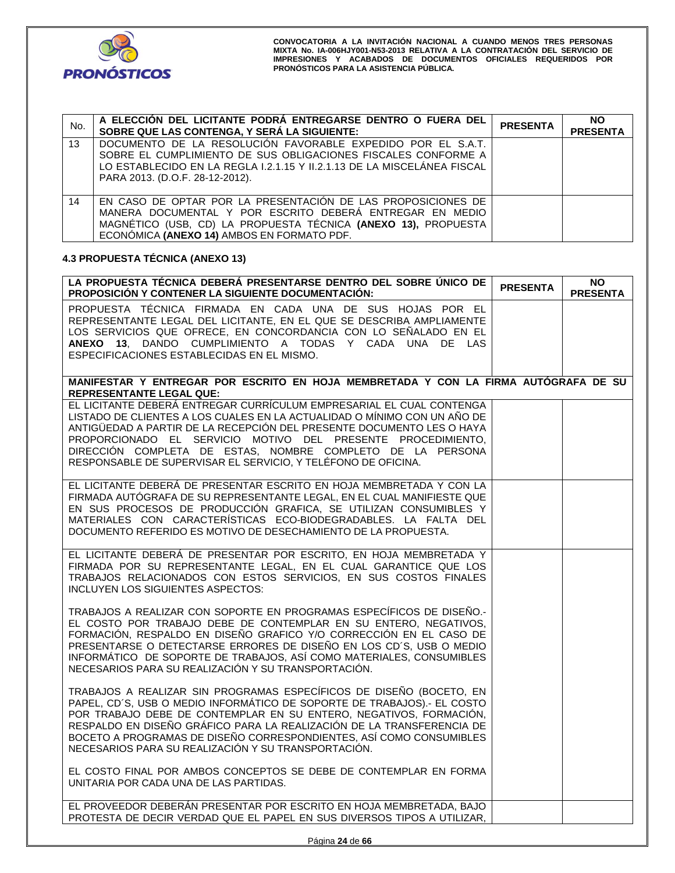

| No. | A ELECCIÓN DEL LICITANTE PODRÀ ENTREGARSE DENTRO O FUERA DEL<br>SOBRE QUE LAS CONTENGA, Y SERÁ LA SIGUIENTE:                                                                                                                                                                                                                                                                                                                | <b>PRESENTA</b> | <b>NO</b><br><b>PRESENTA</b> |
|-----|-----------------------------------------------------------------------------------------------------------------------------------------------------------------------------------------------------------------------------------------------------------------------------------------------------------------------------------------------------------------------------------------------------------------------------|-----------------|------------------------------|
| 13  | DOCUMENTO DE LA RESOLUCIÓN FAVORABLE EXPEDIDO POR EL S.A.T.<br>SOBRE EL CUMPLIMIENTO DE SUS OBLIGACIONES FISCALES CONFORME A<br>LO ESTABLECIDO EN LA REGLA I.2.1.15 Y II.2.1.13 DE LA MISCELÁNEA FISCAL<br>PARA 2013. (D.O.F. 28-12-2012).                                                                                                                                                                                  |                 |                              |
| 14  | EN CASO DE OPTAR POR LA PRESENTACIÓN DE LAS PROPOSICIONES DE<br>MANERA DOCUMENTAL Y POR ESCRITO DEBERÁ ENTREGAR EN MEDIO<br>MAGNÉTICO (USB, CD) LA PROPUESTA TÉCNICA (ANEXO 13), PROPUESTA<br>ECONÓMICA (ANEXO 14) AMBOS EN FORMATO PDF.                                                                                                                                                                                    |                 |                              |
|     | 4.3 PROPUESTA TÉCNICA (ANEXO 13)                                                                                                                                                                                                                                                                                                                                                                                            |                 |                              |
|     | LA PROPUESTA TÉCNICA DEBERÁ PRESENTARSE DENTRO DEL SOBRE ÚNICO DE<br>PROPOSICIÓN Y CONTENER LA SIGUIENTE DOCUMENTACIÓN:                                                                                                                                                                                                                                                                                                     | <b>PRESENTA</b> | <b>NO</b><br><b>PRESENTA</b> |
|     | PROPUESTA TÉCNICA FIRMADA EN CADA UNA DE SUS HOJAS POR EL<br>REPRESENTANTE LEGAL DEL LICITANTE, EN EL QUE SE DESCRIBA AMPLIAMENTE<br>LOS SERVICIOS QUE OFRECE, EN CONCORDANCIA CON LO SEÑALADO EN EL<br>ANEXO 13, DANDO CUMPLIMIENTO A TODAS Y CADA UNA DE LAS<br>ESPECIFICACIONES ESTABLECIDAS EN EL MISMO.                                                                                                                |                 |                              |
|     | MANIFESTAR Y ENTREGAR POR ESCRITO EN HOJA MEMBRETADA Y CON LA FIRMA AUTÓGRAFA DE SU<br><b>REPRESENTANTE LEGAL QUE:</b>                                                                                                                                                                                                                                                                                                      |                 |                              |
|     | EL LICITANTE DEBERÁ ENTREGAR CURRÍCULUM EMPRESARIAL EL CUAL CONTENGA<br>LISTADO DE CLIENTES A LOS CUALES EN LA ACTUALIDAD O MÍNIMO CON UN AÑO DE<br>ANTIGÜEDAD A PARTIR DE LA RECEPCIÓN DEL PRESENTE DOCUMENTO LES O HAYA<br>PROPORCIONADO EL SERVICIO MOTIVO DEL PRESENTE PROCEDIMIENTO,<br>DIRECCIÓN COMPLETA DE ESTAS, NOMBRE COMPLETO DE LA PERSONA<br>RESPONSABLE DE SUPERVISAR EL SERVICIO, Y TELÉFONO DE OFICINA.    |                 |                              |
|     | EL LICITANTE DEBERÁ DE PRESENTAR ESCRITO EN HOJA MEMBRETADA Y CON LA<br>FIRMADA AUTÓGRAFA DE SU REPRESENTANTE LEGAL, EN EL CUAL MANIFIESTE QUE<br>EN SUS PROCESOS DE PRODUCCIÓN GRAFICA, SE UTILIZAN CONSUMIBLES Y<br>MATERIALES CON CARACTERÍSTICAS ECO-BIODEGRADABLES. LA FALTA DEL<br>DOCUMENTO REFERIDO ES MOTIVO DE DESECHAMIENTO DE LA PROPUESTA.                                                                     |                 |                              |
|     | EL LICITANTE DEBERÁ DE PRESENTAR POR ESCRITO, EN HOJA MEMBRETADA Y<br>FIRMADA POR SU REPRESENTANTE LEGAL, EN EL CUAL GARANTICE QUE LOS<br>TRABAJOS RELACIONADOS CON ESTOS SERVICIOS, EN SUS COSTOS FINALES<br>INCLUYEN LOS SIGUIENTES ASPECTOS:                                                                                                                                                                             |                 |                              |
|     | TRABAJOS A REALIZAR CON SOPORTE EN PROGRAMAS ESPECÍFICOS DE DISEÑO.-<br>EL COSTO POR TRABAJO DEBE DE CONTEMPLAR EN SU ENTERO, NEGATIVOS,<br>FORMACIÓN, RESPALDO EN DISEÑO GRAFICO Y/O CORRECCIÓN EN EL CASO DE<br>PRESENTARSE O DETECTARSE ERRORES DE DISEÑO EN LOS CD'S, USB O MEDIO<br>INFORMÁTICO DE SOPORTE DE TRABAJOS, ASÍ COMO MATERIALES, CONSUMIBLES<br>NECESARIOS PARA SU REALIZACIÓN Y SU TRANSPORTACIÓN.        |                 |                              |
|     | TRABAJOS A REALIZAR SIN PROGRAMAS ESPECÍFICOS DE DISEÑO (BOCETO, EN<br>PAPEL, CD'S, USB O MEDIO INFORMÁTICO DE SOPORTE DE TRABAJOS).- EL COSTO<br>POR TRABAJO DEBE DE CONTEMPLAR EN SU ENTERO, NEGATIVOS, FORMACIÓN,<br>RESPALDO EN DISEÑO GRÁFICO PARA LA REALIZACIÓN DE LA TRANSFERENCIA DE<br>BOCETO A PROGRAMAS DE DISEÑO CORRESPONDIENTES, ASÍ COMO CONSUMIBLES<br>NECESARIOS PARA SU REALIZACIÓN Y SU TRANSPORTACIÓN. |                 |                              |
|     | EL COSTO FINAL POR AMBOS CONCEPTOS SE DEBE DE CONTEMPLAR EN FORMA<br>UNITARIA POR CADA UNA DE LAS PARTIDAS.                                                                                                                                                                                                                                                                                                                 |                 |                              |
|     | EL PROVEEDOR DEBERAN PRESENTAR POR ESCRITO EN HOJA MEMBRETADA, BAJO<br>PROTESTA DE DECIR VERDAD QUE EL PAPEL EN SUS DIVERSOS TIPOS A UTILIZAR,                                                                                                                                                                                                                                                                              |                 |                              |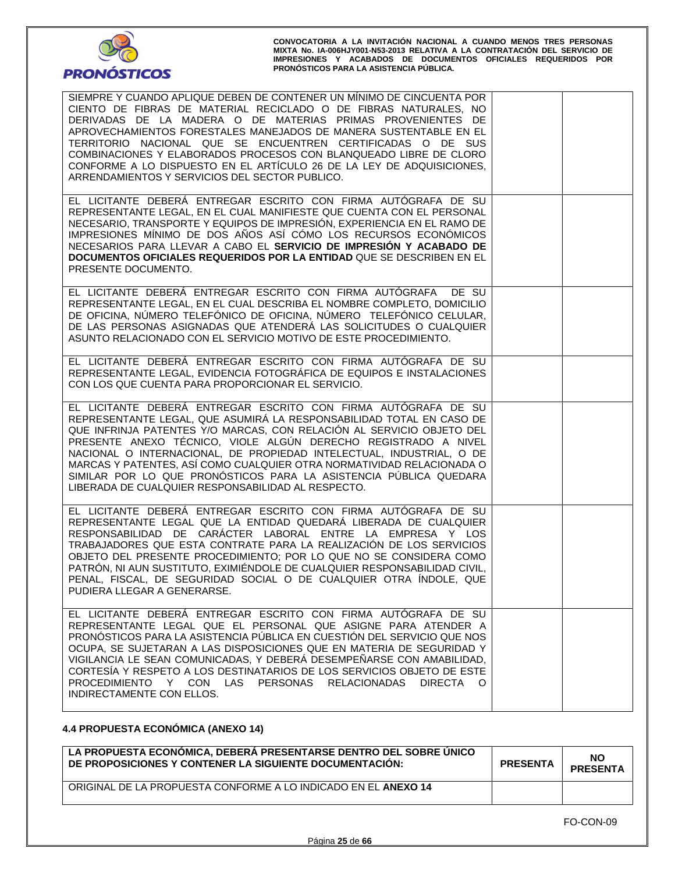

| SIEMPRE Y CUANDO APLIQUE DEBEN DE CONTENER UN MÍNIMO DE CINCUENTA POR<br>CIENTO DE FIBRAS DE MATERIAL RECICLADO O DE FIBRAS NATURALES, NO<br>DERIVADAS DE LA MADERA O DE MATERIAS PRIMAS PROVENIENTES DE<br>APROVECHAMIENTOS FORESTALES MANEJADOS DE MANERA SUSTENTABLE EN EL<br>TERRITORIO NACIONAL QUE SE ENCUENTREN CERTIFICADAS O DE SUS<br>COMBINACIONES Y ELABORADOS PROCESOS CON BLANQUEADO LIBRE DE CLORO<br>CONFORME A LO DISPUESTO EN EL ARTÍCULO 26 DE LA LEY DE ADQUISICIONES.<br>ARRENDAMIENTOS Y SERVICIOS DEL SECTOR PUBLICO.                  |  |
|---------------------------------------------------------------------------------------------------------------------------------------------------------------------------------------------------------------------------------------------------------------------------------------------------------------------------------------------------------------------------------------------------------------------------------------------------------------------------------------------------------------------------------------------------------------|--|
| EL LICITANTE DEBERÁ ENTREGAR ESCRITO CON FIRMA AUTÓGRAFA DE SU<br>REPRESENTANTE LEGAL, EN EL CUAL MANIFIESTE QUE CUENTA CON EL PERSONAL<br>NECESARIO, TRANSPORTE Y EQUIPOS DE IMPRESIÓN, EXPERIENCIA EN EL RAMO DE<br>IMPRESIONES MÍNIMO DE DOS AÑOS ASÍ CÓMO LOS RECURSOS ECONÓMICOS<br>NECESARIOS PARA LLEVAR A CABO EL SERVICIO DE IMPRESIÓN Y ACABADO DE<br>DOCUMENTOS OFICIALES REQUERIDOS POR LA ENTIDAD QUE SE DESCRIBEN EN EL<br>PRESENTE DOCUMENTO.                                                                                                  |  |
| EL LICITANTE DEBERÁ ENTREGAR ESCRITO CON FIRMA AUTÓGRAFA DE SU<br>REPRESENTANTE LEGAL, EN EL CUAL DESCRIBA EL NOMBRE COMPLETO, DOMICILIO<br>DE OFICINA, NÚMERO TELEFÓNICO DE OFICINA, NÚMERO TELEFÓNICO CELULAR,<br>DE LAS PERSONAS ASIGNADAS QUE ATENDERÁ LAS SOLICITUDES O CUALQUIER<br>ASUNTO RELACIONADO CON EL SERVICIO MOTIVO DE ESTE PROCEDIMIENTO.                                                                                                                                                                                                    |  |
| EL LICITANTE DEBERÁ ENTREGAR ESCRITO CON FIRMA AUTÓGRAFA DE SU<br>REPRESENTANTE LEGAL, EVIDENCIA FOTOGRÁFICA DE EQUIPOS E INSTALACIONES<br>CON LOS QUE CUENTA PARA PROPORCIONAR EL SERVICIO.                                                                                                                                                                                                                                                                                                                                                                  |  |
| EL LICITANTE DEBERÁ ENTREGAR ESCRITO CON FIRMA AUTÓGRAFA DE SU<br>REPRESENTANTE LEGAL, QUE ASUMIRÁ LA RESPONSABILIDAD TOTAL EN CASO DE<br>QUE INFRINJA PATENTES Y/O MARCAS, CON RELACIÓN AL SERVICIO OBJETO DEL<br>PRESENTE ANEXO TÉCNICO, VIOLE ALGÚN DERECHO REGISTRADO A NIVEL<br>NACIONAL O INTERNACIONAL, DE PROPIEDAD INTELECTUAL, INDUSTRIAL, O DE<br>MARCAS Y PATENTES, ASÍ COMO CUALQUIER OTRA NORMATIVIDAD RELACIONADA O<br>SIMILAR POR LO QUE PRONÓSTICOS PARA LA ASISTENCIA PÚBLICA QUEDARA<br>LIBERADA DE CUALQUIER RESPONSABILIDAD AL RESPECTO. |  |
| EL LICITANTE DEBERÁ ENTREGAR ESCRITO CON FIRMA AUTÓGRAFA DE SU<br>REPRESENTANTE LEGAL QUE LA ENTIDAD QUEDARÁ LIBERADA DE CUALQUIER<br>RESPONSABILIDAD DE CARÁCTER LABORAL ENTRE LA EMPRESA Y LOS<br>TRABAJADORES QUE ESTA CONTRATE PARA LA REALIZACIÓN DE LOS SERVICIOS<br>OBJETO DEL PRESENTE PROCEDIMIENTO; POR LO QUE NO SE CONSIDERA COMO<br>PATRÓN, NI AUN SUSTITUTO, EXIMIÉNDOLE DE CUALQUIER RESPONSABILIDAD CIVIL,<br>PENAL, FISCAL, DE SEGURIDAD SOCIAL O DE CUALQUIER OTRA INDOLE, QUE<br>PUDIERA LLEGAR A GENERARSE.                               |  |
| EL LICITANTE DEBERÁ ENTREGAR ESCRITO CON FIRMA AUTÓGRAFA DE SU<br>REPRESENTANTE LEGAL QUE EL PERSONAL QUE ASIGNE PARA ATENDER A<br>PRONÓSTICOS PARA LA ASISTENCIA PÚBLICA EN CUESTIÓN DEL SERVICIO QUE NOS<br>OCUPA, SE SUJETARAN A LAS DISPOSICIONES QUE EN MATERIA DE SEGURIDAD Y<br>VIGILANCIA LE SEAN COMUNICADAS, Y DEBERÁ DESEMPEÑARSE CON AMABILIDAD,<br>CORTESÍA Y RESPETO A LOS DESTINATARIOS DE LOS SERVICIOS OBJETO DE ESTE<br>PROCEDIMIENTO Y CON LAS PERSONAS RELACIONADAS<br>DIRECTA O<br>INDIRECTAMENTE CON ELLOS.                             |  |

# **4.4 PROPUESTA ECONÓMICA (ANEXO 14)**

| LA PROPUESTA ECONÓMICA, DEBERÁ PRESENTARSE DENTRO DEL SOBRE ÚNICO<br>DE PROPOSICIONES Y CONTENER LA SIGUIENTE DOCUMENTACIÓN: | <b>PRESENTA</b> | <b>NO</b><br><b>PRESENTA</b> |
|------------------------------------------------------------------------------------------------------------------------------|-----------------|------------------------------|
| ORIGINAL DE LA PROPUESTA CONFORME A LO INDICADO EN EL ANEXO 14                                                               |                 |                              |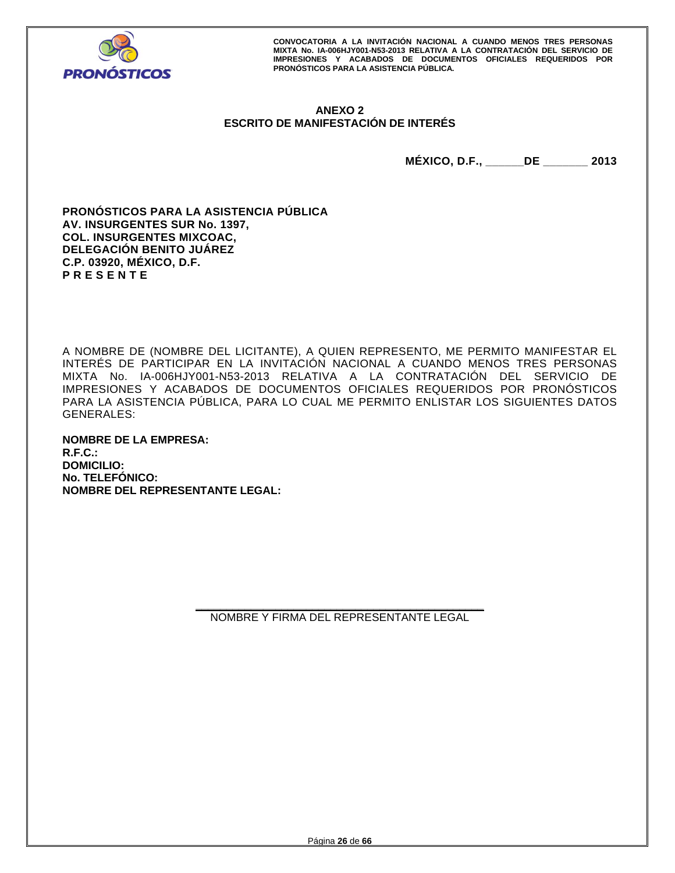

# **ANEXO 2 ESCRITO DE MANIFESTACIÓN DE INTERÉS**

**MÉXICO, D.F., \_\_\_\_\_\_DE \_\_\_\_\_\_\_ 2013** 

**PRONÓSTICOS PARA LA ASISTENCIA PÚBLICA AV. INSURGENTES SUR No. 1397, COL. INSURGENTES MIXCOAC, DELEGACIÓN BENITO JUÁREZ C.P. 03920, MÉXICO, D.F. P R E S E N T E** 

A NOMBRE DE (NOMBRE DEL LICITANTE), A QUIEN REPRESENTO, ME PERMITO MANIFESTAR EL INTERÉS DE PARTICIPAR EN LA INVITACIÓN NACIONAL A CUANDO MENOS TRES PERSONAS MIXTA No. IA-006HJY001-N53-2013 RELATIVA A LA CONTRATACIÓN DEL SERVICIO DE IMPRESIONES Y ACABADOS DE DOCUMENTOS OFICIALES REQUERIDOS POR PRONÓSTICOS PARA LA ASISTENCIA PÚBLICA, PARA LO CUAL ME PERMITO ENLISTAR LOS SIGUIENTES DATOS GENERALES:

**NOMBRE DE LA EMPRESA: R.F.C.: DOMICILIO: No. TELEFÓNICO: NOMBRE DEL REPRESENTANTE LEGAL:**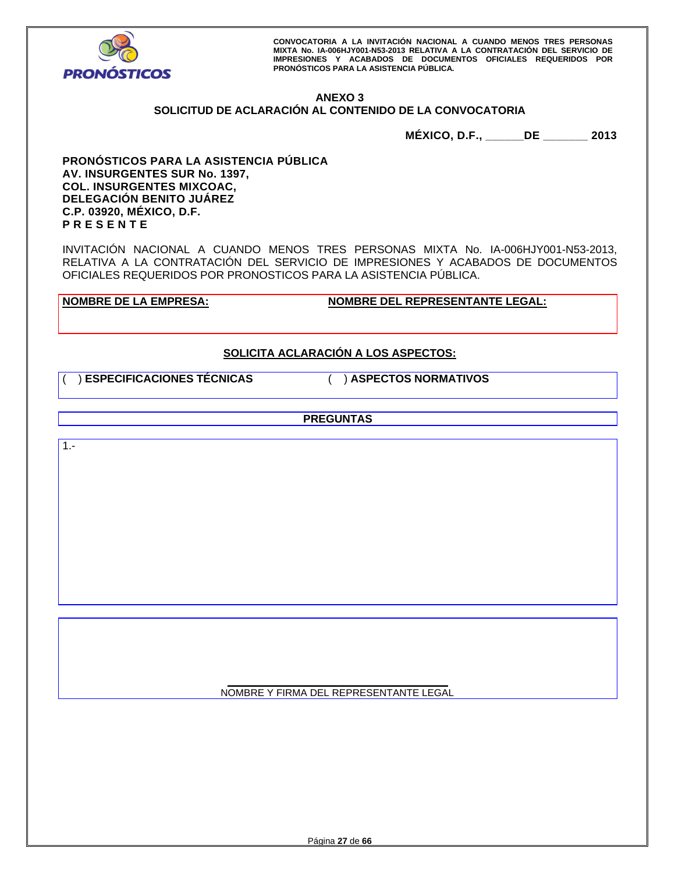

# **ANEXO 3**

# **SOLICITUD DE ACLARACIÓN AL CONTENIDO DE LA CONVOCATORIA**

**MÉXICO, D.F., \_\_\_\_\_\_DE \_\_\_\_\_\_\_ 2013** 

**PRONÓSTICOS PARA LA ASISTENCIA PÚBLICA AV. INSURGENTES SUR No. 1397, COL. INSURGENTES MIXCOAC, DELEGACIÓN BENITO JUÁREZ C.P. 03920, MÉXICO, D.F. P R E S E N T E** 

INVITACIÓN NACIONAL A CUANDO MENOS TRES PERSONAS MIXTA No. IA-006HJY001-N53-2013, RELATIVA A LA CONTRATACIÓN DEL SERVICIO DE IMPRESIONES Y ACABADOS DE DOCUMENTOS OFICIALES REQUERIDOS POR PRONOSTICOS PARA LA ASISTENCIA PÚBLICA.

**NOMBRE DE LA EMPRESA: NOMBRE DEL REPRESENTANTE LEGAL:** 

# **SOLICITA ACLARACIÓN A LOS ASPECTOS:**

( ) **ESPECIFICACIONES TÉCNICAS** ( ) **ASPECTOS NORMATIVOS**

**PREGUNTAS** 

1.-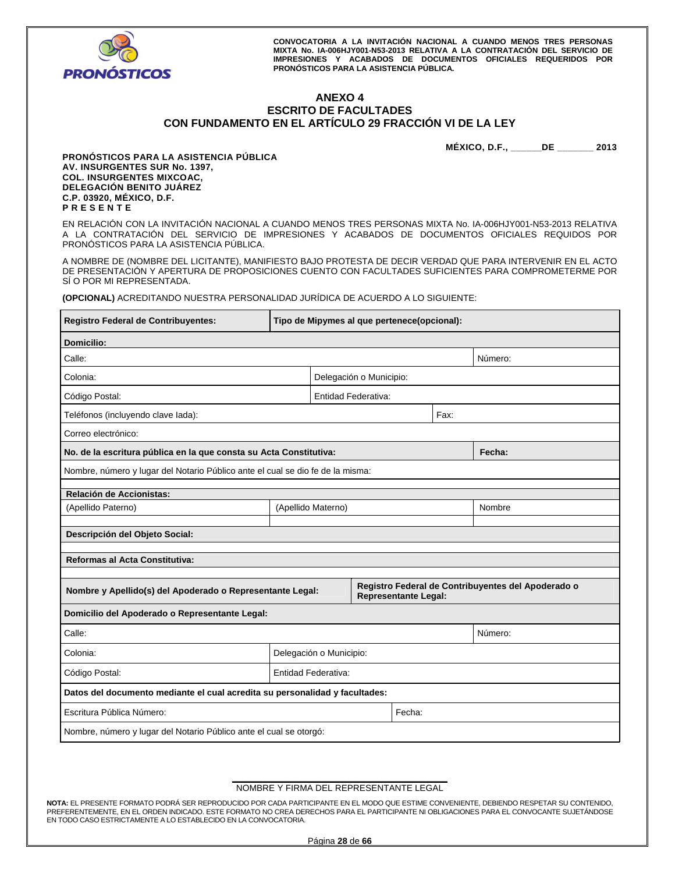

## **ANEXO 4 ESCRITO DE FACULTADES CON FUNDAMENTO EN EL ARTÍCULO 29 FRACCIÓN VI DE LA LEY**

**MÉXICO, D.F., \_\_\_\_\_\_DE \_\_\_\_\_\_\_ 2013** 

**PRONÓSTICOS PARA LA ASISTENCIA PÚBLICA AV. INSURGENTES SUR No. 1397, COL. INSURGENTES MIXCOAC, DELEGACIÓN BENITO JUÁREZ C.P. 03920, MÉXICO, D.F. P R E S E N T E** 

EN RELACIÓN CON LA INVITACIÓN NACIONAL A CUANDO MENOS TRES PERSONAS MIXTA No. IA-006HJY001-N53-2013 RELATIVA A LA CONTRATACIÓN DEL SERVICIO DE IMPRESIONES Y ACABADOS DE DOCUMENTOS OFICIALES REQUIDOS POR PRONÓSTICOS PARA LA ASISTENCIA PÚBLICA.

A NOMBRE DE (NOMBRE DEL LICITANTE), MANIFIESTO BAJO PROTESTA DE DECIR VERDAD QUE PARA INTERVENIR EN EL ACTO DE PRESENTACIÓN Y APERTURA DE PROPOSICIONES CUENTO CON FACULTADES SUFICIENTES PARA COMPROMETERME POR SÍ O POR MI REPRESENTADA.

**(OPCIONAL)** ACREDITANDO NUESTRA PERSONALIDAD JURÍDICA DE ACUERDO A LO SIGUIENTE:

| Registro Federal de Contribuyentes:                                            | Tipo de Mipymes al que pertenece(opcional): |  |                         |                             |      |                                                    |
|--------------------------------------------------------------------------------|---------------------------------------------|--|-------------------------|-----------------------------|------|----------------------------------------------------|
| <b>Domicilio:</b>                                                              |                                             |  |                         |                             |      |                                                    |
| Calle:                                                                         |                                             |  |                         |                             |      | Número:                                            |
| Colonia:                                                                       |                                             |  | Delegación o Municipio: |                             |      |                                                    |
| Código Postal:                                                                 |                                             |  | Entidad Federativa:     |                             |      |                                                    |
| Teléfonos (incluyendo clave lada):                                             |                                             |  |                         |                             | Fax: |                                                    |
| Correo electrónico:                                                            |                                             |  |                         |                             |      |                                                    |
| No. de la escritura pública en la que consta su Acta Constitutiva:             |                                             |  |                         |                             |      | Fecha:                                             |
| Nombre, número y lugar del Notario Público ante el cual se dio fe de la misma: |                                             |  |                         |                             |      |                                                    |
| Relación de Accionistas:                                                       |                                             |  |                         |                             |      |                                                    |
| (Apellido Paterno)                                                             | (Apellido Materno)                          |  |                         |                             |      | Nombre                                             |
| Descripción del Objeto Social:                                                 |                                             |  |                         |                             |      |                                                    |
|                                                                                |                                             |  |                         |                             |      |                                                    |
| <b>Reformas al Acta Constitutiva:</b>                                          |                                             |  |                         |                             |      |                                                    |
| Nombre y Apellido(s) del Apoderado o Representante Legal:                      |                                             |  |                         | <b>Representante Legal:</b> |      | Registro Federal de Contribuyentes del Apoderado o |
| Domicilio del Apoderado o Representante Legal:                                 |                                             |  |                         |                             |      |                                                    |
| Calle:                                                                         |                                             |  |                         |                             |      | Número:                                            |
| Colonia:                                                                       |                                             |  |                         |                             |      |                                                    |
|                                                                                | Delegación o Municipio:                     |  |                         |                             |      |                                                    |
| Entidad Federativa:<br>Código Postal:                                          |                                             |  |                         |                             |      |                                                    |
| Datos del documento mediante el cual acredita su personalidad y facultades:    |                                             |  |                         |                             |      |                                                    |
| Escritura Pública Número:                                                      |                                             |  |                         | Fecha:                      |      |                                                    |
| Nombre, número y lugar del Notario Público ante el cual se otorgó:             |                                             |  |                         |                             |      |                                                    |

#### **\_\_\_\_\_\_\_\_\_\_\_\_\_\_\_\_\_\_\_\_\_\_\_\_\_\_\_\_\_\_\_\_\_\_\_\_\_\_\_\_\_\_\_\_**  NOMBRE Y FIRMA DEL REPRESENTANTE LEGAL

**NOTA:** EL PRESENTE FORMATO PODRÁ SER REPRODUCIDO POR CADA PARTICIPANTE EN EL MODO QUE ESTIME CONVENIENTE, DEBIENDO RESPETAR SU CONTENIDO, PREFERENTEMENTE, EN EL ORDEN INDICADO. ESTE FORMATO NO CREA DERECHOS PARA EL PARTICIPANTE NI OBLIGACIONES PARA EL CONVOCANTE SUJETÁNDOSE EN TODO CASO ESTRICTAMENTE A LO ESTABLECIDO EN LA CONVOCATORIA.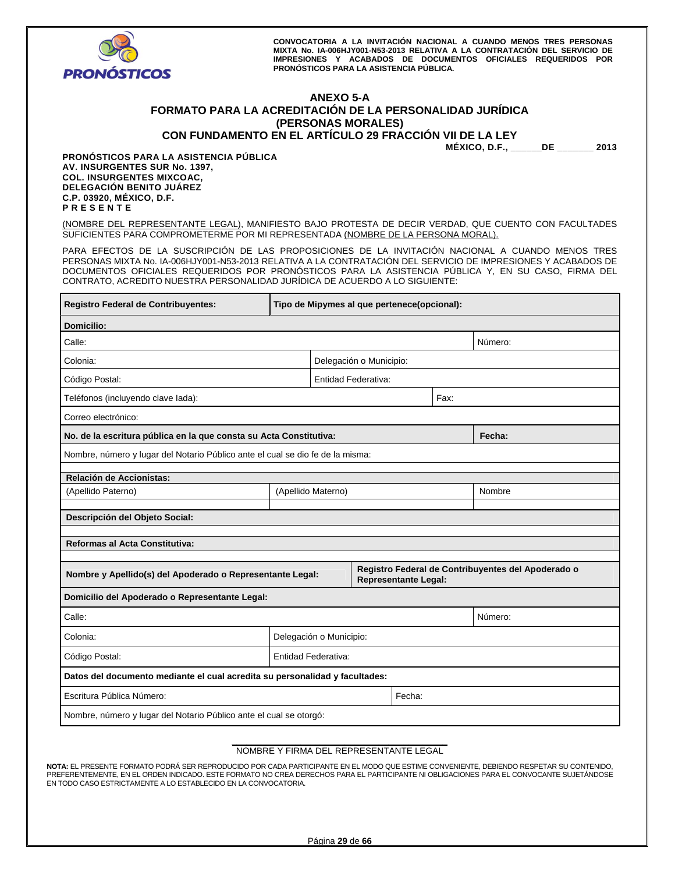

# **ANEXO 5-A FORMATO PARA LA ACREDITACIÓN DE LA PERSONALIDAD JURÍDICA (PERSONAS MORALES)**

**CON FUNDAMENTO EN EL ARTÍCULO 29 FRACCIÓN VII DE LA LEY** 

**MÉXICO, D.F., \_\_\_\_\_\_DE \_\_\_\_\_\_\_ 2013** 

**PRONÓSTICOS PARA LA ASISTENCIA PÚBLICA AV. INSURGENTES SUR No. 1397, COL. INSURGENTES MIXCOAC, DELEGACIÓN BENITO JUÁREZ C.P. 03920, MÉXICO, D.F. P R E S E N T E** 

(NOMBRE DEL REPRESENTANTE LEGAL), MANIFIESTO BAJO PROTESTA DE DECIR VERDAD, QUE CUENTO CON FACULTADES SUFICIENTES PARA COMPROMETERME POR MI REPRESENTADA (NOMBRE DE LA PERSONA MORAL).

PARA EFECTOS DE LA SUSCRIPCIÓN DE LAS PROPOSICIONES DE LA INVITACIÓN NACIONAL A CUANDO MENOS TRES PERSONAS MIXTA No. IA-006HJY001-N53-2013 RELATIVA A LA CONTRATACIÓN DEL SERVICIO DE IMPRESIONES Y ACABADOS DE DOCUMENTOS OFICIALES REQUERIDOS POR PRONÓSTICOS PARA LA ASISTENCIA PÚBLICA Y, EN SU CASO, FIRMA DEL CONTRATO, ACREDITO NUESTRA PERSONALIDAD JURÍDICA DE ACUERDO A LO SIGUIENTE:

| <b>Registro Federal de Contribuyentes:</b>                                     | Tipo de Mipymes al que pertenece(opcional): |                            |                         |                      |      |                                                    |
|--------------------------------------------------------------------------------|---------------------------------------------|----------------------------|-------------------------|----------------------|------|----------------------------------------------------|
| <b>Domicilio:</b>                                                              |                                             |                            |                         |                      |      |                                                    |
| Calle:                                                                         |                                             |                            |                         |                      |      | Número:                                            |
| Colonia:                                                                       |                                             |                            | Delegación o Municipio: |                      |      |                                                    |
| Código Postal:                                                                 |                                             | <b>Entidad Federativa:</b> |                         |                      |      |                                                    |
| Teléfonos (incluyendo clave lada):                                             |                                             |                            |                         |                      | Fax: |                                                    |
| Correo electrónico:                                                            |                                             |                            |                         |                      |      |                                                    |
| No. de la escritura pública en la que consta su Acta Constitutiva:             |                                             |                            |                         |                      |      | Fecha:                                             |
| Nombre, número y lugar del Notario Público ante el cual se dio fe de la misma: |                                             |                            |                         |                      |      |                                                    |
| Relación de Accionistas:                                                       |                                             |                            |                         |                      |      |                                                    |
| (Apellido Paterno)                                                             |                                             | (Apellido Materno)         |                         |                      |      | Nombre                                             |
| Descripción del Objeto Social:                                                 |                                             |                            |                         |                      |      |                                                    |
|                                                                                |                                             |                            |                         |                      |      |                                                    |
| <b>Reformas al Acta Constitutiva:</b>                                          |                                             |                            |                         |                      |      |                                                    |
|                                                                                |                                             |                            |                         |                      |      | Registro Federal de Contribuyentes del Apoderado o |
| Nombre y Apellido(s) del Apoderado o Representante Legal:                      |                                             |                            |                         | Representante Legal: |      |                                                    |
| Domicilio del Apoderado o Representante Legal:                                 |                                             |                            |                         |                      |      |                                                    |
| Calle:                                                                         |                                             |                            |                         |                      |      | Número:                                            |
| Colonia:                                                                       | Delegación o Municipio:                     |                            |                         |                      |      |                                                    |
| Código Postal:                                                                 | Entidad Federativa:                         |                            |                         |                      |      |                                                    |
| Datos del documento mediante el cual acredita su personalidad y facultades:    |                                             |                            |                         |                      |      |                                                    |
| Escritura Pública Número:                                                      |                                             |                            |                         | Fecha:               |      |                                                    |
| Nombre, número y lugar del Notario Público ante el cual se otorgó:             |                                             |                            |                         |                      |      |                                                    |

#### **\_\_\_\_\_\_\_\_\_\_\_\_\_\_\_\_\_\_\_\_\_\_\_\_\_\_\_\_\_\_\_\_\_\_\_\_\_\_\_\_\_\_\_\_**  NOMBRE Y FIRMA DEL REPRESENTANTE LEGAL

**NOTA:** EL PRESENTE FORMATO PODRÁ SER REPRODUCIDO POR CADA PARTICIPANTE EN EL MODO QUE ESTIME CONVENIENTE, DEBIENDO RESPETAR SU CONTENIDO, PREFERENTEMENTE, EN EL ORDEN INDICADO. ESTE FORMATO NO CREA DERECHOS PARA EL PARTICIPANTE NI OBLIGACIONES PARA EL CONVOCANTE SUJETÁNDOSE EN TODO CASO ESTRICTAMENTE A LO ESTABLECIDO EN LA CONVOCATORIA.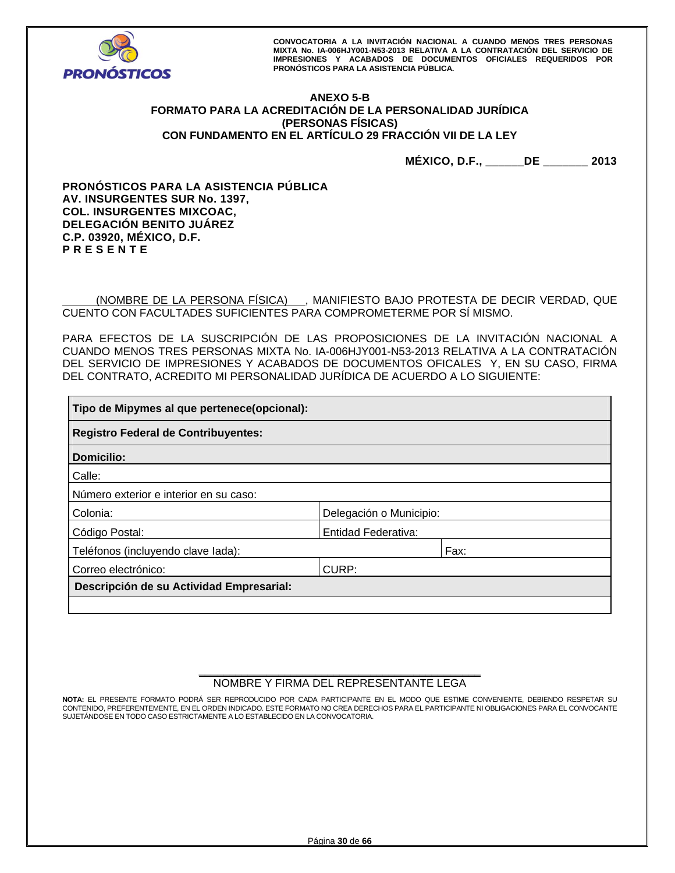

# **ANEXO 5-B FORMATO PARA LA ACREDITACIÓN DE LA PERSONALIDAD JURÍDICA (PERSONAS FÍSICAS) CON FUNDAMENTO EN EL ARTÍCULO 29 FRACCIÓN VII DE LA LEY**

**MÉXICO, D.F., \_\_\_\_\_\_DE \_\_\_\_\_\_\_ 2013** 

**PRONÓSTICOS PARA LA ASISTENCIA PÚBLICA AV. INSURGENTES SUR No. 1397, COL. INSURGENTES MIXCOAC, DELEGACIÓN BENITO JUÁREZ C.P. 03920, MÉXICO, D.F. P R E S E N T E** 

 (NOMBRE DE LA PERSONA FÍSICA) , MANIFIESTO BAJO PROTESTA DE DECIR VERDAD, QUE CUENTO CON FACULTADES SUFICIENTES PARA COMPROMETERME POR SÍ MISMO.

PARA EFECTOS DE LA SUSCRIPCIÓN DE LAS PROPOSICIONES DE LA INVITACIÓN NACIONAL A CUANDO MENOS TRES PERSONAS MIXTA No. IA-006HJY001-N53-2013 RELATIVA A LA CONTRATACIÓN DEL SERVICIO DE IMPRESIONES Y ACABADOS DE DOCUMENTOS OFICALES Y, EN SU CASO, FIRMA DEL CONTRATO, ACREDITO MI PERSONALIDAD JURÍDICA DE ACUERDO A LO SIGUIENTE:

| Tipo de Mipymes al que pertenece(opcional): |                            |      |  |  |  |
|---------------------------------------------|----------------------------|------|--|--|--|
| <b>Registro Federal de Contribuyentes:</b>  |                            |      |  |  |  |
| <b>Domicilio:</b>                           |                            |      |  |  |  |
| Calle:                                      |                            |      |  |  |  |
| Número exterior e interior en su caso:      |                            |      |  |  |  |
| Colonia:                                    | Delegación o Municipio:    |      |  |  |  |
| Código Postal:                              | <b>Entidad Federativa:</b> |      |  |  |  |
| Teléfonos (incluyendo clave lada):          |                            | Fax: |  |  |  |
| Correo electrónico:                         | CURP:                      |      |  |  |  |
| Descripción de su Actividad Empresarial:    |                            |      |  |  |  |
|                                             |                            |      |  |  |  |

#### **\_\_\_\_\_\_\_\_\_\_\_\_\_\_\_\_\_\_\_\_\_\_\_\_\_\_\_\_\_\_\_\_\_\_\_\_\_\_\_\_\_\_\_\_\_\_**  NOMBRE Y FIRMA DEL REPRESENTANTE LEGA

**NOTA:** EL PRESENTE FORMATO PODRÁ SER REPRODUCIDO POR CADA PARTICIPANTE EN EL MODO QUE ESTIME CONVENIENTE, DEBIENDO RESPETAR SU CONTENIDO, PREFERENTEMENTE, EN EL ORDEN INDICADO. ESTE FORMATO NO CREA DERECHOS PARA EL PARTICIPANTE NI OBLIGACIONES PARA EL CONVOCANTE SUJETÁNDOSE EN TODO CASO ESTRICTAMENTE A LO ESTABLECIDO EN LA CONVOCATORIA.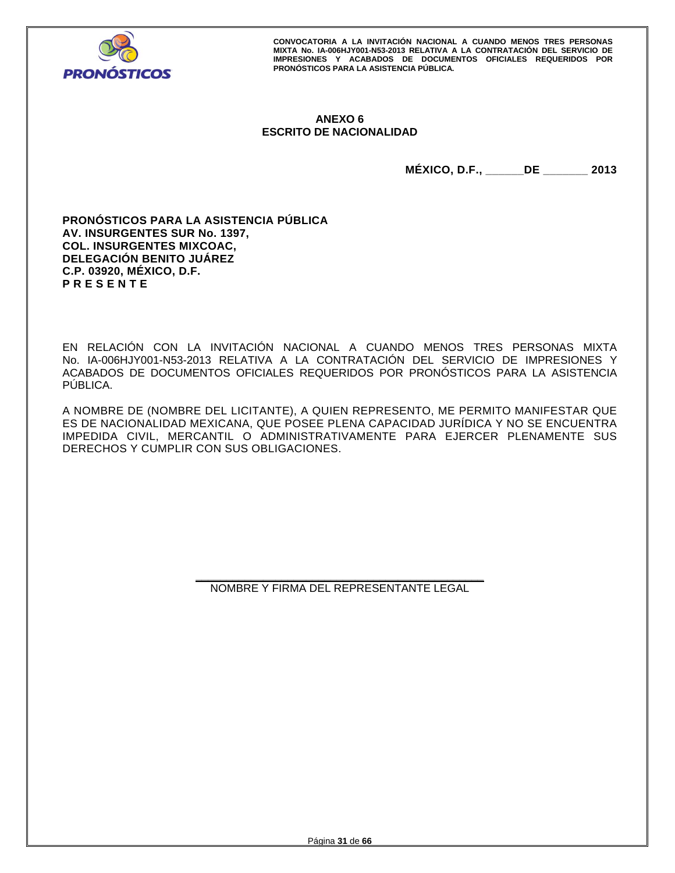

# **ANEXO 6 ESCRITO DE NACIONALIDAD**

**MÉXICO, D.F., \_\_\_\_\_\_DE \_\_\_\_\_\_\_ 2013** 

**PRONÓSTICOS PARA LA ASISTENCIA PÚBLICA AV. INSURGENTES SUR No. 1397, COL. INSURGENTES MIXCOAC, DELEGACIÓN BENITO JUÁREZ C.P. 03920, MÉXICO, D.F. P R E S E N T E** 

EN RELACIÓN CON LA INVITACIÓN NACIONAL A CUANDO MENOS TRES PERSONAS MIXTA No. IA-006HJY001-N53-2013 RELATIVA A LA CONTRATACIÓN DEL SERVICIO DE IMPRESIONES Y ACABADOS DE DOCUMENTOS OFICIALES REQUERIDOS POR PRONÓSTICOS PARA LA ASISTENCIA PÚBLICA.

A NOMBRE DE (NOMBRE DEL LICITANTE), A QUIEN REPRESENTO, ME PERMITO MANIFESTAR QUE ES DE NACIONALIDAD MEXICANA, QUE POSEE PLENA CAPACIDAD JURÍDICA Y NO SE ENCUENTRA IMPEDIDA CIVIL, MERCANTIL O ADMINISTRATIVAMENTE PARA EJERCER PLENAMENTE SUS DERECHOS Y CUMPLIR CON SUS OBLIGACIONES.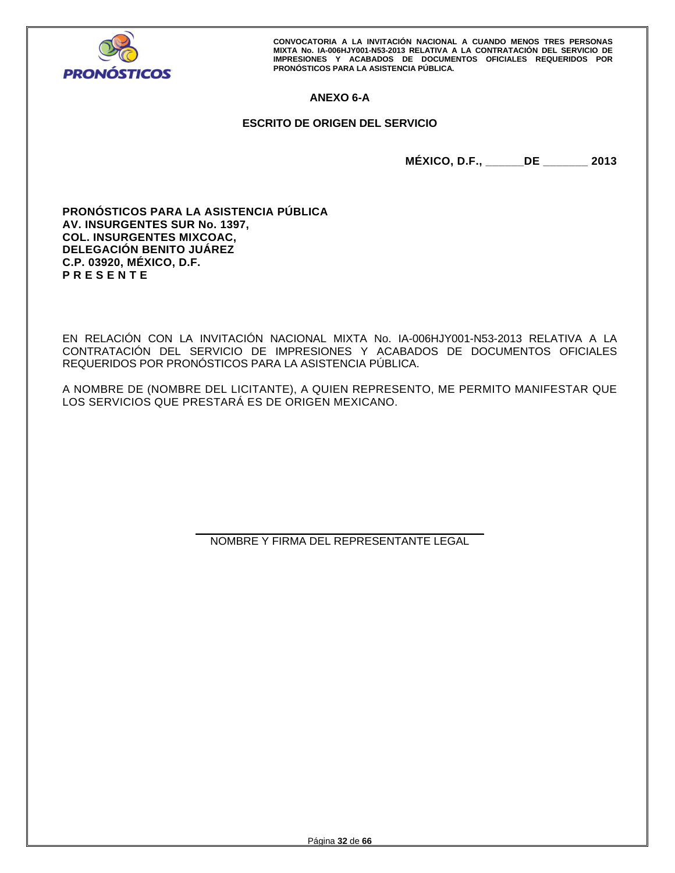

# **ANEXO 6-A**

# **ESCRITO DE ORIGEN DEL SERVICIO**

**MÉXICO, D.F., \_\_\_\_\_\_DE \_\_\_\_\_\_\_ 2013** 

**PRONÓSTICOS PARA LA ASISTENCIA PÚBLICA AV. INSURGENTES SUR No. 1397, COL. INSURGENTES MIXCOAC, DELEGACIÓN BENITO JUÁREZ C.P. 03920, MÉXICO, D.F. P R E S E N T E** 

EN RELACIÓN CON LA INVITACIÓN NACIONAL MIXTA No. IA-006HJY001-N53-2013 RELATIVA A LA CONTRATACIÓN DEL SERVICIO DE IMPRESIONES Y ACABADOS DE DOCUMENTOS OFICIALES REQUERIDOS POR PRONÓSTICOS PARA LA ASISTENCIA PÚBLICA.

A NOMBRE DE (NOMBRE DEL LICITANTE), A QUIEN REPRESENTO, ME PERMITO MANIFESTAR QUE LOS SERVICIOS QUE PRESTARÁ ES DE ORIGEN MEXICANO.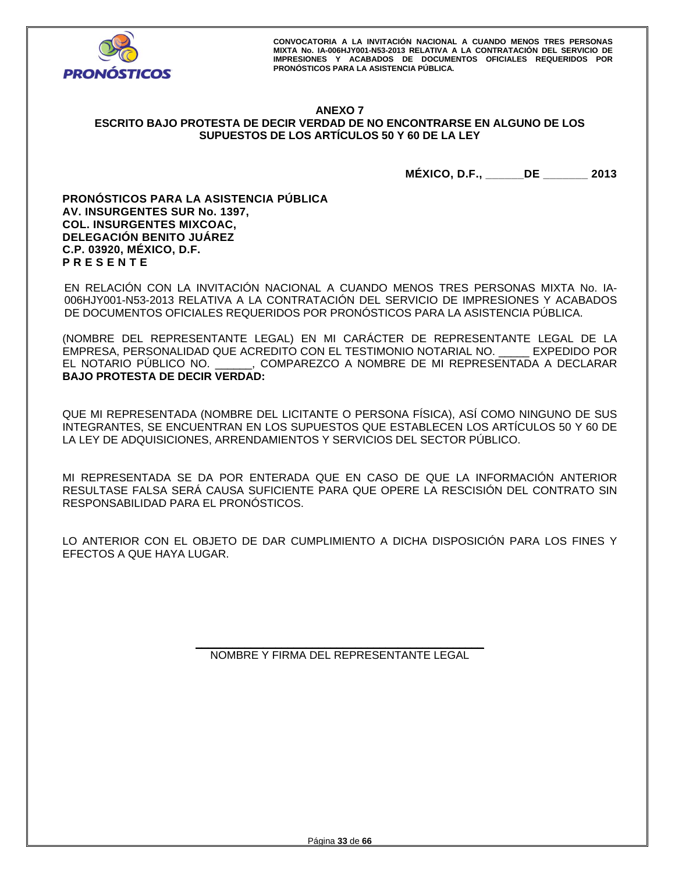

## **ANEXO 7 ESCRITO BAJO PROTESTA DE DECIR VERDAD DE NO ENCONTRARSE EN ALGUNO DE LOS SUPUESTOS DE LOS ARTÍCULOS 50 Y 60 DE LA LEY**

**MÉXICO, D.F., \_\_\_\_\_\_DE \_\_\_\_\_\_\_ 2013** 

**PRONÓSTICOS PARA LA ASISTENCIA PÚBLICA AV. INSURGENTES SUR No. 1397, COL. INSURGENTES MIXCOAC, DELEGACIÓN BENITO JUÁREZ C.P. 03920, MÉXICO, D.F. P R E S E N T E** 

EN RELACIÓN CON LA INVITACIÓN NACIONAL A CUANDO MENOS TRES PERSONAS MIXTA No. IA-006HJY001-N53-2013 RELATIVA A LA CONTRATACIÓN DEL SERVICIO DE IMPRESIONES Y ACABADOS DE DOCUMENTOS OFICIALES REQUERIDOS POR PRONÓSTICOS PARA LA ASISTENCIA PÚBLICA.

(NOMBRE DEL REPRESENTANTE LEGAL) EN MI CARÁCTER DE REPRESENTANTE LEGAL DE LA EMPRESA, PERSONALIDAD QUE ACREDITO CON EL TESTIMONIO NOTARIAL NO. \_\_\_\_\_ EXPEDIDO POR EL NOTARIO PÚBLICO NO. \_\_\_\_\_\_, COMPAREZCO A NOMBRE DE MI REPRESENTADA A DECLARAR **BAJO PROTESTA DE DECIR VERDAD:** 

QUE MI REPRESENTADA (NOMBRE DEL LICITANTE O PERSONA FÍSICA), ASÍ COMO NINGUNO DE SUS INTEGRANTES, SE ENCUENTRAN EN LOS SUPUESTOS QUE ESTABLECEN LOS ARTÍCULOS 50 Y 60 DE LA LEY DE ADQUISICIONES, ARRENDAMIENTOS Y SERVICIOS DEL SECTOR PÚBLICO.

MI REPRESENTADA SE DA POR ENTERADA QUE EN CASO DE QUE LA INFORMACIÓN ANTERIOR RESULTASE FALSA SERÁ CAUSA SUFICIENTE PARA QUE OPERE LA RESCISIÓN DEL CONTRATO SIN RESPONSABILIDAD PARA EL PRONÓSTICOS.

LO ANTERIOR CON EL OBJETO DE DAR CUMPLIMIENTO A DICHA DISPOSICIÓN PARA LOS FINES Y EFECTOS A QUE HAYA LUGAR.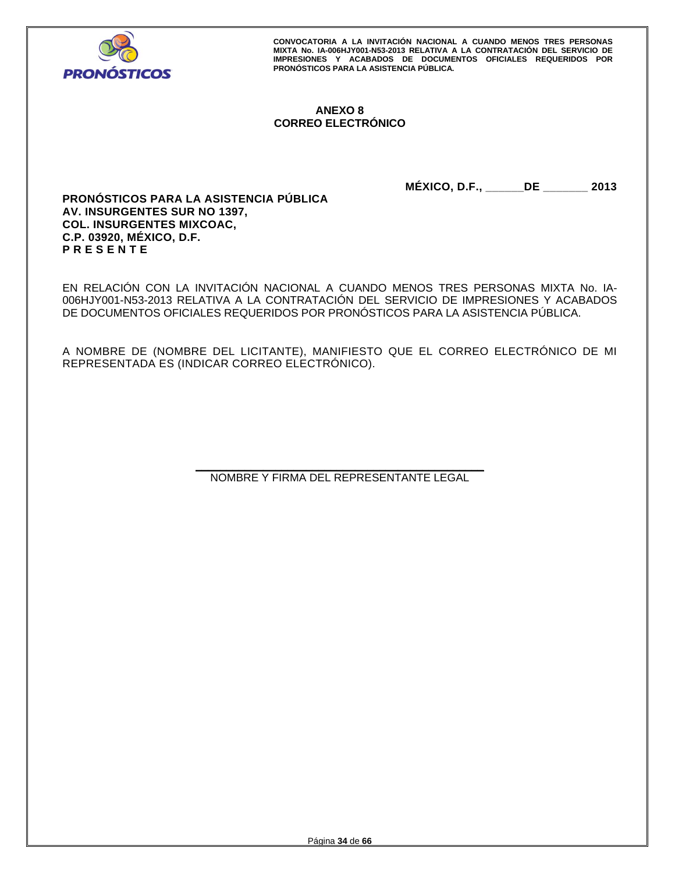

# **ANEXO 8 CORREO ELECTRÓNICO**

**MÉXICO, D.F., \_\_\_\_\_\_DE \_\_\_\_\_\_\_ 2013** 

**PRONÓSTICOS PARA LA ASISTENCIA PÚBLICA AV. INSURGENTES SUR NO 1397, COL. INSURGENTES MIXCOAC, C.P. 03920, MÉXICO, D.F. P R E S E N T E** 

EN RELACIÓN CON LA INVITACIÓN NACIONAL A CUANDO MENOS TRES PERSONAS MIXTA No. IA-006HJY001-N53-2013 RELATIVA A LA CONTRATACIÓN DEL SERVICIO DE IMPRESIONES Y ACABADOS DE DOCUMENTOS OFICIALES REQUERIDOS POR PRONÓSTICOS PARA LA ASISTENCIA PÚBLICA.

A NOMBRE DE (NOMBRE DEL LICITANTE), MANIFIESTO QUE EL CORREO ELECTRÓNICO DE MI REPRESENTADA ES (INDICAR CORREO ELECTRÓNICO).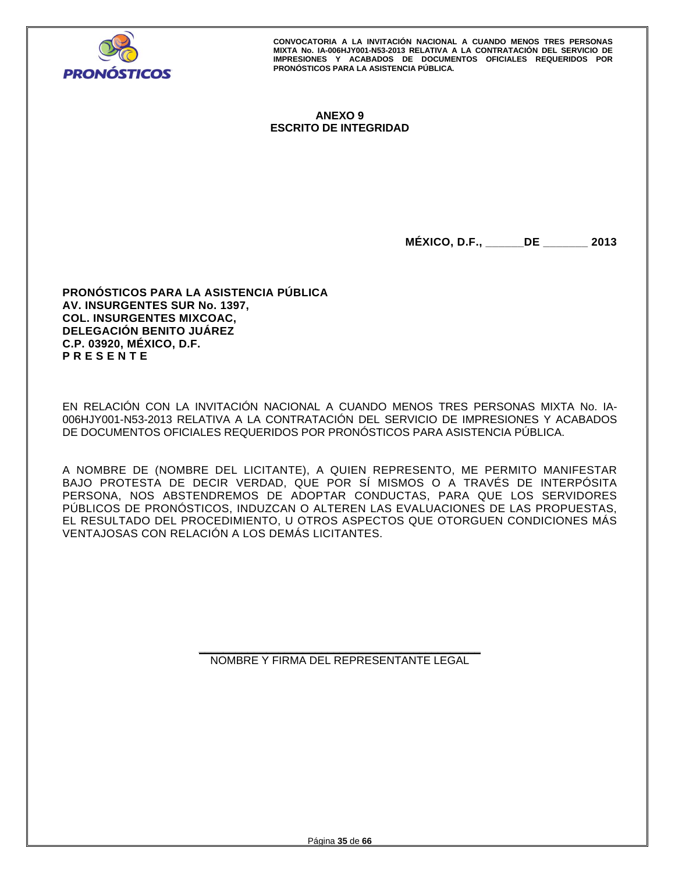

# **ANEXO 9 ESCRITO DE INTEGRIDAD**

**MÉXICO, D.F., \_\_\_\_\_\_DE \_\_\_\_\_\_\_ 2013** 

**PRONÓSTICOS PARA LA ASISTENCIA PÚBLICA AV. INSURGENTES SUR No. 1397, COL. INSURGENTES MIXCOAC, DELEGACIÓN BENITO JUÁREZ C.P. 03920, MÉXICO, D.F. P R E S E N T E** 

EN RELACIÓN CON LA INVITACIÓN NACIONAL A CUANDO MENOS TRES PERSONAS MIXTA No. IA-006HJY001-N53-2013 RELATIVA A LA CONTRATACIÓN DEL SERVICIO DE IMPRESIONES Y ACABADOS DE DOCUMENTOS OFICIALES REQUERIDOS POR PRONÓSTICOS PARA ASISTENCIA PÚBLICA.

A NOMBRE DE (NOMBRE DEL LICITANTE), A QUIEN REPRESENTO, ME PERMITO MANIFESTAR BAJO PROTESTA DE DECIR VERDAD, QUE POR SÍ MISMOS O A TRAVÉS DE INTERPÓSITA PERSONA, NOS ABSTENDREMOS DE ADOPTAR CONDUCTAS, PARA QUE LOS SERVIDORES PÚBLICOS DE PRONÓSTICOS, INDUZCAN O ALTEREN LAS EVALUACIONES DE LAS PROPUESTAS, EL RESULTADO DEL PROCEDIMIENTO, U OTROS ASPECTOS QUE OTORGUEN CONDICIONES MÁS VENTAJOSAS CON RELACIÓN A LOS DEMÁS LICITANTES.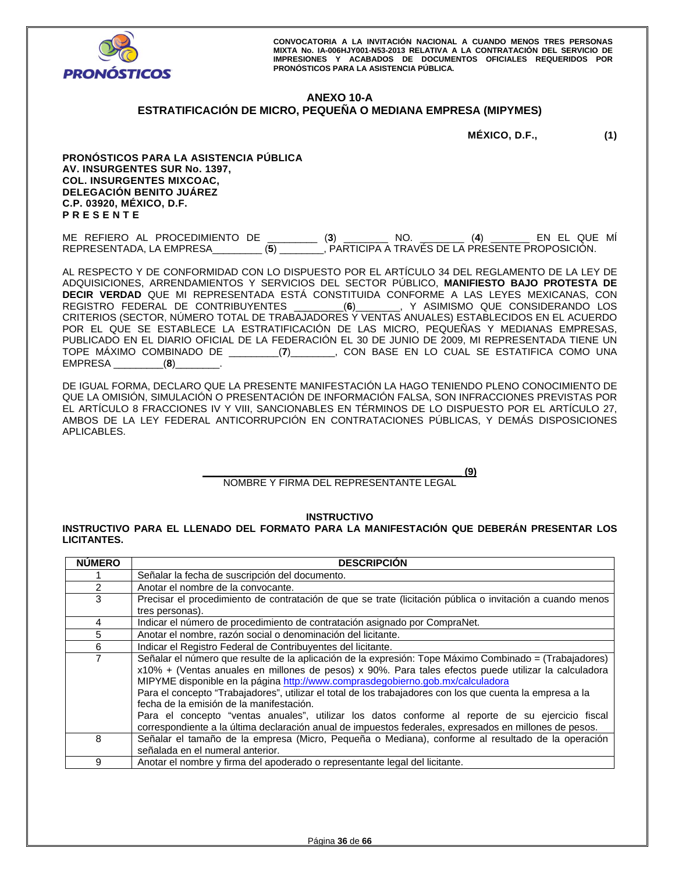

# **ANEXO 10-A**

# **ESTRATIFICACIÓN DE MICRO, PEQUEÑA O MEDIANA EMPRESA (MIPYMES)**

**MÉXICO, D.F., (1)** 

**PRONÓSTICOS PARA LA ASISTENCIA PÚBLICA AV. INSURGENTES SUR No. 1397, COL. INSURGENTES MIXCOAC, DELEGACIÓN BENITO JUÁREZ C.P. 03920, MÉXICO, D.F. P R E S E N T E** 

ME REFIERO AL PROCEDIMIENTO DE \_\_\_\_\_\_\_\_\_ (**3**) \_\_\_\_\_\_\_\_ NO. \_\_\_\_\_\_\_\_ (**4**) \_\_\_\_\_\_\_ EN EL QUE MÍ REPRESENTADA, LA EMPRESA\_\_\_\_\_\_\_\_\_ (**5**) \_\_\_\_\_\_\_\_, PARTICIPA A TRAVÉS DE LA PRESENTE PROPOSICIÓN.

AL RESPECTO Y DE CONFORMIDAD CON LO DISPUESTO POR EL ARTÍCULO 34 DEL REGLAMENTO DE LA LEY DE ADQUISICIONES, ARRENDAMIENTOS Y SERVICIOS DEL SECTOR PÚBLICO, **MANIFIESTO BAJO PROTESTA DE DECIR VERDAD** QUE MI REPRESENTADA ESTÁ CONSTITUIDA CONFORME A LAS LEYES MEXICANAS, CON REGISTRO FEDERAL DE CONTRIBUYENTES \_\_\_\_\_\_\_\_\_(**6**)\_\_\_\_\_\_\_\_, Y ASIMISMO QUE CONSIDERANDO LOS CRITERIOS (SECTOR, NÚMERO TOTAL DE TRABAJADORES Y VENTAS ANUALES) ESTABLECIDOS EN EL ACUERDO POR EL QUE SE ESTABLECE LA ESTRATIFICACIÓN DE LAS MICRO, PEQUEÑAS Y MEDIANAS EMPRESAS, PUBLICADO EN EL DIARIO OFICIAL DE LA FEDERACIÓN EL 30 DE JUNIO DE 2009, MI REPRESENTADA TIENE UN TOPE MÁXIMO COMBINADO DE \_\_\_\_\_\_\_\_\_(**7**)\_\_\_\_\_\_\_\_, CON BASE EN LO CUAL SE ESTATIFICA COMO UNA EMPRESA \_\_\_\_\_\_\_\_\_(**8**)\_\_\_\_\_\_\_\_.

DE IGUAL FORMA, DECLARO QUE LA PRESENTE MANIFESTACIÓN LA HAGO TENIENDO PLENO CONOCIMIENTO DE QUE LA OMISIÓN, SIMULACIÓN O PRESENTACIÓN DE INFORMACIÓN FALSA, SON INFRACCIONES PREVISTAS POR EL ARTÍCULO 8 FRACCIONES IV Y VIII, SANCIONABLES EN TÉRMINOS DE LO DISPUESTO POR EL ARTÍCULO 27, AMBOS DE LA LEY FEDERAL ANTICORRUPCIÓN EN CONTRATACIONES PÚBLICAS, Y DEMÁS DISPOSICIONES APLICABLES.

> **\_\_\_\_\_\_\_\_\_\_\_\_\_\_\_\_\_\_\_\_\_\_\_\_\_\_\_\_\_\_\_\_\_\_\_\_\_\_\_\_\_\_\_\_\_\_\_ (9)**  NOMBRE Y FIRMA DEL REPRESENTANTE LEGAL

> > **INSTRUCTIVO**

**INSTRUCTIVO PARA EL LLENADO DEL FORMATO PARA LA MANIFESTACIÓN QUE DEBERÁN PRESENTAR LOS LICITANTES.** 

| <b>NUMERO</b> | <b>DESCRIPCION</b>                                                                                                                                                                                                                                                                                                                                                                                                                                                                                                                                                                                                                                                      |
|---------------|-------------------------------------------------------------------------------------------------------------------------------------------------------------------------------------------------------------------------------------------------------------------------------------------------------------------------------------------------------------------------------------------------------------------------------------------------------------------------------------------------------------------------------------------------------------------------------------------------------------------------------------------------------------------------|
|               | Señalar la fecha de suscripción del documento.                                                                                                                                                                                                                                                                                                                                                                                                                                                                                                                                                                                                                          |
| 2             | Anotar el nombre de la convocante.                                                                                                                                                                                                                                                                                                                                                                                                                                                                                                                                                                                                                                      |
| 3             | Precisar el procedimiento de contratación de que se trate (licitación pública o invitación a cuando menos                                                                                                                                                                                                                                                                                                                                                                                                                                                                                                                                                               |
|               | tres personas).                                                                                                                                                                                                                                                                                                                                                                                                                                                                                                                                                                                                                                                         |
| 4             | Indicar el número de procedimiento de contratación asignado por CompraNet.                                                                                                                                                                                                                                                                                                                                                                                                                                                                                                                                                                                              |
| 5             | Anotar el nombre, razón social o denominación del licitante.                                                                                                                                                                                                                                                                                                                                                                                                                                                                                                                                                                                                            |
| 6             | Indicar el Registro Federal de Contribuyentes del licitante.                                                                                                                                                                                                                                                                                                                                                                                                                                                                                                                                                                                                            |
| 7             | Señalar el número que resulte de la aplicación de la expresión: Tope Máximo Combinado = (Trabajadores)<br>x10% + (Ventas anuales en millones de pesos) x 90%. Para tales efectos puede utilizar la calculadora<br>MIPYME disponible en la página http://www.comprasdegobierno.gob.mx/calculadora<br>Para el concepto "Trabajadores", utilizar el total de los trabajadores con los que cuenta la empresa a la<br>fecha de la emisión de la manifestación.<br>Para el concepto "ventas anuales", utilizar los datos conforme al reporte de su ejercicio fiscal<br>correspondiente a la última declaración anual de impuestos federales, expresados en millones de pesos. |
| 8             | Señalar el tamaño de la empresa (Micro, Pequeña o Mediana), conforme al resultado de la operación<br>señalada en el numeral anterior.                                                                                                                                                                                                                                                                                                                                                                                                                                                                                                                                   |
| 9             | Anotar el nombre y firma del apoderado o representante legal del licitante.                                                                                                                                                                                                                                                                                                                                                                                                                                                                                                                                                                                             |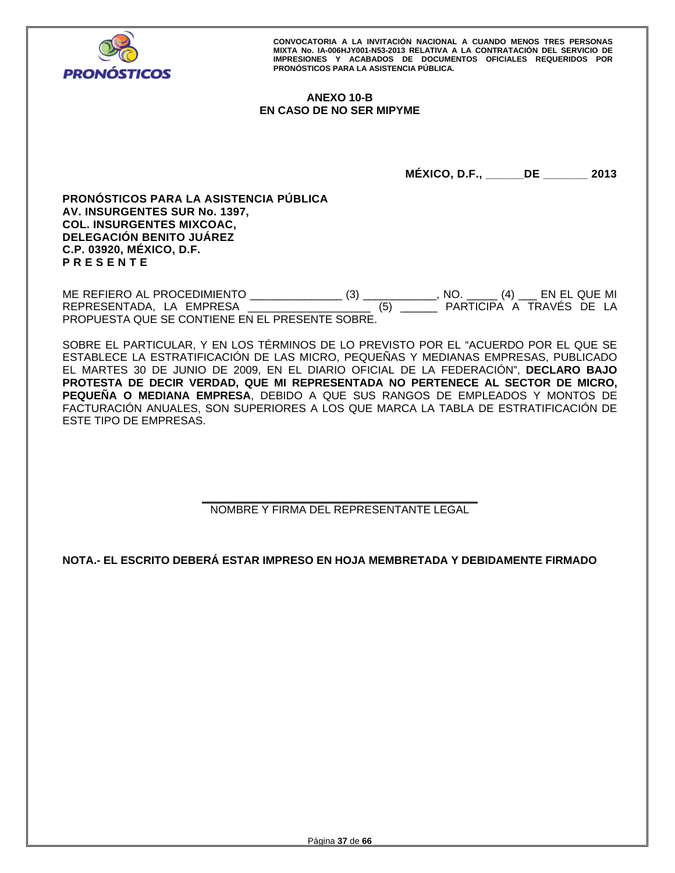

# **ANEXO 10-B EN CASO DE NO SER MIPYME**

**MÉXICO, D.F., \_\_\_\_\_\_DE \_\_\_\_\_\_\_ 2013** 

**PRONÓSTICOS PARA LA ASISTENCIA PÚBLICA AV. INSURGENTES SUR No. 1397, COL. INSURGENTES MIXCOAC, DELEGACIÓN BENITO JUÁREZ C.P. 03920, MÉXICO, D.F. P R E S E N T E** 

ME REFIERO AL PROCEDIMIENTO \_\_\_\_\_\_\_\_\_\_\_\_\_\_\_ (3) \_\_\_\_\_\_\_\_\_\_\_\_, NO. \_\_\_\_\_ (4) \_\_\_ EN EL QUE MI REPRESENTADA, LA EMPRESA PROPUESTA QUE SE CONTIENE EN EL PRESENTE SOBRE.

SOBRE EL PARTICULAR, Y EN LOS TÉRMINOS DE LO PREVISTO POR EL "ACUERDO POR EL QUE SE ESTABLECE LA ESTRATIFICACIÓN DE LAS MICRO, PEQUEÑAS Y MEDIANAS EMPRESAS, PUBLICADO EL MARTES 30 DE JUNIO DE 2009, EN EL DIARIO OFICIAL DE LA FEDERACIÓN", **DECLARO BAJO PROTESTA DE DECIR VERDAD, QUE MI REPRESENTADA NO PERTENECE AL SECTOR DE MICRO, PEQUEÑA O MEDIANA EMPRESA**, DEBIDO A QUE SUS RANGOS DE EMPLEADOS Y MONTOS DE FACTURACIÓN ANUALES, SON SUPERIORES A LOS QUE MARCA LA TABLA DE ESTRATIFICACIÓN DE ESTE TIPO DE EMPRESAS.

> **\_\_\_\_\_\_\_\_\_\_\_\_\_\_\_\_\_\_\_\_\_\_\_\_\_\_\_\_\_\_\_\_\_\_\_\_\_\_\_\_\_\_\_\_\_**  NOMBRE Y FIRMA DEL REPRESENTANTE LEGAL

**NOTA.- EL ESCRITO DEBERÁ ESTAR IMPRESO EN HOJA MEMBRETADA Y DEBIDAMENTE FIRMADO**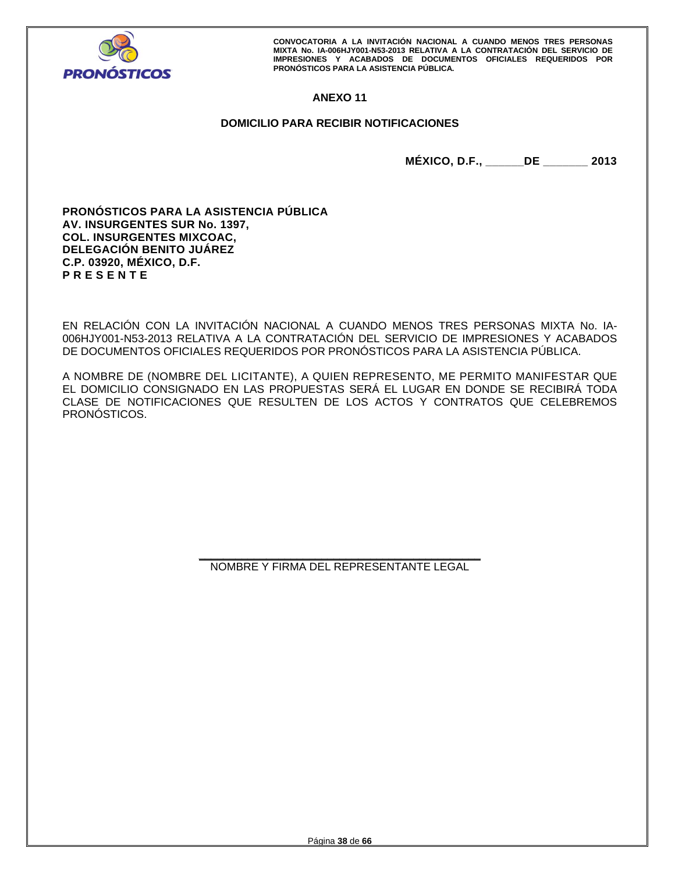

# **ANEXO 11**

# **DOMICILIO PARA RECIBIR NOTIFICACIONES**

**MÉXICO, D.F., \_\_\_\_\_\_DE \_\_\_\_\_\_\_ 2013** 

**PRONÓSTICOS PARA LA ASISTENCIA PÚBLICA AV. INSURGENTES SUR No. 1397, COL. INSURGENTES MIXCOAC, DELEGACIÓN BENITO JUÁREZ C.P. 03920, MÉXICO, D.F. P R E S E N T E** 

EN RELACIÓN CON LA INVITACIÓN NACIONAL A CUANDO MENOS TRES PERSONAS MIXTA No. IA-006HJY001-N53-2013 RELATIVA A LA CONTRATACIÓN DEL SERVICIO DE IMPRESIONES Y ACABADOS DE DOCUMENTOS OFICIALES REQUERIDOS POR PRONÓSTICOS PARA LA ASISTENCIA PÚBLICA.

A NOMBRE DE (NOMBRE DEL LICITANTE), A QUIEN REPRESENTO, ME PERMITO MANIFESTAR QUE EL DOMICILIO CONSIGNADO EN LAS PROPUESTAS SERÁ EL LUGAR EN DONDE SE RECIBIRÁ TODA CLASE DE NOTIFICACIONES QUE RESULTEN DE LOS ACTOS Y CONTRATOS QUE CELEBREMOS PRONÓSTICOS.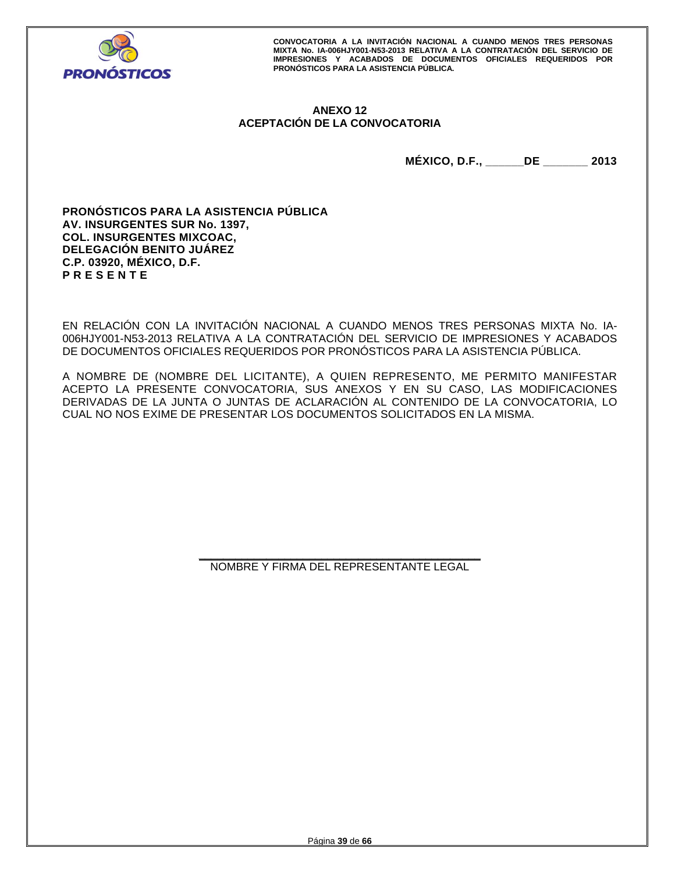

# **ANEXO 12 ACEPTACIÓN DE LA CONVOCATORIA**

**MÉXICO, D.F., \_\_\_\_\_\_DE \_\_\_\_\_\_\_ 2013** 

**PRONÓSTICOS PARA LA ASISTENCIA PÚBLICA AV. INSURGENTES SUR No. 1397, COL. INSURGENTES MIXCOAC, DELEGACIÓN BENITO JUÁREZ C.P. 03920, MÉXICO, D.F. P R E S E N T E** 

EN RELACIÓN CON LA INVITACIÓN NACIONAL A CUANDO MENOS TRES PERSONAS MIXTA No. IA-006HJY001-N53-2013 RELATIVA A LA CONTRATACIÓN DEL SERVICIO DE IMPRESIONES Y ACABADOS DE DOCUMENTOS OFICIALES REQUERIDOS POR PRONÓSTICOS PARA LA ASISTENCIA PÚBLICA.

A NOMBRE DE (NOMBRE DEL LICITANTE), A QUIEN REPRESENTO, ME PERMITO MANIFESTAR ACEPTO LA PRESENTE CONVOCATORIA, SUS ANEXOS Y EN SU CASO, LAS MODIFICACIONES DERIVADAS DE LA JUNTA O JUNTAS DE ACLARACIÓN AL CONTENIDO DE LA CONVOCATORIA, LO CUAL NO NOS EXIME DE PRESENTAR LOS DOCUMENTOS SOLICITADOS EN LA MISMA.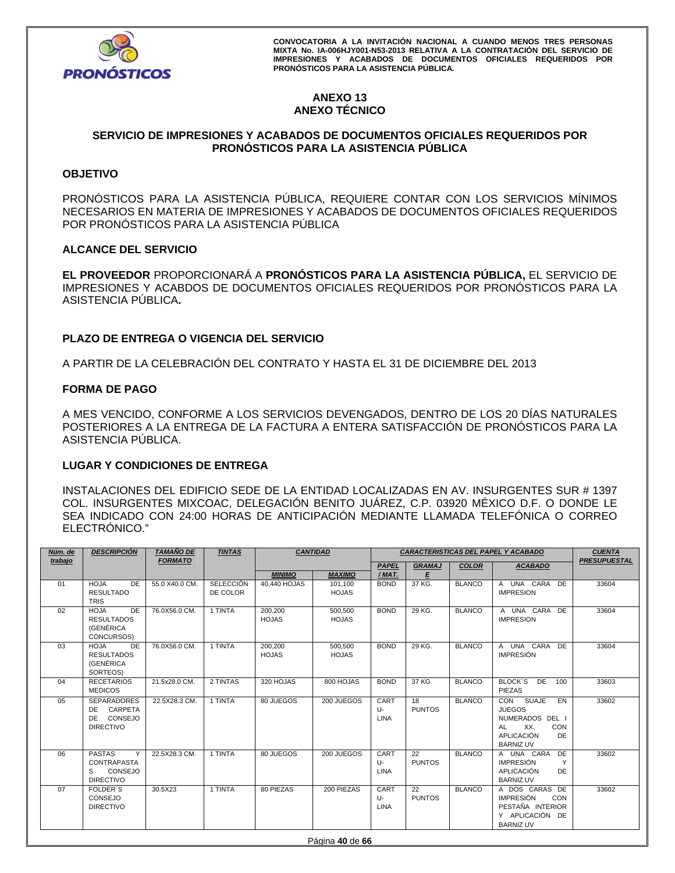

# **ANEXO 13 ANEXO TÉCNICO**

# **SERVICIO DE IMPRESIONES Y ACABADOS DE DOCUMENTOS OFICIALES REQUERIDOS POR PRONÓSTICOS PARA LA ASISTENCIA PÚBLICA**

# **OBJETIVO**

PRONÓSTICOS PARA LA ASISTENCIA PÚBLICA, REQUIERE CONTAR CON LOS SERVICIOS MÍNIMOS NECESARIOS EN MATERIA DE IMPRESIONES Y ACABADOS DE DOCUMENTOS OFICIALES REQUERIDOS POR PRONÓSTICOS PARA LA ASISTENCIA PÚBLICA

# **ALCANCE DEL SERVICIO**

**EL PROVEEDOR** PROPORCIONARÁ A **PRONÓSTICOS PARA LA ASISTENCIA PÚBLICA,** EL SERVICIO DE IMPRESIONES Y ACABDOS DE DOCUMENTOS OFICIALES REQUERIDOS POR PRONÓSTICOS PARA LA ASISTENCIA PÚBLICA**.** 

# **PLAZO DE ENTREGA O VIGENCIA DEL SERVICIO**

A PARTIR DE LA CELEBRACIÓN DEL CONTRATO Y HASTA EL 31 DE DICIEMBRE DEL 2013

# **FORMA DE PAGO**

A MES VENCIDO, CONFORME A LOS SERVICIOS DEVENGADOS, DENTRO DE LOS 20 DÍAS NATURALES POSTERIORES A LA ENTREGA DE LA FACTURA A ENTERA SATISFACCIÓN DE PRONÓSTICOS PARA LA ASISTENCIA PÚBLICA.

# **LUGAR Y CONDICIONES DE ENTREGA**

INSTALACIONES DEL EDIFICIO SEDE DE LA ENTIDAD LOCALIZADAS EN AV. INSURGENTES SUR # 1397 COL. INSURGENTES MIXCOAC, DELEGACIÓN BENITO JUÁREZ, C.P. 03920 MÉXICO D.F. O DONDE LE SEA INDICADO CON 24:00 HORAS DE ANTICIPACIÓN MEDIANTE LLAMADA TELEFÓNICA O CORREO ELECTRÓNICO."

| Núm. de<br>trabajo | <b>DESCRIPCIÓN</b>                                                           | <b>TAMAÑO DE</b><br><b>FORMATO</b> | <b>TINTAS</b>                | <b>CANTIDAD</b><br>CARACTERISTICAS DEL PAPEL Y ACABADO |                         |                              |                     | <b>CUENTA</b><br><b>PRESUPUESTAL</b> |                                                                                                                                               |       |
|--------------------|------------------------------------------------------------------------------|------------------------------------|------------------------------|--------------------------------------------------------|-------------------------|------------------------------|---------------------|--------------------------------------|-----------------------------------------------------------------------------------------------------------------------------------------------|-------|
|                    |                                                                              |                                    |                              |                                                        |                         | <b>PAPEL</b>                 | <b>GRAMAJ</b>       | <b>COLOR</b>                         | <b>ACABADO</b>                                                                                                                                |       |
|                    |                                                                              |                                    |                              | <b>MINIMO</b>                                          | <b>MAXIMO</b>           | /MAT.                        | E                   |                                      |                                                                                                                                               |       |
| 01                 | <b>HOJA</b><br>DE.<br><b>RESULTADO</b><br><b>TRIS</b>                        | 55.0 X40.0 CM.                     | <b>SELECCIÓN</b><br>DE COLOR | 40.440 HOJAS                                           | 101.100<br><b>HOJAS</b> | <b>BOND</b>                  | 37 KG.              | <b>BLANCO</b>                        | A UNA CARA DE<br><b>IMPRESION</b>                                                                                                             | 33604 |
| 02                 | <b>HOJA</b><br>DE.<br><b>RESULTADOS</b><br><b>(GENÉRICA</b><br>CONCURSOS)    | 76.0X56.0 CM.                      | 1 TINTA                      | 200,200<br><b>HOJAS</b>                                | 500,500<br><b>HOJAS</b> | <b>BOND</b>                  | 29 KG.              | <b>BLANCO</b>                        | A UNA CARA DE<br><b>IMPRESION</b>                                                                                                             | 33604 |
| 03                 | <b>HOJA</b><br>DE<br><b>RESULTADOS</b><br><b>(GENÉRICA</b><br>SORTEOS)       | 76.0X56.0 CM.                      | 1 TINTA                      | 200,200<br><b>HOJAS</b>                                | 500,500<br><b>HOJAS</b> | <b>BOND</b>                  | 29 KG.              | <b>BLANCO</b>                        | A UNA CARA DE<br><b>IMPRESIÓN</b>                                                                                                             | 33604 |
| 04                 | <b>RECETARIOS</b><br><b>MEDICOS</b>                                          | 21.5x28.0 CM.                      | 2 TINTAS                     | 320 HOJAS                                              | 800 HOJAS               | <b>BOND</b>                  | 37 KG               | <b>BLANCO</b>                        | BLOCK'S<br>DE<br>100<br>PIEZAS                                                                                                                | 33603 |
| 05                 | <b>SEPARADORES</b><br>CARPETA<br>DE<br>CONSEJO<br>DE.<br><b>DIRECTIVO</b>    | 22.5X28.3 CM.                      | 1 TINTA                      | 80 JUEGOS                                              | 200 JUEGOS              | CART<br>U-<br><b>LINA</b>    | 18<br><b>PUNTOS</b> | <b>BLANCO</b>                        | $\overline{CON}$<br><b>SUAJE</b><br>EN<br><b>JUEGOS</b><br>NUMERADOS DEL I<br>XX,<br>CON<br>AL<br><b>APLICACIÓN</b><br>DE<br><b>BARNIZ UV</b> | 33602 |
| 06                 | <b>PASTAS</b><br>Y<br><b>CONTRAPASTA</b><br>CONSEJO<br>S<br><b>DIRECTIVO</b> | 22.5X28.3 CM.                      | 1 TINTA                      | 80 JUEGOS                                              | 200 JUEGOS              | CART<br>$U$ -<br><b>LINA</b> | 22<br><b>PUNTOS</b> | <b>BLANCO</b>                        | A UNA CARA<br>DE<br><b>IMPRESIÓN</b><br>Y<br><b>APLICACIÓN</b><br>DE<br><b>BARNIZ UV</b>                                                      | 33602 |
| 07                 | <b>FOLDER'S</b><br>CONSEJO<br><b>DIRECTIVO</b>                               | 30.5X23                            | 1 TINTA                      | 80 PIEZAS                                              | 200 PIEZAS              | CART<br>U-<br><b>LINA</b>    | 22<br><b>PUNTOS</b> | <b>BLANCO</b>                        | A DOS CARAS DE<br><b>IMPRESIÓN</b><br>CON<br>PESTAÑA INTERIOR<br>Y APLICACIÓN DE<br><b>BARNIZ UV</b>                                          | 33602 |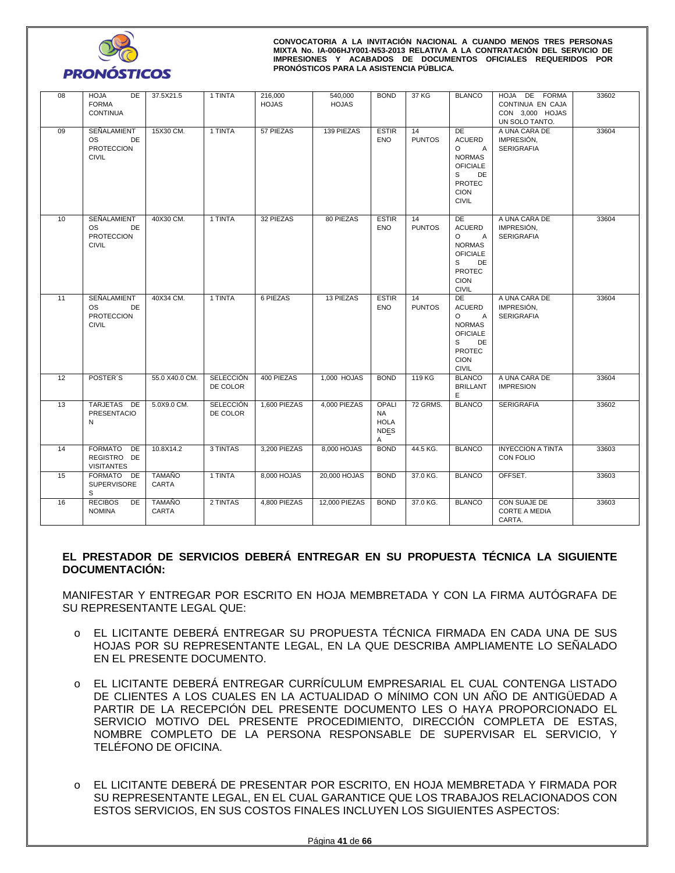

| 08 | <b>HOJA</b><br>DE<br><b>FORMA</b><br><b>CONTINUA</b>         | 37.5X21.5              | 1 TINTA                      | 216,000<br><b>HOJAS</b> | 540,000<br><b>HOJAS</b> | <b>BOND</b>                                    | 37 KG               | <b>BLANCO</b>                                                                                                                                   | HOJA DE FORMA<br>CONTINUA EN CAJA<br>CON 3,000 HOJAS<br>UN SOLO TANTO. | 33602 |
|----|--------------------------------------------------------------|------------------------|------------------------------|-------------------------|-------------------------|------------------------------------------------|---------------------|-------------------------------------------------------------------------------------------------------------------------------------------------|------------------------------------------------------------------------|-------|
| 09 | SEÑALAMIENT<br>OS<br>DE<br><b>PROTECCION</b><br><b>CIVIL</b> | 15X30 CM.              | 1 TINTA                      | 57 PIEZAS               | 139 PIEZAS              | <b>ESTIR</b><br><b>ENO</b>                     | 14<br><b>PUNTOS</b> | DE<br><b>ACUERD</b><br>$\circ$<br>$\mathsf{A}$<br><b>NORMAS</b><br><b>OFICIALE</b><br>s<br>DE<br><b>PROTEC</b><br><b>CION</b><br><b>CIVIL</b>   | A UNA CARA DE<br>IMPRESIÓN,<br><b>SERIGRAFIA</b>                       | 33604 |
| 10 | SEÑALAMIENT<br>OS<br>DE<br><b>PROTECCION</b><br><b>CIVIL</b> | 40X30 CM.              | 1 TINTA                      | 32 PIEZAS               | 80 PIEZAS               | <b>ESTIR</b><br><b>ENO</b>                     | 14<br><b>PUNTOS</b> | DE<br><b>ACUERD</b><br>$\circ$<br>$\overline{A}$<br><b>NORMAS</b><br><b>OFICIALE</b><br>S<br>DE<br><b>PROTEC</b><br><b>CION</b><br><b>CIVIL</b> | A UNA CARA DE<br>IMPRESIÓN,<br><b>SERIGRAFIA</b>                       | 33604 |
| 11 | SEÑALAMIENT<br>OS<br>DE<br><b>PROTECCION</b><br><b>CIVIL</b> | 40X34 CM.              | 1 TINTA                      | 6 PIEZAS                | 13 PIEZAS               | <b>ESTIR</b><br>ENO                            | 14<br><b>PUNTOS</b> | DE<br>ACUERD<br>$\overline{A}$<br>O<br><b>NORMAS</b><br><b>OFICIALE</b><br>DE<br>S<br><b>PROTEC</b><br><b>CION</b><br><b>CIVIL</b>              | A UNA CARA DE<br>IMPRESIÓN,<br><b>SERIGRAFIA</b>                       | 33604 |
| 12 | POSTER'S                                                     | 55.0 X40.0 CM.         | <b>SELECCIÓN</b><br>DE COLOR | 400 PIEZAS              | $1,000$ HOJAS           | <b>BOND</b>                                    | 119 KG              | <b>BLANCO</b><br><b>BRILLANT</b><br>E                                                                                                           | A UNA CARA DE<br><b>IMPRESION</b>                                      | 33604 |
| 13 | TARJETAS DE<br>PRESENTACIO<br>N                              | 5.0X9.0 CM.            | <b>SELECCIÓN</b><br>DE COLOR | 1,600 PIEZAS            | 4,000 PIEZAS            | OPALI<br>NA<br><b>HOLA</b><br><b>NDES</b><br>Α | 72 GRMS.            | <b>BLANCO</b>                                                                                                                                   | <b>SERIGRAFIA</b>                                                      | 33602 |
| 14 | FORMATO DE<br>REGISTRO DE<br><b>VISITANTES</b>               | 10.8X14.2              | 3 TINTAS                     | 3,200 PIEZAS            | 8,000 HOJAS             | <b>BOND</b>                                    | 44.5 KG.            | <b>BLANCO</b>                                                                                                                                   | <b>INYECCION A TINTA</b><br>CON FOLIO                                  | 33603 |
| 15 | FORMATO DE<br>SUPERVISORE<br>S                               | <b>TAMAÑO</b><br>CARTA | 1 TINTA                      | 8,000 HOJAS             | 20,000 HOJAS            | <b>BOND</b>                                    | 37.0 KG.            | <b>BLANCO</b>                                                                                                                                   | OFFSET.                                                                | 33603 |
| 16 | <b>RECIBOS</b><br>DE<br><b>NOMINA</b>                        | <b>TAMAÑO</b><br>CARTA | 2 TINTAS                     | 4,800 PIEZAS            | 12,000 PIEZAS           | <b>BOND</b>                                    | 37.0 KG.            | <b>BLANCO</b>                                                                                                                                   | CON SUAJE DE<br><b>CORTE A MEDIA</b><br>CARTA.                         | 33603 |

# **EL PRESTADOR DE SERVICIOS DEBERÁ ENTREGAR EN SU PROPUESTA TÉCNICA LA SIGUIENTE DOCUMENTACIÓN:**

MANIFESTAR Y ENTREGAR POR ESCRITO EN HOJA MEMBRETADA Y CON LA FIRMA AUTÓGRAFA DE SU REPRESENTANTE LEGAL QUE:

- o EL LICITANTE DEBERÁ ENTREGAR SU PROPUESTA TÉCNICA FIRMADA EN CADA UNA DE SUS HOJAS POR SU REPRESENTANTE LEGAL, EN LA QUE DESCRIBA AMPLIAMENTE LO SEÑALADO EN EL PRESENTE DOCUMENTO.
- o EL LICITANTE DEBERÁ ENTREGAR CURRÍCULUM EMPRESARIAL EL CUAL CONTENGA LISTADO DE CLIENTES A LOS CUALES EN LA ACTUALIDAD O MÍNIMO CON UN AÑO DE ANTIGÜEDAD A PARTIR DE LA RECEPCIÓN DEL PRESENTE DOCUMENTO LES O HAYA PROPORCIONADO EL SERVICIO MOTIVO DEL PRESENTE PROCEDIMIENTO, DIRECCIÓN COMPLETA DE ESTAS, NOMBRE COMPLETO DE LA PERSONA RESPONSABLE DE SUPERVISAR EL SERVICIO, Y TELÉFONO DE OFICINA.
- o EL LICITANTE DEBERÁ DE PRESENTAR POR ESCRITO, EN HOJA MEMBRETADA Y FIRMADA POR SU REPRESENTANTE LEGAL, EN EL CUAL GARANTICE QUE LOS TRABAJOS RELACIONADOS CON ESTOS SERVICIOS, EN SUS COSTOS FINALES INCLUYEN LOS SIGUIENTES ASPECTOS: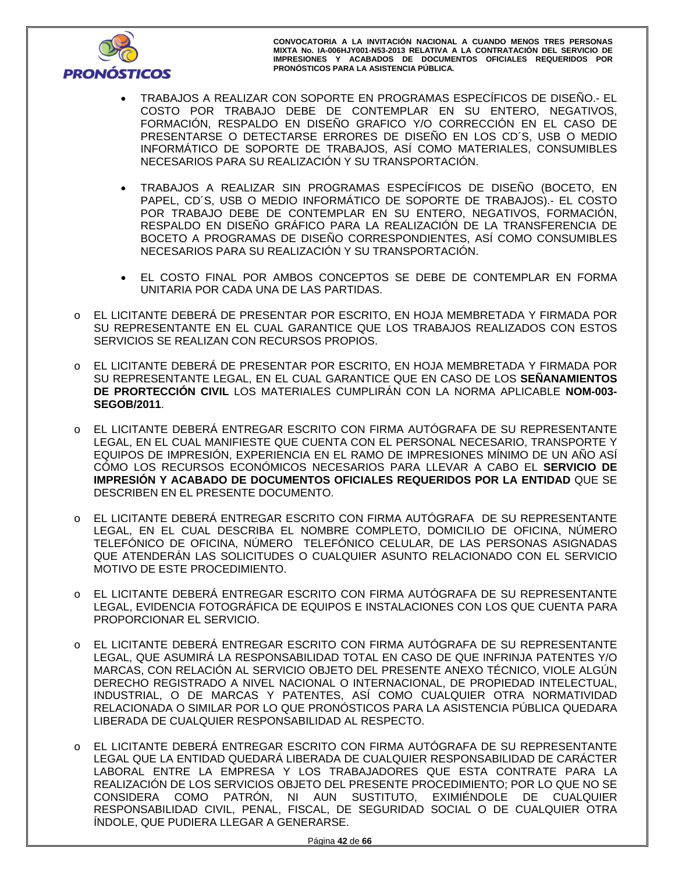

- TRABAJOS A REALIZAR CON SOPORTE EN PROGRAMAS ESPECÍFICOS DE DISEÑO.- EL COSTO POR TRABAJO DEBE DE CONTEMPLAR EN SU ENTERO, NEGATIVOS, FORMACIÓN, RESPALDO EN DISEÑO GRAFICO Y/O CORRECCIÓN EN EL CASO DE PRESENTARSE O DETECTARSE ERRORES DE DISEÑO EN LOS CD´S, USB O MEDIO INFORMÁTICO DE SOPORTE DE TRABAJOS, ASÍ COMO MATERIALES, CONSUMIBLES NECESARIOS PARA SU REALIZACIÓN Y SU TRANSPORTACIÓN.
- TRABAJOS A REALIZAR SIN PROGRAMAS ESPECÍFICOS DE DISEÑO (BOCETO, EN PAPEL, CD´S, USB O MEDIO INFORMÁTICO DE SOPORTE DE TRABAJOS).- EL COSTO POR TRABAJO DEBE DE CONTEMPLAR EN SU ENTERO, NEGATIVOS, FORMACIÓN, RESPALDO EN DISEÑO GRÁFICO PARA LA REALIZACIÓN DE LA TRANSFERENCIA DE BOCETO A PROGRAMAS DE DISEÑO CORRESPONDIENTES, ASÍ COMO CONSUMIBLES NECESARIOS PARA SU REALIZACIÓN Y SU TRANSPORTACIÓN.
- EL COSTO FINAL POR AMBOS CONCEPTOS SE DEBE DE CONTEMPLAR EN FORMA UNITARIA POR CADA UNA DE LAS PARTIDAS.
- o EL LICITANTE DEBERÁ DE PRESENTAR POR ESCRITO, EN HOJA MEMBRETADA Y FIRMADA POR SU REPRESENTANTE EN EL CUAL GARANTICE QUE LOS TRABAJOS REALIZADOS CON ESTOS SERVICIOS SE REALIZAN CON RECURSOS PROPIOS.
- o EL LICITANTE DEBERÁ DE PRESENTAR POR ESCRITO, EN HOJA MEMBRETADA Y FIRMADA POR SU REPRESENTANTE LEGAL, EN EL CUAL GARANTICE QUE EN CASO DE LOS **SEÑANAMIENTOS DE PRORTECCIÓN CIVIL** LOS MATERIALES CUMPLIRÁN CON LA NORMA APLICABLE **NOM-003- SEGOB/2011**.
- o EL LICITANTE DEBERÁ ENTREGAR ESCRITO CON FIRMA AUTÓGRAFA DE SU REPRESENTANTE LEGAL, EN EL CUAL MANIFIESTE QUE CUENTA CON EL PERSONAL NECESARIO, TRANSPORTE Y EQUIPOS DE IMPRESIÓN, EXPERIENCIA EN EL RAMO DE IMPRESIONES MÍNIMO DE UN AÑO ASÍ CÓMO LOS RECURSOS ECONÓMICOS NECESARIOS PARA LLEVAR A CABO EL **SERVICIO DE IMPRESIÓN Y ACABADO DE DOCUMENTOS OFICIALES REQUERIDOS POR LA ENTIDAD** QUE SE DESCRIBEN EN EL PRESENTE DOCUMENTO.
- o EL LICITANTE DEBERÁ ENTREGAR ESCRITO CON FIRMA AUTÓGRAFA DE SU REPRESENTANTE LEGAL, EN EL CUAL DESCRIBA EL NOMBRE COMPLETO, DOMICILIO DE OFICINA, NÚMERO TELEFÓNICO DE OFICINA, NÚMERO TELEFÓNICO CELULAR, DE LAS PERSONAS ASIGNADAS QUE ATENDERÁN LAS SOLICITUDES O CUALQUIER ASUNTO RELACIONADO CON EL SERVICIO MOTIVO DE ESTE PROCEDIMIENTO.
- o EL LICITANTE DEBERÁ ENTREGAR ESCRITO CON FIRMA AUTÓGRAFA DE SU REPRESENTANTE LEGAL, EVIDENCIA FOTOGRÁFICA DE EQUIPOS E INSTALACIONES CON LOS QUE CUENTA PARA PROPORCIONAR EL SERVICIO.
- o EL LICITANTE DEBERÁ ENTREGAR ESCRITO CON FIRMA AUTÓGRAFA DE SU REPRESENTANTE LEGAL, QUE ASUMIRÁ LA RESPONSABILIDAD TOTAL EN CASO DE QUE INFRINJA PATENTES Y/O MARCAS, CON RELACIÓN AL SERVICIO OBJETO DEL PRESENTE ANEXO TÉCNICO, VIOLE ALGÚN DERECHO REGISTRADO A NIVEL NACIONAL O INTERNACIONAL, DE PROPIEDAD INTELECTUAL, INDUSTRIAL, O DE MARCAS Y PATENTES, ASÍ COMO CUALQUIER OTRA NORMATIVIDAD RELACIONADA O SIMILAR POR LO QUE PRONÓSTICOS PARA LA ASISTENCIA PÚBLICA QUEDARA LIBERADA DE CUALQUIER RESPONSABILIDAD AL RESPECTO.
- o EL LICITANTE DEBERÁ ENTREGAR ESCRITO CON FIRMA AUTÓGRAFA DE SU REPRESENTANTE LEGAL QUE LA ENTIDAD QUEDARÁ LIBERADA DE CUALQUIER RESPONSABILIDAD DE CARÁCTER LABORAL ENTRE LA EMPRESA Y LOS TRABAJADORES QUE ESTA CONTRATE PARA LA REALIZACIÓN DE LOS SERVICIOS OBJETO DEL PRESENTE PROCEDIMIENTO; POR LO QUE NO SE CONSIDERA COMO PATRÓN, NI AUN SUSTITUTO, EXIMIÉNDOLE DE CUALQUIER RESPONSABILIDAD CIVIL, PENAL, FISCAL, DE SEGURIDAD SOCIAL O DE CUALQUIER OTRA ÍNDOLE, QUE PUDIERA LLEGAR A GENERARSE.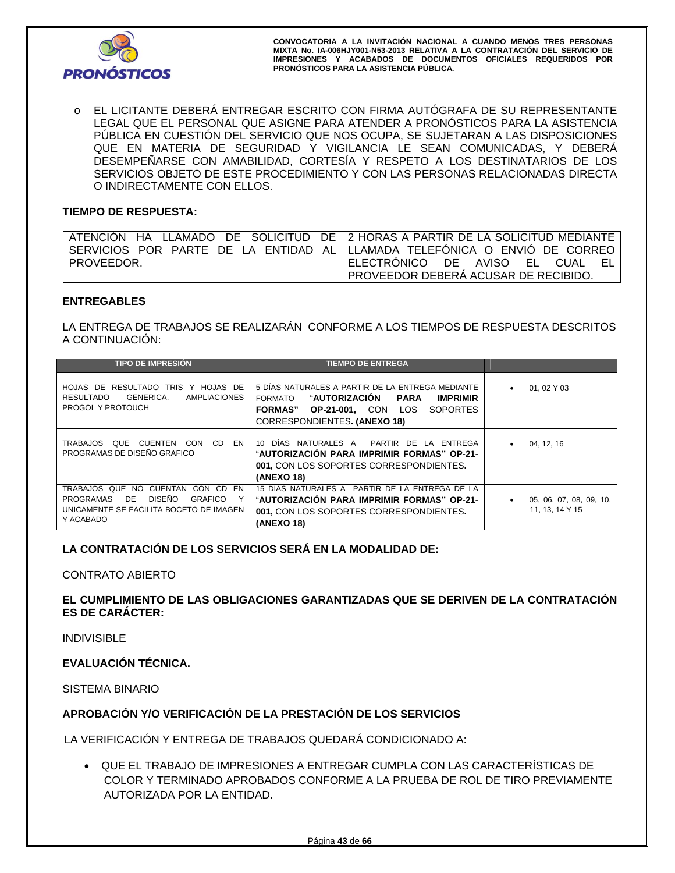

o EL LICITANTE DEBERÁ ENTREGAR ESCRITO CON FIRMA AUTÓGRAFA DE SU REPRESENTANTE LEGAL QUE EL PERSONAL QUE ASIGNE PARA ATENDER A PRONÓSTICOS PARA LA ASISTENCIA PÚBLICA EN CUESTIÓN DEL SERVICIO QUE NOS OCUPA, SE SUJETARAN A LAS DISPOSICIONES QUE EN MATERIA DE SEGURIDAD Y VIGILANCIA LE SEAN COMUNICADAS, Y DEBERÁ DESEMPEÑARSE CON AMABILIDAD, CORTESÍA Y RESPETO A LOS DESTINATARIOS DE LOS SERVICIOS OBJETO DE ESTE PROCEDIMIENTO Y CON LAS PERSONAS RELACIONADAS DIRECTA O INDIRECTAMENTE CON ELLOS.

# **TIEMPO DE RESPUESTA:**

|            | ∣ATENCIÓN HA LLAMADO DE SOLICITUD DE∣2 HORAS A PARTIR DE LA SOLICITUD MEDIANTE∣ |
|------------|---------------------------------------------------------------------------------|
|            | l SERVICIOS POR PARTE DE LA ENTIDAD AL·lLLAMADA TELEFONICA O ENVIO DE CORREO I  |
| PROVEEDOR. | ' ELECTRONICO DE AVISO EL<br>CUAL<br>EL I                                       |
|            | PROVEEDOR DEBERA ACUSAR DE RECIBIDO.                                            |

# **ENTREGABLES**

LA ENTREGA DE TRABAJOS SE REALIZARÁN CONFORME A LOS TIEMPOS DE RESPUESTA DESCRITOS A CONTINUACIÓN:

| <b>TIPO DE IMPRESIÓN</b>                                                                                                                      | <b>TIEMPO DE ENTREGA</b>                                                                                                                                                                            |                                                         |
|-----------------------------------------------------------------------------------------------------------------------------------------------|-----------------------------------------------------------------------------------------------------------------------------------------------------------------------------------------------------|---------------------------------------------------------|
| HOJAS DE RESULTADO TRIS Y HOJAS DE<br>GENERICA.<br>RESULTADO<br>AMPLIACIONES<br><b>PROGOL Y PROTOUCH</b>                                      | 5 DÍAS NATURALES A PARTIR DE LA ENTREGA MEDIANTE<br>"AUTORIZACIÓN PARA<br><b>FORMATO</b><br><b>IMPRIMIR</b><br>FORMAS" OP-21-001. CON LOS<br><b>SOPORTES</b><br><b>CORRESPONDIENTES. (ANEXO 18)</b> | 01, 02 Y 03<br>$\bullet$                                |
| TRABAJOS QUE CUENTEN CON CD EN<br>PROGRAMAS DE DISEÑO GRAFICO                                                                                 | 10 DÍAS NATURALES A PARTIR DE LA ENTREGA<br>"AUTORIZACIÓN PARA IMPRIMIR FORMAS" OP-21-<br>001, CON LOS SOPORTES CORRESPONDIENTES.<br>(ANEXO 18)                                                     | 04, 12, 16<br>$\bullet$                                 |
| TRABAJOS QUE NO CUENTAN CON CD EN<br>DISEÑO<br>DE<br>PROGRAMAS<br><b>GRAFICO</b><br>Υ<br>UNICAMENTE SE FACILITA BOCETO DE IMAGEN<br>Y ACABADO | 15 DÍAS NATURALES A PARTIR DE LA ENTREGA DE LA<br>"AUTORIZACIÓN PARA IMPRIMIR FORMAS" OP-21-<br>001, CON LOS SOPORTES CORRESPONDIENTES.<br>(ANEXO 18)                                               | 05, 06, 07, 08, 09, 10,<br>$\bullet$<br>11, 13, 14 Y 15 |

# **LA CONTRATACIÓN DE LOS SERVICIOS SERÁ EN LA MODALIDAD DE:**

# CONTRATO ABIERTO

# **EL CUMPLIMIENTO DE LAS OBLIGACIONES GARANTIZADAS QUE SE DERIVEN DE LA CONTRATACIÓN ES DE CARÁCTER:**

INDIVISIBLE

# **EVALUACIÓN TÉCNICA.**

SISTEMA BINARIO

# **APROBACIÓN Y/O VERIFICACIÓN DE LA PRESTACIÓN DE LOS SERVICIOS**

LA VERIFICACIÓN Y ENTREGA DE TRABAJOS QUEDARÁ CONDICIONADO A:

 QUE EL TRABAJO DE IMPRESIONES A ENTREGAR CUMPLA CON LAS CARACTERÍSTICAS DE COLOR Y TERMINADO APROBADOS CONFORME A LA PRUEBA DE ROL DE TIRO PREVIAMENTE AUTORIZADA POR LA ENTIDAD.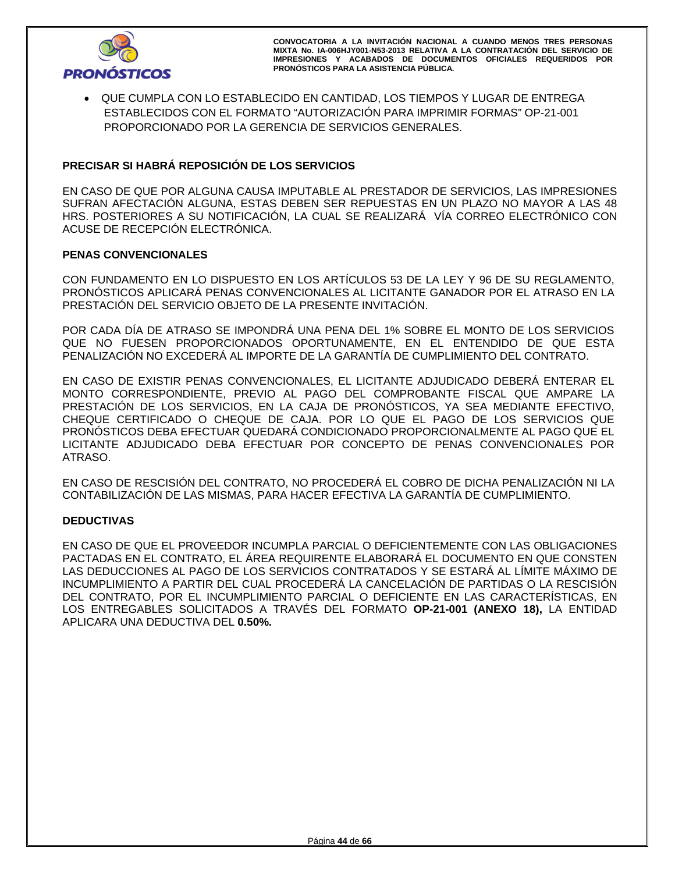

 QUE CUMPLA CON LO ESTABLECIDO EN CANTIDAD, LOS TIEMPOS Y LUGAR DE ENTREGA ESTABLECIDOS CON EL FORMATO "AUTORIZACIÓN PARA IMPRIMIR FORMAS" OP-21-001 PROPORCIONADO POR LA GERENCIA DE SERVICIOS GENERALES.

# **PRECISAR SI HABRÁ REPOSICIÓN DE LOS SERVICIOS**

EN CASO DE QUE POR ALGUNA CAUSA IMPUTABLE AL PRESTADOR DE SERVICIOS, LAS IMPRESIONES SUFRAN AFECTACIÓN ALGUNA, ESTAS DEBEN SER REPUESTAS EN UN PLAZO NO MAYOR A LAS 48 HRS. POSTERIORES A SU NOTIFICACIÓN, LA CUAL SE REALIZARÁ VÍA CORREO ELECTRÓNICO CON ACUSE DE RECEPCIÓN ELECTRÓNICA.

# **PENAS CONVENCIONALES**

CON FUNDAMENTO EN LO DISPUESTO EN LOS ARTÍCULOS 53 DE LA LEY Y 96 DE SU REGLAMENTO, PRONÓSTICOS APLICARÁ PENAS CONVENCIONALES AL LICITANTE GANADOR POR EL ATRASO EN LA PRESTACIÓN DEL SERVICIO OBJETO DE LA PRESENTE INVITACIÓN.

POR CADA DÍA DE ATRASO SE IMPONDRÁ UNA PENA DEL 1% SOBRE EL MONTO DE LOS SERVICIOS QUE NO FUESEN PROPORCIONADOS OPORTUNAMENTE, EN EL ENTENDIDO DE QUE ESTA PENALIZACIÓN NO EXCEDERÁ AL IMPORTE DE LA GARANTÍA DE CUMPLIMIENTO DEL CONTRATO.

EN CASO DE EXISTIR PENAS CONVENCIONALES, EL LICITANTE ADJUDICADO DEBERÁ ENTERAR EL MONTO CORRESPONDIENTE, PREVIO AL PAGO DEL COMPROBANTE FISCAL QUE AMPARE LA PRESTACIÓN DE LOS SERVICIOS, EN LA CAJA DE PRONÓSTICOS, YA SEA MEDIANTE EFECTIVO, CHEQUE CERTIFICADO O CHEQUE DE CAJA. POR LO QUE EL PAGO DE LOS SERVICIOS QUE PRONÓSTICOS DEBA EFECTUAR QUEDARÁ CONDICIONADO PROPORCIONALMENTE AL PAGO QUE EL LICITANTE ADJUDICADO DEBA EFECTUAR POR CONCEPTO DE PENAS CONVENCIONALES POR ATRASO.

EN CASO DE RESCISIÓN DEL CONTRATO, NO PROCEDERÁ EL COBRO DE DICHA PENALIZACIÓN NI LA CONTABILIZACIÓN DE LAS MISMAS, PARA HACER EFECTIVA LA GARANTÍA DE CUMPLIMIENTO.

# **DEDUCTIVAS**

EN CASO DE QUE EL PROVEEDOR INCUMPLA PARCIAL O DEFICIENTEMENTE CON LAS OBLIGACIONES PACTADAS EN EL CONTRATO, EL ÁREA REQUIRENTE ELABORARÁ EL DOCUMENTO EN QUE CONSTEN LAS DEDUCCIONES AL PAGO DE LOS SERVICIOS CONTRATADOS Y SE ESTARÁ AL LÍMITE MÁXIMO DE INCUMPLIMIENTO A PARTIR DEL CUAL PROCEDERÁ LA CANCELACIÓN DE PARTIDAS O LA RESCISIÓN DEL CONTRATO, POR EL INCUMPLIMIENTO PARCIAL O DEFICIENTE EN LAS CARACTERÍSTICAS, EN LOS ENTREGABLES SOLICITADOS A TRAVÉS DEL FORMATO **OP-21-001 (ANEXO 18),** LA ENTIDAD APLICARA UNA DEDUCTIVA DEL **0.50%.**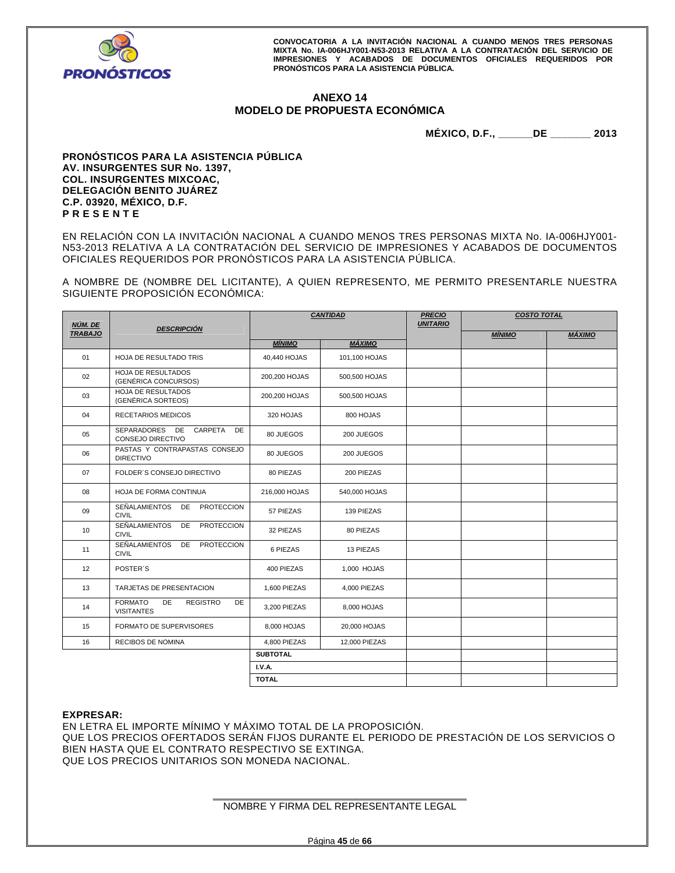

# **ANEXO 14 MODELO DE PROPUESTA ECONÓMICA**

**MÉXICO, D.F., \_\_\_\_\_\_DE \_\_\_\_\_\_\_ 2013** 

#### **PRONÓSTICOS PARA LA ASISTENCIA PÚBLICA AV. INSURGENTES SUR No. 1397, COL. INSURGENTES MIXCOAC, DELEGACIÓN BENITO JUÁREZ C.P. 03920, MÉXICO, D.F. P R E S E N T E**

EN RELACIÓN CON LA INVITACIÓN NACIONAL A CUANDO MENOS TRES PERSONAS MIXTA No. IA-006HJY001- N53-2013 RELATIVA A LA CONTRATACIÓN DEL SERVICIO DE IMPRESIONES Y ACABADOS DE DOCUMENTOS OFICIALES REQUERIDOS POR PRONÓSTICOS PARA LA ASISTENCIA PÚBLICA.

A NOMBRE DE (NOMBRE DEL LICITANTE), A QUIEN REPRESENTO, ME PERMITO PRESENTARLE NUESTRA SIGUIENTE PROPOSICIÓN ECONÓMICA:

| NÚM. DE        | <b>DESCRIPCIÓN</b>                                                 | <b>CANTIDAD</b> |               | <b>PRECIO</b><br><b>UNITARIO</b> | <b>COSTO TOTAL</b> |        |
|----------------|--------------------------------------------------------------------|-----------------|---------------|----------------------------------|--------------------|--------|
| <b>TRABAJO</b> |                                                                    | <b>MÍNIMO</b>   | <b>MÁXIMO</b> |                                  | <b>MÍNIMO</b>      | MÁXIMO |
| 01             | <b>HOJA DE RESULTADO TRIS</b>                                      | 40,440 HOJAS    | 101,100 HOJAS |                                  |                    |        |
| 02             | <b>HOJA DE RESULTADOS</b><br>(GENÉRICA CONCURSOS)                  | 200,200 HOJAS   | 500,500 HOJAS |                                  |                    |        |
| 03             | <b>HOJA DE RESULTADOS</b><br>(GENÉRICA SORTEOS)                    | 200,200 HOJAS   | 500,500 HOJAS |                                  |                    |        |
| 04             | <b>RECETARIOS MEDICOS</b>                                          | 320 HOJAS       | 800 HOJAS     |                                  |                    |        |
| 05             | SEPARADORES DE<br>CARPETA<br>DE<br>CONSEJO DIRECTIVO               | 80 JUEGOS       | 200 JUEGOS    |                                  |                    |        |
| 06             | PASTAS Y CONTRAPASTAS CONSEJO<br><b>DIRECTIVO</b>                  | 80 JUEGOS       | 200 JUEGOS    |                                  |                    |        |
| 07             | FOLDER'S CONSEJO DIRECTIVO                                         | 80 PIEZAS       | 200 PIEZAS    |                                  |                    |        |
| 08             | HOJA DE FORMA CONTINUA                                             | 216,000 HOJAS   | 540,000 HOJAS |                                  |                    |        |
| 09             | SEÑALAMIENTOS<br><b>PROTECCION</b><br>DE<br><b>CIVIL</b>           | 57 PIEZAS       | 139 PIEZAS    |                                  |                    |        |
| 10             | <b>SEÑALAMIENTOS</b><br>DE<br><b>PROTECCION</b><br><b>CIVIL</b>    | 32 PIEZAS       | 80 PIEZAS     |                                  |                    |        |
| 11             | SEÑALAMIENTOS DE<br>PROTECCION<br><b>CIVIL</b>                     | 6 PIEZAS        | 13 PIEZAS     |                                  |                    |        |
| 12             | POSTER'S                                                           | 400 PIEZAS      | 1,000 HOJAS   |                                  |                    |        |
| 13             | TARJETAS DE PRESENTACION                                           | 1,600 PIEZAS    | 4,000 PIEZAS  |                                  |                    |        |
| 14             | <b>FORMATO</b><br>DE<br><b>REGISTRO</b><br>DE<br><b>VISITANTES</b> | 3,200 PIEZAS    | 8,000 HOJAS   |                                  |                    |        |
| 15             | <b>FORMATO DE SUPERVISORES</b>                                     | 8,000 HOJAS     | 20,000 HOJAS  |                                  |                    |        |
| 16             | RECIBOS DE NOMINA                                                  | 4,800 PIEZAS    | 12,000 PIEZAS |                                  |                    |        |
|                |                                                                    | <b>SUBTOTAL</b> |               |                                  |                    |        |
|                |                                                                    | <b>I.V.A.</b>   |               |                                  |                    |        |
|                |                                                                    | <b>TOTAL</b>    |               |                                  |                    |        |

#### **EXPRESAR:**

EN LETRA EL IMPORTE MÍNIMO Y MÁXIMO TOTAL DE LA PROPOSICIÓN. QUE LOS PRECIOS OFERTADOS SERÁN FIJOS DURANTE EL PERIODO DE PRESTACIÓN DE LOS SERVICIOS O BIEN HASTA QUE EL CONTRATO RESPECTIVO SE EXTINGA. QUE LOS PRECIOS UNITARIOS SON MONEDA NACIONAL.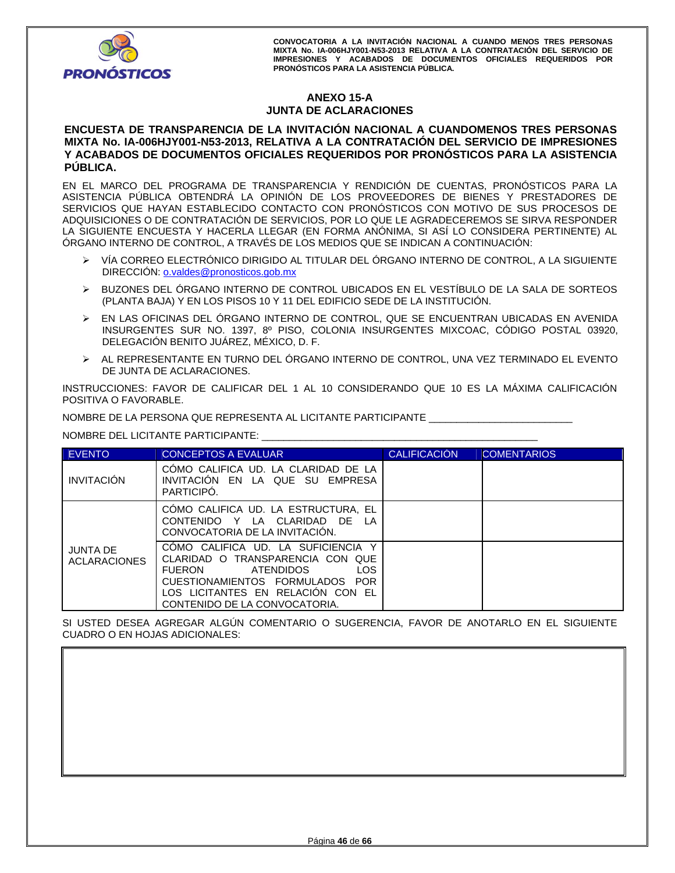

# **ANEXO 15-A JUNTA DE ACLARACIONES**

## **ENCUESTA DE TRANSPARENCIA DE LA INVITACIÓN NACIONAL A CUANDOMENOS TRES PERSONAS MIXTA No. IA-006HJY001-N53-2013, RELATIVA A LA CONTRATACIÓN DEL SERVICIO DE IMPRESIONES Y ACABADOS DE DOCUMENTOS OFICIALES REQUERIDOS POR PRONÓSTICOS PARA LA ASISTENCIA PÚBLICA.**

EN EL MARCO DEL PROGRAMA DE TRANSPARENCIA Y RENDICIÓN DE CUENTAS, PRONÓSTICOS PARA LA ASISTENCIA PÚBLICA OBTENDRÁ LA OPINIÓN DE LOS PROVEEDORES DE BIENES Y PRESTADORES DE SERVICIOS QUE HAYAN ESTABLECIDO CONTACTO CON PRONÓSTICOS CON MOTIVO DE SUS PROCESOS DE ADQUISICIONES O DE CONTRATACIÓN DE SERVICIOS, POR LO QUE LE AGRADECEREMOS SE SIRVA RESPONDER LA SIGUIENTE ENCUESTA Y HACERLA LLEGAR (EN FORMA ANÓNIMA, SI ASÍ LO CONSIDERA PERTINENTE) AL ÓRGANO INTERNO DE CONTROL, A TRAVÉS DE LOS MEDIOS QUE SE INDICAN A CONTINUACIÓN:

- VÍA CORREO ELECTRÓNICO DIRIGIDO AL TITULAR DEL ÓRGANO INTERNO DE CONTROL, A LA SIGUIENTE DIRECCIÓN: o.valdes@pronosticos.gob.mx
- BUZONES DEL ÓRGANO INTERNO DE CONTROL UBICADOS EN EL VESTÍBULO DE LA SALA DE SORTEOS (PLANTA BAJA) Y EN LOS PISOS 10 Y 11 DEL EDIFICIO SEDE DE LA INSTITUCIÓN.
- EN LAS OFICINAS DEL ÓRGANO INTERNO DE CONTROL, QUE SE ENCUENTRAN UBICADAS EN AVENIDA INSURGENTES SUR NO. 1397, 8º PISO, COLONIA INSURGENTES MIXCOAC, CÓDIGO POSTAL 03920, DELEGACIÓN BENITO JUÁREZ, MÉXICO, D. F.
- AL REPRESENTANTE EN TURNO DEL ÓRGANO INTERNO DE CONTROL, UNA VEZ TERMINADO EL EVENTO DE JUNTA DE ACLARACIONES.

INSTRUCCIONES: FAVOR DE CALIFICAR DEL 1 AL 10 CONSIDERANDO QUE 10 ES LA MÁXIMA CALIFICACIÓN POSITIVA O FAVORABLE.

NOMBRE DE LA PERSONA QUE REPRESENTA AL LICITANTE PARTICIPANTE \_\_\_\_\_\_\_\_\_\_\_\_\_\_\_\_\_\_\_\_\_\_\_\_\_\_

NOMBRE DEL LICITANTE PARTICIPANTE: \_\_\_\_\_\_\_\_\_\_\_\_\_\_\_\_\_\_\_\_\_\_\_\_\_\_\_\_\_\_\_\_\_\_\_\_\_\_\_\_\_\_\_\_\_\_\_\_\_\_

| <b>EVENTO</b>                          | <b>CONCEPTOS A EVALUAR</b>                                                                                                                                                                                           | <b>CALIFICACIÓN</b> | <b>COMENTARIOS</b> |
|----------------------------------------|----------------------------------------------------------------------------------------------------------------------------------------------------------------------------------------------------------------------|---------------------|--------------------|
| <b>INVITACIÓN</b>                      | COMO CALIFICA UD. LA CLARIDAD DE LA<br>INVITACION EN LA QUE SU EMPRESA<br>PARTICIPO.                                                                                                                                 |                     |                    |
|                                        | COMO CALIFICA UD. LA ESTRUCTURA, EL<br>CONTENIDO Y LA CLARIDAD DE LA<br>CONVOCATORIA DE LA INVITACIÓN.                                                                                                               |                     |                    |
| <b>JUNTA DE</b><br><b>ACLARACIONES</b> | COMO CALIFICA UD. LA SUFICIENCIA Y<br>CLARIDAD O TRANSPARENCIA CON QUE<br><b>LOS</b><br>FUERON<br>ATENDIDOS<br>CUESTIONAMIENTOS FORMULADOS POR<br>LOS LICITANTES EN RELACION CON EL<br>CONTENIDO DE LA CONVOCATORIA. |                     |                    |

SI USTED DESEA AGREGAR ALGÚN COMENTARIO O SUGERENCIA, FAVOR DE ANOTARLO EN EL SIGUIENTE CUADRO O EN HOJAS ADICIONALES: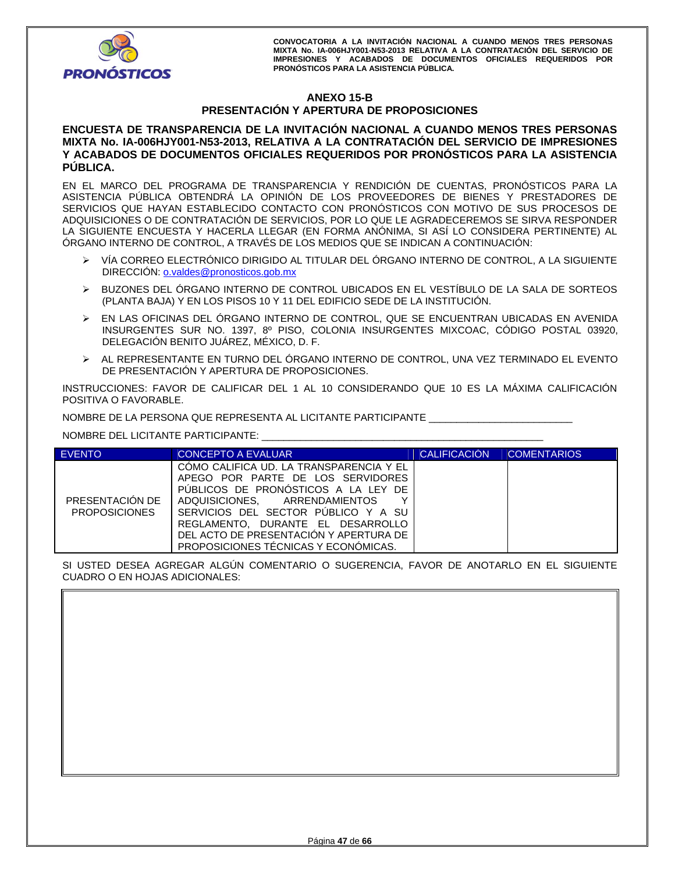

# **ANEXO 15-B PRESENTACIÓN Y APERTURA DE PROPOSICIONES**

**ENCUESTA DE TRANSPARENCIA DE LA INVITACIÓN NACIONAL A CUANDO MENOS TRES PERSONAS MIXTA No. IA-006HJY001-N53-2013, RELATIVA A LA CONTRATACIÓN DEL SERVICIO DE IMPRESIONES Y ACABADOS DE DOCUMENTOS OFICIALES REQUERIDOS POR PRONÓSTICOS PARA LA ASISTENCIA PÚBLICA.** 

EN EL MARCO DEL PROGRAMA DE TRANSPARENCIA Y RENDICIÓN DE CUENTAS, PRONÓSTICOS PARA LA ASISTENCIA PÚBLICA OBTENDRÁ LA OPINIÓN DE LOS PROVEEDORES DE BIENES Y PRESTADORES DE SERVICIOS QUE HAYAN ESTABLECIDO CONTACTO CON PRONÓSTICOS CON MOTIVO DE SUS PROCESOS DE ADQUISICIONES O DE CONTRATACIÓN DE SERVICIOS, POR LO QUE LE AGRADECEREMOS SE SIRVA RESPONDER LA SIGUIENTE ENCUESTA Y HACERLA LLEGAR (EN FORMA ANÓNIMA, SI ASÍ LO CONSIDERA PERTINENTE) AL ÓRGANO INTERNO DE CONTROL, A TRAVÉS DE LOS MEDIOS QUE SE INDICAN A CONTINUACIÓN:

- VÍA CORREO ELECTRÓNICO DIRIGIDO AL TITULAR DEL ÓRGANO INTERNO DE CONTROL, A LA SIGUIENTE DIRECCIÓN: o.valdes@pronosticos.gob.mx
- BUZONES DEL ÓRGANO INTERNO DE CONTROL UBICADOS EN EL VESTÍBULO DE LA SALA DE SORTEOS (PLANTA BAJA) Y EN LOS PISOS 10 Y 11 DEL EDIFICIO SEDE DE LA INSTITUCIÓN.
- EN LAS OFICINAS DEL ÓRGANO INTERNO DE CONTROL, QUE SE ENCUENTRAN UBICADAS EN AVENIDA INSURGENTES SUR NO. 1397, 8º PISO, COLONIA INSURGENTES MIXCOAC, CÓDIGO POSTAL 03920, DELEGACIÓN BENITO JUÁREZ, MÉXICO, D. F.
- AL REPRESENTANTE EN TURNO DEL ÓRGANO INTERNO DE CONTROL, UNA VEZ TERMINADO EL EVENTO DE PRESENTACIÓN Y APERTURA DE PROPOSICIONES.

INSTRUCCIONES: FAVOR DE CALIFICAR DEL 1 AL 10 CONSIDERANDO QUE 10 ES LA MÁXIMA CALIFICACIÓN POSITIVA O FAVORABLE.

NOMBRE DE LA PERSONA QUE REPRESENTA AL LICITANTE PARTICIPANTE \_\_\_\_\_\_\_\_\_\_\_\_\_\_\_\_\_\_\_\_\_\_\_\_\_\_

NOMBRE DEL LICITANTE PARTICIPANTE: \_\_\_\_\_\_\_\_\_\_\_\_\_\_\_\_\_\_\_\_\_\_\_\_\_\_\_\_\_\_\_\_\_\_\_\_\_\_\_\_\_\_\_\_\_\_\_\_\_\_\_

| <b>EVENTO</b>                           | <b>CONCEPTO A EVALUAR</b>                                                                                                                                                                                                                                                                                               | <b>CALIFICACIÓN</b> | <b>COMENTARIOS</b> |
|-----------------------------------------|-------------------------------------------------------------------------------------------------------------------------------------------------------------------------------------------------------------------------------------------------------------------------------------------------------------------------|---------------------|--------------------|
| PRESENTACIÓN DE<br><b>PROPOSICIONES</b> | COMO CALIFICA UD. LA TRANSPARENCIA Y EL<br>APEGO POR PARTE DE LOS SERVIDORES<br>PUBLICOS DE PRONOSTICOS A LA LEY DE<br>ADQUISICIONES. ARRENDAMIENTOS<br>v<br>SERVICIOS DEL SECTOR PUBLICO Y A SU<br>REGLAMENTO, DURANTE EL DESARROLLO<br>DEL ACTO DE PRESENTACIÓN Y APERTURA DE<br>PROPOSICIONES TÉCNICAS Y ECONÓMICAS. |                     |                    |

SI USTED DESEA AGREGAR ALGÚN COMENTARIO O SUGERENCIA, FAVOR DE ANOTARLO EN EL SIGUIENTE CUADRO O EN HOJAS ADICIONALES: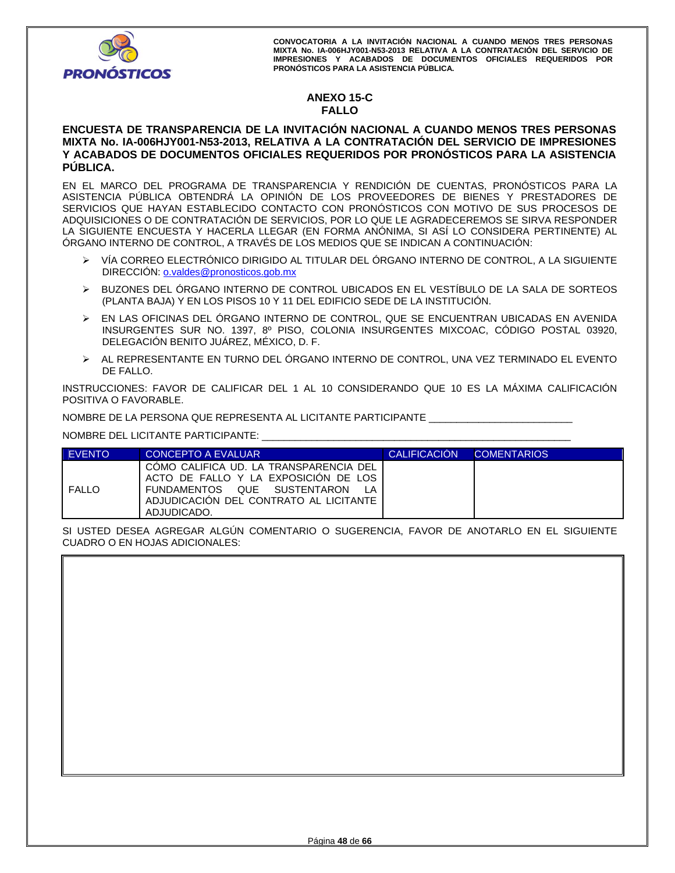

# **ANEXO 15-C FALLO**

# **ENCUESTA DE TRANSPARENCIA DE LA INVITACIÓN NACIONAL A CUANDO MENOS TRES PERSONAS MIXTA No. IA-006HJY001-N53-2013, RELATIVA A LA CONTRATACIÓN DEL SERVICIO DE IMPRESIONES Y ACABADOS DE DOCUMENTOS OFICIALES REQUERIDOS POR PRONÓSTICOS PARA LA ASISTENCIA PÚBLICA.**

EN EL MARCO DEL PROGRAMA DE TRANSPARENCIA Y RENDICIÓN DE CUENTAS, PRONÓSTICOS PARA LA ASISTENCIA PÚBLICA OBTENDRÁ LA OPINIÓN DE LOS PROVEEDORES DE BIENES Y PRESTADORES DE SERVICIOS QUE HAYAN ESTABLECIDO CONTACTO CON PRONÓSTICOS CON MOTIVO DE SUS PROCESOS DE ADQUISICIONES O DE CONTRATACIÓN DE SERVICIOS, POR LO QUE LE AGRADECEREMOS SE SIRVA RESPONDER LA SIGUIENTE ENCUESTA Y HACERLA LLEGAR (EN FORMA ANÓNIMA, SI ASÍ LO CONSIDERA PERTINENTE) AL ÓRGANO INTERNO DE CONTROL, A TRAVÉS DE LOS MEDIOS QUE SE INDICAN A CONTINUACIÓN:

- VÍA CORREO ELECTRÓNICO DIRIGIDO AL TITULAR DEL ÓRGANO INTERNO DE CONTROL, A LA SIGUIENTE DIRECCIÓN: o.valdes@pronosticos.gob.mx
- BUZONES DEL ÓRGANO INTERNO DE CONTROL UBICADOS EN EL VESTÍBULO DE LA SALA DE SORTEOS (PLANTA BAJA) Y EN LOS PISOS 10 Y 11 DEL EDIFICIO SEDE DE LA INSTITUCIÓN.
- EN LAS OFICINAS DEL ÓRGANO INTERNO DE CONTROL, QUE SE ENCUENTRAN UBICADAS EN AVENIDA INSURGENTES SUR NO. 1397, 8º PISO, COLONIA INSURGENTES MIXCOAC, CÓDIGO POSTAL 03920, DELEGACIÓN BENITO JUÁREZ, MÉXICO, D. F.
- AL REPRESENTANTE EN TURNO DEL ÓRGANO INTERNO DE CONTROL, UNA VEZ TERMINADO EL EVENTO DE FALLO.

INSTRUCCIONES: FAVOR DE CALIFICAR DEL 1 AL 10 CONSIDERANDO QUE 10 ES LA MÁXIMA CALIFICACIÓN POSITIVA O FAVORABLE.

NOMBRE DE LA PERSONA QUE REPRESENTA AL LICITANTE PARTICIPANTE \_\_\_\_\_\_\_\_\_\_\_\_\_\_\_\_\_\_\_\_\_\_\_\_\_\_

NOMBRE DEL LICITANTE PARTICIPANTE: \_\_\_\_\_\_\_\_\_\_\_\_\_\_\_\_\_\_\_\_\_\_\_\_\_\_\_\_\_\_\_\_\_\_\_\_\_\_\_\_\_\_\_\_\_\_\_\_\_\_\_\_\_\_\_\_

| <b>EVENTO</b> | CONCEPTO A EVALUAR                                                                                                                                                     | <b>CALIFICACIÓN</b> | <b>COMENTARIOS</b> |
|---------------|------------------------------------------------------------------------------------------------------------------------------------------------------------------------|---------------------|--------------------|
| <b>FALLO</b>  | COMO CALIFICA UD. LA TRANSPARENCIA DEL<br>ACTO DE FALLO Y LA EXPOSICION DE LOS<br>FUNDAMENTOS QUE SUSTENTARON<br>ADJUDICACIÓN DEL CONTRATO AL LICITANTE<br>ADJUDICADO. |                     |                    |

SI USTED DESEA AGREGAR ALGÚN COMENTARIO O SUGERENCIA, FAVOR DE ANOTARLO EN EL SIGUIENTE CUADRO O EN HOJAS ADICIONALES: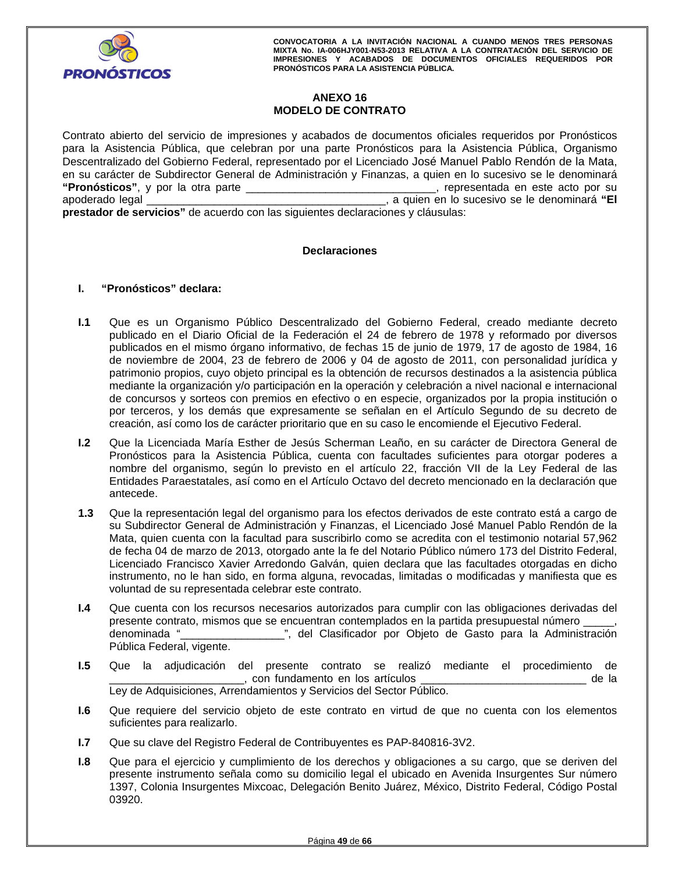

# **ANEXO 16 MODELO DE CONTRATO**

Contrato abierto del servicio de impresiones y acabados de documentos oficiales requeridos por Pronósticos para la Asistencia Pública, que celebran por una parte Pronósticos para la Asistencia Pública, Organismo Descentralizado del Gobierno Federal, representado por el Licenciado José Manuel Pablo Rendón de la Mata, en su carácter de Subdirector General de Administración y Finanzas, a quien en lo sucesivo se le denominará **"Pronósticos"**, y por la otra parte \_\_\_\_\_\_\_\_\_\_\_\_\_\_\_\_\_\_\_\_\_\_\_\_\_\_\_\_\_\_\_, representada en este acto por su apoderado legal \_\_\_\_\_\_\_\_\_\_\_\_\_\_\_\_\_\_\_\_\_\_\_\_\_\_\_\_\_\_\_\_\_\_\_\_\_\_\_, a quien en lo sucesivo se le denominará **"El prestador de servicios"** de acuerdo con las siguientes declaraciones y cláusulas:

# **Declaraciones**

# **I. "Pronósticos" declara:**

- **I.1** Que es un Organismo Público Descentralizado del Gobierno Federal, creado mediante decreto publicado en el Diario Oficial de la Federación el 24 de febrero de 1978 y reformado por diversos publicados en el mismo órgano informativo, de fechas 15 de junio de 1979, 17 de agosto de 1984, 16 de noviembre de 2004, 23 de febrero de 2006 y 04 de agosto de 2011, con personalidad jurídica y patrimonio propios, cuyo objeto principal es la obtención de recursos destinados a la asistencia pública mediante la organización y/o participación en la operación y celebración a nivel nacional e internacional de concursos y sorteos con premios en efectivo o en especie, organizados por la propia institución o por terceros, y los demás que expresamente se señalan en el Artículo Segundo de su decreto de creación, así como los de carácter prioritario que en su caso le encomiende el Ejecutivo Federal.
- nombre del organismo, según lo previsto en el artículo 22, fracción VII de la Ley Federal<br>Entidades Paraestatales, así como en el Artículo Octavo del decreto mencionado en la declarac<br>antecede. **I.2** Que la Licenciada María Esther de Jesús Scherman Leaño, en su carácter de Directora General de Pronósticos para la Asistencia Pública, cuenta con facultades suficientes para otorgar poderes a nombre del organismo, según lo previsto en el artículo 22, fracción VII de la Ley Federal de las Entidades Paraestatales, así como en el Artículo Octavo del decreto mencionado en la declaración que antecede.
- **1.3** Que la representación legal del organismo para los efectos derivados de este contrato está a cargo de su Subdirector General de Administración y Finanzas, el Licenciado José Manuel Pablo Rendón de la Mata, quien cuenta con la facultad para suscribirlo como se acredita con el testimonio notarial 57,962 de fecha 04 de marzo de 2013, otorgado ante la fe del Notario Público número 173 del Distrito Federal, Licenciado Francisco Xavier Arredondo Galván, quien declara que las facultades otorgadas en dicho instrumento, no le han sido, en forma alguna, revocadas, limitadas o modificadas y manifiesta que es voluntad de su representada celebrar este contrato.
- **I.4** Que cuenta con los recursos necesarios autorizados para cumplir con las obligaciones derivadas del presente contrato, mismos que se encuentran contemplados en la partida presupuestal número \_\_\_\_\_, denominada "\_\_\_\_\_\_\_\_\_\_\_\_\_\_\_\_\_", del Clasificador por Objeto de Gasto para la Administración Pública Federal, vigente.
- **I.5** Que la adjudicación del presente contrato se realizó mediante el procedimiento de \_, con fundamento en los artículos \_\_\_\_\_\_\_\_\_\_\_\_\_\_\_\_\_\_\_\_\_\_\_\_\_\_\_\_\_\_\_ de la Ley de Adquisiciones, Arrendamientos y Servicios del Sector Público.
- **I.6** Que requiere del servicio objeto de este contrato en virtud de que no cuenta con los elementos suficientes para realizarlo.
- **I.7** Que su clave del Registro Federal de Contribuyentes es PAP-840816-3V2.
- **I.8** Que para el ejercicio y cumplimiento de los derechos y obligaciones a su cargo, que se deriven del presente instrumento señala como su domicilio legal el ubicado en Avenida Insurgentes Sur número 1397, Colonia Insurgentes Mixcoac, Delegación Benito Juárez, México, Distrito Federal, Código Postal 03920.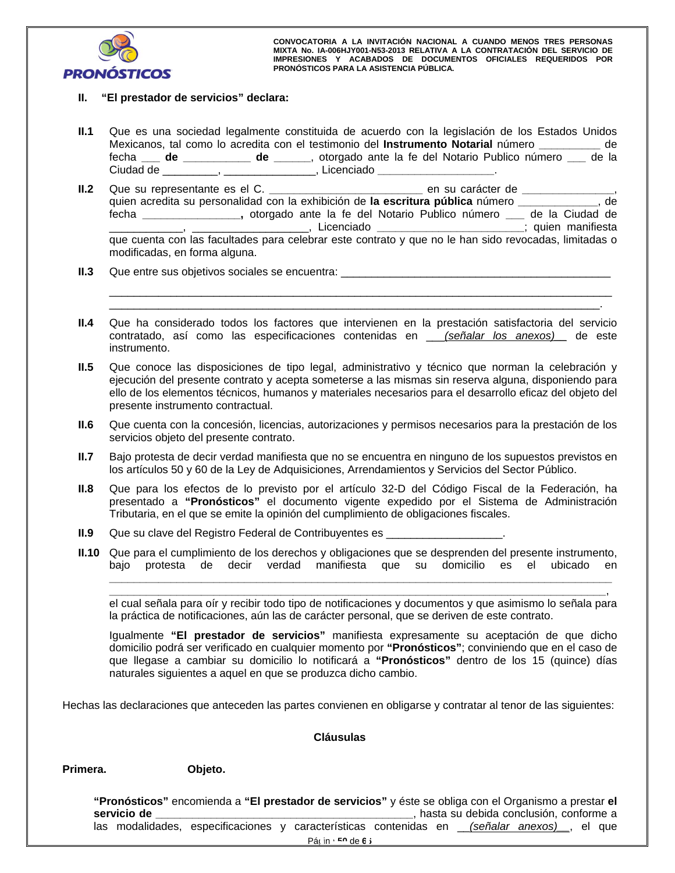

# **II. "El prestador de servicios" declara:**

- **II.1** Que es una sociedad legalmente constituida de acuerdo con la legislación de los Estados Unidos Mexicanos, tal como lo acredita con el testimonio del **Instrumento Notarial** número **\_\_\_\_\_\_\_\_\_\_** de fecha **\_\_\_ de \_\_\_\_\_\_\_\_\_\_\_ de \_\_\_\_\_\_**, otorgado ante la fe del Notario Publico número **\_\_\_** de la Ciudad de \_\_\_\_\_\_\_\_\_, \_\_\_\_\_\_\_\_\_\_\_\_\_\_\_, Licenciado **\_\_\_\_\_\_\_\_\_\_\_\_\_\_\_\_\_\_\_**.
- The contract of the contract of the contract of the contract of the contract of the contract of the contract of the contract of the contract of the contract of the contract of the contract of the contract of the contract o **II.2** Que su representante es el C. **\_\_\_\_\_\_\_\_\_\_\_\_\_\_\_\_\_\_\_\_\_\_\_\_\_** en su carácter de **\_\_\_\_\_\_\_\_\_\_\_\_\_\_\_**, quien acredita su personalidad con la exhibición de **la escritura pública** número **\_\_\_\_\_\_\_\_\_\_\_\_\_**, de fecha **\_\_\_\_\_\_\_\_\_\_\_\_\_\_\_\_,** otorgado ante la fe del Notario Publico número **\_\_\_** de la Ciudad de \_\_\_\_\_\_\_\_\_\_\_\_\_\_\_\_\_\_, Licenciado \_\_ que cuenta con las facultades para celebrar este contrato y que no le han sido revocadas, limitadas o modificadas, en forma alguna.
- **II.3** Que entre sus objetivos sociales se encuentra: \_\_\_\_\_\_\_\_\_\_\_\_\_\_\_\_\_\_\_\_\_\_\_\_\_\_\_
- **II.4** Que ha considerado todos los factores que intervienen en la prestación satisfactoria del servicio contratado, así como las especificaciones contenidas en \_\_\_*(señalar los anexos)\_\_* de este instrumento.

\_\_\_\_\_\_\_\_\_\_\_\_\_\_\_\_\_\_\_\_\_\_\_\_\_\_\_\_\_\_\_\_\_\_\_\_\_\_\_\_\_\_\_\_\_\_\_\_\_\_\_\_\_\_\_\_\_\_\_\_\_\_\_\_\_\_\_\_\_\_\_\_\_\_\_\_\_\_\_\_\_\_ \_\_\_\_\_\_\_\_\_\_\_\_\_\_\_\_\_\_\_\_\_\_\_\_\_\_\_\_\_\_\_\_\_\_\_\_\_\_\_\_\_\_\_\_\_\_\_\_\_\_\_\_\_\_\_\_\_\_\_\_\_\_\_\_\_\_\_\_\_\_\_\_\_\_\_\_\_\_\_\_.

- **II.5** Que conoce las disposiciones de tipo legal, administrativo y técnico que norman la celebración y ejecución del presente contrato y acepta someterse a las mismas sin reserva alguna, disponiendo para ello de los elementos técnicos, humanos y materiales necesarios para el desarrollo eficaz del objeto del presente instrumento contractual.
- **II.6** Que cuenta con la concesión, licencias, autorizaciones y permisos necesarios para la prestación de los servicios objeto del presente contrato.
- **II.7** Bajo protesta de decir verdad manifiesta que no se encuentra en ninguno de los supuestos previstos en los artículos 50 y 60 de la Ley de Adquisiciones, Arrendamientos y Servicios del Sector Público.
- **II.8** Que para los efectos de lo previsto por el artículo 32-D del Código Fiscal de la Federación, ha presentado a **"Pronósticos"** el documento vigente expedido por el Sistema de Administración Tributaria, en el que se emite la opinión del cumplimiento de obligaciones fiscales.
- **II.9** Que su clave del Registro Federal de Contribuyentes es \_\_\_\_\_\_\_\_\_\_\_\_\_\_\_\_\_\_\_
- **II.10** Que para el cumplimiento de los derechos y obligaciones que se desprenden del presente instrumento, bajo protesta de decir verdad manifiesta que su domicilio es el ubicado en

**\_\_\_\_\_\_\_\_\_\_\_\_\_\_\_\_\_\_\_\_\_\_\_\_\_\_\_\_\_\_\_\_\_\_\_\_\_\_\_\_\_\_\_\_\_\_\_\_\_\_\_\_\_\_\_\_\_\_\_\_\_\_\_\_\_\_\_\_\_\_\_\_\_\_\_\_\_\_\_\_\_**, el cual señala para oír y recibir todo tipo de notificaciones y documentos y que asimismo lo señala para la práctica de notificaciones, aún las de carácter personal, que se deriven de este contrato.

**\_\_\_\_\_\_\_\_\_\_\_\_\_\_\_\_\_\_\_\_\_\_\_\_\_\_\_\_\_\_\_\_\_\_\_\_\_\_\_\_\_\_\_\_\_\_\_\_\_\_\_\_\_\_\_\_\_\_\_\_\_\_\_\_\_\_\_\_\_\_\_\_\_\_\_\_\_\_\_\_\_\_**

Igualmente **"El prestador de servicios"** manifiesta expresamente su aceptación de que dicho domicilio podrá ser verificado en cualquier momento por **"Pronósticos"**; conviniendo que en el caso de que llegase a cambiar su domicilio lo notificará a **"Pronósticos"** dentro de los 15 (quince) días naturales siguientes a aquel en que se produzca dicho cambio.

Hechas las declaraciones que anteceden las partes convienen en obligarse y contratar al tenor de las siguientes:

# **Cláusulas**

#### **Primera. Objeto.**

Pácin<sup>a **50** de **66**</sup> las modalidades, especificaciones y características contenidas en *\_\_\_(señalar anexos)*\_\_, el que<br>
Pácin fo de 6 i<br>
Décoration de 6 i de 4 i de 4 i de 4 i de 4 i de 4 i de 4 i de 4 i de 4 i de 4 i de 4 i de 4 i de 4 i de 4 **"Pronósticos"** encomienda a **"El prestador de servicios"** y éste se obliga con el Organismo a prestar **el servicio de algo de servicio de la conclusión**, conforme a conclusión, conforme a conclusión, conforme a conclusión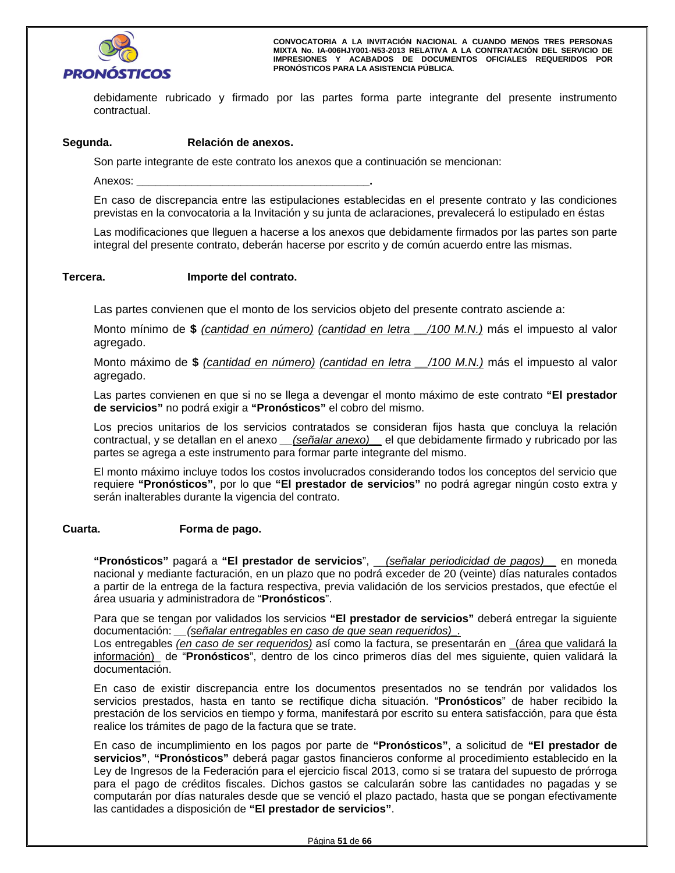

debidamente rubricado y firmado por las partes forma parte integrante del presente instrumento contractual.

# **Segunda. Relación de anexos.**

Son parte integrante de este contrato los anexos que a continuación se mencionan:

Anexos: **\_\_\_\_\_\_\_\_\_\_\_\_\_\_\_\_\_\_\_\_\_\_\_\_\_\_\_\_\_\_\_\_\_\_\_\_\_\_.**

En caso de discrepancia entre las estipulaciones establecidas en el presente contrato y las condiciones previstas en la convocatoria a la Invitación y su junta de aclaraciones, prevalecerá lo estipulado en éstas

Las modificaciones que lleguen a hacerse a los anexos que debidamente firmados por las partes son parte integral del presente contrato, deberán hacerse por escrito y de común acuerdo entre las mismas.

#### **Tercera. Importe del contrato.**

Las partes convienen que el monto de los servicios objeto del presente contrato asciende a:

Monto mínimo de **\$** *(cantidad en número) (cantidad en letra \_\_/100 M.N.)* más el impuesto al valor agregado.

Monto máximo de **\$** *(cantidad en número) (cantidad en letra \_\_/100 M.N.)* más el impuesto al valor agregado.

Las partes convienen en que si no se llega a devengar el monto máximo de este contrato **"El prestador de servicios"** no podrá exigir a **"Pronósticos"** el cobro del mismo.

Los precios unitarios de los servicios contratados se consideran fijos hasta que concluya la relación contractual, y se detallan en el anexo *\_\_(señalar anexo)\_\_* el que debidamente firmado y rubricado por las partes se agrega a este instrumento para formar parte integrante del mismo.

El monto máximo incluye todos los costos involucrados considerando todos los conceptos del servicio que requiere **"Pronósticos"**, por lo que **"El prestador de servicios"** no podrá agregar ningún costo extra y serán inalterables durante la vigencia del contrato.

# **Cuarta. Forma de pago.**

**"Pronósticos"** pagará a **"El prestador de servicios**", \_\_*(señalar periodicidad de pagos)\_\_* en moneda nacional y mediante facturación, en un plazo que no podrá exceder de 20 (veinte) días naturales contados a partir de la entrega de la factura respectiva, previa validación de los servicios prestados, que efectúe el área usuaria y administradora de "**Pronósticos**".

Para que se tengan por validados los servicios **"El prestador de servicios"** deberá entregar la siguiente documentación: *\_\_(señalar entregables en caso de que sean requeridos)\_.* 

Los entregables *(en caso de ser requeridos)* así como la factura, se presentarán en *(área que validará la* información)\_ de "**Pronósticos**", dentro de los cinco primeros días del mes siguiente, quien validará la documentación.

En caso de existir discrepancia entre los documentos presentados no se tendrán por validados los servicios prestados, hasta en tanto se rectifique dicha situación. "**Pronósticos**" de haber recibido la prestación de los servicios en tiempo y forma, manifestará por escrito su entera satisfacción, para que ésta realice los trámites de pago de la factura que se trate.

Final of page are change and the computarán por días naturales desde que se venció el plazo pactado, hasta que se pongan efectivamente<br>las cantidades a disposición de "El prestador de servicios". En caso de incumplimiento en los pagos por parte de **"Pronósticos"**, a solicitud de **"El prestador de servicios"**, **"Pronósticos"** deberá pagar gastos financieros conforme al procedimiento establecido en la Ley de Ingresos de la Federación para el ejercicio fiscal 2013, como si se tratara del supuesto de prórroga para el pago de créditos fiscales. Dichos gastos se calcularán sobre las cantidades no pagadas y se las cantidades a disposición de **"El prestador de servicios"**.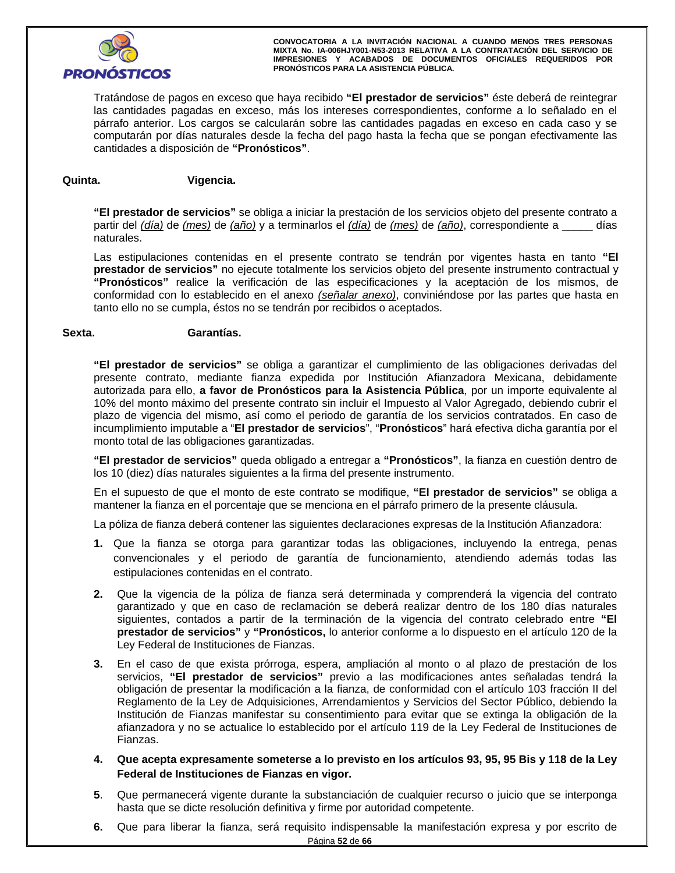

Tratándose de pagos en exceso que haya recibido **"El prestador de servicios"** éste deberá de reintegrar las cantidades pagadas en exceso, más los intereses correspondientes, conforme a lo señalado en el párrafo anterior. Los cargos se calcularán sobre las cantidades pagadas en exceso en cada caso y se computarán por días naturales desde la fecha del pago hasta la fecha que se pongan efectivamente las cantidades a disposición de **"Pronósticos"**.

# **Quinta. Vigencia.**

**"El prestador de servicios"** se obliga a iniciar la prestación de los servicios objeto del presente contrato a partir del *(día)* de *(mes)* de *(año)* y a terminarlos el *(día)* de *(mes)* de *(año)*, correspondiente a \_\_\_\_\_ días naturales.

Las estipulaciones contenidas en el presente contrato se tendrán por vigentes hasta en tanto **"El prestador de servicios"** no ejecute totalmente los servicios objeto del presente instrumento contractual y **"Pronósticos"** realice la verificación de las especificaciones y la aceptación de los mismos, de conformidad con lo establecido en el anexo *(señalar anexo)*, conviniéndose por las partes que hasta en tanto ello no se cumpla, éstos no se tendrán por recibidos o aceptados.

# **Sexta. Garantías.**

**"El prestador de servicios"** se obliga a garantizar el cumplimiento de las obligaciones derivadas del presente contrato, mediante fianza expedida por Institución Afianzadora Mexicana, debidamente autorizada para ello, **a favor de Pronósticos para la Asistencia Pública**, por un importe equivalente al 10% del monto máximo del presente contrato sin incluir el Impuesto al Valor Agregado, debiendo cubrir el plazo de vigencia del mismo, así como el periodo de garantía de los servicios contratados. En caso de incumplimiento imputable a "**El prestador de servicios**", "**Pronósticos**" hará efectiva dicha garantía por el monto total de las obligaciones garantizadas.

**"El prestador de servicios"** queda obligado a entregar a **"Pronósticos"**, la fianza en cuestión dentro de los 10 (diez) días naturales siguientes a la firma del presente instrumento.

En el supuesto de que el monto de este contrato se modifique, **"El prestador de servicios"** se obliga a mantener la fianza en el porcentaje que se menciona en el párrafo primero de la presente cláusula.

La póliza de fianza deberá contener las siguientes declaraciones expresas de la Institución Afianzadora:

- **1.** Que la fianza se otorga para garantizar todas las obligaciones, incluyendo la entrega, penas convencionales y el periodo de garantía de funcionamiento, atendiendo además todas las estipulaciones contenidas en el contrato.
- **2.** Que la vigencia de la póliza de fianza será determinada y comprenderá la vigencia del contrato garantizado y que en caso de reclamación se deberá realizar dentro de los 180 días naturales siguientes, contados a partir de la terminación de la vigencia del contrato celebrado entre **"El prestador de servicios"** y **"Pronósticos,** lo anterior conforme a lo dispuesto en el artículo 120 de la Ley Federal de Instituciones de Fianzas.
- **3.** En el caso de que exista prórroga, espera, ampliación al monto o al plazo de prestación de los servicios, **"El prestador de servicios"** previo a las modificaciones antes señaladas tendrá la obligación de presentar la modificación a la fianza, de conformidad con el artículo 103 fracción II del Reglamento de la Ley de Adquisiciones, Arrendamientos y Servicios del Sector Público, debiendo la Institución de Fianzas manifestar su consentimiento para evitar que se extinga la obligación de la afianzadora y no se actualice lo establecido por el artículo 119 de la Ley Federal de Instituciones de Fianzas.
- Fianzas.<br>4. Que acepta expresamente someterse a lo previsto en los artículos 93, 95, 95 Bis y 118 de la Ley<br>Foderal de Instituciones de Fianzas en viger **Federal de Instituciones de Fianzas en vigor.**
- **5**. Que permanecerá vigente durante la substanciación de cualquier recurso o juicio que se interponga hasta que se dicte resolución definitiva y firme por autoridad competente.
- Página **52** de **66 6.** Que para liberar la fianza, será requisito indispensable la manifestación expresa y por escrito de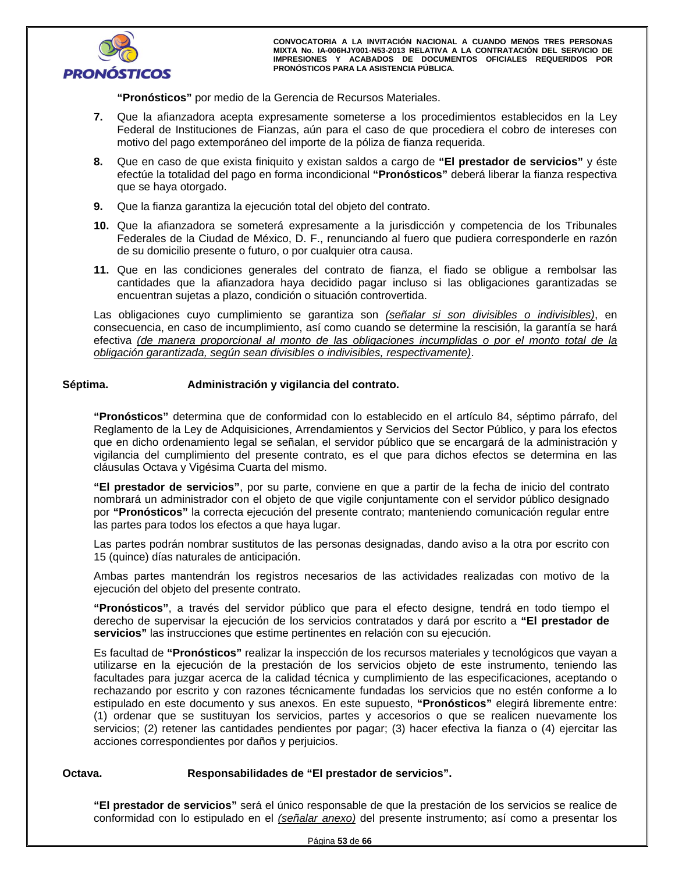

**"Pronósticos"** por medio de la Gerencia de Recursos Materiales.

- **7.** Que la afianzadora acepta expresamente someterse a los procedimientos establecidos en la Ley Federal de Instituciones de Fianzas, aún para el caso de que procediera el cobro de intereses con motivo del pago extemporáneo del importe de la póliza de fianza requerida.
- **8.** Que en caso de que exista finiquito y existan saldos a cargo de **"El prestador de servicios"** y éste efectúe la totalidad del pago en forma incondicional **"Pronósticos"** deberá liberar la fianza respectiva que se haya otorgado.
- **9.** Que la fianza garantiza la ejecución total del objeto del contrato.
- **10.** Que la afianzadora se someterá expresamente a la jurisdicción y competencia de los Tribunales Federales de la Ciudad de México, D. F., renunciando al fuero que pudiera corresponderle en razón de su domicilio presente o futuro, o por cualquier otra causa.
- **11.** Que en las condiciones generales del contrato de fianza, el fiado se obligue a rembolsar las cantidades que la afianzadora haya decidido pagar incluso si las obligaciones garantizadas se encuentran sujetas a plazo, condición o situación controvertida.

Las obligaciones cuyo cumplimiento se garantiza son *(señalar si son divisibles o indivisibles)*, en consecuencia, en caso de incumplimiento, así como cuando se determine la rescisión, la garantía se hará efectiva *(de manera proporcional al monto de las obligaciones incumplidas o por el monto total de la obligación garantizada, según sean divisibles o indivisibles, respectivamente)*.

# Séptima. **Administración y vigilancia del contrato.**

**"Pronósticos"** determina que de conformidad con lo establecido en el artículo 84, séptimo párrafo, del Reglamento de la Ley de Adquisiciones, Arrendamientos y Servicios del Sector Público, y para los efectos que en dicho ordenamiento legal se señalan, el servidor público que se encargará de la administración y vigilancia del cumplimiento del presente contrato, es el que para dichos efectos se determina en las cláusulas Octava y Vigésima Cuarta del mismo.

**"El prestador de servicios"**, por su parte, conviene en que a partir de la fecha de inicio del contrato nombrará un administrador con el objeto de que vigile conjuntamente con el servidor público designado por **"Pronósticos"** la correcta ejecución del presente contrato; manteniendo comunicación regular entre las partes para todos los efectos a que haya lugar.

Las partes podrán nombrar sustitutos de las personas designadas, dando aviso a la otra por escrito con 15 (quince) días naturales de anticipación.

Ambas partes mantendrán los registros necesarios de las actividades realizadas con motivo de la ejecución del objeto del presente contrato.

ución del objeto del presente contrato.<br>**pnósticos''**, a través del servidor público que para el efecto designe, tendrá en todo tiemp<br>cho de supervisar la ejecución de los servicios contratados y dará por escrito a "**El pr "Pronósticos"**, a través del servidor público que para el efecto designe, tendrá en todo tiempo el derecho de supervisar la ejecución de los servicios contratados y dará por escrito a **"El prestador de servicios"** las instrucciones que estime pertinentes en relación con su ejecución.

Es facultad de **"Pronósticos"** realizar la inspección de los recursos materiales y tecnológicos que vayan a utilizarse en la ejecución de la prestación de los servicios objeto de este instrumento, teniendo las facultades para juzgar acerca de la calidad técnica y cumplimiento de las especificaciones, aceptando o rechazando por escrito y con razones técnicamente fundadas los servicios que no estén conforme a lo estipulado en este documento y sus anexos. En este supuesto, **"Pronósticos"** elegirá libremente entre: (1) ordenar que se sustituyan los servicios, partes y accesorios o que se realicen nuevamente los servicios; (2) retener las cantidades pendientes por pagar; (3) hacer efectiva la fianza o (4) ejercitar las acciones correspondientes por daños y perjuicios.

# **Octava. Responsabilidades de "El prestador de servicios".**

**"El prestador de servicios"** será el único responsable de que la prestación de los servicios se realice de conformidad con lo estipulado en el *(señalar anexo)* del presente instrumento; así como a presentar los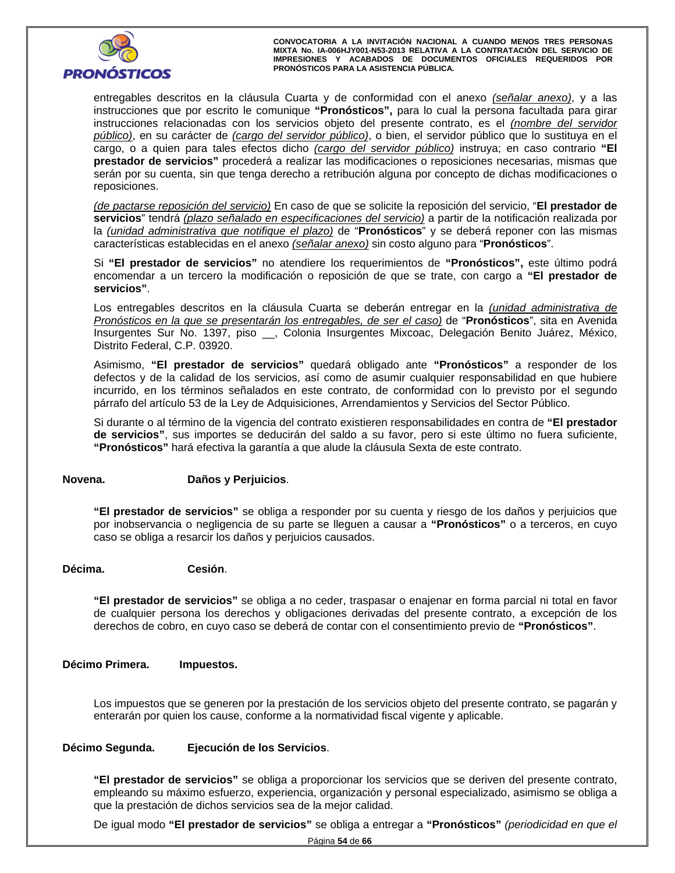

entregables descritos en la cláusula Cuarta y de conformidad con el anexo *(señalar anexo)*, y a las instrucciones que por escrito le comunique **"Pronósticos",** para lo cual la persona facultada para girar instrucciones relacionadas con los servicios objeto del presente contrato, es el *(nombre del servidor público)*, en su carácter de *(cargo del servidor público)*, o bien, el servidor público que lo sustituya en el cargo, o a quien para tales efectos dicho *(cargo del servidor público)* instruya; en caso contrario **"El prestador de servicios"** procederá a realizar las modificaciones o reposiciones necesarias, mismas que serán por su cuenta, sin que tenga derecho a retribución alguna por concepto de dichas modificaciones o reposiciones.

*(de pactarse reposición del servicio)* En caso de que se solicite la reposición del servicio, "**El prestador de servicios**" tendrá *(plazo señalado en especificaciones del servicio)* a partir de la notificación realizada por la *(unidad administrativa que notifique el plazo)* de "**Pronósticos**" y se deberá reponer con las mismas características establecidas en el anexo *(señalar anexo)* sin costo alguno para "**Pronósticos**".

Si **"El prestador de servicios"** no atendiere los requerimientos de **"Pronósticos",** este último podrá encomendar a un tercero la modificación o reposición de que se trate, con cargo a **"El prestador de servicios"**.

Los entregables descritos en la cláusula Cuarta se deberán entregar en la *(unidad administrativa de Pronósticos en la que se presentarán los entregables, de ser el caso)* de "**Pronósticos**", sita en Avenida Insurgentes Sur No. 1397, piso \_\_, Colonia Insurgentes Mixcoac, Delegación Benito Juárez, México, Distrito Federal, C.P. 03920.

Asimismo, **"El prestador de servicios"** quedará obligado ante **"Pronósticos"** a responder de los defectos y de la calidad de los servicios, así como de asumir cualquier responsabilidad en que hubiere incurrido, en los términos señalados en este contrato, de conformidad con lo previsto por el segundo párrafo del artículo 53 de la Ley de Adquisiciones, Arrendamientos y Servicios del Sector Público.

Si durante o al término de la vigencia del contrato existieren responsabilidades en contra de **"El prestador de servicios"**, sus importes se deducirán del saldo a su favor, pero si este último no fuera suficiente, **"Pronósticos"** hará efectiva la garantía a que alude la cláusula Sexta de este contrato.

# Daños y Perjuicios.<br>Aproximada de consisteira e contrato a proposada por su sucede universo de les deñes un existici **Novena. Daños y Perjuicios**.

**"El prestador de servicios"** se obliga a responder por su cuenta y riesgo de los daños y perjuicios que por inobservancia o negligencia de su parte se lleguen a causar a **"Pronósticos"** o a terceros, en cuyo caso se obliga a resarcir los daños y perjuicios causados.

# **Décima. Cesión**.

**"El prestador de servicios"** se obliga a no ceder, traspasar o enajenar en forma parcial ni total en favor de cualquier persona los derechos y obligaciones derivadas del presente contrato, a excepción de los derechos de cobro, en cuyo caso se deberá de contar con el consentimiento previo de **"Pronósticos"**.

# **Décimo Primera. Impuestos.**

Los impuestos que se generen por la prestación de los servicios objeto del presente contrato, se pagarán y enterarán por quien los cause, conforme a la normatividad fiscal vigente y aplicable.

# **Décimo Segunda. Ejecución de los Servicios**.

**"El prestador de servicios"** se obliga a proporcionar los servicios que se deriven del presente contrato, empleando su máximo esfuerzo, experiencia, organización y personal especializado, asimismo se obliga a que la prestación de dichos servicios sea de la mejor calidad.

De igual modo **"El prestador de servicios"** se obliga a entregar a **"Pronósticos"** *(periodicidad en que el*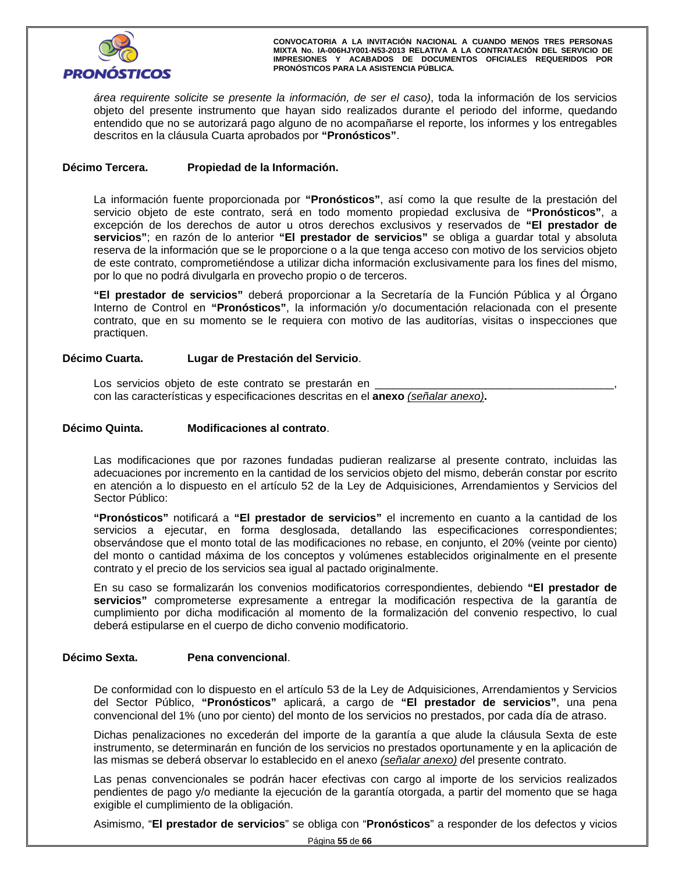

*área requirente solicite se presente la información, de ser el caso)*, toda la información de los servicios objeto del presente instrumento que hayan sido realizados durante el periodo del informe, quedando entendido que no se autorizará pago alguno de no acompañarse el reporte, los informes y los entregables descritos en la cláusula Cuarta aprobados por **"Pronósticos"**.

# **Décimo Tercera. Propiedad de la Información.**

La información fuente proporcionada por **"Pronósticos"**, así como la que resulte de la prestación del servicio objeto de este contrato, será en todo momento propiedad exclusiva de **"Pronósticos"**, a excepción de los derechos de autor u otros derechos exclusivos y reservados de **"El prestador de servicios"**; en razón de lo anterior **"El prestador de servicios"** se obliga a guardar total y absoluta reserva de la información que se le proporcione o a la que tenga acceso con motivo de los servicios objeto de este contrato, comprometiéndose a utilizar dicha información exclusivamente para los fines del mismo, por lo que no podrá divulgarla en provecho propio o de terceros.

**"El prestador de servicios"** deberá proporcionar a la Secretaría de la Función Pública y al Órgano Interno de Control en **"Pronósticos"**, la información y/o documentación relacionada con el presente contrato, que en su momento se le requiera con motivo de las auditorías, visitas o inspecciones que practiquen.

# **Décimo Cuarta. Lugar de Prestación del Servicio**.

Los servicios objeto de este contrato se prestarán en con las características y especificaciones descritas en el **anexo** *(señalar anexo)***.**

# inta. Modificaciones al contrato. **Décimo Quinta. Modificaciones al contrato**.

Las modificaciones que por razones fundadas pudieran realizarse al presente contrato, incluidas las adecuaciones por incremento en la cantidad de los servicios objeto del mismo, deberán constar por escrito en atención a lo dispuesto en el artículo 52 de la Ley de Adquisiciones, Arrendamientos y Servicios del Sector Público:

**"Pronósticos"** notificará a **"El prestador de servicios"** el incremento en cuanto a la cantidad de los servicios a ejecutar, en forma desglosada, detallando las especificaciones correspondientes; observándose que el monto total de las modificaciones no rebase, en conjunto, el 20% (veinte por ciento) del monto o cantidad máxima de los conceptos y volúmenes establecidos originalmente en el presente contrato y el precio de los servicios sea igual al pactado originalmente.

En su caso se formalizarán los convenios modificatorios correspondientes, debiendo **"El prestador de servicios"** comprometerse expresamente a entregar la modificación respectiva de la garantía de cumplimiento por dicha modificación al momento de la formalización del convenio respectivo, lo cual deberá estipularse en el cuerpo de dicho convenio modificatorio.

## **Décimo Sexta. Pena convencional**.

De conformidad con lo dispuesto en el artículo 53 de la Ley de Adquisiciones, Arrendamientos y Servicios del Sector Público, **"Pronósticos"** aplicará, a cargo de **"El prestador de servicios"**, una pena convencional del 1% (uno por ciento) del monto de los servicios no prestados, por cada día de atraso.

Dichas penalizaciones no excederán del importe de la garantía a que alude la cláusula Sexta de este instrumento, se determinarán en función de los servicios no prestados oportunamente y en la aplicación de las mismas se deberá observar lo establecido en el anexo *(señalar anexo) d*el presente contrato.

Las penas convencionales se podrán hacer efectivas con cargo al importe de los servicios realizados pendientes de pago y/o mediante la ejecución de la garantía otorgada, a partir del momento que se haga exigible el cumplimiento de la obligación.

Asimismo, "**El prestador de servicios**" se obliga con "**Pronósticos**" a responder de los defectos y vicios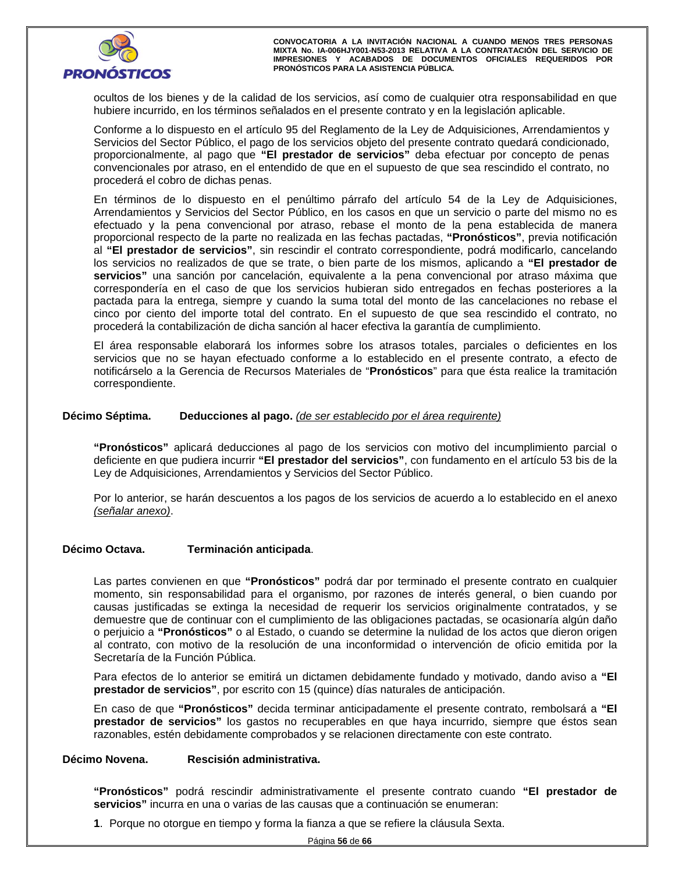ocultos de los bienes y de la calidad de los servicios, así como de cualquier otra responsabilidad en que hubiere incurrido, en los términos señalados en el presente contrato y en la legislación aplicable.

Conforme a lo dispuesto en el artículo 95 del Reglamento de la Ley de Adquisiciones, Arrendamientos y Servicios del Sector Público, el pago de los servicios objeto del presente contrato quedará condicionado, proporcionalmente, al pago que **"El prestador de servicios"** deba efectuar por concepto de penas convencionales por atraso, en el entendido de que en el supuesto de que sea rescindido el contrato, no procederá el cobro de dichas penas.

edera el cobro de dichas penas.<br>érminos de lo dispuesto en el penúltimo párrafo del artículo 54 de la Ley de Adquisic<br>ndamientos y Servicios del Sector Público, en los casos en que un servicio o parte del mi En términos de lo dispuesto en el penúltimo párrafo del artículo 54 de la Ley de Adquisiciones, Arrendamientos y Servicios del Sector Público, en los casos en que un servicio o parte del mismo no es efectuado y la pena convencional por atraso, rebase el monto de la pena establecida de manera proporcional respecto de la parte no realizada en las fechas pactadas, **"Pronósticos"**, previa notificación al **"El prestador de servicios"**, sin rescindir el contrato correspondiente, podrá modificarlo, cancelando los servicios no realizados de que se trate, o bien parte de los mismos, aplicando a **"El prestador de servicios"** una sanción por cancelación, equivalente a la pena convencional por atraso máxima que correspondería en el caso de que los servicios hubieran sido entregados en fechas posteriores a la pactada para la entrega, siempre y cuando la suma total del monto de las cancelaciones no rebase el cinco por ciento del importe total del contrato. En el supuesto de que sea rescindido el contrato, no procederá la contabilización de dicha sanción al hacer efectiva la garantía de cumplimiento.

El área responsable elaborará los informes sobre los atrasos totales, parciales o deficientes en los servicios que no se hayan efectuado conforme a lo establecido en el presente contrato, a efecto de notificárselo a la Gerencia de Recursos Materiales de "**Pronósticos**" para que ésta realice la tramitación correspondiente.

# **Décimo Séptima. Deducciones al pago.** *(de ser establecido por el área requirente)*

**"Pronósticos"** aplicará deducciones al pago de los servicios con motivo del incumplimiento parcial o deficiente en que pudiera incurrir **"El prestador del servicios"**, con fundamento en el artículo 53 bis de la Ley de Adquisiciones, Arrendamientos y Servicios del Sector Público.

Por lo anterior, se harán descuentos a los pagos de los servicios de acuerdo a lo establecido en el anexo *(señalar anexo)*.

# **Décimo Octava. Terminación anticipada**.

Las partes convienen en que **"Pronósticos"** podrá dar por terminado el presente contrato en cualquier momento, sin responsabilidad para el organismo, por razones de interés general, o bien cuando por causas justificadas se extinga la necesidad de requerir los servicios originalmente contratados, y se demuestre que de continuar con el cumplimiento de las obligaciones pactadas, se ocasionaría algún daño o perjuicio a **"Pronósticos"** o al Estado, o cuando se determine la nulidad de los actos que dieron origen al contrato, con motivo de la resolución de una inconformidad o intervención de oficio emitida por la Secretaría de la Función Pública.

Para efectos de lo anterior se emitirá un dictamen debidamente fundado y motivado, dando aviso a **"El prestador de servicios"**, por escrito con 15 (quince) días naturales de anticipación.

En caso de que **"Pronósticos"** decida terminar anticipadamente el presente contrato, rembolsará a **"El prestador de servicios"** los gastos no recuperables en que haya incurrido, siempre que éstos sean razonables, estén debidamente comprobados y se relacionen directamente con este contrato.

## **Décimo Novena. Rescisión administrativa.**

**"Pronósticos"** podrá rescindir administrativamente el presente contrato cuando **"El prestador de servicios"** incurra en una o varias de las causas que a continuación se enumeran:

**1**. Porque no otorgue en tiempo y forma la fianza a que se refiere la cláusula Sexta.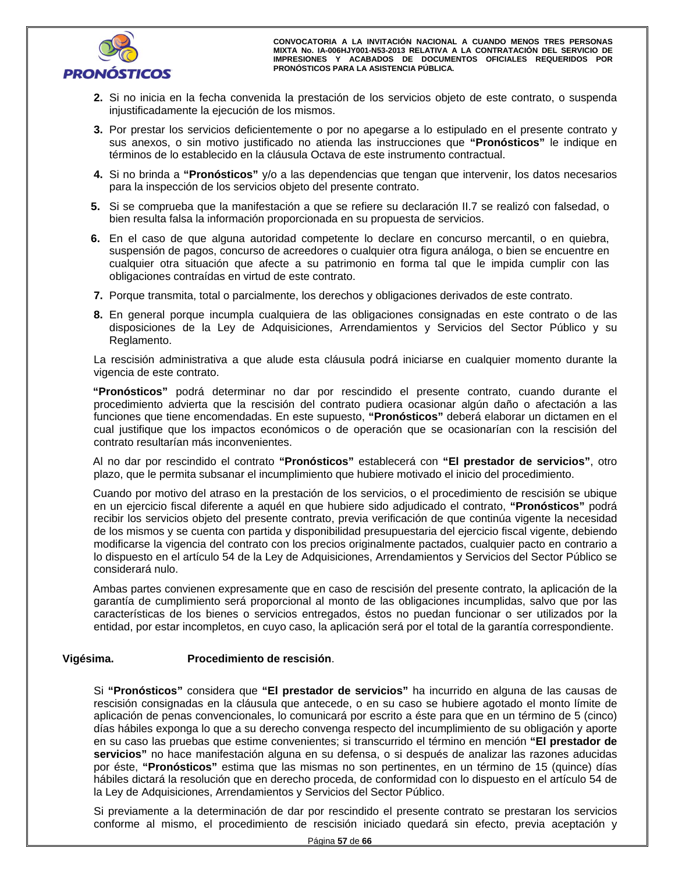

- **2.** Si no inicia en la fecha convenida la prestación de los servicios objeto de este contrato, o suspenda injustificadamente la ejecución de los mismos.
- 3. Por prestar los servicios deficientemente o por no apegarse a lo estipulado en el present<br>sus anexos, o sin motivo justificado no atienda las instrucciones que "Pronósticos" le **3.** Por prestar los servicios deficientemente o por no apegarse a lo estipulado en el presente contrato y sus anexos, o sin motivo justificado no atienda las instrucciones que **"Pronósticos"** le indique en términos de lo establecido en la cláusula Octava de este instrumento contractual.
	- **4.** Si no brinda a **"Pronósticos"** y/o a las dependencias que tengan que intervenir, los datos necesarios para la inspección de los servicios objeto del presente contrato.
- **5.** Si se comprueba que la manifestación a que se refiere su declaración II.7 se realizó con falsedad, o bien resulta falsa la información proporcionada en su propuesta de servicios.
- **6.** En el caso de que alguna autoridad competente lo declare en concurso mercantil, o en quiebra, suspensión de pagos, concurso de acreedores o cualquier otra figura análoga, o bien se encuentre en cualquier otra situación que afecte a su patrimonio en forma tal que le impida cumplir con las obligaciones contraídas en virtud de este contrato.
- **7.** Porque transmita, total o parcialmente, los derechos y obligaciones derivados de este contrato.
- **8.** En general porque incumpla cualquiera de las obligaciones consignadas en este contrato o de las disposiciones de la Ley de Adquisiciones, Arrendamientos y Servicios del Sector Público y su Reglamento.

La rescisión administrativa a que alude esta cláusula podrá iniciarse en cualquier momento durante la vigencia de este contrato.

**"Pronósticos"** podrá determinar no dar por rescindido el presente contrato, cuando durante el procedimiento advierta que la rescisión del contrato pudiera ocasionar algún daño o afectación a las funciones que tiene encomendadas. En este supuesto, **"Pronósticos"** deberá elaborar un dictamen en el cual justifique que los impactos económicos o de operación que se ocasionarían con la rescisión del contrato resultarían más inconvenientes.

Al no dar por rescindido el contrato **"Pronósticos"** establecerá con **"El prestador de servicios"**, otro plazo, que le permita subsanar el incumplimiento que hubiere motivado el inicio del procedimiento.

Cuando por motivo del atraso en la prestación de los servicios, o el procedimiento de rescisión se ubique en un ejercicio fiscal diferente a aquél en que hubiere sido adjudicado el contrato, **"Pronósticos"** podrá recibir los servicios objeto del presente contrato, previa verificación de que continúa vigente la necesidad de los mismos y se cuenta con partida y disponibilidad presupuestaria del ejercicio fiscal vigente, debiendo modificarse la vigencia del contrato con los precios originalmente pactados, cualquier pacto en contrario a lo dispuesto en el artículo 54 de la Ley de Adquisiciones, Arrendamientos y Servicios del Sector Público se considerará nulo.

Ambas partes convienen expresamente que en caso de rescisión del presente contrato, la aplicación de la garantía de cumplimiento será proporcional al monto de las obligaciones incumplidas, salvo que por las características de los bienes o servicios entregados, éstos no puedan funcionar o ser utilizados por la entidad, por estar incompletos, en cuyo caso, la aplicación será por el total de la garantía correspondiente.

# **Vigésima. Procedimiento de rescisión**.

días hábiles exponga lo que a su derecho convenga respecto del incumplimiento de su obligación y aporte<br>en su caso las pruebas que estime convenientes; si transcurrido el término en mención "**El prestador de**<br>servicios" no Si **"Pronósticos"** considera que **"El prestador de servicios"** ha incurrido en alguna de las causas de rescisión consignadas en la cláusula que antecede, o en su caso se hubiere agotado el monto límite de aplicación de penas convencionales, lo comunicará por escrito a éste para que en un término de 5 (cinco) en su caso las pruebas que estime convenientes; si transcurrido el término en mención **"El prestador de servicios"** no hace manifestación alguna en su defensa, o si después de analizar las razones aducidas por éste, **"Pronósticos"** estima que las mismas no son pertinentes, en un término de 15 (quince) días hábiles dictará la resolución que en derecho proceda, de conformidad con lo dispuesto en el artículo 54 de la Ley de Adquisiciones, Arrendamientos y Servicios del Sector Público.

Si previamente a la determinación de dar por rescindido el presente contrato se prestaran los servicios conforme al mismo, el procedimiento de rescisión iniciado quedará sin efecto, previa aceptación y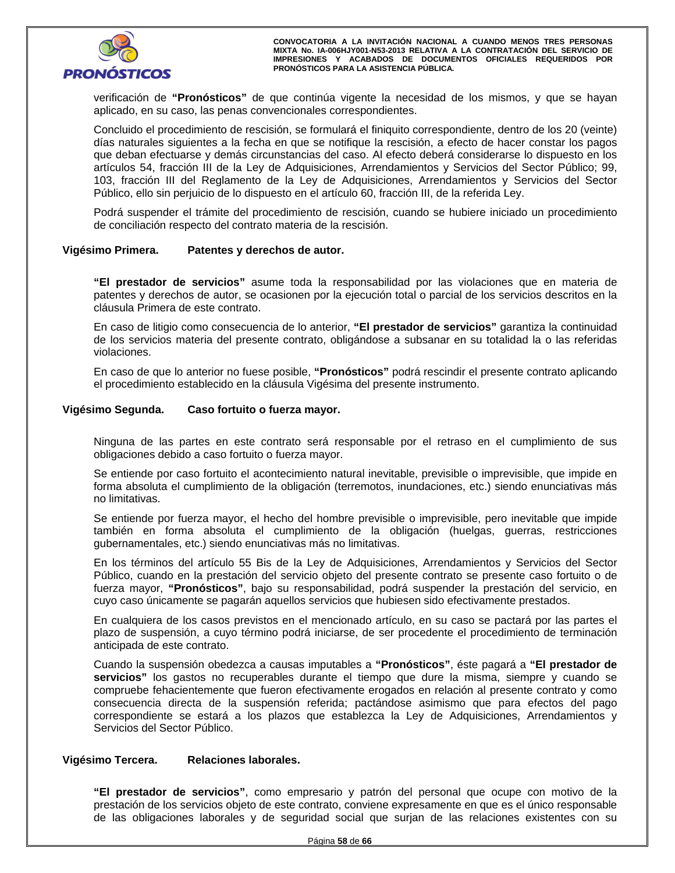

verificación de **"Pronósticos"** de que continúa vigente la necesidad de los mismos, y que se hayan aplicado, en su caso, las penas convencionales correspondientes.

Concluido el procedimiento de rescisión, se formulará el finiquito correspondiente, dentro de los 20 (veinte) días naturales siguientes a la fecha en que se notifique la rescisión, a efecto de hacer constar los pagos que deban efectuarse y demás circunstancias del caso. Al efecto deberá considerarse lo dispuesto en los artículos 54, fracción III de la Ley de Adquisiciones, Arrendamientos y Servicios del Sector Público; 99, 103, fracción III del Reglamento de la Ley de Adquisiciones, Arrendamientos y Servicios del Sector Público, ello sin perjuicio de lo dispuesto en el artículo 60, fracción III, de la referida Ley.

Podrá suspender el trámite del procedimiento de rescisión, cuando se hubiere iniciado un procedimiento de conciliación respecto del contrato materia de la rescisión.

#### **Vigésimo Primera. Patentes y derechos de autor.**

**"El prestador de servicios"** asume toda la responsabilidad por las violaciones que en materia de patentes y derechos de autor, se ocasionen por la ejecución total o parcial de los servicios descritos en la cláusula Primera de este contrato.

En caso de litigio como consecuencia de lo anterior, **"El prestador de servicios"** garantiza la continuidad de los servicios materia del presente contrato, obligándose a subsanar en su totalidad la o las referidas violaciones.

En caso de que lo anterior no fuese posible, **"Pronósticos"** podrá rescindir el presente contrato aplicando el procedimiento establecido en la cláusula Vigésima del presente instrumento.

# **Vigésimo Segunda. Caso fortuito o fuerza mayor.**

Ninguna de las partes en este contrato será responsable por el retraso en el cumplimiento de sus obligaciones debido a caso fortuito o fuerza mayor.

Se entiende por caso fortuito el acontecimiento natural inevitable, previsible o imprevisible, que impide en forma absoluta el cumplimiento de la obligación (terremotos, inundaciones, etc.) siendo enunciativas más no limitativas.

Se entiende por fuerza mayor, el hecho del hombre previsible o imprevisible, pero inevitable que impide también en forma absoluta el cumplimiento de la obligación (huelgas, guerras, restricciones gubernamentales, etc.) siendo enunciativas más no limitativas.

'ublico, cuando en la prestación del servicio objeto del presente contrato se presente caso for<br>uerza mayor, "**Pronósticos**", bajo su responsabilidad, podrá suspender la prestación del se<br>uyo caso únicamente se pagarán aqu En los términos del artículo 55 Bis de la Ley de Adquisiciones, Arrendamientos y Servicios del Sector Público, cuando en la prestación del servicio objeto del presente contrato se presente caso fortuito o de fuerza mayor, **"Pronósticos"**, bajo su responsabilidad, podrá suspender la prestación del servicio, en cuyo caso únicamente se pagarán aquellos servicios que hubiesen sido efectivamente prestados.

En cualquiera de los casos previstos en el mencionado artículo, en su caso se pactará por las partes el plazo de suspensión, a cuyo término podrá iniciarse, de ser procedente el procedimiento de terminación anticipada de este contrato.

Cuando la suspensión obedezca a causas imputables a **"Pronósticos"**, éste pagará a **"El prestador de servicios"** los gastos no recuperables durante el tiempo que dure la misma, siempre y cuando se compruebe fehacientemente que fueron efectivamente erogados en relación al presente contrato y como consecuencia directa de la suspensión referida; pactándose asimismo que para efectos del pago correspondiente se estará a los plazos que establezca la Ley de Adquisiciones, Arrendamientos y Servicios del Sector Público.

# **Vigésimo Tercera. Relaciones laborales.**

**"El prestador de servicios"**, como empresario y patrón del personal que ocupe con motivo de la prestación de los servicios objeto de este contrato, conviene expresamente en que es el único responsable de las obligaciones laborales y de seguridad social que surjan de las relaciones existentes con su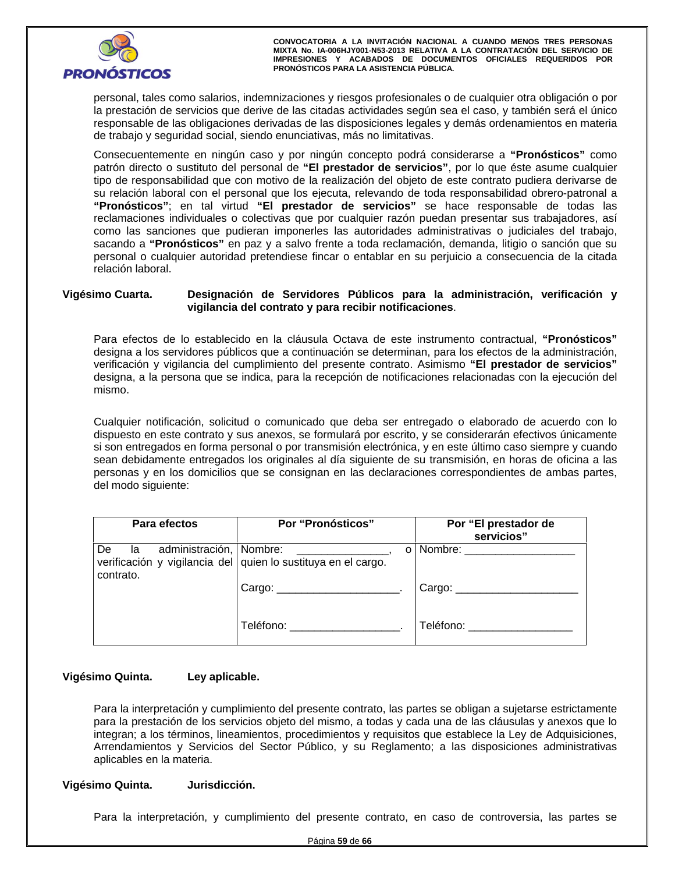

personal, tales como salarios, indemnizaciones y riesgos profesionales o de cualquier otra obligación o por la prestación de servicios que derive de las citadas actividades según sea el caso, y también será el único responsable de las obligaciones derivadas de las disposiciones legales y demás ordenamientos en materia de trabajo y seguridad social, siendo enunciativas, más no limitativas.

Consecuentemente en ningún caso y por ningún concepto podrá considerarse a **"Pronósticos"** como patrón directo o sustituto del personal de **"El prestador de servicios"**, por lo que éste asume cualquier tipo de responsabilidad que con motivo de la realización del objeto de este contrato pudiera derivarse de su relación laboral con el personal que los ejecuta, relevando de toda responsabilidad obrero-patronal a **"Pronósticos"**; en tal virtud **"El prestador de servicios"** se hace responsable de todas las reclamaciones individuales o colectivas que por cualquier razón puedan presentar sus trabajadores, así como las sanciones que pudieran imponerles las autoridades administrativas o judiciales del trabajo, sacando a **"Pronósticos"** en paz y a salvo frente a toda reclamación, demanda, litigio o sanción que su personal o cualquier autoridad pretendiese fincar o entablar en su perjuicio a consecuencia de la citada relación laboral.

# **Vigésimo Cuarta. Designación de Servidores Públicos para la administración, verificación y vigilancia del contrato y para recibir notificaciones**.

Para efectos de lo establecido en la cláusula Octava de este instrumento contractual, **"Pronósticos"** designa a los servidores públicos que a continuación se determinan, para los efectos de la administración, verificación y vigilancia del cumplimiento del presente contrato. Asimismo **"El prestador de servicios"** designa, a la persona que se indica, para la recepción de notificaciones relacionadas con la ejecución del mismo.

Cualquier notificación, solicitud o comunicado que deba ser entregado o elaborado de acuerdo con lo dispuesto en este contrato y sus anexos, se formulará por escrito, y se considerarán efectivos únicamente si son entregados en forma personal o por transmisión electrónica, y en este último caso siempre y cuando sean debidamente entregados los originales al día siguiente de su transmisión, en horas de oficina a las personas y en los domicilios que se consignan en las declaraciones correspondientes de ambas partes, del modo siguiente:

| Para efectos                                     | Por "Pronósticos"                                                  | Por "El prestador de<br>servicios" |  |  |
|--------------------------------------------------|--------------------------------------------------------------------|------------------------------------|--|--|
| administración, Nombre:<br>De<br>la<br>contrato. | O<br>verificación y vigilancia del quien lo sustituya en el cargo. | Nombre:                            |  |  |
|                                                  |                                                                    | Cargo: $\sqrt{2\pi}$               |  |  |
|                                                  | Teléfono: ___________________                                      | Teléfono:                          |  |  |

# **Vigésimo Quinta. Ley aplicable.**

Para la interpretación y cumplimiento del presente contrato, las partes se obligan a sujetarse estrictamente para la prestación de los servicios objeto del mismo, a todas y cada una de las cláusulas y anexos que lo integran; a los términos, lineamientos, procedimientos y requisitos que establece la Ley de Adquisiciones, Arrendamientos y Servicios del Sector Público, y su Reglamento; a las disposiciones administrativas aplicables en la materia.

# **Vigésimo Quinta. Jurisdicción.**

Para la interpretación, y cumplimiento del presente contrato, en caso de controversia, las partes se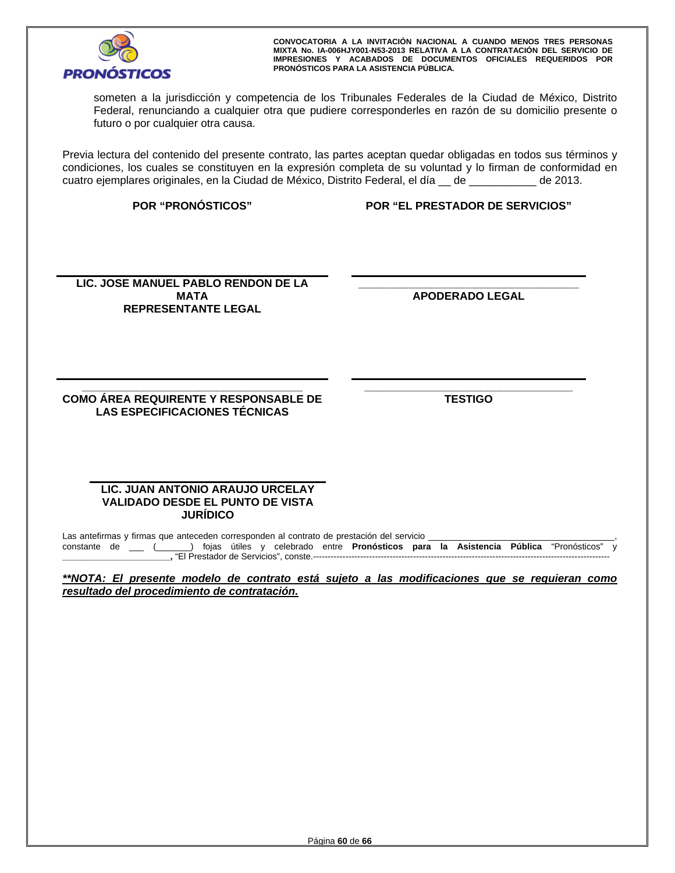

someten a la jurisdicción y competencia de los Tribunales Federales de la Ciudad de México, Distrito Federal, renunciando a cualquier otra que pudiere corresponderles en razón de su domicilio presente o futuro o por cualquier otra causa.

Previa lectura del contenido del presente contrato, las partes aceptan quedar obligadas en todos sus términos y condiciones, los cuales se constituyen en la expresión completa de su voluntad y lo firman de conformidad en cuatro ejemplares originales, en la Ciudad de México, Distrito Federal, el día \_\_ de \_\_\_\_\_\_\_\_\_\_\_ de 2013.

**POR "PRONÓSTICOS" POR "EL PRESTADOR DE SERVICIOS"**

LIC. JOSE MANUEL PABLO RENDON DE LA **ALCE DE CONTRATA DE CONTRATA DE LA REPRESENTANTE LEGAL**<br>REPRESENTANTE LEGAL **MATA REPRESENTANTE LEGAL** 

**\_\_\_\_\_\_\_\_\_\_\_\_\_\_\_\_\_\_\_\_\_\_\_\_\_\_\_\_\_\_\_\_\_\_\_\_ APODERADO LEGAL** 

**\_\_\_\_\_\_\_\_\_\_\_\_\_\_\_\_\_\_\_\_\_\_\_\_\_\_\_\_\_\_\_\_\_\_\_\_ COMO ÁREA REQUIRENTE Y RESPONSABLE DE LAS ESPECIFICACIONES TÉCNICAS** 

 **\_\_\_\_\_\_\_\_\_\_\_\_\_\_\_\_\_\_\_\_\_\_\_\_\_\_\_\_\_\_\_\_\_\_ TESTIGO** 

# **LIC. JUAN ANTONIO ARAUJO URCELAY VALIDADO DESDE EL PUNTO DE VISTA JURÍDICO**

Las antefirmas y firmas que anteceden corresponden al contrato de prestación del servicio \_ constante de \_\_\_ (\_\_\_\_\_\_\_) fojas útiles y celebrado entre **Pronósticos para la Asistencia Pública** "Pronósticos" y **\_\_\_\_\_\_\_\_\_\_\_\_\_\_\_\_\_\_\_\_\_\_,** "El Prestador de Servicios", conste.-----------------------------------------------------------------------------------------------------

*\*\*NOTA: El presente modelo de contrato está sujeto a las modificaciones que se requieran como resultado del procedimiento de contratación.*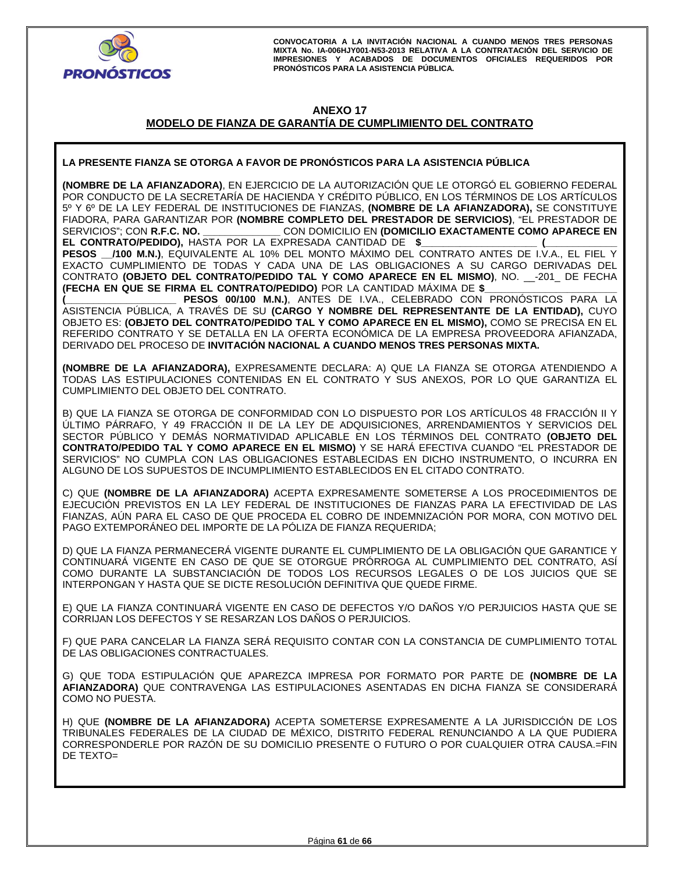

# **ANEXO 17**

# **MODELO DE FIANZA DE GARANTÍA DE CUMPLIMIENTO DEL CONTRATO**

# **LA PRESENTE FIANZA SE OTORGA A FAVOR DE PRONÓSTICOS PARA LA ASISTENCIA PÚBLICA**

**(NOMBRE DE LA AFIANZADORA)**, EN EJERCICIO DE LA AUTORIZACIÓN QUE LE OTORGÓ EL GOBIERNO FEDERAL POR CONDUCTO DE LA SECRETARÍA DE HACIENDA Y CRÉDITO PÚBLICO, EN LOS TÉRMINOS DE LOS ARTÍCULOS 5º Y 6º DE LA LEY FEDERAL DE INSTITUCIONES DE FIANZAS, **(NOMBRE DE LA AFIANZADORA),** SE CONSTITUYE FIADORA, PARA GARANTIZAR POR **(NOMBRE COMPLETO DEL PRESTADOR DE SERVICIOS)**, "EL PRESTADOR DE SERVICIOS"; CON **R.F.C. NO. \_\_\_\_\_\_\_\_\_\_\_\_\_\_** CON DOMICILIO EN **(DOMICILIO EXACTAMENTE COMO APARECE EN EL CONTRATO/PEDIDO),** HASTA POR LA EXPRESADA CANTIDAD DE **\$\_\_\_\_\_\_\_\_\_\_\_\_\_\_\_\_\_\_\_\_\_ (\_\_\_\_\_\_\_\_\_\_\_\_\_** 

**PESOS \_\_/100 M.N.)**, EQUIVALENTE AL 10% DEL MONTO MÁXIMO DEL CONTRATO ANTES DE I.V.A., EL FIEL Y EXACTO CUMPLIMIENTO DE TODAS Y CADA UNA DE LAS OBLIGACIONES A SU CARGO DERIVADAS DEL CONTRATO **(OBJETO DEL CONTRATO/PEDIDO TAL Y COMO APARECE EN EL MISMO)**, NO. \_\_-201\_ DE FECHA **(FECHA EN QUE SE FIRMA EL CONTRATO/PEDIDO)** POR LA CANTIDAD MÁXIMA DE **\$\_\_\_\_\_\_\_\_\_\_\_\_\_\_\_\_\_\_\_\_\_\_\_\_** 

**PESOS 00/100 M.N.)**, ANTES DE I.VA., CELEBRADO CON PRONÓSTICOS PARA LA ASISTENCIA PÚBLICA, A TRAVÉS DE SU **(CARGO Y NOMBRE DEL REPRESENTANTE DE LA ENTIDAD),** CUYO OBJETO ES: **(OBJETO DEL CONTRATO/PEDIDO TAL Y COMO APARECE EN EL MISMO),** COMO SE PRECISA EN EL REFERIDO CONTRATO Y SE DETALLA EN LA OFERTA ECONÓMICA DE LA EMPRESA PROVEEDORA AFIANZADA, DERIVADO DEL PROCESO DE **INVITACIÓN NACIONAL A CUANDO MENOS TRES PERSONAS MIXTA.**

**(NOMBRE DE LA AFIANZADORA),** EXPRESAMENTE DECLARA: A) QUE LA FIANZA SE OTORGA ATENDIENDO A TODAS LAS ESTIPULACIONES CONTENIDAS EN EL CONTRATO Y SUS ANEXOS, POR LO QUE GARANTIZA EL CUMPLIMIENTO DEL OBJETO DEL CONTRATO.

B) QUE LA FIANZA SE OTORGA DE CONFORMIDAD CON LO DISPUESTO POR LOS ARTÍCULOS 48 FRACCIÓN II Y ÚLTIMO PÁRRAFO, Y 49 FRACCIÓN II DE LA LEY DE ADQUISICIONES, ARRENDAMIENTOS Y SERVICIOS DEL SECTOR PÚBLICO Y DEMÁS NORMATIVIDAD APLICABLE EN LOS TÉRMINOS DEL CONTRATO **(OBJETO DEL CONTRATO/PEDIDO TAL Y COMO APARECE EN EL MISMO)** Y SE HARÁ EFECTIVA CUANDO "EL PRESTADOR DE SERVICIOS" NO CUMPLA CON LAS OBLIGACIONES ESTABLECIDAS EN DICHO INSTRUMENTO, O INCURRA EN ALGUNO DE LOS SUPUESTOS DE INCUMPLIMIENTO ESTABLECIDOS EN EL CITADO CONTRATO.

C) QUE **(NOMBRE DE LA AFIANZADORA)** ACEPTA EXPRESAMENTE SOMETERSE A LOS PROCEDIMIENTOS DE EJECUCIÓN PREVISTOS EN LA LEY FEDERAL DE INSTITUCIONES DE FIANZAS PARA LA EFECTIVIDAD DE LAS FIANZAS, AÚN PARA EL CASO DE QUE PROCEDA EL COBRO DE INDEMNIZACIÓN POR MORA, CON MOTIVO DEL PAGO EXTEMPORÁNEO DEL IMPORTE DE LA PÓLIZA DE FIANZA REQUERIDA;

D) QUE LA FIANZA PERMANECERÁ VIGENTE DURANTE EL CUMPLIMIENTO DE LA OBLIGACIÓN QUE GARANTICE Y CONTINUARÁ VIGENTE EN CASO DE QUE SE OTORGUE PRÓRROGA AL CUMPLIMIENTO DEL CONTRATO, ASÍ COMO DURANTE LA SUBSTANCIACIÓN DE TODOS LOS RECURSOS LEGALES O DE LOS JUICIOS QUE SE INTERPONGAN Y HASTA QUE SE DICTE RESOLUCIÓN DEFINITIVA QUE QUEDE FIRME.

E) QUE LA FIANZA CONTINUARÁ VIGENTE EN CASO DE DEFECTOS Y/O DAÑOS Y/O PERJUICIOS HASTA QUE SE CORRIJAN LOS DEFECTOS Y SE RESARZAN LOS DAÑOS O PERJUICIOS.

F) QUE PARA CANCELAR LA FIANZA SERÁ REQUISITO CONTAR CON LA CONSTANCIA DE CUMPLIMIENTO TOTAL DE LAS OBLIGACIONES CONTRACTUALES.

G) QUE TODA ESTIPULACIÓN QUE APAREZCA IMPRESA POR FORMATO POR PARTE DE **(NOMBRE DE LA AFIANZADORA)** QUE CONTRAVENGA LAS ESTIPULACIONES ASENTADAS EN DICHA FIANZA SE CONSIDERARÁ COMO NO PUESTA.

H) QUE **(NOMBRE DE LA AFIANZADORA)** ACEPTA SOMETERSE EXPRESAMENTE A LA JURISDICCIÓN DE LOS TRIBUNALES FEDERALES DE LA CIUDAD DE MÉXICO, DISTRITO FEDERAL RENUNCIANDO A LA QUE PUDIERA CORRESPONDERLE POR RAZÓN DE SU DOMICILIO PRESENTE O FUTURO O POR CUALQUIER OTRA CAUSA.=FIN DE TEXTO=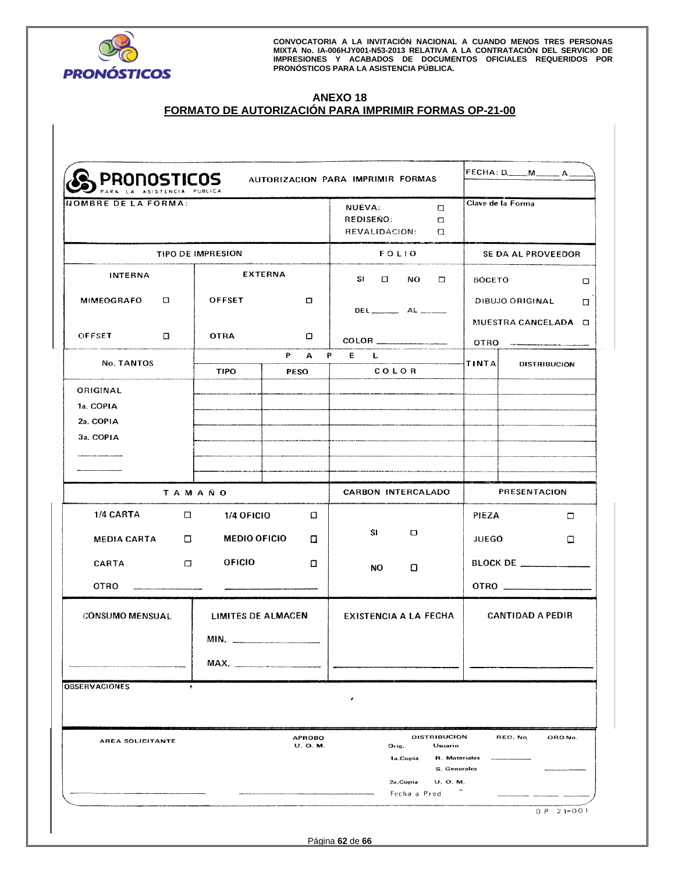

# **ANEXO 18 FORMATO DE AUTORIZACIÓN PARA IMPRIMIR FORMAS OP-21-00**

| <b>PRONOSTICOS</b><br>NOMBRE DE LA FORMA:<br>TIPO DE IMPRESION |        |                           |             | AUTORIZACION PARA IMPRIMIR FORMAS<br><b>NUEVA:</b><br>$\Box$<br><b>REDISEÑO:</b><br>o<br>REVALIDACION:<br>α<br><b>FOLIO</b> |                                     |                                         | FECHA: D._____M_______ A __ |  |  |
|----------------------------------------------------------------|--------|---------------------------|-------------|-----------------------------------------------------------------------------------------------------------------------------|-------------------------------------|-----------------------------------------|-----------------------------|--|--|
|                                                                |        |                           |             |                                                                                                                             |                                     |                                         | Clave de la Forma           |  |  |
|                                                                |        |                           |             |                                                                                                                             |                                     | SE DA AL PROVEEDOR                      |                             |  |  |
| INTERNA                                                        |        | <b>EXTERNA</b>            |             | $SI$ $\Box$                                                                                                                 | NO.<br>0                            | <b>BOCETO</b>                           | $\Box$                      |  |  |
| MIMEOGRAFO                                                     | $\Box$ | <b>OFFSET</b>             | Ω           |                                                                                                                             | <b>DEL</b> ____________ AL ________ |                                         | DIBUJO ORIGINAL<br>$\Box$   |  |  |
| <b>OFFSET</b>                                                  | O      | <b>OTRA</b>               | □           |                                                                                                                             |                                     | MUESTRA CANCELADA O<br>OTRO ___________ |                             |  |  |
| No. TANTOS                                                     |        |                           | P<br>P A    | E L                                                                                                                         |                                     | TINTAL                                  | <b>DISTRIBUCION</b>         |  |  |
|                                                                |        | <b>TIPO</b>               | <b>PESO</b> |                                                                                                                             | COLOR                               |                                         |                             |  |  |
| ORIGINAL<br>1a. COPIA<br>2a. COPIA                             |        |                           |             |                                                                                                                             |                                     |                                         |                             |  |  |
| 3a. COPIA                                                      |        |                           |             |                                                                                                                             |                                     |                                         |                             |  |  |
|                                                                |        |                           |             |                                                                                                                             |                                     |                                         |                             |  |  |
|                                                                |        |                           |             |                                                                                                                             |                                     |                                         |                             |  |  |
| <b>TAMAÑO</b>                                                  |        |                           |             | <b>CARBON INTERCALADO</b>                                                                                                   |                                     | PRESENTACION                            |                             |  |  |
| 1/4 CARTA                                                      | $\Box$ | 1/4 OFICIO                | $\Box$      |                                                                                                                             |                                     | PIEZA                                   | $\Box$                      |  |  |
| MEDIA CARTA                                                    | O      | <b>MEDIO OFICIO</b>       | α           | SI                                                                                                                          | □                                   | JUEGO                                   | □                           |  |  |
| <b>CARTA</b>                                                   | $\Box$ | OFICIO                    | 0           | NO.                                                                                                                         | 0                                   |                                         | BLOCK DE                    |  |  |
| OTRO                                                           |        |                           |             |                                                                                                                             |                                     |                                         |                             |  |  |
| <b>CONSUMO MENSUAL</b>                                         |        | <b>LIMITES DE ALMACEN</b> |             |                                                                                                                             | <b>EXISTENCIA A LA FECHA</b>        |                                         | <b>CANTIDAD A PEDIR</b>     |  |  |
|                                                                |        | MIN.                      |             |                                                                                                                             |                                     |                                         |                             |  |  |
|                                                                |        | MAX.                      |             |                                                                                                                             |                                     |                                         |                             |  |  |
| <b>OBSERVACIONES</b>                                           | ۰      |                           |             |                                                                                                                             |                                     |                                         |                             |  |  |
|                                                                |        |                           |             | ¥                                                                                                                           |                                     |                                         |                             |  |  |
| AREA SOLICITANTE                                               |        | <b>APROBO</b><br>U. O. M. |             | <b>DISTRIBUCION</b><br>Orig.<br>Usuario<br>1a.Copia                                                                         | R. Materiales                       | REO. No.<br>ORD No.                     |                             |  |  |
|                                                                |        |                           |             |                                                                                                                             | 2a.Copia<br>U. O. M.                | S. Generales                            |                             |  |  |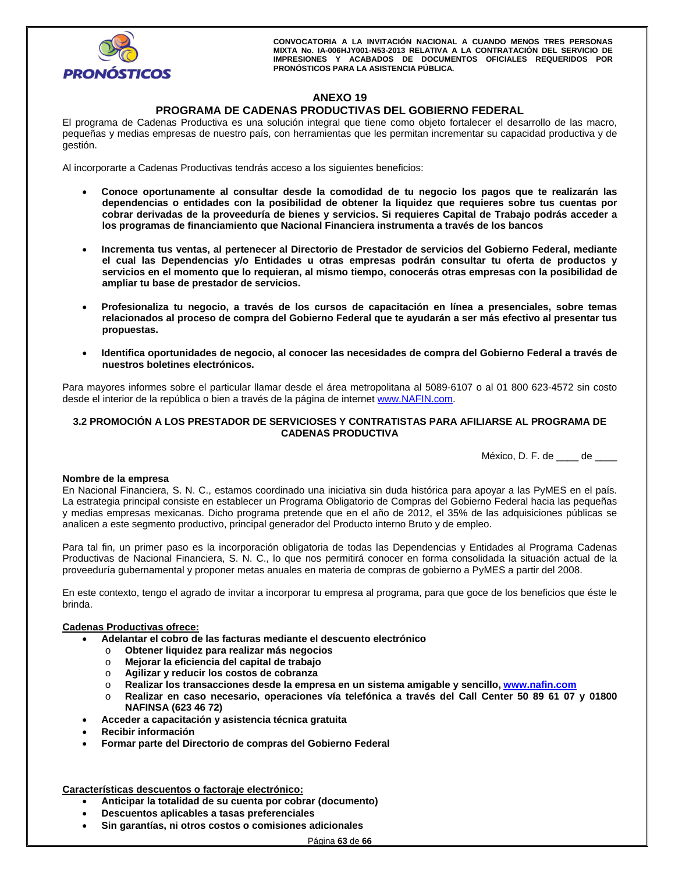

# **ANEXO 19**

# **PROGRAMA DE CADENAS PRODUCTIVAS DEL GOBIERNO FEDERAL**

El programa de Cadenas Productiva es una solución integral que tiene como objeto fortalecer el desarrollo de las macro, pequeñas y medias empresas de nuestro país, con herramientas que les permitan incrementar su capacidad productiva y de gestión.

Al incorporarte a Cadenas Productivas tendrás acceso a los siguientes beneficios:

- **Conoce oportunamente al consultar desde la comodidad de tu negocio los pagos que te realizarán las dependencias o entidades con la posibilidad de obtener la liquidez que requieres sobre tus cuentas por cobrar derivadas de la proveeduría de bienes y servicios. Si requieres Capital de Trabajo podrás acceder a los programas de financiamiento que Nacional Financiera instrumenta a través de los bancos**
- **Incrementa tus ventas, al pertenecer al Directorio de Prestador de servicios del Gobierno Federal, mediante el cual las Dependencias y/o Entidades u otras empresas podrán consultar tu oferta de productos y servicios en el momento que lo requieran, al mismo tiempo, conocerás otras empresas con la posibilidad de ampliar tu base de prestador de servicios.**
- **Profesionaliza tu negocio, a través de los cursos de capacitación en línea a presenciales, sobre temas relacionados al proceso de compra del Gobierno Federal que te ayudarán a ser más efectivo al presentar tus propuestas.**
- **Identifica oportunidades de negocio, al conocer las necesidades de compra del Gobierno Federal a través de nuestros boletines electrónicos.**

Para mayores informes sobre el particular llamar desde el área metropolitana al 5089-6107 o al 01 800 623-4572 sin costo desde el interior de la república o bien a través de la página de internet www.NAFIN.com.

## **3.2 PROMOCIÓN A LOS PRESTADOR DE SERVICIOSES Y CONTRATISTAS PARA AFILIARSE AL PROGRAMA DE CADENAS PRODUCTIVA**

México, D. F. de \_\_\_\_ de \_\_\_\_

#### **Nombre de la empresa**

En Nacional Financiera, S. N. C., estamos coordinado una iniciativa sin duda histórica para apoyar a las PyMES en el país. La estrategia principal consiste en establecer un Programa Obligatorio de Compras del Gobierno Federal hacia las pequeñas y medias empresas mexicanas. Dicho programa pretende que en el año de 2012, el 35% de las adquisiciones públicas se analicen a este segmento productivo, principal generador del Producto interno Bruto y de empleo.

Para tal fin, un primer paso es la incorporación obligatoria de todas las Dependencias y Entidades al Programa Cadenas Productivas de Nacional Financiera, S. N. C., lo que nos permitirá conocer en forma consolidada la situación actual de la proveeduría gubernamental y proponer metas anuales en materia de compras de gobierno a PyMES a partir del 2008.

En este contexto, tengo el agrado de invitar a incorporar tu empresa al programa, para que goce de los beneficios que éste le brinda.

#### **Cadenas Productivas ofrece:**

- **Adelantar el cobro de las facturas mediante el descuento electrónico** 
	- o **Obtener liquidez para realizar más negocios**
	- o **Mejorar la eficiencia del capital de trabajo**
	- o **Agilizar y reducir los costos de cobranza**
	- o **Realizar los transacciones desde la empresa en un sistema amigable y sencillo, www.nafin.com**
	- o **Realizar en caso necesario, operaciones vía telefónica a través del Call Center 50 89 61 07 y 01800 NAFINSA (623 46 72)**
- **Acceder a capacitación y asistencia técnica gratuita**
- **Recibir información**
- **Formar parte del Directorio de compras del Gobierno Federal**

**Características descuentos o factoraje electrónico:** 

- **Anticipar la totalidad de su cuenta por cobrar (documento)**
- **Descuentos aplicables a tasas preferenciales**
- **Sin garantías, ni otros costos o comisiones adicionales**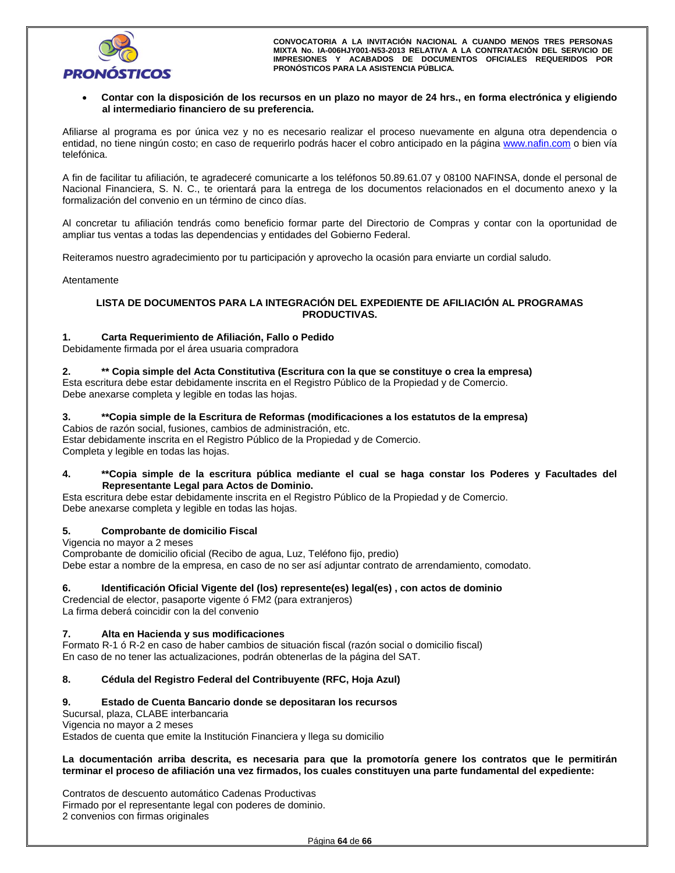

#### **Contar con la disposición de los recursos en un plazo no mayor de 24 hrs., en forma electrónica y eligiendo al intermediario financiero de su preferencia.**

Afiliarse al programa es por única vez y no es necesario realizar el proceso nuevamente en alguna otra dependencia o entidad, no tiene ningún costo; en caso de requerirlo podrás hacer el cobro anticipado en la página www.nafin.com o bien vía telefónica.

A fin de facilitar tu afiliación, te agradeceré comunicarte a los teléfonos 50.89.61.07 y 08100 NAFINSA, donde el personal de Nacional Financiera, S. N. C., te orientará para la entrega de los documentos relacionados en el documento anexo y la formalización del convenio en un término de cinco días.

Al concretar tu afiliación tendrás como beneficio formar parte del Directorio de Compras y contar con la oportunidad de ampliar tus ventas a todas las dependencias y entidades del Gobierno Federal.

Reiteramos nuestro agradecimiento por tu participación y aprovecho la ocasión para enviarte un cordial saludo.

Atentamente

#### **LISTA DE DOCUMENTOS PARA LA INTEGRACIÓN DEL EXPEDIENTE DE AFILIACIÓN AL PROGRAMAS PRODUCTIVAS.**

#### **1. Carta Requerimiento de Afiliación, Fallo o Pedido**

Debidamente firmada por el área usuaria compradora

**2. \*\* Copia simple del Acta Constitutiva (Escritura con la que se constituye o crea la empresa)** 

Esta escritura debe estar debidamente inscrita en el Registro Público de la Propiedad y de Comercio. Debe anexarse completa y legible en todas las hojas.

# **3. \*\*Copia simple de la Escritura de Reformas (modificaciones a los estatutos de la empresa)**

Cabios de razón social, fusiones, cambios de administración, etc. Estar debidamente inscrita en el Registro Público de la Propiedad y de Comercio. Completa y legible en todas las hojas.

#### **4. \*\*Copia simple de la escritura pública mediante el cual se haga constar los Poderes y Facultades del Representante Legal para Actos de Dominio.**

Esta escritura debe estar debidamente inscrita en el Registro Público de la Propiedad y de Comercio. Debe anexarse completa y legible en todas las hojas.

#### **5. Comprobante de domicilio Fiscal**

Vigencia no mayor a 2 meses Comprobante de domicilio oficial (Recibo de agua, Luz, Teléfono fijo, predio) Debe estar a nombre de la empresa, en caso de no ser así adjuntar contrato de arrendamiento, comodato.

#### **6. Identificación Oficial Vigente del (los) represente(es) legal(es) , con actos de dominio**

Credencial de elector, pasaporte vigente ó FM2 (para extranjeros) La firma deberá coincidir con la del convenio

#### **7. Alta en Hacienda y sus modificaciones**

Formato R-1 ó R-2 en caso de haber cambios de situación fiscal (razón social o domicilio fiscal) En caso de no tener las actualizaciones, podrán obtenerlas de la página del SAT.

# **8. Cédula del Registro Federal del Contribuyente (RFC, Hoja Azul)**

#### **9. Estado de Cuenta Bancario donde se depositaran los recursos**

Sucursal, plaza, CLABE interbancaria Vigencia no mayor a 2 meses Estados de cuenta que emite la Institución Financiera y llega su domicilio

#### **La documentación arriba descrita, es necesaria para que la promotoría genere los contratos que le permitirán terminar el proceso de afiliación una vez firmados, los cuales constituyen una parte fundamental del expediente:**

Contratos de descuento automático Cadenas Productivas Firmado por el representante legal con poderes de dominio. 2 convenios con firmas originales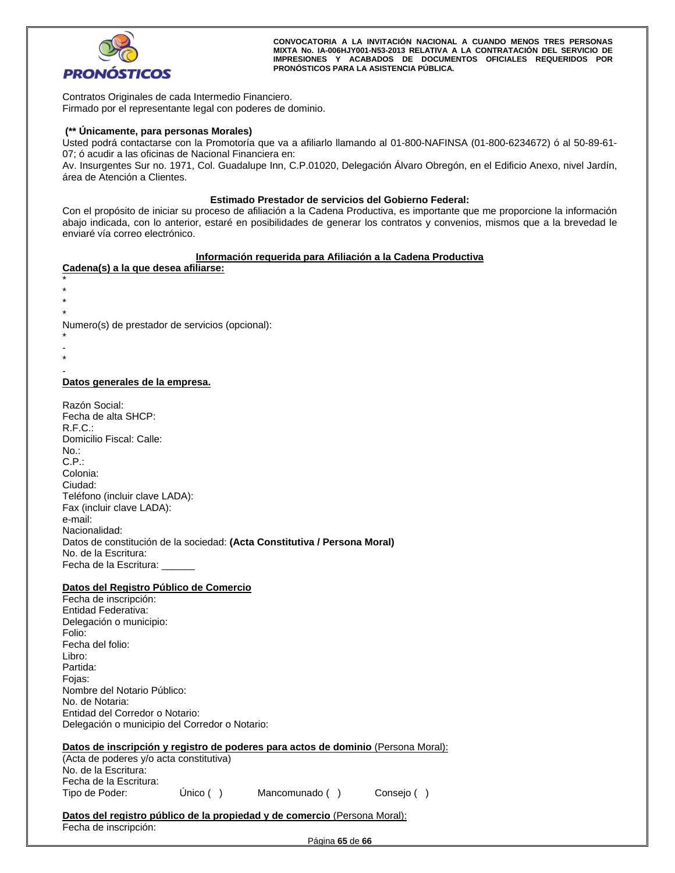

Contratos Originales de cada Intermedio Financiero. Firmado por el representante legal con poderes de dominio.

# **(\*\* Únicamente, para personas Morales)**

Usted podrá contactarse con la Promotoría que va a afiliarlo llamando al 01-800-NAFINSA (01-800-6234672) ó al 50-89-61- 07; ó acudir a las oficinas de Nacional Financiera en:

Av. Insurgentes Sur no. 1971, Col. Guadalupe Inn, C.P.01020, Delegación Álvaro Obregón, en el Edificio Anexo, nivel Jardín, área de Atención a Clientes.

#### **Estimado Prestador de servicios del Gobierno Federal:**

Con el propósito de iniciar su proceso de afiliación a la Cadena Productiva, es importante que me proporcione la información abajo indicada, con lo anterior, estaré en posibilidades de generar los contratos y convenios, mismos que a la brevedad le enviaré vía correo electrónico.

#### **Información requerida para Afiliación a la Cadena Productiva**

#### **Cadena(s) a la que desea afiliarse:**

\* \*

- \*
- \*

Numero(s) de prestador de servicios (opcional): \*

-

\* -

#### **Datos generales de la empresa.**

| Razón Social:                                                             |
|---------------------------------------------------------------------------|
| Fecha de alta SHCP:                                                       |
| R.F.C.:                                                                   |
| Domicilio Fiscal: Calle:                                                  |
| $No.$ :                                                                   |
| C.P.                                                                      |
| Colonia:                                                                  |
| Ciudad:                                                                   |
| Teléfono (incluir clave LADA):                                            |
| Fax (incluir clave LADA):                                                 |
| e-mail:                                                                   |
| Nacionalidad:                                                             |
| Datos de constitución de la sociedad: (Acta Constitutiva / Persona Moral) |
| No. de la Escritura:                                                      |
| Fecha de la Escritura:                                                    |

#### **Datos del Registro Público de Comercio**

| Fecha de inscripción:                                            |
|------------------------------------------------------------------|
| Entidad Federativa:                                              |
| Delegación o municipio:                                          |
| Folio:                                                           |
| Fecha del folio:                                                 |
| Libro:                                                           |
| Partida:                                                         |
| Fojas:                                                           |
| Nombre del Notario Público:                                      |
| No. de Notaria:                                                  |
| Entidad del Corredor o Notario:                                  |
| Delegación o municipio del Corredor o Notario:                   |
|                                                                  |
| Datos de inscripción y registro de poderes para actos de dominio |

#### **(Persona Moral):** (Acta de poderes y/o acta constitutiva)

| TACIA de poderes y/o acia constitutiva |             |  |
|----------------------------------------|-------------|--|
| No. de la Escritura:                   |             |  |
| Fecha de la Escritura:                 |             |  |
| Tipo de Poder:                         | Unico $( )$ |  |

Mancomunado ( ) Consejo ( )

#### **Datos del registro público de la propiedad y de comercio (Persona Moral):** Fecha de inscripción:

Página **65** de **66**